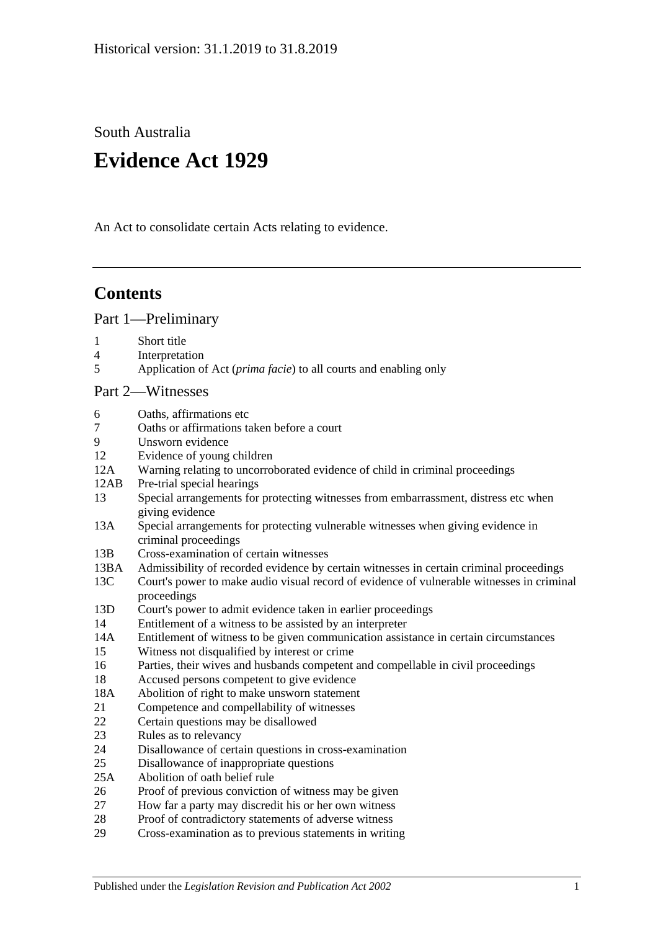South Australia

# **Evidence Act 1929**

An Act to consolidate certain Acts relating to evidence.

# **Contents**

[Part 1—Preliminary](#page-6-0)

- 1 [Short title](#page-6-1)
- 4 [Interpretation](#page-6-2)
- 5 Application of Act (*prima facie*[\) to all courts and enabling only](#page-8-0)

#### [Part 2—Witnesses](#page-10-0)

- 6 [Oaths, affirmations etc](#page-10-1)
- 7 [Oaths or affirmations taken before a court](#page-10-2)
- 9 [Unsworn evidence](#page-10-3)
- 12 [Evidence of young children](#page-11-0)
- 12A [Warning relating to uncorroborated evidence of child in criminal proceedings](#page-11-1)
- 12AB [Pre-trial special hearings](#page-12-0)
- 13 [Special arrangements for protecting witnesses from embarrassment, distress etc when](#page-15-0)  [giving evidence](#page-15-0)
- 13A [Special arrangements for protecting vulnerable witnesses when giving evidence in](#page-16-0)  [criminal proceedings](#page-16-0)
- 13B [Cross-examination of certain witnesses](#page-19-0)
- 13BA [Admissibility of recorded evidence by certain witnesses in certain criminal proceedings](#page-20-0)
- 13C [Court's power to make audio visual record of evidence of vulnerable witnesses in criminal](#page-22-0)  [proceedings](#page-22-0)
- 13D [Court's power to admit evidence taken in earlier proceedings](#page-22-1)
- 14 [Entitlement of a witness to be assisted by an interpreter](#page-23-0)

14A [Entitlement of witness to be given communication assistance in certain circumstances](#page-23-1)

- 15 [Witness not disqualified by interest or crime](#page-24-0)
- 16 [Parties, their wives and husbands competent and compellable in civil proceedings](#page-24-1)
- 18 [Accused persons competent to give evidence](#page-24-2)
- 18A [Abolition of right to make unsworn statement](#page-25-0)
- 21 [Competence and compellability of witnesses](#page-26-0)
- 22 [Certain questions may be disallowed](#page-27-0)
- 23 [Rules as to relevancy](#page-27-1)
- 24 [Disallowance of certain questions in cross-examination](#page-27-2)
- 25 [Disallowance of inappropriate questions](#page-27-3)
- 25A [Abolition of oath belief rule](#page-28-0)
- 26 [Proof of previous conviction of witness may be given](#page-29-0)
- 27 [How far a party may discredit his or her own witness](#page-29-1)
- 28 [Proof of contradictory statements of adverse witness](#page-29-2)
- 29 [Cross-examination as to previous statements in writing](#page-29-3)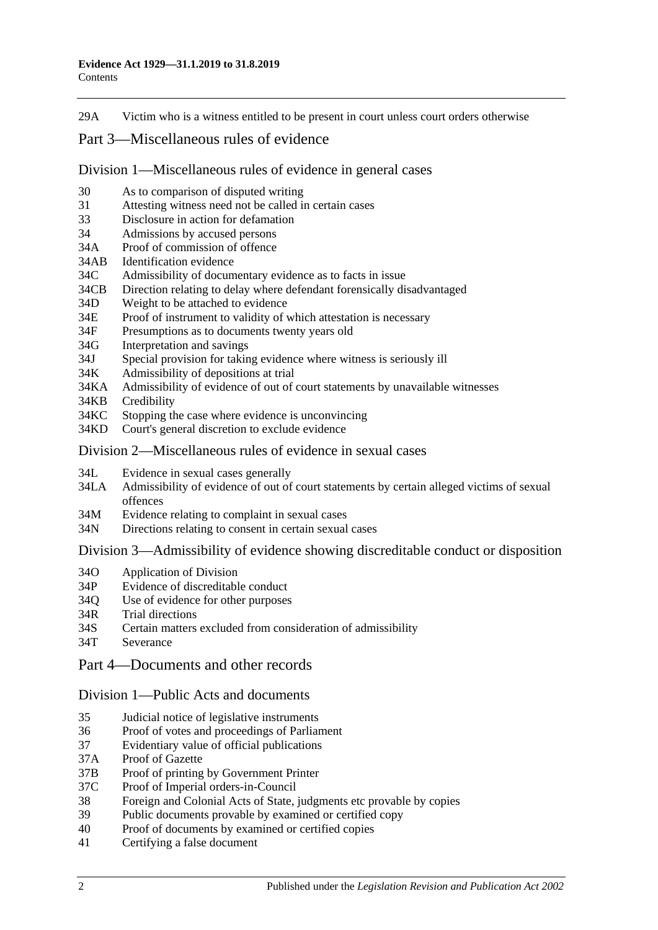29A [Victim who is a witness entitled to be present in court unless court orders otherwise](#page-29-4)

## [Part 3—Miscellaneous rules of evidence](#page-30-0)

[Division 1—Miscellaneous rules of evidence in general cases](#page-30-1)

- 30 [As to comparison of disputed writing](#page-30-2)
- 31 [Attesting witness need not be called in certain cases](#page-30-3)
- 33 [Disclosure in action for defamation](#page-30-4)
- 34 [Admissions by accused persons](#page-30-5)
- 34A [Proof of commission of offence](#page-30-6)
- 34AB [Identification evidence](#page-30-7)
- 34C [Admissibility of documentary evidence as to facts in issue](#page-31-0)
- 34CB [Direction relating to delay where defendant forensically disadvantaged](#page-32-0)
- 34D [Weight to be attached to evidence](#page-33-0)
- 34E [Proof of instrument to validity of which attestation is necessary](#page-33-1)
- 34F [Presumptions as to documents twenty years old](#page-33-2)
- 34G [Interpretation and savings](#page-33-3)
- 34J [Special provision for taking evidence where witness is seriously ill](#page-34-0)
- 34K [Admissibility of depositions at trial](#page-34-1)
- 34KA [Admissibility of evidence of out of court statements by unavailable witnesses](#page-34-2)
- 34KB [Credibility](#page-36-0)
- 34KC [Stopping the case where evidence is unconvincing](#page-36-1)
- 34KD [Court's general discretion to exclude evidence](#page-37-0)

#### [Division 2—Miscellaneous rules of evidence in sexual cases](#page-37-1)

- 34L [Evidence in sexual cases generally](#page-37-2)
- 34LA [Admissibility of evidence of out of court statements by certain alleged victims of sexual](#page-38-0)  [offences](#page-38-0)
- 34M [Evidence relating to complaint in sexual cases](#page-39-0)
- 34N [Directions relating to consent in certain sexual cases](#page-40-0)

#### Division [3—Admissibility of evidence showing discreditable conduct or disposition](#page-40-1)

- 34O [Application of Division](#page-40-2)
- 34P [Evidence of discreditable conduct](#page-41-0)
- 34Q [Use of evidence for other purposes](#page-41-1)
- 34R [Trial directions](#page-41-2)
- 34S [Certain matters excluded from consideration of admissibility](#page-42-0)
- 34T [Severance](#page-42-1)

#### [Part 4—Documents and other records](#page-44-0)

#### [Division 1—Public Acts and documents](#page-44-1)

- 35 [Judicial notice of legislative instruments](#page-44-2)
- 36 [Proof of votes and proceedings of Parliament](#page-44-3)
- 37 [Evidentiary value of official publications](#page-44-4)
- 37A [Proof of Gazette](#page-44-5)
- 37B [Proof of printing by Government Printer](#page-45-0)
- 37C [Proof of Imperial orders-in-Council](#page-45-1)
- 38 [Foreign and Colonial Acts of State, judgments etc provable by copies](#page-45-2)
- 39 [Public documents provable by examined or certified copy](#page-46-0)
- 40 [Proof of documents by examined or certified copies](#page-46-1)
- 41 [Certifying a false document](#page-46-2)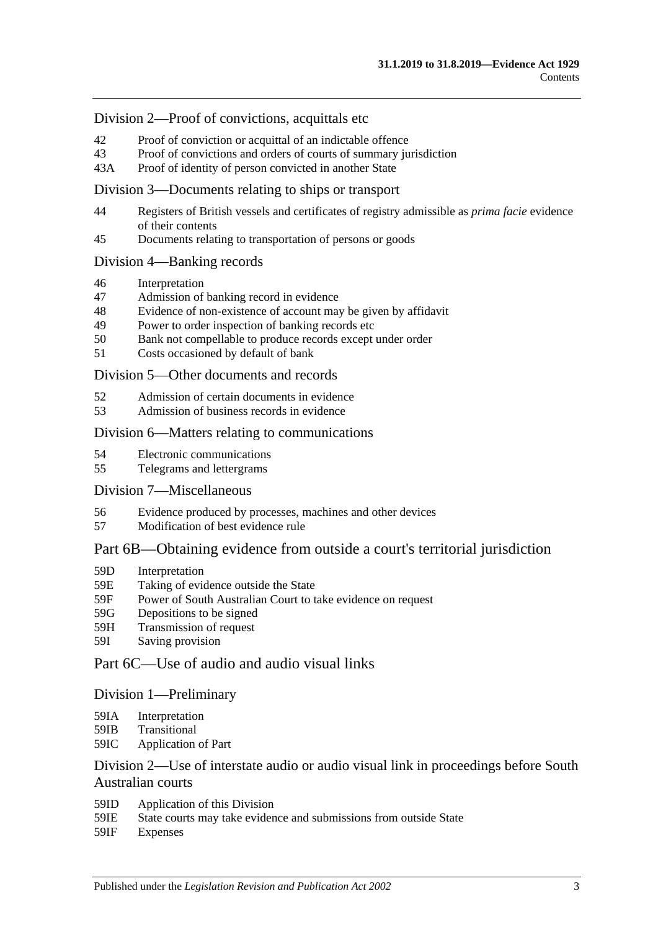#### [Division 2—Proof of convictions, acquittals etc](#page-46-3)

- 42 [Proof of conviction or acquittal of an indictable offence](#page-46-4)
- 43 [Proof of convictions and orders of courts of summary jurisdiction](#page-47-0)
- 43A [Proof of identity of person convicted in another State](#page-47-1)

#### [Division 3—Documents relating to ships or transport](#page-47-2)

- 44 [Registers of British vessels and certificates of registry admissible as](#page-47-3) *prima facie* evidence [of their contents](#page-47-3)
- 45 [Documents relating to transportation of persons or goods](#page-48-0)

#### [Division 4—Banking records](#page-48-1)

- 46 [Interpretation](#page-48-2)
- 47 [Admission of banking record in evidence](#page-49-0)
- 48 [Evidence of non-existence of account may be given by affidavit](#page-49-1)
- 49 [Power to order inspection of banking records etc](#page-49-2)
- 50 [Bank not compellable to produce records except under order](#page-50-0)
- 51 [Costs occasioned by default of bank](#page-51-0)

#### [Division 5—Other documents and records](#page-51-1)

- 52 [Admission of certain documents in evidence](#page-51-2)
- 53 [Admission of business records in evidence](#page-51-3)

#### Division [6—Matters relating to communications](#page-52-0)

- 54 [Electronic communications](#page-52-1)
- 55 [Telegrams and lettergrams](#page-53-0)

#### [Division 7—Miscellaneous](#page-53-1)

- 56 [Evidence produced by processes, machines and other devices](#page-53-2)
- 57 [Modification of best evidence rule](#page-54-0)

## [Part 6B—Obtaining evidence from outside a court's territorial jurisdiction](#page-56-0)

- 59D [Interpretation](#page-56-1)
- 59E [Taking of evidence outside the State](#page-56-2)
- 59F [Power of South Australian Court to take evidence on request](#page-57-0)
- 59G [Depositions to be signed](#page-57-1)
- 59H [Transmission of request](#page-57-2)
- 59I [Saving provision](#page-58-0)

## [Part 6C—Use of audio and audio visual links](#page-60-0)

#### [Division 1—Preliminary](#page-60-1)

- 59IA [Interpretation](#page-60-2)
- 59IB [Transitional](#page-60-3)
- 59IC [Application of Part](#page-60-4)

## [Division 2—Use of interstate audio or audio visual link in proceedings before South](#page-61-0)  [Australian courts](#page-61-0)

- 59ID [Application of this Division](#page-61-1)
- 59IE [State courts may take evidence and submissions from outside State](#page-61-2)
- 59IF [Expenses](#page-61-3)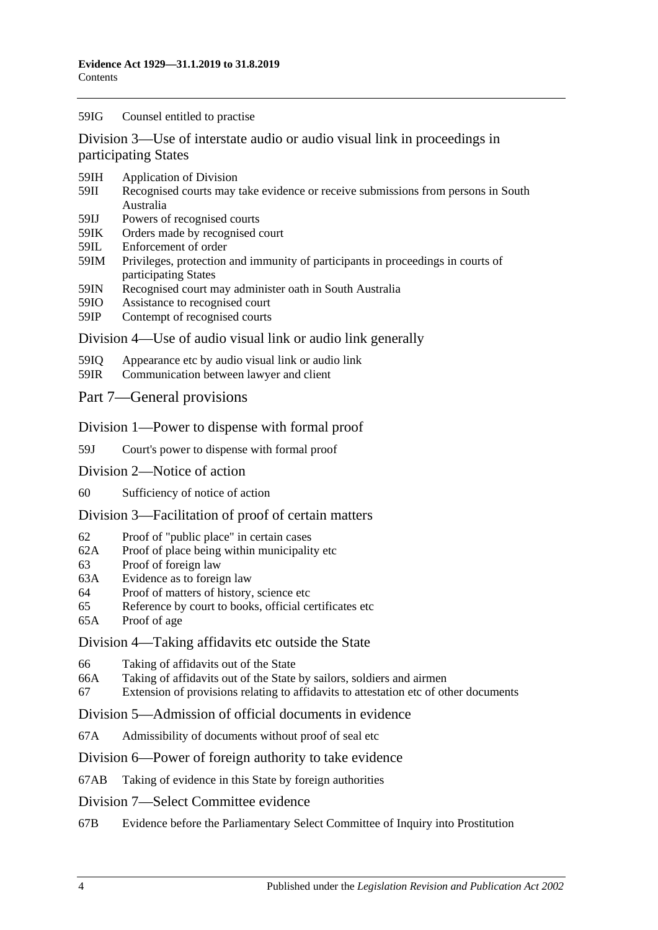#### 59IG [Counsel entitled to practise](#page-61-4)

[Division 3—Use of interstate audio or audio visual link in proceedings in](#page-62-0)  [participating States](#page-62-0)

- 59IH [Application of Division](#page-62-1)
- 59II [Recognised courts may take evidence or receive submissions from persons in South](#page-62-2)  [Australia](#page-62-2)
- 59IJ [Powers of recognised courts](#page-62-3)
- 59IK [Orders made by recognised court](#page-62-4)
- 59IL [Enforcement of order](#page-62-5)
- 59IM [Privileges, protection and immunity of participants in proceedings in courts of](#page-63-0)  [participating States](#page-63-0)
- 59IN [Recognised court may administer oath in South Australia](#page-63-1)
- 59IO [Assistance to recognised court](#page-63-2)
- 59IP [Contempt of recognised courts](#page-63-3)

#### [Division 4—Use of audio visual link or audio link generally](#page-64-0)

- 59IQ [Appearance etc by audio visual link or audio link](#page-64-1)
- 59IR [Communication between lawyer and client](#page-65-0)
- [Part 7—General provisions](#page-66-0)

#### [Division 1—Power to dispense with formal proof](#page-66-1)

- 59J [Court's power to dispense with formal proof](#page-66-2)
- [Division 2—Notice of action](#page-66-3)
- 60 [Sufficiency of notice of action](#page-66-4)

#### [Division 3—Facilitation of proof of certain matters](#page-66-5)

- 62 [Proof of "public place" in certain cases](#page-66-6)
- 62A [Proof of place being within municipality etc](#page-66-7)
- 63 [Proof of foreign law](#page-67-0)
- 63A [Evidence as to foreign law](#page-67-1)
- 64 [Proof of matters of history, science etc](#page-67-2)
- 65 [Reference by court to books, official certificates etc](#page-67-3)
- 65A [Proof of age](#page-68-0)

#### [Division 4—Taking affidavits etc outside the State](#page-68-1)

- 66 [Taking of affidavits out of the State](#page-68-2)
- 66A [Taking of affidavits out of the State by sailors, soldiers and airmen](#page-69-0)
- 67 [Extension of provisions relating to affidavits to attestation etc of other documents](#page-70-0)

#### [Division 5—Admission of official documents in evidence](#page-70-1)

67A [Admissibility of documents without proof of seal etc](#page-70-2)

#### [Division 6—Power of foreign authority to take evidence](#page-71-0)

67AB [Taking of evidence in this State by foreign authorities](#page-71-1)

#### [Division 7—Select Committee evidence](#page-71-2)

67B [Evidence before the Parliamentary Select Committee of Inquiry into Prostitution](#page-71-3)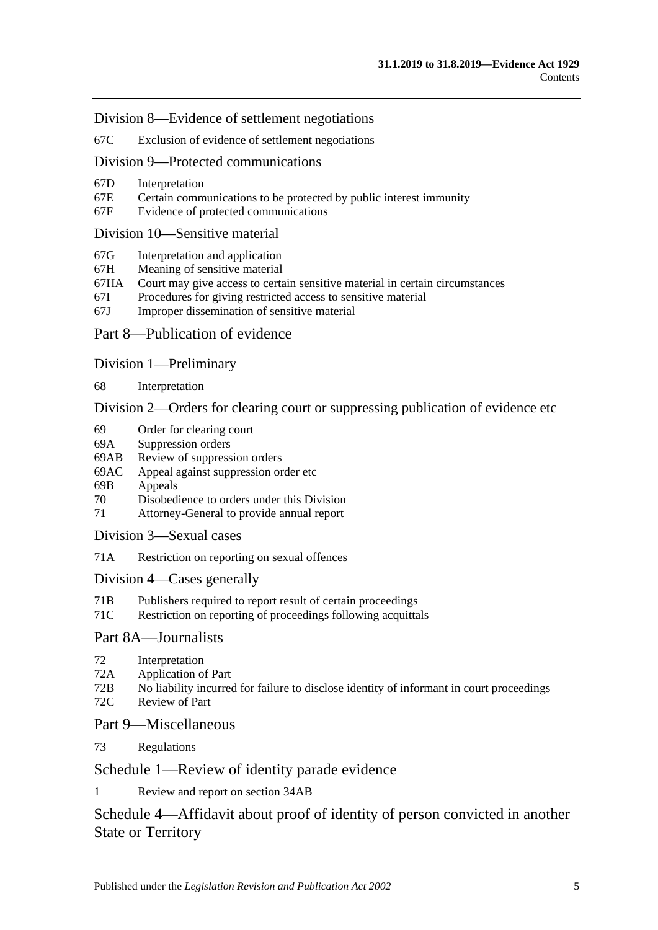[Division 8—Evidence of settlement negotiations](#page-72-0)

67C [Exclusion of evidence of settlement negotiations](#page-72-1)

#### [Division 9—Protected communications](#page-73-0)

- 67D [Interpretation](#page-73-1)
- 67E [Certain communications to be protected by public interest immunity](#page-73-2)
- 67F [Evidence of protected communications](#page-74-0)

#### [Division 10—Sensitive material](#page-75-0)

- 67G [Interpretation and application](#page-75-1)
- 67H [Meaning of sensitive material](#page-77-0)<br>67HA Court may give access to certa
- [Court may give access to certain sensitive material in certain circumstances](#page-77-1)
- 67I [Procedures for giving restricted access to sensitive material](#page-77-2)
- 67J [Improper dissemination of sensitive material](#page-78-0)
- [Part 8—Publication of evidence](#page-80-0)

#### [Division 1—Preliminary](#page-80-1)

68 [Interpretation](#page-80-2)

[Division 2—Orders for clearing court or suppressing publication of evidence etc](#page-80-3)

- 69 [Order for clearing court](#page-80-4)
- 69A [Suppression orders](#page-81-0)
- 69AB [Review of suppression orders](#page-83-0)
- 69AC [Appeal against suppression order etc](#page-84-0)
- 69B [Appeals](#page-85-0)
- 70 [Disobedience to orders under this Division](#page-85-1)
- 71 [Attorney-General to provide annual report](#page-85-2)

[Division 3—Sexual cases](#page-86-0)

71A [Restriction on reporting on sexual offences](#page-86-1)

#### [Division 4—Cases](#page-88-0) generally

- 71B [Publishers required to report result of certain proceedings](#page-88-1)
- 71C [Restriction on reporting of proceedings following acquittals](#page-89-0)

## [Part 8A—Journalists](#page-90-0)

- 72 [Interpretation](#page-90-1)
- 72A [Application of Part](#page-90-2)
- 72B [No liability incurred for failure to disclose identity of informant in court proceedings](#page-90-3)
- 72C [Review of Part](#page-91-0)

## [Part 9—Miscellaneous](#page-92-0)

73 [Regulations](#page-92-1)

## [Schedule 1—Review of identity parade evidence](#page-94-0)

1 [Review and report on section](#page-94-1) 34AB

# [Schedule 4—Affidavit about proof of identity of person convicted in another](#page-95-0)  [State or Territory](#page-95-0)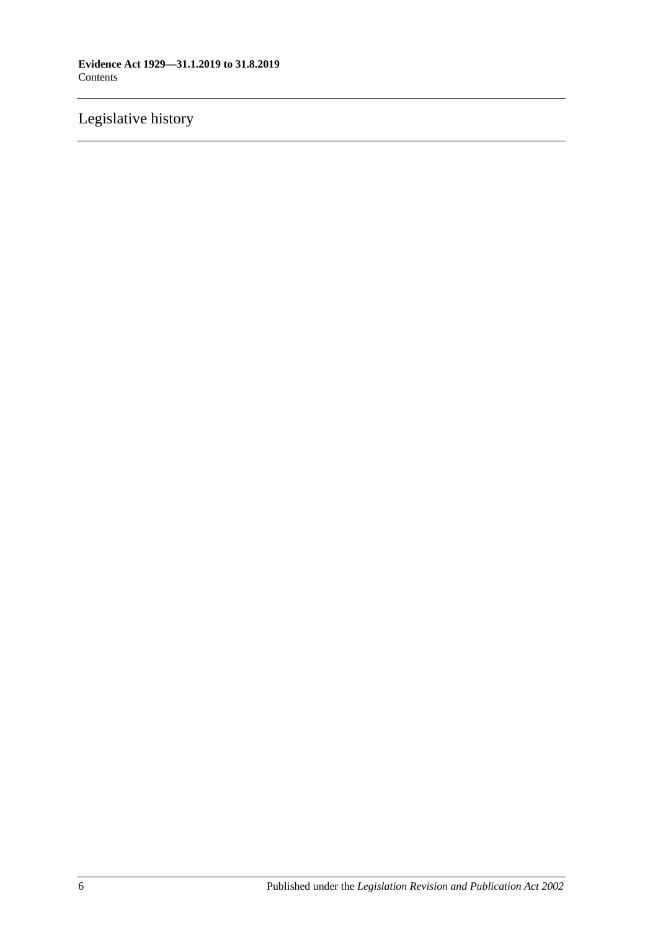# [Legislative history](#page-96-0)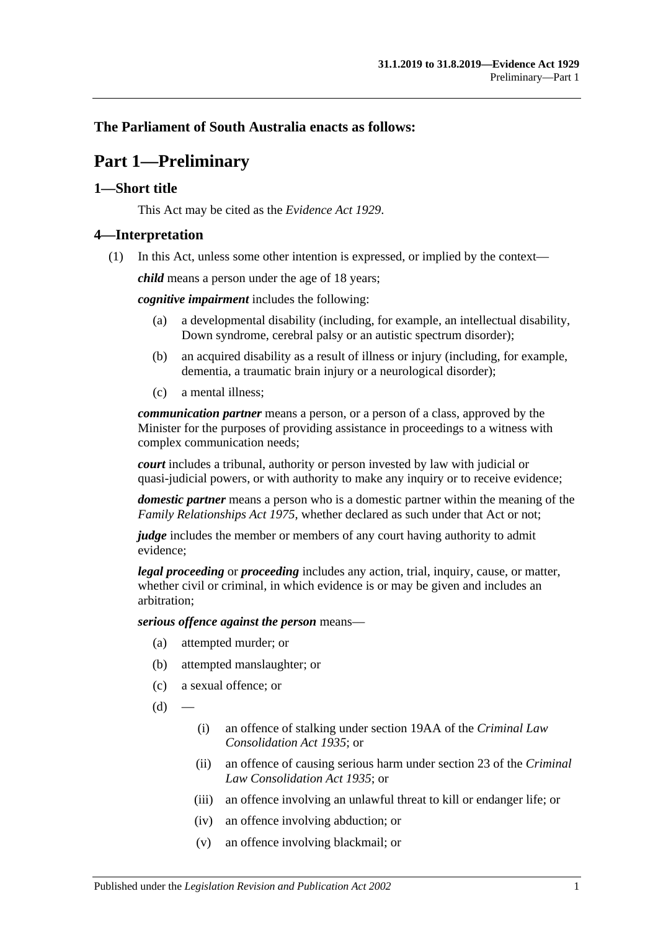## <span id="page-6-0"></span>**The Parliament of South Australia enacts as follows:**

# **Part 1—Preliminary**

## <span id="page-6-1"></span>**1—Short title**

This Act may be cited as the *Evidence Act 1929*.

## <span id="page-6-2"></span>**4—Interpretation**

(1) In this Act, unless some other intention is expressed, or implied by the context—

*child* means a person under the age of 18 years;

*cognitive impairment* includes the following:

- (a) a developmental disability (including, for example, an intellectual disability, Down syndrome, cerebral palsy or an autistic spectrum disorder);
- (b) an acquired disability as a result of illness or injury (including, for example, dementia, a traumatic brain injury or a neurological disorder);
- (c) a mental illness;

*communication partner* means a person, or a person of a class, approved by the Minister for the purposes of providing assistance in proceedings to a witness with complex communication needs;

*court* includes a tribunal, authority or person invested by law with judicial or quasi-judicial powers, or with authority to make any inquiry or to receive evidence;

*domestic partner* means a person who is a domestic partner within the meaning of the *[Family Relationships Act](http://www.legislation.sa.gov.au/index.aspx?action=legref&type=act&legtitle=Family%20Relationships%20Act%201975) 1975*, whether declared as such under that Act or not;

*judge* includes the member or members of any court having authority to admit evidence;

*legal proceeding* or *proceeding* includes any action, trial, inquiry, cause, or matter, whether civil or criminal, in which evidence is or may be given and includes an arbitration;

*serious offence against the person* means—

- (a) attempted murder; or
- (b) attempted manslaughter; or
- (c) a sexual offence; or
- $(d)$ 
	- (i) an offence of stalking under section 19AA of the *[Criminal Law](http://www.legislation.sa.gov.au/index.aspx?action=legref&type=act&legtitle=Criminal%20Law%20Consolidation%20Act%201935)  [Consolidation Act](http://www.legislation.sa.gov.au/index.aspx?action=legref&type=act&legtitle=Criminal%20Law%20Consolidation%20Act%201935) 1935*; or
	- (ii) an offence of causing serious harm under section 23 of the *[Criminal](http://www.legislation.sa.gov.au/index.aspx?action=legref&type=act&legtitle=Criminal%20Law%20Consolidation%20Act%201935)  [Law Consolidation Act](http://www.legislation.sa.gov.au/index.aspx?action=legref&type=act&legtitle=Criminal%20Law%20Consolidation%20Act%201935) 1935*; or
	- (iii) an offence involving an unlawful threat to kill or endanger life; or
	- (iv) an offence involving abduction; or
	- (v) an offence involving blackmail; or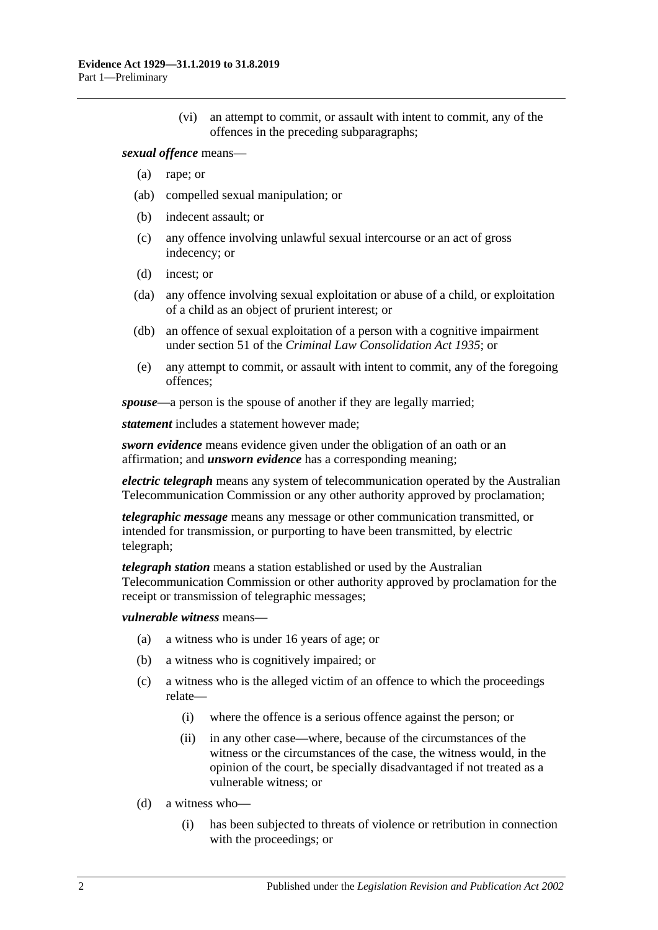(vi) an attempt to commit, or assault with intent to commit, any of the offences in the preceding subparagraphs;

#### *sexual offence* means—

- (a) rape; or
- (ab) compelled sexual manipulation; or
- (b) indecent assault; or
- (c) any offence involving unlawful sexual intercourse or an act of gross indecency; or
- (d) incest; or
- (da) any offence involving sexual exploitation or abuse of a child, or exploitation of a child as an object of prurient interest; or
- (db) an offence of sexual exploitation of a person with a cognitive impairment under section 51 of the *[Criminal Law Consolidation Act](http://www.legislation.sa.gov.au/index.aspx?action=legref&type=act&legtitle=Criminal%20Law%20Consolidation%20Act%201935) 1935*; or
- (e) any attempt to commit, or assault with intent to commit, any of the foregoing offences;

*spouse*—a person is the spouse of another if they are legally married;

*statement* includes a statement however made;

*sworn evidence* means evidence given under the obligation of an oath or an affirmation; and *unsworn evidence* has a corresponding meaning;

*electric telegraph* means any system of telecommunication operated by the Australian Telecommunication Commission or any other authority approved by proclamation;

*telegraphic message* means any message or other communication transmitted, or intended for transmission, or purporting to have been transmitted, by electric telegraph;

*telegraph station* means a station established or used by the Australian Telecommunication Commission or other authority approved by proclamation for the receipt or transmission of telegraphic messages;

#### *vulnerable witness* means—

- (a) a witness who is under 16 years of age; or
- (b) a witness who is cognitively impaired; or
- (c) a witness who is the alleged victim of an offence to which the proceedings relate—
	- (i) where the offence is a serious offence against the person; or
	- (ii) in any other case—where, because of the circumstances of the witness or the circumstances of the case, the witness would, in the opinion of the court, be specially disadvantaged if not treated as a vulnerable witness; or
- (d) a witness who—
	- (i) has been subjected to threats of violence or retribution in connection with the proceedings; or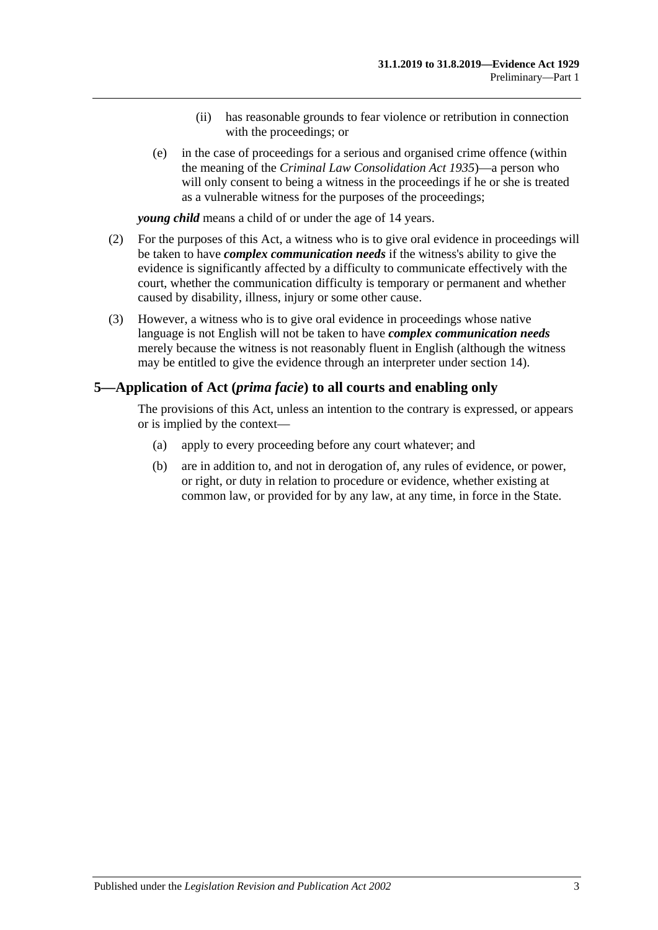- (ii) has reasonable grounds to fear violence or retribution in connection with the proceedings; or
- (e) in the case of proceedings for a serious and organised crime offence (within the meaning of the *[Criminal Law Consolidation Act](http://www.legislation.sa.gov.au/index.aspx?action=legref&type=act&legtitle=Criminal%20Law%20Consolidation%20Act%201935) 1935*)—a person who will only consent to being a witness in the proceedings if he or she is treated as a vulnerable witness for the purposes of the proceedings;

*young child* means a child of or under the age of 14 years.

- (2) For the purposes of this Act, a witness who is to give oral evidence in proceedings will be taken to have *complex communication needs* if the witness's ability to give the evidence is significantly affected by a difficulty to communicate effectively with the court, whether the communication difficulty is temporary or permanent and whether caused by disability, illness, injury or some other cause.
- (3) However, a witness who is to give oral evidence in proceedings whose native language is not English will not be taken to have *complex communication needs* merely because the witness is not reasonably fluent in English (although the witness may be entitled to give the evidence through an interpreter under [section](#page-23-0) 14).

#### <span id="page-8-0"></span>**5—Application of Act (***prima facie***) to all courts and enabling only**

The provisions of this Act, unless an intention to the contrary is expressed, or appears or is implied by the context—

- (a) apply to every proceeding before any court whatever; and
- (b) are in addition to, and not in derogation of, any rules of evidence, or power, or right, or duty in relation to procedure or evidence, whether existing at common law, or provided for by any law, at any time, in force in the State.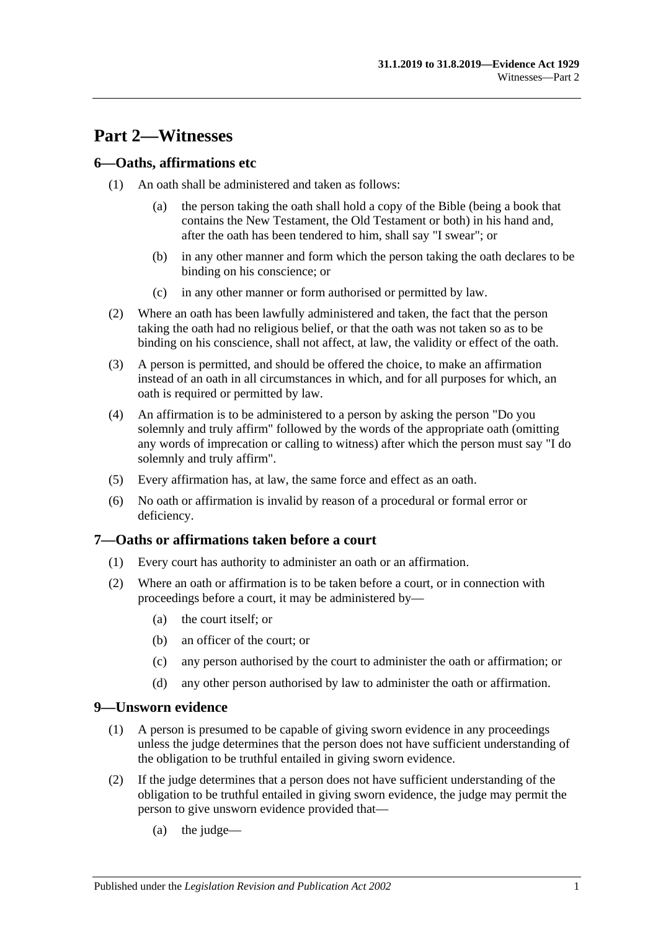# <span id="page-10-0"></span>**Part 2—Witnesses**

## <span id="page-10-1"></span>**6—Oaths, affirmations etc**

- (1) An oath shall be administered and taken as follows:
	- (a) the person taking the oath shall hold a copy of the Bible (being a book that contains the New Testament, the Old Testament or both) in his hand and, after the oath has been tendered to him, shall say "I swear"; or
	- (b) in any other manner and form which the person taking the oath declares to be binding on his conscience; or
	- (c) in any other manner or form authorised or permitted by law.
- (2) Where an oath has been lawfully administered and taken, the fact that the person taking the oath had no religious belief, or that the oath was not taken so as to be binding on his conscience, shall not affect, at law, the validity or effect of the oath.
- (3) A person is permitted, and should be offered the choice, to make an affirmation instead of an oath in all circumstances in which, and for all purposes for which, an oath is required or permitted by law.
- (4) An affirmation is to be administered to a person by asking the person "Do you solemnly and truly affirm" followed by the words of the appropriate oath (omitting any words of imprecation or calling to witness) after which the person must say "I do solemnly and truly affirm".
- (5) Every affirmation has, at law, the same force and effect as an oath.
- (6) No oath or affirmation is invalid by reason of a procedural or formal error or deficiency.

## <span id="page-10-2"></span>**7—Oaths or affirmations taken before a court**

- (1) Every court has authority to administer an oath or an affirmation.
- (2) Where an oath or affirmation is to be taken before a court, or in connection with proceedings before a court, it may be administered by—
	- (a) the court itself; or
	- (b) an officer of the court; or
	- (c) any person authorised by the court to administer the oath or affirmation; or
	- (d) any other person authorised by law to administer the oath or affirmation.

## <span id="page-10-3"></span>**9—Unsworn evidence**

- (1) A person is presumed to be capable of giving sworn evidence in any proceedings unless the judge determines that the person does not have sufficient understanding of the obligation to be truthful entailed in giving sworn evidence.
- (2) If the judge determines that a person does not have sufficient understanding of the obligation to be truthful entailed in giving sworn evidence, the judge may permit the person to give unsworn evidence provided that—
	- (a) the judge—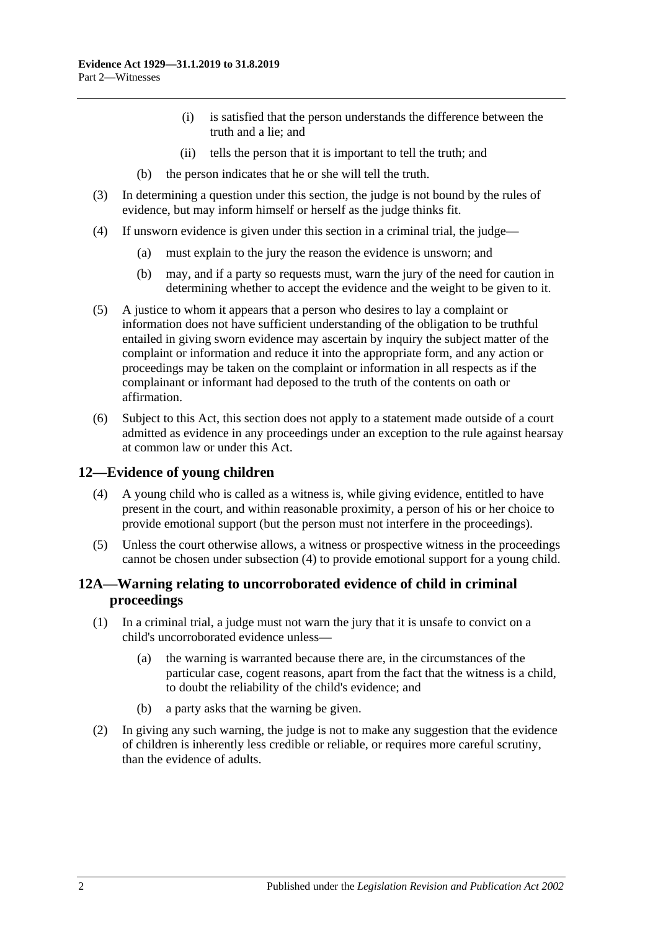- (i) is satisfied that the person understands the difference between the truth and a lie; and
- (ii) tells the person that it is important to tell the truth; and
- (b) the person indicates that he or she will tell the truth.
- (3) In determining a question under this section, the judge is not bound by the rules of evidence, but may inform himself or herself as the judge thinks fit.
- (4) If unsworn evidence is given under this section in a criminal trial, the judge—
	- (a) must explain to the jury the reason the evidence is unsworn; and
	- (b) may, and if a party so requests must, warn the jury of the need for caution in determining whether to accept the evidence and the weight to be given to it.
- (5) A justice to whom it appears that a person who desires to lay a complaint or information does not have sufficient understanding of the obligation to be truthful entailed in giving sworn evidence may ascertain by inquiry the subject matter of the complaint or information and reduce it into the appropriate form, and any action or proceedings may be taken on the complaint or information in all respects as if the complainant or informant had deposed to the truth of the contents on oath or affirmation.
- (6) Subject to this Act, this section does not apply to a statement made outside of a court admitted as evidence in any proceedings under an exception to the rule against hearsay at common law or under this Act.

## <span id="page-11-2"></span><span id="page-11-0"></span>**12—Evidence of young children**

- (4) A young child who is called as a witness is, while giving evidence, entitled to have present in the court, and within reasonable proximity, a person of his or her choice to provide emotional support (but the person must not interfere in the proceedings).
- (5) Unless the court otherwise allows, a witness or prospective witness in the proceedings cannot be chosen under [subsection](#page-11-2) (4) to provide emotional support for a young child.

## <span id="page-11-1"></span>**12A—Warning relating to uncorroborated evidence of child in criminal proceedings**

- (1) In a criminal trial, a judge must not warn the jury that it is unsafe to convict on a child's uncorroborated evidence unless—
	- (a) the warning is warranted because there are, in the circumstances of the particular case, cogent reasons, apart from the fact that the witness is a child, to doubt the reliability of the child's evidence; and
	- (b) a party asks that the warning be given.
- (2) In giving any such warning, the judge is not to make any suggestion that the evidence of children is inherently less credible or reliable, or requires more careful scrutiny, than the evidence of adults.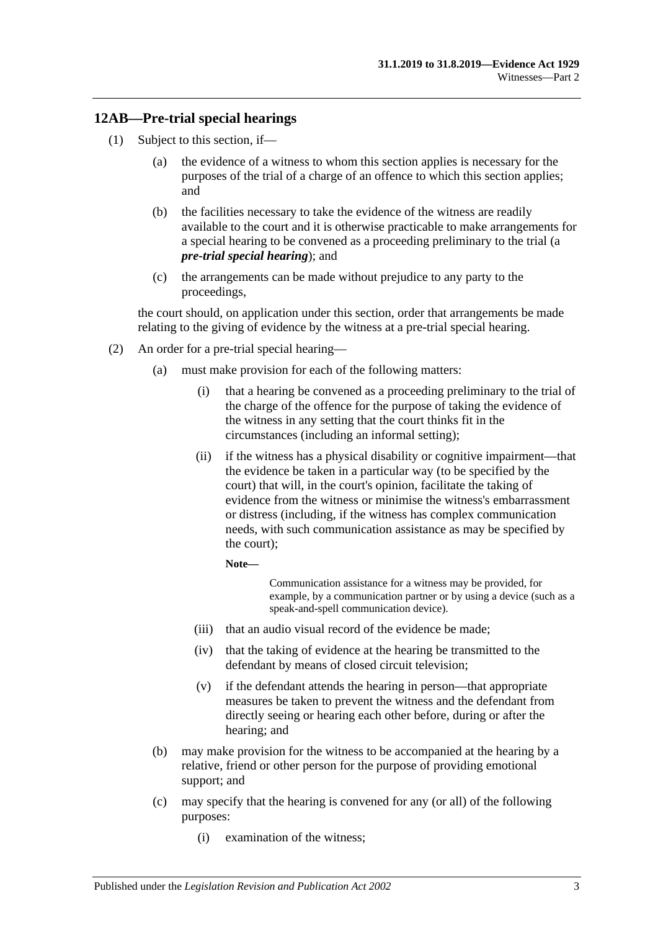## <span id="page-12-0"></span>**12AB—Pre-trial special hearings**

- <span id="page-12-1"></span>(1) Subject to this section, if—
	- (a) the evidence of a witness to whom this section applies is necessary for the purposes of the trial of a charge of an offence to which this section applies; and
	- (b) the facilities necessary to take the evidence of the witness are readily available to the court and it is otherwise practicable to make arrangements for a special hearing to be convened as a proceeding preliminary to the trial (a *pre-trial special hearing*); and
	- (c) the arrangements can be made without prejudice to any party to the proceedings,

<span id="page-12-2"></span>the court should, on application under this section, order that arrangements be made relating to the giving of evidence by the witness at a pre-trial special hearing.

- <span id="page-12-3"></span>(2) An order for a pre-trial special hearing—
	- (a) must make provision for each of the following matters:
		- (i) that a hearing be convened as a proceeding preliminary to the trial of the charge of the offence for the purpose of taking the evidence of the witness in any setting that the court thinks fit in the circumstances (including an informal setting);
		- (ii) if the witness has a physical disability or cognitive impairment—that the evidence be taken in a particular way (to be specified by the court) that will, in the court's opinion, facilitate the taking of evidence from the witness or minimise the witness's embarrassment or distress (including, if the witness has complex communication needs, with such communication assistance as may be specified by the court);

**Note—**

Communication assistance for a witness may be provided, for example, by a communication partner or by using a device (such as a speak-and-spell communication device).

- (iii) that an audio visual record of the evidence be made;
- (iv) that the taking of evidence at the hearing be transmitted to the defendant by means of closed circuit television;
- (v) if the defendant attends the hearing in person—that appropriate measures be taken to prevent the witness and the defendant from directly seeing or hearing each other before, during or after the hearing; and
- (b) may make provision for the witness to be accompanied at the hearing by a relative, friend or other person for the purpose of providing emotional support; and
- (c) may specify that the hearing is convened for any (or all) of the following purposes:
	- (i) examination of the witness;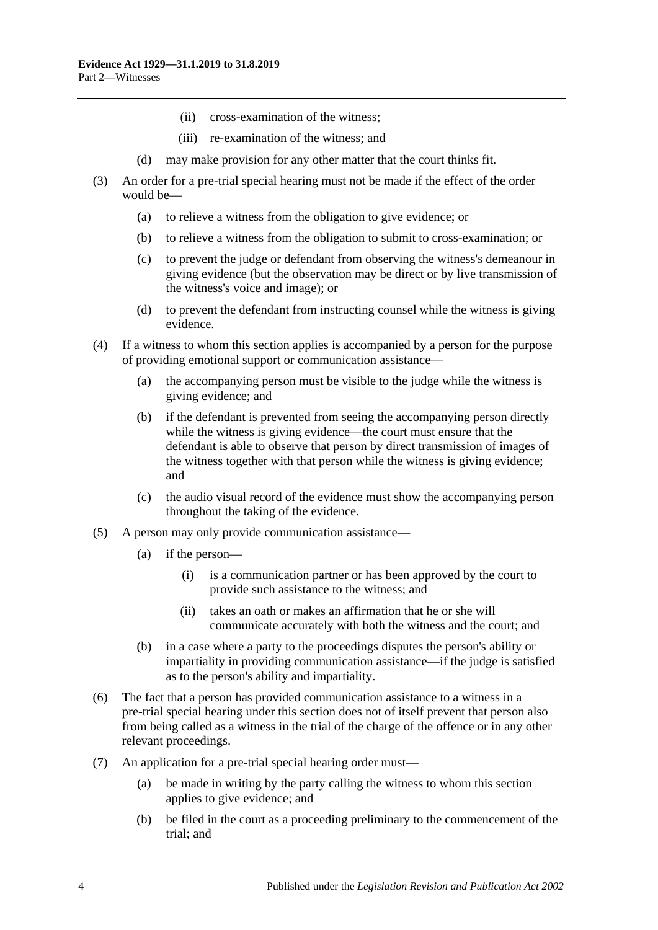- (ii) cross-examination of the witness;
- (iii) re-examination of the witness; and
- (d) may make provision for any other matter that the court thinks fit.
- (3) An order for a pre-trial special hearing must not be made if the effect of the order would be—
	- (a) to relieve a witness from the obligation to give evidence; or
	- (b) to relieve a witness from the obligation to submit to cross-examination; or
	- (c) to prevent the judge or defendant from observing the witness's demeanour in giving evidence (but the observation may be direct or by live transmission of the witness's voice and image); or
	- (d) to prevent the defendant from instructing counsel while the witness is giving evidence.
- (4) If a witness to whom this section applies is accompanied by a person for the purpose of providing emotional support or communication assistance—
	- (a) the accompanying person must be visible to the judge while the witness is giving evidence; and
	- (b) if the defendant is prevented from seeing the accompanying person directly while the witness is giving evidence—the court must ensure that the defendant is able to observe that person by direct transmission of images of the witness together with that person while the witness is giving evidence; and
	- (c) the audio visual record of the evidence must show the accompanying person throughout the taking of the evidence.
- (5) A person may only provide communication assistance—
	- (a) if the person—
		- (i) is a communication partner or has been approved by the court to provide such assistance to the witness; and
		- (ii) takes an oath or makes an affirmation that he or she will communicate accurately with both the witness and the court; and
	- (b) in a case where a party to the proceedings disputes the person's ability or impartiality in providing communication assistance—if the judge is satisfied as to the person's ability and impartiality.
- (6) The fact that a person has provided communication assistance to a witness in a pre-trial special hearing under this section does not of itself prevent that person also from being called as a witness in the trial of the charge of the offence or in any other relevant proceedings.
- (7) An application for a pre-trial special hearing order must—
	- (a) be made in writing by the party calling the witness to whom this section applies to give evidence; and
	- (b) be filed in the court as a proceeding preliminary to the commencement of the trial; and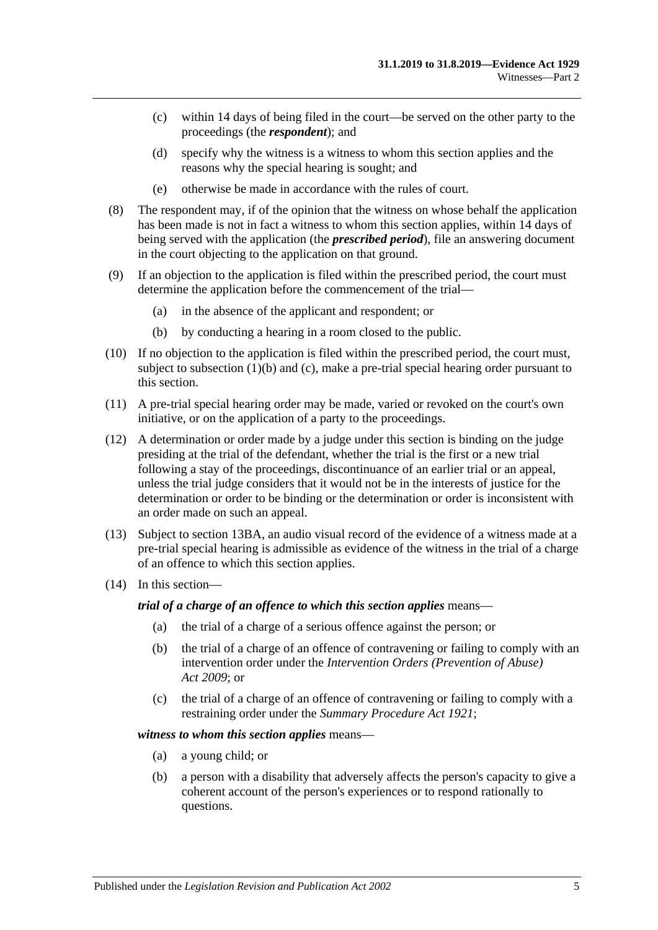- (c) within 14 days of being filed in the court—be served on the other party to the proceedings (the *respondent*); and
- (d) specify why the witness is a witness to whom this section applies and the reasons why the special hearing is sought; and
- (e) otherwise be made in accordance with the rules of court.
- (8) The respondent may, if of the opinion that the witness on whose behalf the application has been made is not in fact a witness to whom this section applies, within 14 days of being served with the application (the *prescribed period*), file an answering document in the court objecting to the application on that ground.
- (9) If an objection to the application is filed within the prescribed period, the court must determine the application before the commencement of the trial—
	- (a) in the absence of the applicant and respondent; or
	- (b) by conducting a hearing in a room closed to the public.
- (10) If no objection to the application is filed within the prescribed period, the court must, subject to [subsection](#page-12-1) (1)(b) and [\(c\),](#page-12-2) make a pre-trial special hearing order pursuant to this section.
- (11) A pre-trial special hearing order may be made, varied or revoked on the court's own initiative, or on the application of a party to the proceedings.
- (12) A determination or order made by a judge under this section is binding on the judge presiding at the trial of the defendant, whether the trial is the first or a new trial following a stay of the proceedings, discontinuance of an earlier trial or an appeal, unless the trial judge considers that it would not be in the interests of justice for the determination or order to be binding or the determination or order is inconsistent with an order made on such an appeal.
- (13) Subject to [section](#page-20-0) 13BA, an audio visual record of the evidence of a witness made at a pre-trial special hearing is admissible as evidence of the witness in the trial of a charge of an offence to which this section applies.
- (14) In this section—

*trial of a charge of an offence to which this section applies* means—

- (a) the trial of a charge of a serious offence against the person; or
- (b) the trial of a charge of an offence of contravening or failing to comply with an intervention order under the *[Intervention Orders \(Prevention of Abuse\)](http://www.legislation.sa.gov.au/index.aspx?action=legref&type=act&legtitle=Intervention%20Orders%20(Prevention%20of%20Abuse)%20Act%202009)  Act [2009](http://www.legislation.sa.gov.au/index.aspx?action=legref&type=act&legtitle=Intervention%20Orders%20(Prevention%20of%20Abuse)%20Act%202009)*; or
- (c) the trial of a charge of an offence of contravening or failing to comply with a restraining order under the *[Summary Procedure Act](http://www.legislation.sa.gov.au/index.aspx?action=legref&type=act&legtitle=Summary%20Procedure%20Act%201921) 1921*;

#### *witness to whom this section applies* means—

- (a) a young child; or
- (b) a person with a disability that adversely affects the person's capacity to give a coherent account of the person's experiences or to respond rationally to questions.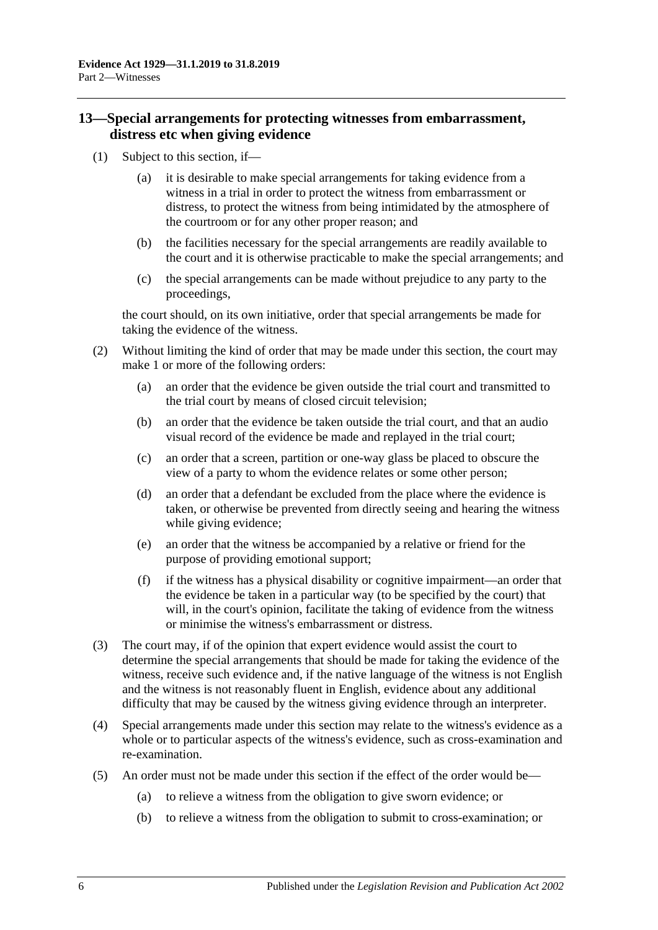## <span id="page-15-0"></span>**13—Special arrangements for protecting witnesses from embarrassment, distress etc when giving evidence**

- (1) Subject to this section, if—
	- (a) it is desirable to make special arrangements for taking evidence from a witness in a trial in order to protect the witness from embarrassment or distress, to protect the witness from being intimidated by the atmosphere of the courtroom or for any other proper reason; and
	- (b) the facilities necessary for the special arrangements are readily available to the court and it is otherwise practicable to make the special arrangements; and
	- (c) the special arrangements can be made without prejudice to any party to the proceedings,

the court should, on its own initiative, order that special arrangements be made for taking the evidence of the witness.

- (2) Without limiting the kind of order that may be made under this section, the court may make 1 or more of the following orders:
	- (a) an order that the evidence be given outside the trial court and transmitted to the trial court by means of closed circuit television;
	- (b) an order that the evidence be taken outside the trial court, and that an audio visual record of the evidence be made and replayed in the trial court;
	- (c) an order that a screen, partition or one-way glass be placed to obscure the view of a party to whom the evidence relates or some other person;
	- (d) an order that a defendant be excluded from the place where the evidence is taken, or otherwise be prevented from directly seeing and hearing the witness while giving evidence;
	- (e) an order that the witness be accompanied by a relative or friend for the purpose of providing emotional support;
	- (f) if the witness has a physical disability or cognitive impairment—an order that the evidence be taken in a particular way (to be specified by the court) that will, in the court's opinion, facilitate the taking of evidence from the witness or minimise the witness's embarrassment or distress.
- (3) The court may, if of the opinion that expert evidence would assist the court to determine the special arrangements that should be made for taking the evidence of the witness, receive such evidence and, if the native language of the witness is not English and the witness is not reasonably fluent in English, evidence about any additional difficulty that may be caused by the witness giving evidence through an interpreter.
- (4) Special arrangements made under this section may relate to the witness's evidence as a whole or to particular aspects of the witness's evidence, such as cross-examination and re-examination.
- (5) An order must not be made under this section if the effect of the order would be—
	- (a) to relieve a witness from the obligation to give sworn evidence; or
	- (b) to relieve a witness from the obligation to submit to cross-examination; or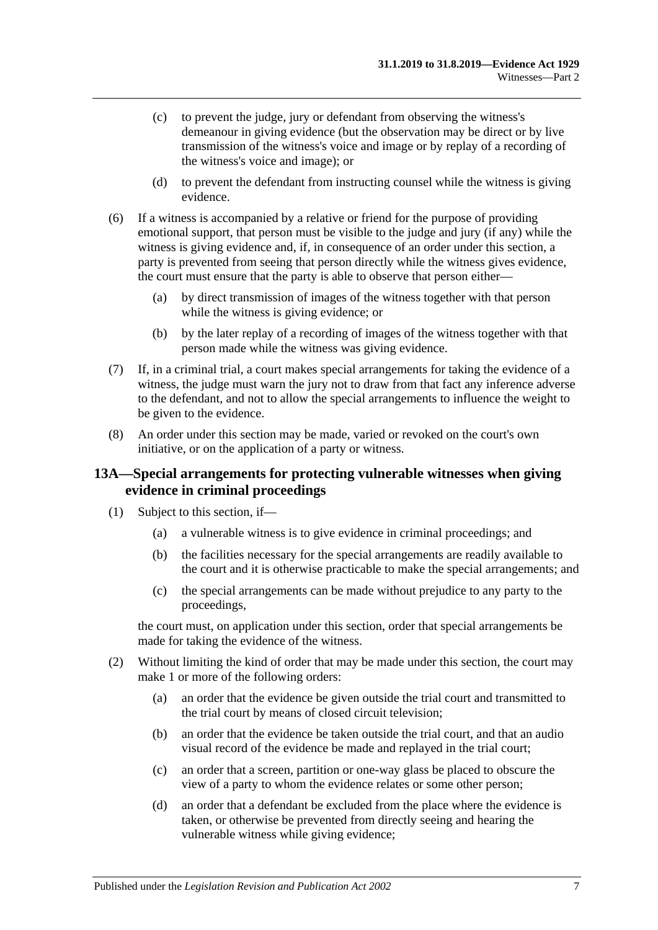- (c) to prevent the judge, jury or defendant from observing the witness's demeanour in giving evidence (but the observation may be direct or by live transmission of the witness's voice and image or by replay of a recording of the witness's voice and image); or
- (d) to prevent the defendant from instructing counsel while the witness is giving evidence.
- (6) If a witness is accompanied by a relative or friend for the purpose of providing emotional support, that person must be visible to the judge and jury (if any) while the witness is giving evidence and, if, in consequence of an order under this section, a party is prevented from seeing that person directly while the witness gives evidence, the court must ensure that the party is able to observe that person either—
	- (a) by direct transmission of images of the witness together with that person while the witness is giving evidence; or
	- (b) by the later replay of a recording of images of the witness together with that person made while the witness was giving evidence.
- (7) If, in a criminal trial, a court makes special arrangements for taking the evidence of a witness, the judge must warn the jury not to draw from that fact any inference adverse to the defendant, and not to allow the special arrangements to influence the weight to be given to the evidence.
- (8) An order under this section may be made, varied or revoked on the court's own initiative, or on the application of a party or witness.

#### <span id="page-16-0"></span>**13A—Special arrangements for protecting vulnerable witnesses when giving evidence in criminal proceedings**

- (1) Subject to this section, if—
	- (a) a vulnerable witness is to give evidence in criminal proceedings; and
	- (b) the facilities necessary for the special arrangements are readily available to the court and it is otherwise practicable to make the special arrangements; and
	- (c) the special arrangements can be made without prejudice to any party to the proceedings,

the court must, on application under this section, order that special arrangements be made for taking the evidence of the witness.

- <span id="page-16-1"></span>(2) Without limiting the kind of order that may be made under this section, the court may make 1 or more of the following orders:
	- (a) an order that the evidence be given outside the trial court and transmitted to the trial court by means of closed circuit television;
	- (b) an order that the evidence be taken outside the trial court, and that an audio visual record of the evidence be made and replayed in the trial court;
	- (c) an order that a screen, partition or one-way glass be placed to obscure the view of a party to whom the evidence relates or some other person;
	- (d) an order that a defendant be excluded from the place where the evidence is taken, or otherwise be prevented from directly seeing and hearing the vulnerable witness while giving evidence;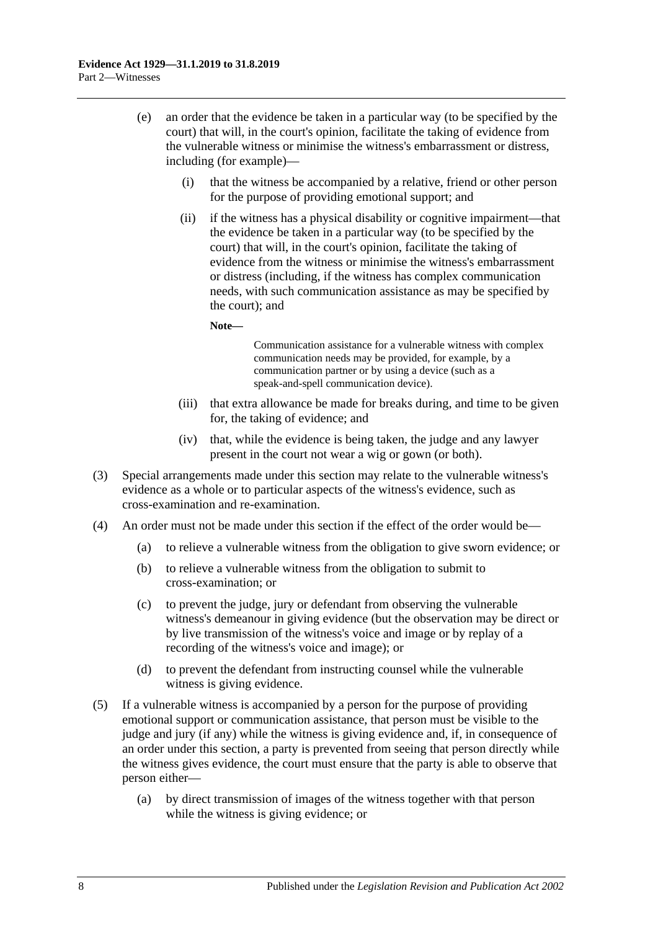- (e) an order that the evidence be taken in a particular way (to be specified by the court) that will, in the court's opinion, facilitate the taking of evidence from the vulnerable witness or minimise the witness's embarrassment or distress, including (for example)—
	- (i) that the witness be accompanied by a relative, friend or other person for the purpose of providing emotional support; and
	- (ii) if the witness has a physical disability or cognitive impairment—that the evidence be taken in a particular way (to be specified by the court) that will, in the court's opinion, facilitate the taking of evidence from the witness or minimise the witness's embarrassment or distress (including, if the witness has complex communication needs, with such communication assistance as may be specified by the court); and

**Note—**

Communication assistance for a vulnerable witness with complex communication needs may be provided, for example, by a communication partner or by using a device (such as a speak-and-spell communication device).

- (iii) that extra allowance be made for breaks during, and time to be given for, the taking of evidence; and
- (iv) that, while the evidence is being taken, the judge and any lawyer present in the court not wear a wig or gown (or both).
- (3) Special arrangements made under this section may relate to the vulnerable witness's evidence as a whole or to particular aspects of the witness's evidence, such as cross-examination and re-examination.
- (4) An order must not be made under this section if the effect of the order would be—
	- (a) to relieve a vulnerable witness from the obligation to give sworn evidence; or
	- (b) to relieve a vulnerable witness from the obligation to submit to cross-examination; or
	- (c) to prevent the judge, jury or defendant from observing the vulnerable witness's demeanour in giving evidence (but the observation may be direct or by live transmission of the witness's voice and image or by replay of a recording of the witness's voice and image); or
	- (d) to prevent the defendant from instructing counsel while the vulnerable witness is giving evidence.
- (5) If a vulnerable witness is accompanied by a person for the purpose of providing emotional support or communication assistance, that person must be visible to the judge and jury (if any) while the witness is giving evidence and, if, in consequence of an order under this section, a party is prevented from seeing that person directly while the witness gives evidence, the court must ensure that the party is able to observe that person either—
	- (a) by direct transmission of images of the witness together with that person while the witness is giving evidence; or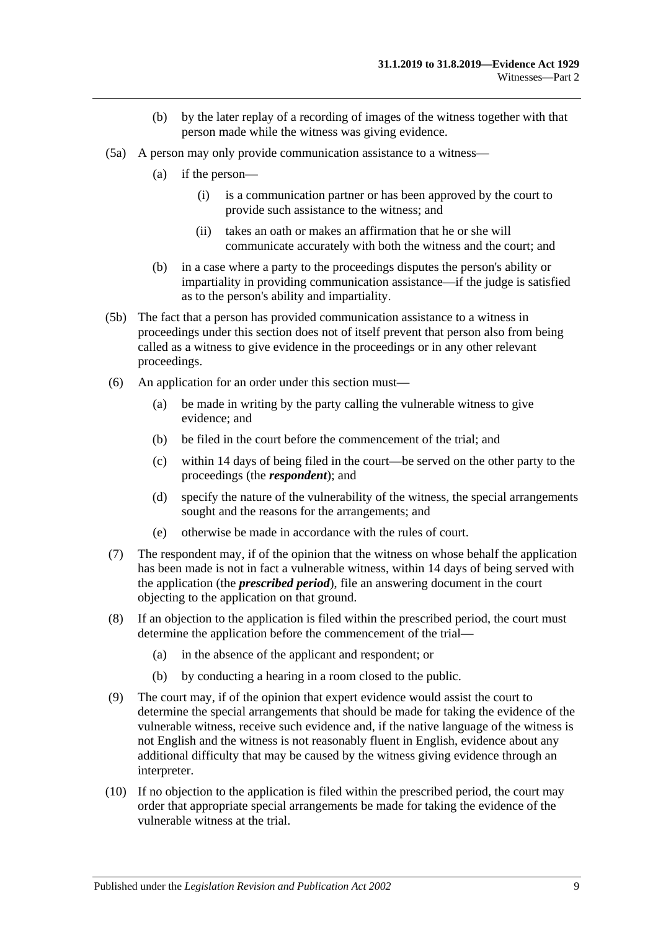- (b) by the later replay of a recording of images of the witness together with that person made while the witness was giving evidence.
- (5a) A person may only provide communication assistance to a witness—
	- (a) if the person—
		- (i) is a communication partner or has been approved by the court to provide such assistance to the witness; and
		- (ii) takes an oath or makes an affirmation that he or she will communicate accurately with both the witness and the court; and
	- (b) in a case where a party to the proceedings disputes the person's ability or impartiality in providing communication assistance—if the judge is satisfied as to the person's ability and impartiality.
- (5b) The fact that a person has provided communication assistance to a witness in proceedings under this section does not of itself prevent that person also from being called as a witness to give evidence in the proceedings or in any other relevant proceedings.
- (6) An application for an order under this section must—
	- (a) be made in writing by the party calling the vulnerable witness to give evidence; and
	- (b) be filed in the court before the commencement of the trial; and
	- (c) within 14 days of being filed in the court—be served on the other party to the proceedings (the *respondent*); and
	- (d) specify the nature of the vulnerability of the witness, the special arrangements sought and the reasons for the arrangements; and
	- (e) otherwise be made in accordance with the rules of court.
- (7) The respondent may, if of the opinion that the witness on whose behalf the application has been made is not in fact a vulnerable witness, within 14 days of being served with the application (the *prescribed period*), file an answering document in the court objecting to the application on that ground.
- (8) If an objection to the application is filed within the prescribed period, the court must determine the application before the commencement of the trial—
	- (a) in the absence of the applicant and respondent; or
	- (b) by conducting a hearing in a room closed to the public.
- (9) The court may, if of the opinion that expert evidence would assist the court to determine the special arrangements that should be made for taking the evidence of the vulnerable witness, receive such evidence and, if the native language of the witness is not English and the witness is not reasonably fluent in English, evidence about any additional difficulty that may be caused by the witness giving evidence through an interpreter.
- (10) If no objection to the application is filed within the prescribed period, the court may order that appropriate special arrangements be made for taking the evidence of the vulnerable witness at the trial.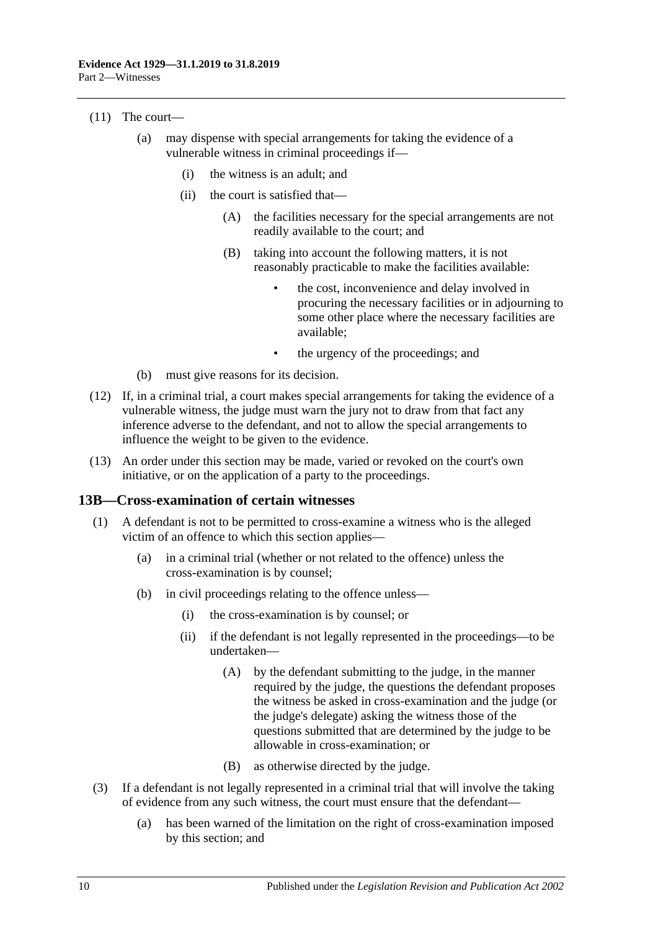#### (11) The court—

- (a) may dispense with special arrangements for taking the evidence of a vulnerable witness in criminal proceedings if—
	- (i) the witness is an adult; and
	- (ii) the court is satisfied that—
		- (A) the facilities necessary for the special arrangements are not readily available to the court; and
		- (B) taking into account the following matters, it is not reasonably practicable to make the facilities available:
			- the cost, inconvenience and delay involved in procuring the necessary facilities or in adjourning to some other place where the necessary facilities are available;
			- the urgency of the proceedings; and
- (b) must give reasons for its decision.
- (12) If, in a criminal trial, a court makes special arrangements for taking the evidence of a vulnerable witness, the judge must warn the jury not to draw from that fact any inference adverse to the defendant, and not to allow the special arrangements to influence the weight to be given to the evidence.
- (13) An order under this section may be made, varied or revoked on the court's own initiative, or on the application of a party to the proceedings.

#### <span id="page-19-0"></span>**13B—Cross-examination of certain witnesses**

- (1) A defendant is not to be permitted to cross-examine a witness who is the alleged victim of an offence to which this section applies—
	- (a) in a criminal trial (whether or not related to the offence) unless the cross-examination is by counsel;
	- (b) in civil proceedings relating to the offence unless—
		- (i) the cross-examination is by counsel; or
		- (ii) if the defendant is not legally represented in the proceedings—to be undertaken—
			- (A) by the defendant submitting to the judge, in the manner required by the judge, the questions the defendant proposes the witness be asked in cross-examination and the judge (or the judge's delegate) asking the witness those of the questions submitted that are determined by the judge to be allowable in cross-examination; or
			- (B) as otherwise directed by the judge.
- (3) If a defendant is not legally represented in a criminal trial that will involve the taking of evidence from any such witness, the court must ensure that the defendant—
	- (a) has been warned of the limitation on the right of cross-examination imposed by this section; and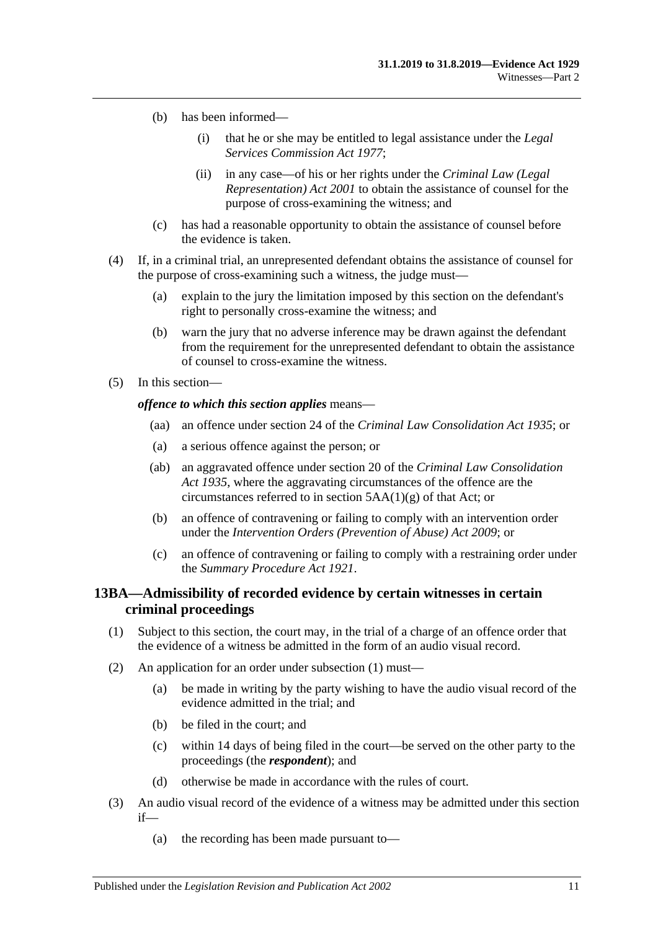- (b) has been informed—
	- (i) that he or she may be entitled to legal assistance under the *[Legal](http://www.legislation.sa.gov.au/index.aspx?action=legref&type=act&legtitle=Legal%20Services%20Commission%20Act%201977)  [Services Commission Act](http://www.legislation.sa.gov.au/index.aspx?action=legref&type=act&legtitle=Legal%20Services%20Commission%20Act%201977) 1977*;
	- (ii) in any case—of his or her rights under the *[Criminal Law \(Legal](http://www.legislation.sa.gov.au/index.aspx?action=legref&type=act&legtitle=Criminal%20Law%20(Legal%20Representation)%20Act%202001)  [Representation\) Act](http://www.legislation.sa.gov.au/index.aspx?action=legref&type=act&legtitle=Criminal%20Law%20(Legal%20Representation)%20Act%202001) 2001* to obtain the assistance of counsel for the purpose of cross-examining the witness; and
- (c) has had a reasonable opportunity to obtain the assistance of counsel before the evidence is taken.
- (4) If, in a criminal trial, an unrepresented defendant obtains the assistance of counsel for the purpose of cross-examining such a witness, the judge must—
	- (a) explain to the jury the limitation imposed by this section on the defendant's right to personally cross-examine the witness; and
	- (b) warn the jury that no adverse inference may be drawn against the defendant from the requirement for the unrepresented defendant to obtain the assistance of counsel to cross-examine the witness.
- (5) In this section—

#### *offence to which this section applies* means—

- (aa) an offence under section 24 of the *[Criminal Law Consolidation Act](http://www.legislation.sa.gov.au/index.aspx?action=legref&type=act&legtitle=Criminal%20Law%20Consolidation%20Act%201935) 1935*; or
- (a) a serious offence against the person; or
- (ab) an aggravated offence under section 20 of the *[Criminal Law Consolidation](http://www.legislation.sa.gov.au/index.aspx?action=legref&type=act&legtitle=Criminal%20Law%20Consolidation%20Act%201935)  Act [1935](http://www.legislation.sa.gov.au/index.aspx?action=legref&type=act&legtitle=Criminal%20Law%20Consolidation%20Act%201935)*, where the aggravating circumstances of the offence are the circumstances referred to in section 5AA(1)(g) of that Act; or
- (b) an offence of contravening or failing to comply with an intervention order under the *[Intervention Orders \(Prevention of Abuse\) Act](http://www.legislation.sa.gov.au/index.aspx?action=legref&type=act&legtitle=Intervention%20Orders%20(Prevention%20of%20Abuse)%20Act%202009) 2009*; or
- (c) an offence of contravening or failing to comply with a restraining order under the *[Summary Procedure Act](http://www.legislation.sa.gov.au/index.aspx?action=legref&type=act&legtitle=Summary%20Procedure%20Act%201921) 1921*.

## <span id="page-20-0"></span>**13BA—Admissibility of recorded evidence by certain witnesses in certain criminal proceedings**

- <span id="page-20-1"></span>(1) Subject to this section, the court may, in the trial of a charge of an offence order that the evidence of a witness be admitted in the form of an audio visual record.
- (2) An application for an order under [subsection](#page-20-1) (1) must—
	- (a) be made in writing by the party wishing to have the audio visual record of the evidence admitted in the trial; and
	- (b) be filed in the court; and
	- (c) within 14 days of being filed in the court—be served on the other party to the proceedings (the *respondent*); and
	- (d) otherwise be made in accordance with the rules of court.
- <span id="page-20-2"></span>(3) An audio visual record of the evidence of a witness may be admitted under this section if—
	- (a) the recording has been made pursuant to—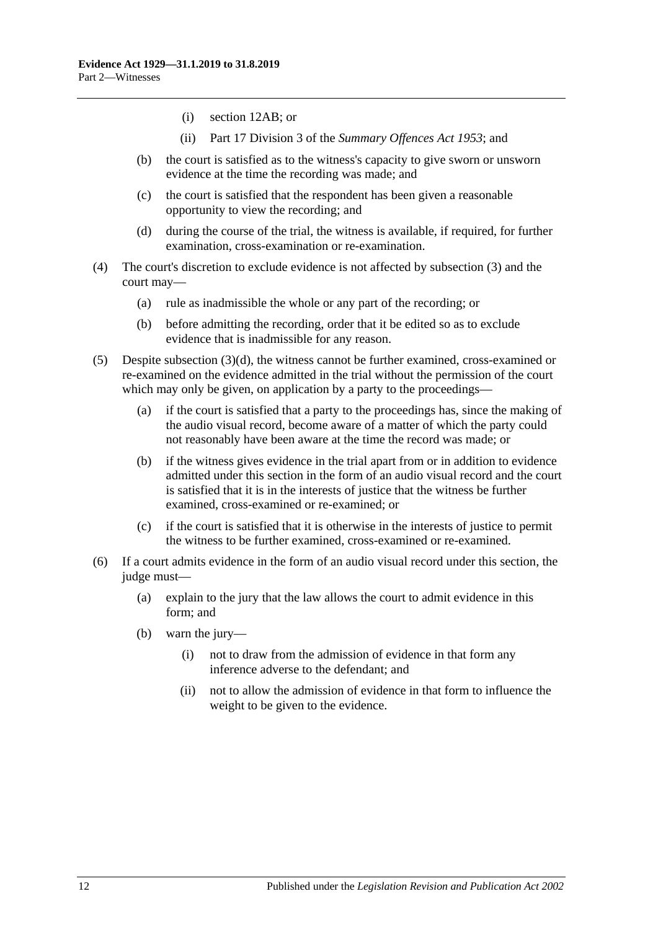- (i) [section](#page-12-0) 12AB; or
- (ii) Part 17 Division 3 of the *[Summary Offences Act](http://www.legislation.sa.gov.au/index.aspx?action=legref&type=act&legtitle=Summary%20Offences%20Act%201953) 1953*; and
- (b) the court is satisfied as to the witness's capacity to give sworn or unsworn evidence at the time the recording was made; and
- (c) the court is satisfied that the respondent has been given a reasonable opportunity to view the recording; and
- (d) during the course of the trial, the witness is available, if required, for further examination, cross-examination or re-examination.
- <span id="page-21-0"></span>(4) The court's discretion to exclude evidence is not affected by [subsection](#page-20-2) (3) and the court may—
	- (a) rule as inadmissible the whole or any part of the recording; or
	- (b) before admitting the recording, order that it be edited so as to exclude evidence that is inadmissible for any reason.
- (5) Despite [subsection](#page-21-0)  $(3)(d)$ , the witness cannot be further examined, cross-examined or re-examined on the evidence admitted in the trial without the permission of the court which may only be given, on application by a party to the proceedings—
	- (a) if the court is satisfied that a party to the proceedings has, since the making of the audio visual record, become aware of a matter of which the party could not reasonably have been aware at the time the record was made; or
	- (b) if the witness gives evidence in the trial apart from or in addition to evidence admitted under this section in the form of an audio visual record and the court is satisfied that it is in the interests of justice that the witness be further examined, cross-examined or re-examined; or
	- (c) if the court is satisfied that it is otherwise in the interests of justice to permit the witness to be further examined, cross-examined or re-examined.
- (6) If a court admits evidence in the form of an audio visual record under this section, the judge must—
	- (a) explain to the jury that the law allows the court to admit evidence in this form; and
	- (b) warn the jury—
		- (i) not to draw from the admission of evidence in that form any inference adverse to the defendant; and
		- (ii) not to allow the admission of evidence in that form to influence the weight to be given to the evidence.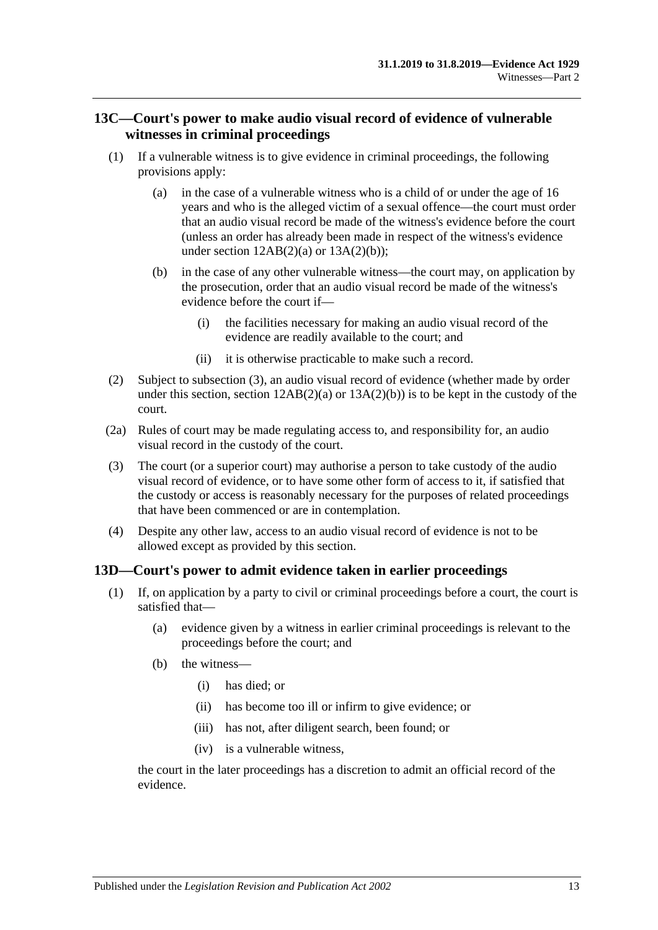## <span id="page-22-0"></span>**13C—Court's power to make audio visual record of evidence of vulnerable witnesses in criminal proceedings**

- (1) If a vulnerable witness is to give evidence in criminal proceedings, the following provisions apply:
	- (a) in the case of a vulnerable witness who is a child of or under the age of 16 years and who is the alleged victim of a sexual offence—the court must order that an audio visual record be made of the witness's evidence before the court (unless an order has already been made in respect of the witness's evidence under section  $12AB(2)(a)$  or  $13A(2)(b)$ ;
	- (b) in the case of any other vulnerable witness—the court may, on application by the prosecution, order that an audio visual record be made of the witness's evidence before the court if—
		- (i) the facilities necessary for making an audio visual record of the evidence are readily available to the court; and
		- (ii) it is otherwise practicable to make such a record.
- (2) Subject to [subsection](#page-22-2) (3), an audio visual record of evidence (whether made by order under this section, section  $12AB(2)(a)$  or  $13A(2)(b)$  is to be kept in the custody of the court.
- (2a) Rules of court may be made regulating access to, and responsibility for, an audio visual record in the custody of the court.
- <span id="page-22-2"></span>(3) The court (or a superior court) may authorise a person to take custody of the audio visual record of evidence, or to have some other form of access to it, if satisfied that the custody or access is reasonably necessary for the purposes of related proceedings that have been commenced or are in contemplation.
- (4) Despite any other law, access to an audio visual record of evidence is not to be allowed except as provided by this section.

## <span id="page-22-1"></span>**13D—Court's power to admit evidence taken in earlier proceedings**

- (1) If, on application by a party to civil or criminal proceedings before a court, the court is satisfied that—
	- (a) evidence given by a witness in earlier criminal proceedings is relevant to the proceedings before the court; and
	- (b) the witness—
		- (i) has died; or
		- (ii) has become too ill or infirm to give evidence; or
		- (iii) has not, after diligent search, been found; or
		- (iv) is a vulnerable witness,

the court in the later proceedings has a discretion to admit an official record of the evidence.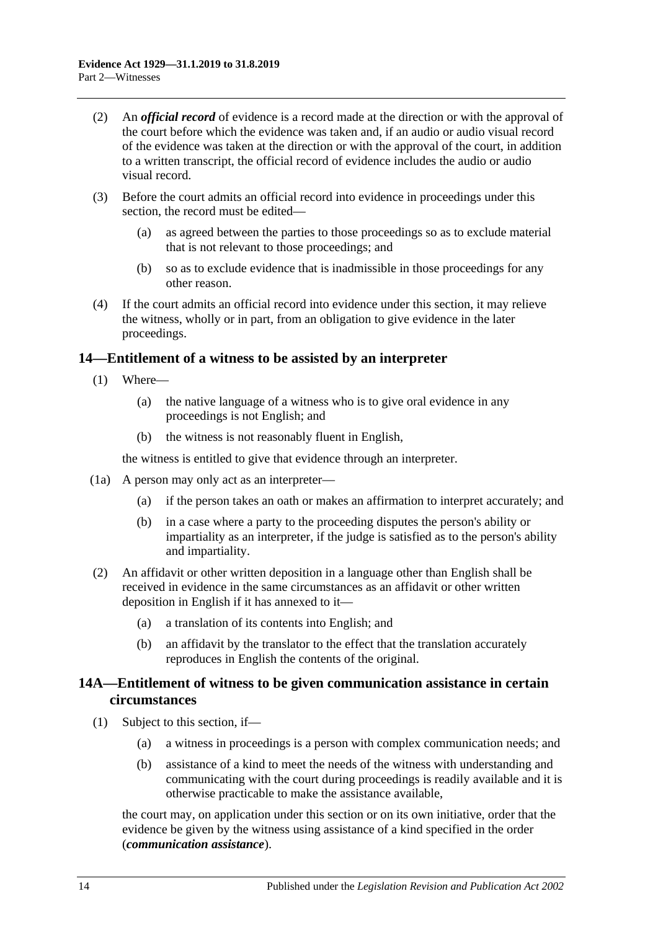- (2) An *official record* of evidence is a record made at the direction or with the approval of the court before which the evidence was taken and, if an audio or audio visual record of the evidence was taken at the direction or with the approval of the court, in addition to a written transcript, the official record of evidence includes the audio or audio visual record.
- (3) Before the court admits an official record into evidence in proceedings under this section, the record must be edited—
	- (a) as agreed between the parties to those proceedings so as to exclude material that is not relevant to those proceedings; and
	- (b) so as to exclude evidence that is inadmissible in those proceedings for any other reason.
- (4) If the court admits an official record into evidence under this section, it may relieve the witness, wholly or in part, from an obligation to give evidence in the later proceedings.

## <span id="page-23-0"></span>**14—Entitlement of a witness to be assisted by an interpreter**

- (1) Where—
	- (a) the native language of a witness who is to give oral evidence in any proceedings is not English; and
	- (b) the witness is not reasonably fluent in English,

the witness is entitled to give that evidence through an interpreter.

- (1a) A person may only act as an interpreter—
	- (a) if the person takes an oath or makes an affirmation to interpret accurately; and
	- (b) in a case where a party to the proceeding disputes the person's ability or impartiality as an interpreter, if the judge is satisfied as to the person's ability and impartiality.
- (2) An affidavit or other written deposition in a language other than English shall be received in evidence in the same circumstances as an affidavit or other written deposition in English if it has annexed to it—
	- (a) a translation of its contents into English; and
	- (b) an affidavit by the translator to the effect that the translation accurately reproduces in English the contents of the original.

## <span id="page-23-1"></span>**14A—Entitlement of witness to be given communication assistance in certain circumstances**

- (1) Subject to this section, if—
	- (a) a witness in proceedings is a person with complex communication needs; and
	- (b) assistance of a kind to meet the needs of the witness with understanding and communicating with the court during proceedings is readily available and it is otherwise practicable to make the assistance available,

the court may, on application under this section or on its own initiative, order that the evidence be given by the witness using assistance of a kind specified in the order (*communication assistance*).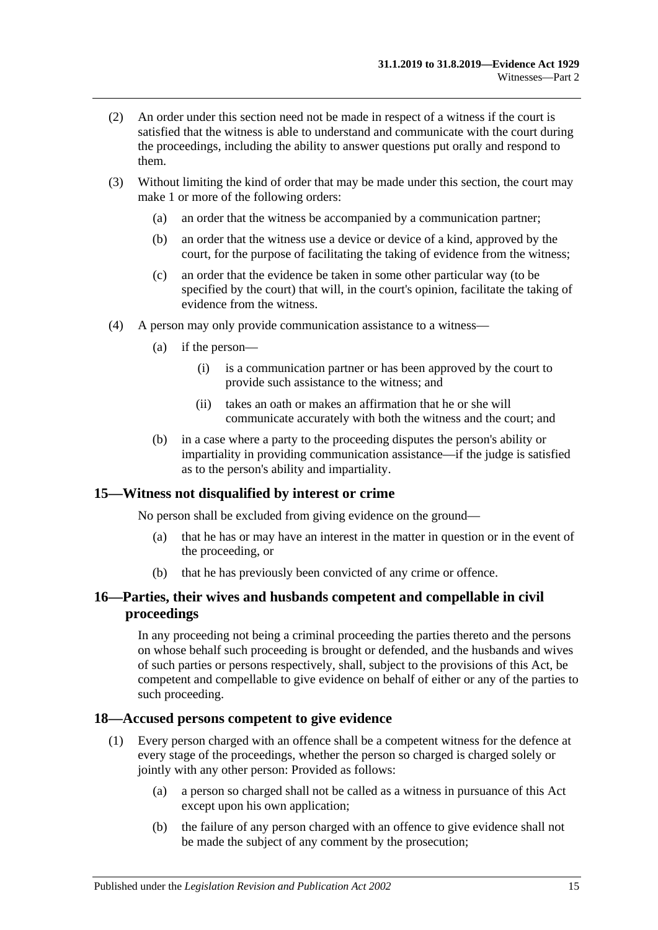- (2) An order under this section need not be made in respect of a witness if the court is satisfied that the witness is able to understand and communicate with the court during the proceedings, including the ability to answer questions put orally and respond to them.
- (3) Without limiting the kind of order that may be made under this section, the court may make 1 or more of the following orders:
	- (a) an order that the witness be accompanied by a communication partner;
	- (b) an order that the witness use a device or device of a kind, approved by the court, for the purpose of facilitating the taking of evidence from the witness;
	- (c) an order that the evidence be taken in some other particular way (to be specified by the court) that will, in the court's opinion, facilitate the taking of evidence from the witness.
- (4) A person may only provide communication assistance to a witness—
	- (a) if the person—
		- (i) is a communication partner or has been approved by the court to provide such assistance to the witness; and
		- (ii) takes an oath or makes an affirmation that he or she will communicate accurately with both the witness and the court; and
	- (b) in a case where a party to the proceeding disputes the person's ability or impartiality in providing communication assistance—if the judge is satisfied as to the person's ability and impartiality.

## <span id="page-24-0"></span>**15—Witness not disqualified by interest or crime**

No person shall be excluded from giving evidence on the ground—

- (a) that he has or may have an interest in the matter in question or in the event of the proceeding, or
- (b) that he has previously been convicted of any crime or offence.

## <span id="page-24-1"></span>**16—Parties, their wives and husbands competent and compellable in civil proceedings**

In any proceeding not being a criminal proceeding the parties thereto and the persons on whose behalf such proceeding is brought or defended, and the husbands and wives of such parties or persons respectively, shall, subject to the provisions of this Act, be competent and compellable to give evidence on behalf of either or any of the parties to such proceeding.

#### <span id="page-24-2"></span>**18—Accused persons competent to give evidence**

- (1) Every person charged with an offence shall be a competent witness for the defence at every stage of the proceedings, whether the person so charged is charged solely or jointly with any other person: Provided as follows:
	- (a) a person so charged shall not be called as a witness in pursuance of this Act except upon his own application;
	- (b) the failure of any person charged with an offence to give evidence shall not be made the subject of any comment by the prosecution;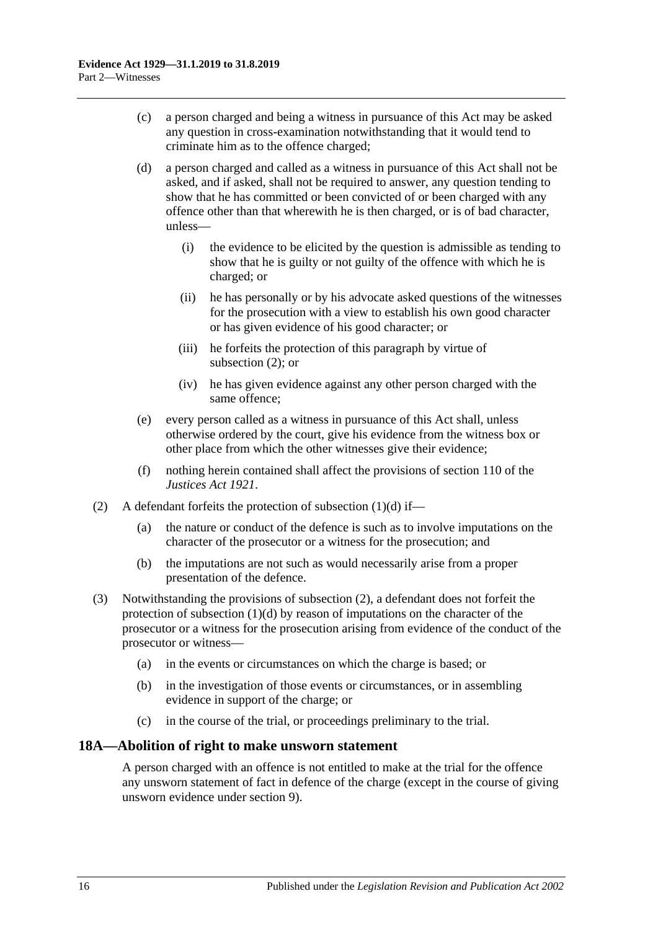- (c) a person charged and being a witness in pursuance of this Act may be asked any question in cross-examination notwithstanding that it would tend to criminate him as to the offence charged;
- <span id="page-25-2"></span>(d) a person charged and called as a witness in pursuance of this Act shall not be asked, and if asked, shall not be required to answer, any question tending to show that he has committed or been convicted of or been charged with any offence other than that wherewith he is then charged, or is of bad character, unless—
	- (i) the evidence to be elicited by the question is admissible as tending to show that he is guilty or not guilty of the offence with which he is charged; or
	- (ii) he has personally or by his advocate asked questions of the witnesses for the prosecution with a view to establish his own good character or has given evidence of his good character; or
	- (iii) he forfeits the protection of this paragraph by virtue of [subsection](#page-25-1) (2); or
	- (iv) he has given evidence against any other person charged with the same offence;
- (e) every person called as a witness in pursuance of this Act shall, unless otherwise ordered by the court, give his evidence from the witness box or other place from which the other witnesses give their evidence;
- (f) nothing herein contained shall affect the provisions of section 110 of the *[Justices Act](http://www.legislation.sa.gov.au/index.aspx?action=legref&type=act&legtitle=Justices%20Act%201921) 1921*.
- <span id="page-25-1"></span>(2) A defendant forfeits the protection of [subsection](#page-25-2)  $(1)(d)$  if—
	- (a) the nature or conduct of the defence is such as to involve imputations on the character of the prosecutor or a witness for the prosecution; and
	- (b) the imputations are not such as would necessarily arise from a proper presentation of the defence.
- (3) Notwithstanding the provisions of [subsection](#page-25-1) (2), a defendant does not forfeit the protection of [subsection](#page-25-2)  $(1)(d)$  by reason of imputations on the character of the prosecutor or a witness for the prosecution arising from evidence of the conduct of the prosecutor or witness—
	- (a) in the events or circumstances on which the charge is based; or
	- (b) in the investigation of those events or circumstances, or in assembling evidence in support of the charge; or
	- (c) in the course of the trial, or proceedings preliminary to the trial.

# <span id="page-25-0"></span>**18A—Abolition of right to make unsworn statement**

A person charged with an offence is not entitled to make at the trial for the offence any unsworn statement of fact in defence of the charge (except in the course of giving unsworn evidence under [section](#page-10-3) 9).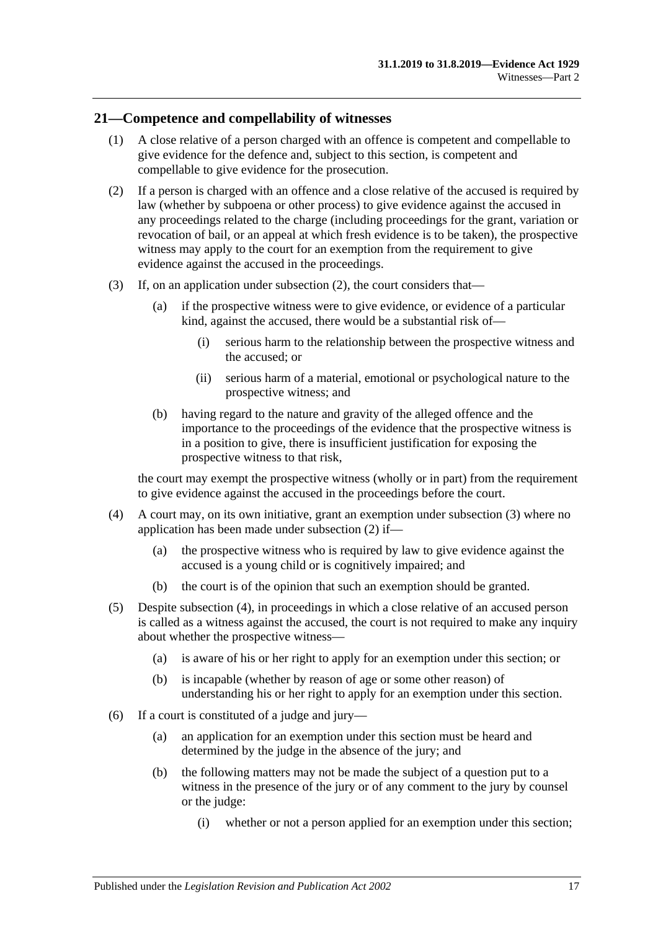#### <span id="page-26-0"></span>**21—Competence and compellability of witnesses**

- (1) A close relative of a person charged with an offence is competent and compellable to give evidence for the defence and, subject to this section, is competent and compellable to give evidence for the prosecution.
- <span id="page-26-1"></span>(2) If a person is charged with an offence and a close relative of the accused is required by law (whether by subpoena or other process) to give evidence against the accused in any proceedings related to the charge (including proceedings for the grant, variation or revocation of bail, or an appeal at which fresh evidence is to be taken), the prospective witness may apply to the court for an exemption from the requirement to give evidence against the accused in the proceedings.
- <span id="page-26-2"></span>(3) If, on an application under [subsection](#page-26-1) (2), the court considers that—
	- (a) if the prospective witness were to give evidence, or evidence of a particular kind, against the accused, there would be a substantial risk of—
		- (i) serious harm to the relationship between the prospective witness and the accused; or
		- (ii) serious harm of a material, emotional or psychological nature to the prospective witness; and
	- (b) having regard to the nature and gravity of the alleged offence and the importance to the proceedings of the evidence that the prospective witness is in a position to give, there is insufficient justification for exposing the prospective witness to that risk,

the court may exempt the prospective witness (wholly or in part) from the requirement to give evidence against the accused in the proceedings before the court.

- <span id="page-26-3"></span>(4) A court may, on its own initiative, grant an exemption under [subsection](#page-26-2) (3) where no application has been made under [subsection](#page-26-1) (2) if—
	- (a) the prospective witness who is required by law to give evidence against the accused is a young child or is cognitively impaired; and
	- (b) the court is of the opinion that such an exemption should be granted.
- <span id="page-26-4"></span>(5) Despite [subsection](#page-26-3) (4), in proceedings in which a close relative of an accused person is called as a witness against the accused, the court is not required to make any inquiry about whether the prospective witness—
	- (a) is aware of his or her right to apply for an exemption under this section; or
	- (b) is incapable (whether by reason of age or some other reason) of understanding his or her right to apply for an exemption under this section.
- (6) If a court is constituted of a judge and jury—
	- (a) an application for an exemption under this section must be heard and determined by the judge in the absence of the jury; and
	- (b) the following matters may not be made the subject of a question put to a witness in the presence of the jury or of any comment to the jury by counsel or the judge:
		- (i) whether or not a person applied for an exemption under this section;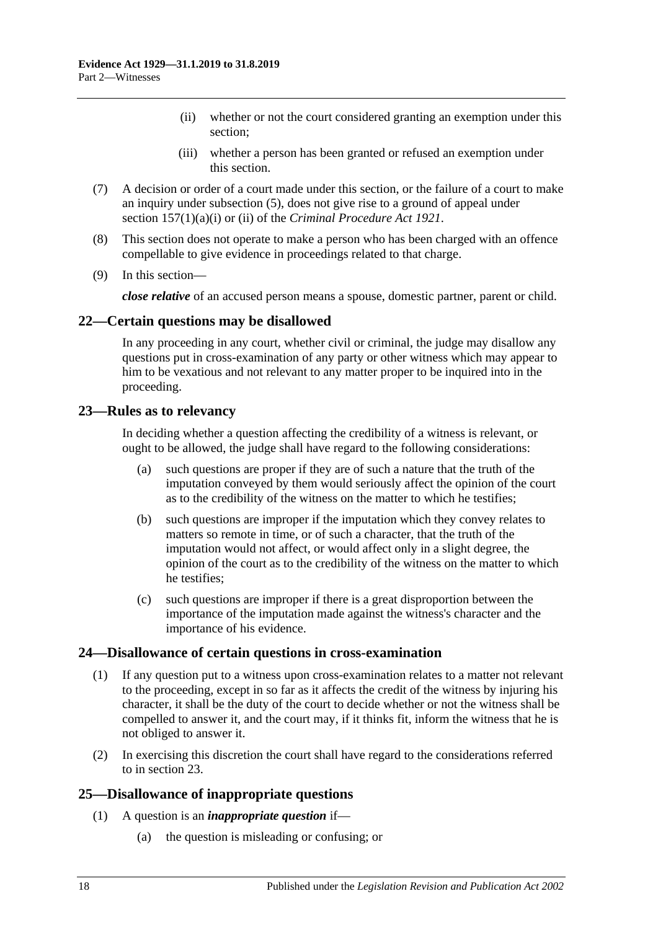- (ii) whether or not the court considered granting an exemption under this section;
- (iii) whether a person has been granted or refused an exemption under this section.
- (7) A decision or order of a court made under this section, or the failure of a court to make an inquiry under [subsection](#page-26-4) (5), does not give rise to a ground of appeal under section 157(1)(a)(i) or (ii) of the *[Criminal Procedure Act](http://www.legislation.sa.gov.au/index.aspx?action=legref&type=act&legtitle=Criminal%20Procedure%20Act%201921) 1921*.
- (8) This section does not operate to make a person who has been charged with an offence compellable to give evidence in proceedings related to that charge.
- (9) In this section—

*close relative* of an accused person means a spouse, domestic partner, parent or child.

## <span id="page-27-0"></span>**22—Certain questions may be disallowed**

In any proceeding in any court, whether civil or criminal, the judge may disallow any questions put in cross-examination of any party or other witness which may appear to him to be vexatious and not relevant to any matter proper to be inquired into in the proceeding.

#### <span id="page-27-1"></span>**23—Rules as to relevancy**

In deciding whether a question affecting the credibility of a witness is relevant, or ought to be allowed, the judge shall have regard to the following considerations:

- (a) such questions are proper if they are of such a nature that the truth of the imputation conveyed by them would seriously affect the opinion of the court as to the credibility of the witness on the matter to which he testifies;
- (b) such questions are improper if the imputation which they convey relates to matters so remote in time, or of such a character, that the truth of the imputation would not affect, or would affect only in a slight degree, the opinion of the court as to the credibility of the witness on the matter to which he testifies;
- (c) such questions are improper if there is a great disproportion between the importance of the imputation made against the witness's character and the importance of his evidence.

#### <span id="page-27-2"></span>**24—Disallowance of certain questions in cross-examination**

- (1) If any question put to a witness upon cross-examination relates to a matter not relevant to the proceeding, except in so far as it affects the credit of the witness by injuring his character, it shall be the duty of the court to decide whether or not the witness shall be compelled to answer it, and the court may, if it thinks fit, inform the witness that he is not obliged to answer it.
- (2) In exercising this discretion the court shall have regard to the considerations referred to in [section](#page-27-1) 23.

## <span id="page-27-3"></span>**25—Disallowance of inappropriate questions**

- (1) A question is an *inappropriate question* if—
	- (a) the question is misleading or confusing; or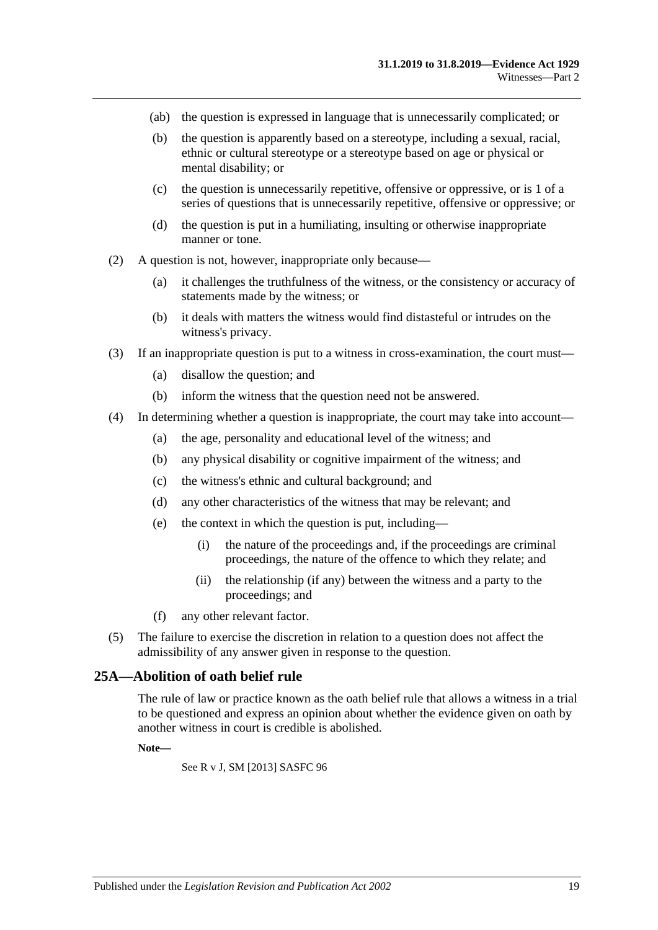- (ab) the question is expressed in language that is unnecessarily complicated; or
- (b) the question is apparently based on a stereotype, including a sexual, racial, ethnic or cultural stereotype or a stereotype based on age or physical or mental disability; or
- (c) the question is unnecessarily repetitive, offensive or oppressive, or is 1 of a series of questions that is unnecessarily repetitive, offensive or oppressive; or
- (d) the question is put in a humiliating, insulting or otherwise inappropriate manner or tone.
- (2) A question is not, however, inappropriate only because—
	- (a) it challenges the truthfulness of the witness, or the consistency or accuracy of statements made by the witness; or
	- (b) it deals with matters the witness would find distasteful or intrudes on the witness's privacy.
- (3) If an inappropriate question is put to a witness in cross-examination, the court must—
	- (a) disallow the question; and
	- (b) inform the witness that the question need not be answered.
- (4) In determining whether a question is inappropriate, the court may take into account—
	- (a) the age, personality and educational level of the witness; and
	- (b) any physical disability or cognitive impairment of the witness; and
	- (c) the witness's ethnic and cultural background; and
	- (d) any other characteristics of the witness that may be relevant; and
	- (e) the context in which the question is put, including—
		- (i) the nature of the proceedings and, if the proceedings are criminal proceedings, the nature of the offence to which they relate; and
		- (ii) the relationship (if any) between the witness and a party to the proceedings; and
	- (f) any other relevant factor.
- (5) The failure to exercise the discretion in relation to a question does not affect the admissibility of any answer given in response to the question.

#### <span id="page-28-0"></span>**25A—Abolition of oath belief rule**

The rule of law or practice known as the oath belief rule that allows a witness in a trial to be questioned and express an opinion about whether the evidence given on oath by another witness in court is credible is abolished.

#### **Note—**

See R v J, SM [2013] SASFC 96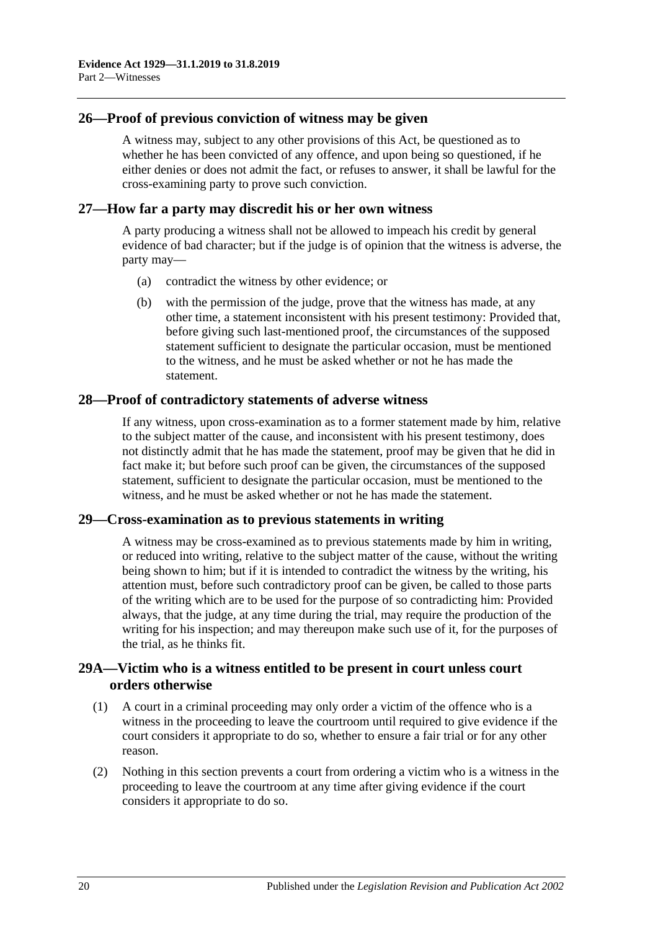#### <span id="page-29-0"></span>**26—Proof of previous conviction of witness may be given**

A witness may, subject to any other provisions of this Act, be questioned as to whether he has been convicted of any offence, and upon being so questioned, if he either denies or does not admit the fact, or refuses to answer, it shall be lawful for the cross-examining party to prove such conviction.

#### <span id="page-29-1"></span>**27—How far a party may discredit his or her own witness**

A party producing a witness shall not be allowed to impeach his credit by general evidence of bad character; but if the judge is of opinion that the witness is adverse, the party may—

- (a) contradict the witness by other evidence; or
- (b) with the permission of the judge, prove that the witness has made, at any other time, a statement inconsistent with his present testimony: Provided that, before giving such last-mentioned proof, the circumstances of the supposed statement sufficient to designate the particular occasion, must be mentioned to the witness, and he must be asked whether or not he has made the statement.

#### <span id="page-29-2"></span>**28—Proof of contradictory statements of adverse witness**

If any witness, upon cross-examination as to a former statement made by him, relative to the subject matter of the cause, and inconsistent with his present testimony, does not distinctly admit that he has made the statement, proof may be given that he did in fact make it; but before such proof can be given, the circumstances of the supposed statement, sufficient to designate the particular occasion, must be mentioned to the witness, and he must be asked whether or not he has made the statement.

#### <span id="page-29-3"></span>**29—Cross-examination as to previous statements in writing**

A witness may be cross-examined as to previous statements made by him in writing, or reduced into writing, relative to the subject matter of the cause, without the writing being shown to him; but if it is intended to contradict the witness by the writing, his attention must, before such contradictory proof can be given, be called to those parts of the writing which are to be used for the purpose of so contradicting him: Provided always, that the judge, at any time during the trial, may require the production of the writing for his inspection; and may thereupon make such use of it, for the purposes of the trial, as he thinks fit.

## <span id="page-29-4"></span>**29A—Victim who is a witness entitled to be present in court unless court orders otherwise**

- (1) A court in a criminal proceeding may only order a victim of the offence who is a witness in the proceeding to leave the courtroom until required to give evidence if the court considers it appropriate to do so, whether to ensure a fair trial or for any other reason.
- (2) Nothing in this section prevents a court from ordering a victim who is a witness in the proceeding to leave the courtroom at any time after giving evidence if the court considers it appropriate to do so.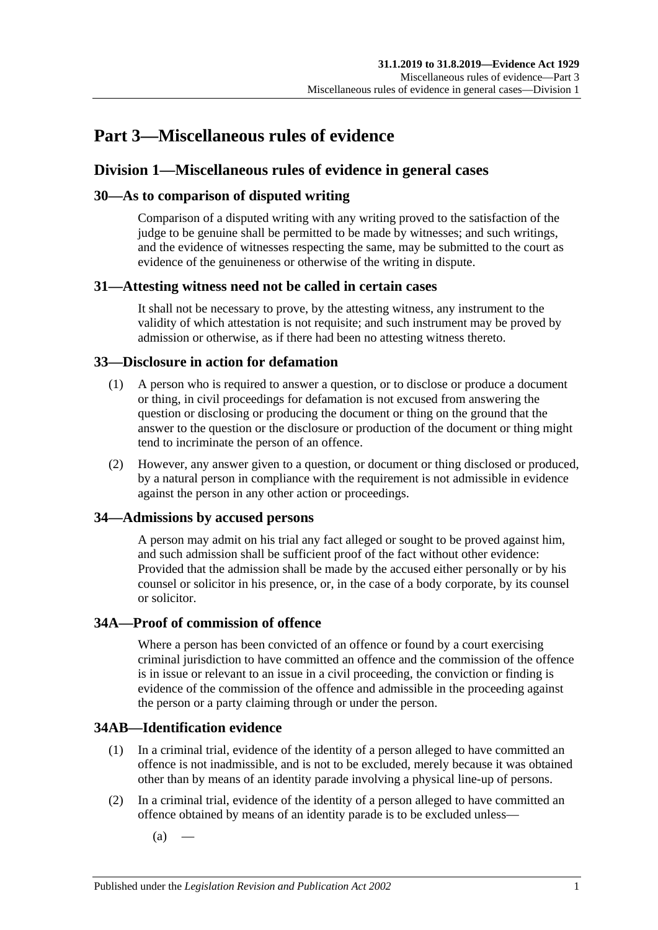# <span id="page-30-0"></span>**Part 3—Miscellaneous rules of evidence**

# <span id="page-30-1"></span>**Division 1—Miscellaneous rules of evidence in general cases**

## <span id="page-30-2"></span>**30—As to comparison of disputed writing**

Comparison of a disputed writing with any writing proved to the satisfaction of the judge to be genuine shall be permitted to be made by witnesses; and such writings, and the evidence of witnesses respecting the same, may be submitted to the court as evidence of the genuineness or otherwise of the writing in dispute.

## <span id="page-30-3"></span>**31—Attesting witness need not be called in certain cases**

It shall not be necessary to prove, by the attesting witness, any instrument to the validity of which attestation is not requisite; and such instrument may be proved by admission or otherwise, as if there had been no attesting witness thereto.

## <span id="page-30-4"></span>**33—Disclosure in action for defamation**

- (1) A person who is required to answer a question, or to disclose or produce a document or thing, in civil proceedings for defamation is not excused from answering the question or disclosing or producing the document or thing on the ground that the answer to the question or the disclosure or production of the document or thing might tend to incriminate the person of an offence.
- (2) However, any answer given to a question, or document or thing disclosed or produced, by a natural person in compliance with the requirement is not admissible in evidence against the person in any other action or proceedings.

# <span id="page-30-5"></span>**34—Admissions by accused persons**

A person may admit on his trial any fact alleged or sought to be proved against him, and such admission shall be sufficient proof of the fact without other evidence: Provided that the admission shall be made by the accused either personally or by his counsel or solicitor in his presence, or, in the case of a body corporate, by its counsel or solicitor.

## <span id="page-30-6"></span>**34A—Proof of commission of offence**

Where a person has been convicted of an offence or found by a court exercising criminal jurisdiction to have committed an offence and the commission of the offence is in issue or relevant to an issue in a civil proceeding, the conviction or finding is evidence of the commission of the offence and admissible in the proceeding against the person or a party claiming through or under the person.

# <span id="page-30-7"></span>**34AB—Identification evidence**

- (1) In a criminal trial, evidence of the identity of a person alleged to have committed an offence is not inadmissible, and is not to be excluded, merely because it was obtained other than by means of an identity parade involving a physical line-up of persons.
- <span id="page-30-8"></span>(2) In a criminal trial, evidence of the identity of a person alleged to have committed an offence obtained by means of an identity parade is to be excluded unless—
	- $(a)$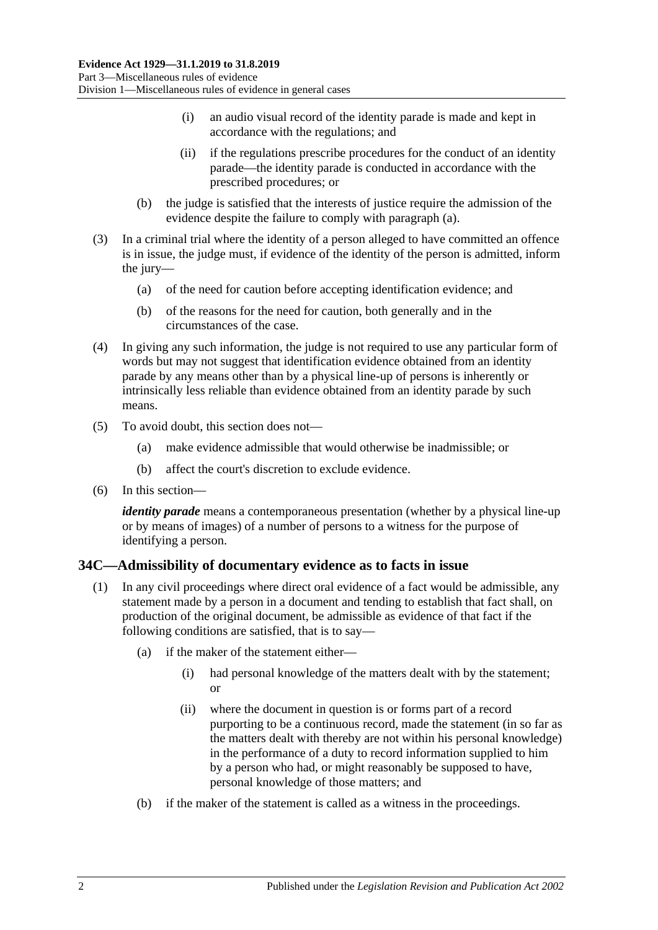- (i) an audio visual record of the identity parade is made and kept in accordance with the regulations; and
- (ii) if the regulations prescribe procedures for the conduct of an identity parade—the identity parade is conducted in accordance with the prescribed procedures; or
- (b) the judge is satisfied that the interests of justice require the admission of the evidence despite the failure to comply with [paragraph](#page-30-8) (a).
- (3) In a criminal trial where the identity of a person alleged to have committed an offence is in issue, the judge must, if evidence of the identity of the person is admitted, inform the jury—
	- (a) of the need for caution before accepting identification evidence; and
	- (b) of the reasons for the need for caution, both generally and in the circumstances of the case.
- (4) In giving any such information, the judge is not required to use any particular form of words but may not suggest that identification evidence obtained from an identity parade by any means other than by a physical line-up of persons is inherently or intrinsically less reliable than evidence obtained from an identity parade by such means.
- (5) To avoid doubt, this section does not—
	- (a) make evidence admissible that would otherwise be inadmissible; or
	- (b) affect the court's discretion to exclude evidence.
- (6) In this section—

*identity parade* means a contemporaneous presentation (whether by a physical line-up or by means of images) of a number of persons to a witness for the purpose of identifying a person.

## <span id="page-31-1"></span><span id="page-31-0"></span>**34C—Admissibility of documentary evidence as to facts in issue**

- (1) In any civil proceedings where direct oral evidence of a fact would be admissible, any statement made by a person in a document and tending to establish that fact shall, on production of the original document, be admissible as evidence of that fact if the following conditions are satisfied, that is to say—
	- (a) if the maker of the statement either—
		- (i) had personal knowledge of the matters dealt with by the statement; or
		- (ii) where the document in question is or forms part of a record purporting to be a continuous record, made the statement (in so far as the matters dealt with thereby are not within his personal knowledge) in the performance of a duty to record information supplied to him by a person who had, or might reasonably be supposed to have, personal knowledge of those matters; and
	- (b) if the maker of the statement is called as a witness in the proceedings.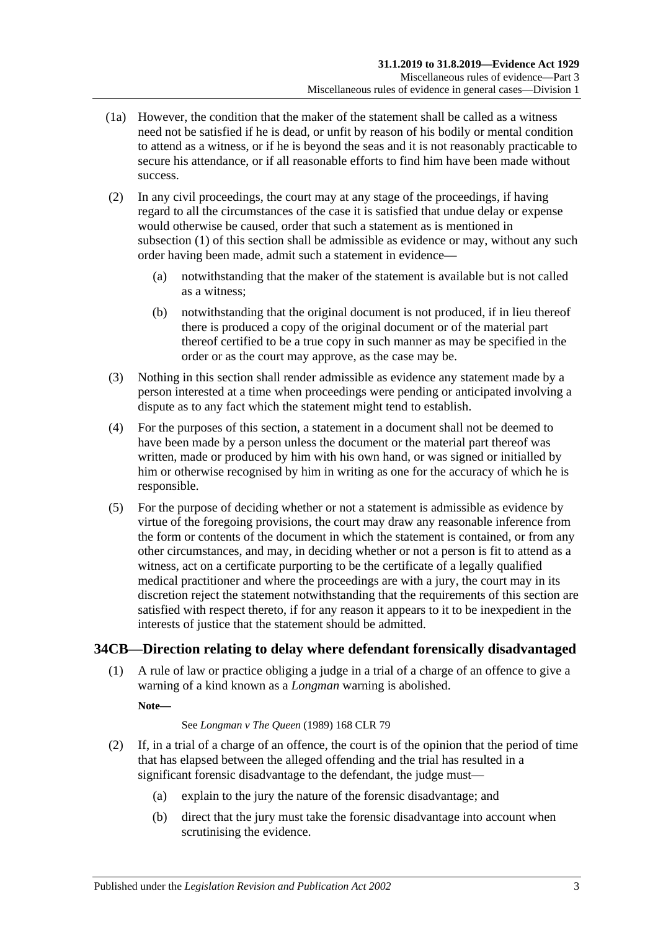- (1a) However, the condition that the maker of the statement shall be called as a witness need not be satisfied if he is dead, or unfit by reason of his bodily or mental condition to attend as a witness, or if he is beyond the seas and it is not reasonably practicable to secure his attendance, or if all reasonable efforts to find him have been made without success.
- (2) In any civil proceedings, the court may at any stage of the proceedings, if having regard to all the circumstances of the case it is satisfied that undue delay or expense would otherwise be caused, order that such a statement as is mentioned in [subsection](#page-31-1) (1) of this section shall be admissible as evidence or may, without any such order having been made, admit such a statement in evidence—
	- (a) notwithstanding that the maker of the statement is available but is not called as a witness;
	- (b) notwithstanding that the original document is not produced, if in lieu thereof there is produced a copy of the original document or of the material part thereof certified to be a true copy in such manner as may be specified in the order or as the court may approve, as the case may be.
- (3) Nothing in this section shall render admissible as evidence any statement made by a person interested at a time when proceedings were pending or anticipated involving a dispute as to any fact which the statement might tend to establish.
- (4) For the purposes of this section, a statement in a document shall not be deemed to have been made by a person unless the document or the material part thereof was written, made or produced by him with his own hand, or was signed or initialled by him or otherwise recognised by him in writing as one for the accuracy of which he is responsible.
- (5) For the purpose of deciding whether or not a statement is admissible as evidence by virtue of the foregoing provisions, the court may draw any reasonable inference from the form or contents of the document in which the statement is contained, or from any other circumstances, and may, in deciding whether or not a person is fit to attend as a witness, act on a certificate purporting to be the certificate of a legally qualified medical practitioner and where the proceedings are with a jury, the court may in its discretion reject the statement notwithstanding that the requirements of this section are satisfied with respect thereto, if for any reason it appears to it to be inexpedient in the interests of justice that the statement should be admitted.

# <span id="page-32-0"></span>**34CB—Direction relating to delay where defendant forensically disadvantaged**

(1) A rule of law or practice obliging a judge in a trial of a charge of an offence to give a warning of a kind known as a *Longman* warning is abolished.

**Note—**

#### See *Longman v The Queen* (1989) 168 CLR 79

- <span id="page-32-1"></span>(2) If, in a trial of a charge of an offence, the court is of the opinion that the period of time that has elapsed between the alleged offending and the trial has resulted in a significant forensic disadvantage to the defendant, the judge must—
	- (a) explain to the jury the nature of the forensic disadvantage; and
	- (b) direct that the jury must take the forensic disadvantage into account when scrutinising the evidence.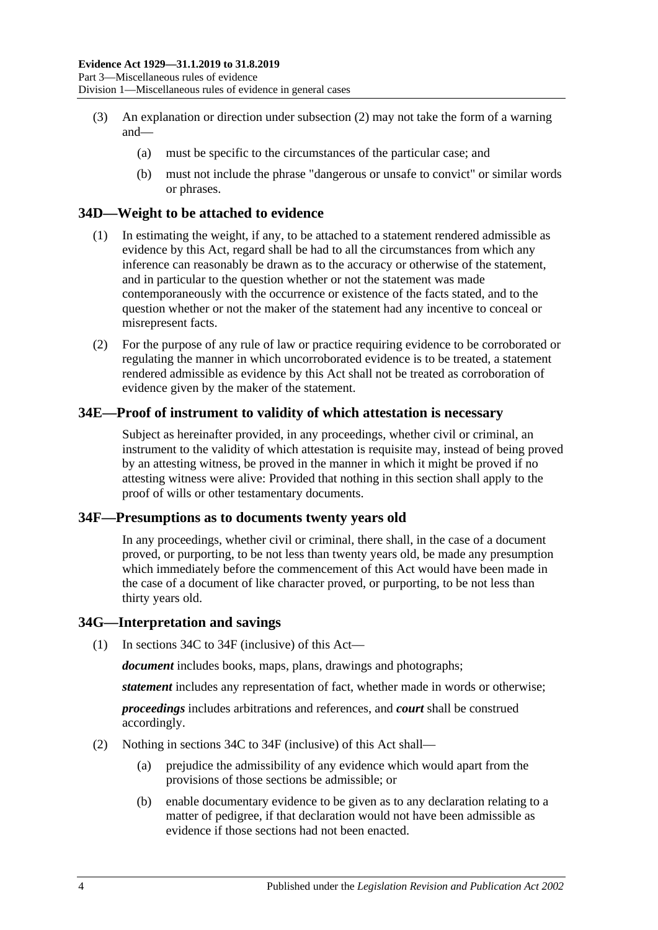- (3) An explanation or direction under [subsection](#page-32-1) (2) may not take the form of a warning and—
	- (a) must be specific to the circumstances of the particular case; and
	- (b) must not include the phrase "dangerous or unsafe to convict" or similar words or phrases.

#### <span id="page-33-0"></span>**34D—Weight to be attached to evidence**

- (1) In estimating the weight, if any, to be attached to a statement rendered admissible as evidence by this Act, regard shall be had to all the circumstances from which any inference can reasonably be drawn as to the accuracy or otherwise of the statement, and in particular to the question whether or not the statement was made contemporaneously with the occurrence or existence of the facts stated, and to the question whether or not the maker of the statement had any incentive to conceal or misrepresent facts.
- (2) For the purpose of any rule of law or practice requiring evidence to be corroborated or regulating the manner in which uncorroborated evidence is to be treated, a statement rendered admissible as evidence by this Act shall not be treated as corroboration of evidence given by the maker of the statement.

#### <span id="page-33-1"></span>**34E—Proof of instrument to validity of which attestation is necessary**

Subject as hereinafter provided, in any proceedings, whether civil or criminal, an instrument to the validity of which attestation is requisite may, instead of being proved by an attesting witness, be proved in the manner in which it might be proved if no attesting witness were alive: Provided that nothing in this section shall apply to the proof of wills or other testamentary documents.

#### <span id="page-33-2"></span>**34F—Presumptions as to documents twenty years old**

In any proceedings, whether civil or criminal, there shall, in the case of a document proved, or purporting, to be not less than twenty years old, be made any presumption which immediately before the commencement of this Act would have been made in the case of a document of like character proved, or purporting, to be not less than thirty years old.

#### <span id="page-33-3"></span>**34G—Interpretation and savings**

(1) In [sections](#page-31-0) 34C to [34F](#page-33-2) (inclusive) of this Act—

*document* includes books, maps, plans, drawings and photographs;

*statement* includes any representation of fact, whether made in words or otherwise;

*proceedings* includes arbitrations and references, and *court* shall be construed accordingly.

- (2) Nothing in [sections](#page-31-0) 34C to [34F](#page-33-2) (inclusive) of this Act shall—
	- (a) prejudice the admissibility of any evidence which would apart from the provisions of those sections be admissible; or
	- (b) enable documentary evidence to be given as to any declaration relating to a matter of pedigree, if that declaration would not have been admissible as evidence if those sections had not been enacted.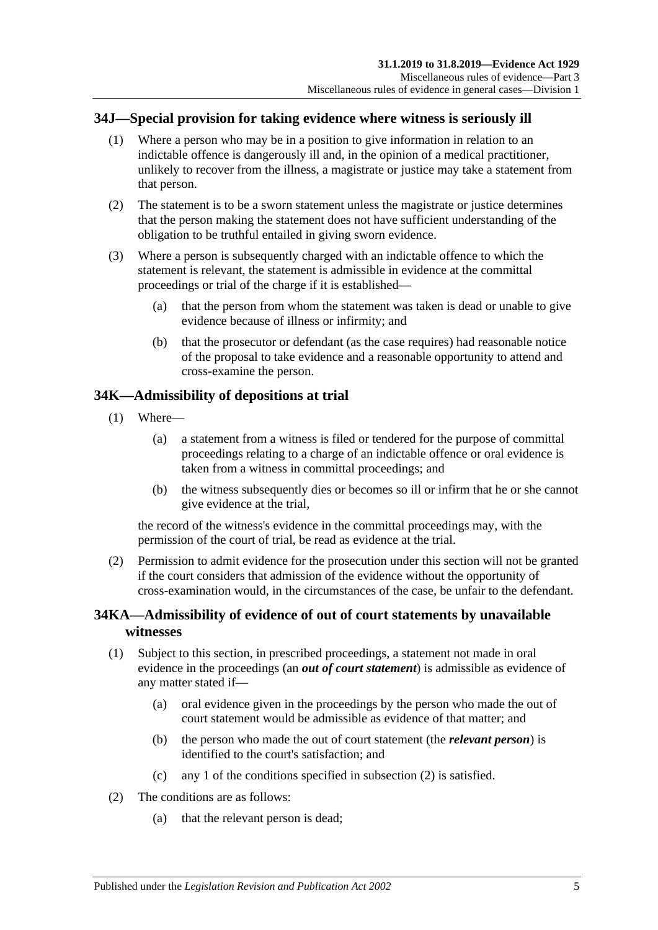## <span id="page-34-0"></span>**34J—Special provision for taking evidence where witness is seriously ill**

- (1) Where a person who may be in a position to give information in relation to an indictable offence is dangerously ill and, in the opinion of a medical practitioner, unlikely to recover from the illness, a magistrate or justice may take a statement from that person.
- (2) The statement is to be a sworn statement unless the magistrate or justice determines that the person making the statement does not have sufficient understanding of the obligation to be truthful entailed in giving sworn evidence.
- (3) Where a person is subsequently charged with an indictable offence to which the statement is relevant, the statement is admissible in evidence at the committal proceedings or trial of the charge if it is established—
	- (a) that the person from whom the statement was taken is dead or unable to give evidence because of illness or infirmity; and
	- (b) that the prosecutor or defendant (as the case requires) had reasonable notice of the proposal to take evidence and a reasonable opportunity to attend and cross-examine the person.

## <span id="page-34-1"></span>**34K—Admissibility of depositions at trial**

- (1) Where—
	- (a) a statement from a witness is filed or tendered for the purpose of committal proceedings relating to a charge of an indictable offence or oral evidence is taken from a witness in committal proceedings; and
	- (b) the witness subsequently dies or becomes so ill or infirm that he or she cannot give evidence at the trial,

the record of the witness's evidence in the committal proceedings may, with the permission of the court of trial, be read as evidence at the trial.

(2) Permission to admit evidence for the prosecution under this section will not be granted if the court considers that admission of the evidence without the opportunity of cross-examination would, in the circumstances of the case, be unfair to the defendant.

## <span id="page-34-2"></span>**34KA—Admissibility of evidence of out of court statements by unavailable witnesses**

- (1) Subject to this section, in prescribed proceedings, a statement not made in oral evidence in the proceedings (an *out of court statement*) is admissible as evidence of any matter stated if—
	- (a) oral evidence given in the proceedings by the person who made the out of court statement would be admissible as evidence of that matter; and
	- (b) the person who made the out of court statement (the *relevant person*) is identified to the court's satisfaction; and
	- (c) any 1 of the conditions specified in [subsection](#page-34-3) (2) is satisfied.
- <span id="page-34-3"></span>(2) The conditions are as follows:
	- (a) that the relevant person is dead;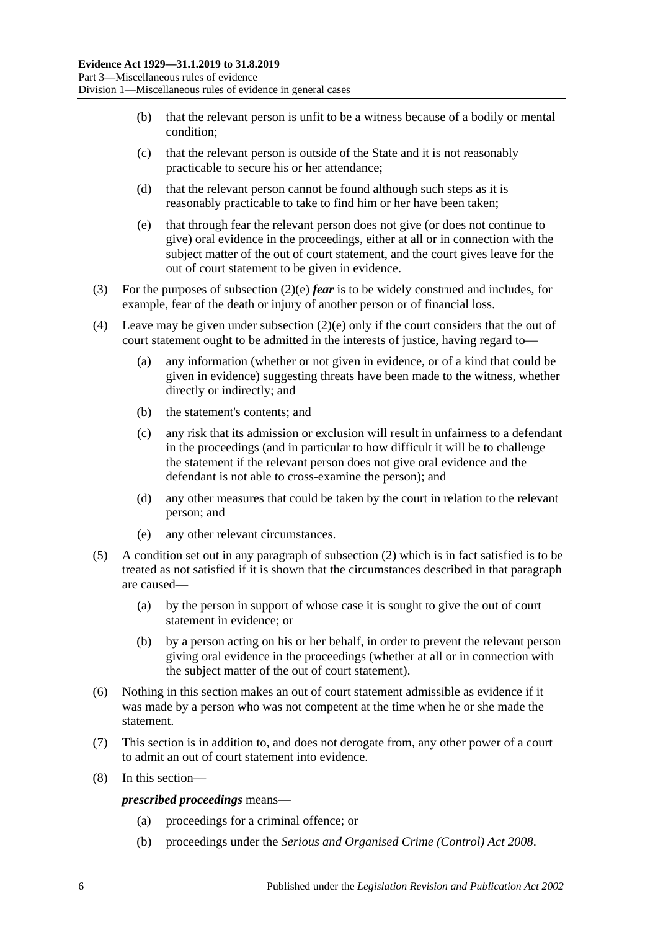- (b) that the relevant person is unfit to be a witness because of a bodily or mental condition;
- (c) that the relevant person is outside of the State and it is not reasonably practicable to secure his or her attendance;
- (d) that the relevant person cannot be found although such steps as it is reasonably practicable to take to find him or her have been taken;
- <span id="page-35-0"></span>(e) that through fear the relevant person does not give (or does not continue to give) oral evidence in the proceedings, either at all or in connection with the subject matter of the out of court statement, and the court gives leave for the out of court statement to be given in evidence.
- (3) For the purposes of [subsection](#page-35-0) (2)(e) *fear* is to be widely construed and includes, for example, fear of the death or injury of another person or of financial loss.
- (4) Leave may be given under [subsection](#page-35-0) (2)(e) only if the court considers that the out of court statement ought to be admitted in the interests of justice, having regard to—
	- (a) any information (whether or not given in evidence, or of a kind that could be given in evidence) suggesting threats have been made to the witness, whether directly or indirectly; and
	- (b) the statement's contents; and
	- (c) any risk that its admission or exclusion will result in unfairness to a defendant in the proceedings (and in particular to how difficult it will be to challenge the statement if the relevant person does not give oral evidence and the defendant is not able to cross-examine the person); and
	- (d) any other measures that could be taken by the court in relation to the relevant person; and
	- (e) any other relevant circumstances.
- (5) A condition set out in any paragraph of [subsection](#page-34-3) (2) which is in fact satisfied is to be treated as not satisfied if it is shown that the circumstances described in that paragraph are caused—
	- (a) by the person in support of whose case it is sought to give the out of court statement in evidence; or
	- (b) by a person acting on his or her behalf, in order to prevent the relevant person giving oral evidence in the proceedings (whether at all or in connection with the subject matter of the out of court statement).
- (6) Nothing in this section makes an out of court statement admissible as evidence if it was made by a person who was not competent at the time when he or she made the statement.
- (7) This section is in addition to, and does not derogate from, any other power of a court to admit an out of court statement into evidence.
- (8) In this section—

*prescribed proceedings* means—

- (a) proceedings for a criminal offence; or
- (b) proceedings under the *[Serious and Organised Crime \(Control\) Act](http://www.legislation.sa.gov.au/index.aspx?action=legref&type=act&legtitle=Serious%20and%20Organised%20Crime%20(Control)%20Act%202008) 2008*.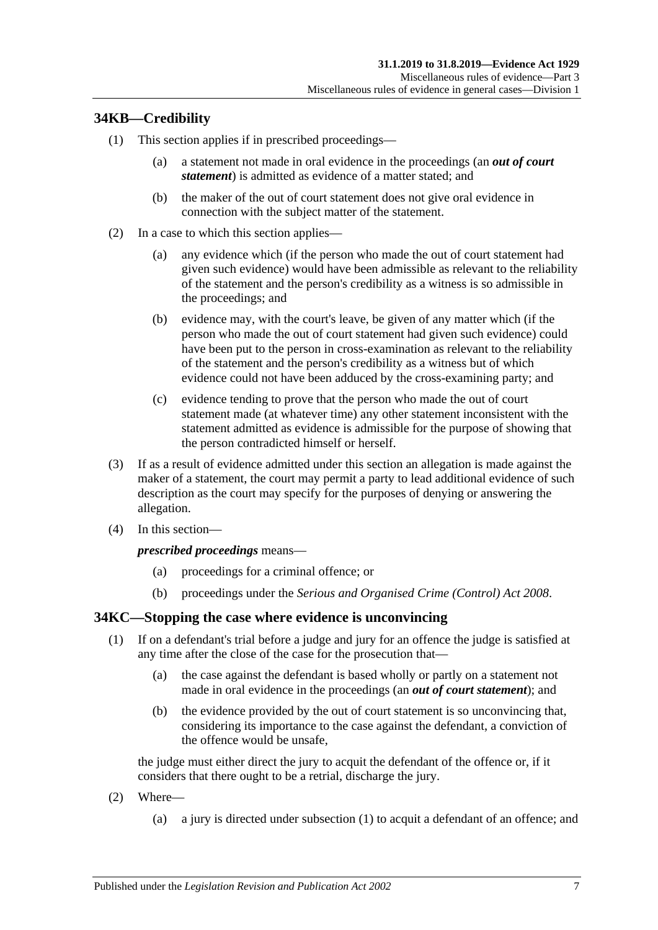### **34KB—Credibility**

- (1) This section applies if in prescribed proceedings—
	- (a) a statement not made in oral evidence in the proceedings (an *out of court statement*) is admitted as evidence of a matter stated; and
	- (b) the maker of the out of court statement does not give oral evidence in connection with the subject matter of the statement.
- (2) In a case to which this section applies—
	- (a) any evidence which (if the person who made the out of court statement had given such evidence) would have been admissible as relevant to the reliability of the statement and the person's credibility as a witness is so admissible in the proceedings; and
	- (b) evidence may, with the court's leave, be given of any matter which (if the person who made the out of court statement had given such evidence) could have been put to the person in cross-examination as relevant to the reliability of the statement and the person's credibility as a witness but of which evidence could not have been adduced by the cross-examining party; and
	- (c) evidence tending to prove that the person who made the out of court statement made (at whatever time) any other statement inconsistent with the statement admitted as evidence is admissible for the purpose of showing that the person contradicted himself or herself.
- (3) If as a result of evidence admitted under this section an allegation is made against the maker of a statement, the court may permit a party to lead additional evidence of such description as the court may specify for the purposes of denying or answering the allegation.
- (4) In this section—

#### *prescribed proceedings* means—

- (a) proceedings for a criminal offence; or
- (b) proceedings under the *[Serious and Organised Crime \(Control\) Act](http://www.legislation.sa.gov.au/index.aspx?action=legref&type=act&legtitle=Serious%20and%20Organised%20Crime%20(Control)%20Act%202008) 2008*.

#### <span id="page-36-0"></span>**34KC—Stopping the case where evidence is unconvincing**

- (1) If on a defendant's trial before a judge and jury for an offence the judge is satisfied at any time after the close of the case for the prosecution that—
	- (a) the case against the defendant is based wholly or partly on a statement not made in oral evidence in the proceedings (an *out of court statement*); and
	- (b) the evidence provided by the out of court statement is so unconvincing that, considering its importance to the case against the defendant, a conviction of the offence would be unsafe,

the judge must either direct the jury to acquit the defendant of the offence or, if it considers that there ought to be a retrial, discharge the jury.

- (2) Where—
	- (a) a jury is directed under [subsection](#page-36-0) (1) to acquit a defendant of an offence; and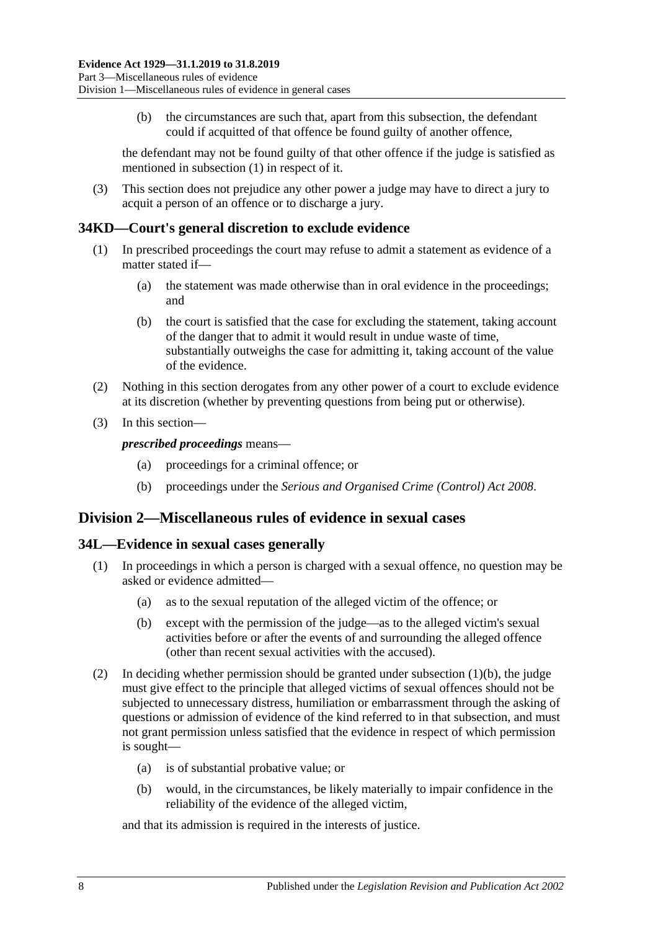(b) the circumstances are such that, apart from this subsection, the defendant could if acquitted of that offence be found guilty of another offence,

the defendant may not be found guilty of that other offence if the judge is satisfied as mentioned in [subsection](#page-36-0) (1) in respect of it.

(3) This section does not prejudice any other power a judge may have to direct a jury to acquit a person of an offence or to discharge a jury.

#### **34KD—Court's general discretion to exclude evidence**

- (1) In prescribed proceedings the court may refuse to admit a statement as evidence of a matter stated if—
	- (a) the statement was made otherwise than in oral evidence in the proceedings; and
	- (b) the court is satisfied that the case for excluding the statement, taking account of the danger that to admit it would result in undue waste of time, substantially outweighs the case for admitting it, taking account of the value of the evidence.
- (2) Nothing in this section derogates from any other power of a court to exclude evidence at its discretion (whether by preventing questions from being put or otherwise).
- (3) In this section—

*prescribed proceedings* means—

- (a) proceedings for a criminal offence; or
- (b) proceedings under the *[Serious and Organised Crime \(Control\) Act](http://www.legislation.sa.gov.au/index.aspx?action=legref&type=act&legtitle=Serious%20and%20Organised%20Crime%20(Control)%20Act%202008) 2008*.

### **Division 2—Miscellaneous rules of evidence in sexual cases**

#### **34L—Evidence in sexual cases generally**

- <span id="page-37-0"></span>(1) In proceedings in which a person is charged with a sexual offence, no question may be asked or evidence admitted—
	- (a) as to the sexual reputation of the alleged victim of the offence; or
	- (b) except with the permission of the judge—as to the alleged victim's sexual activities before or after the events of and surrounding the alleged offence (other than recent sexual activities with the accused).
- (2) In deciding whether permission should be granted under [subsection](#page-37-0) (1)(b), the judge must give effect to the principle that alleged victims of sexual offences should not be subjected to unnecessary distress, humiliation or embarrassment through the asking of questions or admission of evidence of the kind referred to in that subsection, and must not grant permission unless satisfied that the evidence in respect of which permission is sought—
	- (a) is of substantial probative value; or
	- (b) would, in the circumstances, be likely materially to impair confidence in the reliability of the evidence of the alleged victim,

and that its admission is required in the interests of justice.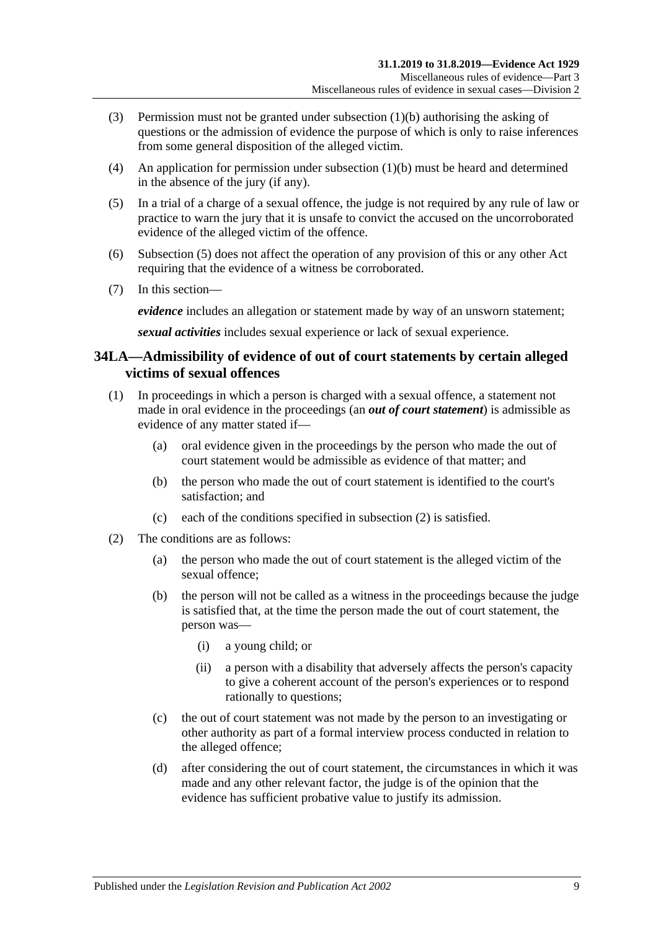- (3) Permission must not be granted under [subsection](#page-37-0) (1)(b) authorising the asking of questions or the admission of evidence the purpose of which is only to raise inferences from some general disposition of the alleged victim.
- (4) An application for permission under [subsection](#page-37-0) (1)(b) must be heard and determined in the absence of the jury (if any).
- <span id="page-38-0"></span>(5) In a trial of a charge of a sexual offence, the judge is not required by any rule of law or practice to warn the jury that it is unsafe to convict the accused on the uncorroborated evidence of the alleged victim of the offence.
- (6) [Subsection](#page-38-0) (5) does not affect the operation of any provision of this or any other Act requiring that the evidence of a witness be corroborated.
- (7) In this section—

*evidence* includes an allegation or statement made by way of an unsworn statement;

*sexual activities* includes sexual experience or lack of sexual experience.

### **34LA—Admissibility of evidence of out of court statements by certain alleged victims of sexual offences**

- (1) In proceedings in which a person is charged with a sexual offence, a statement not made in oral evidence in the proceedings (an *out of court statement*) is admissible as evidence of any matter stated if—
	- (a) oral evidence given in the proceedings by the person who made the out of court statement would be admissible as evidence of that matter; and
	- (b) the person who made the out of court statement is identified to the court's satisfaction; and
	- (c) each of the conditions specified in [subsection](#page-38-1) (2) is satisfied.
- <span id="page-38-2"></span><span id="page-38-1"></span>(2) The conditions are as follows:
	- (a) the person who made the out of court statement is the alleged victim of the sexual offence;
	- (b) the person will not be called as a witness in the proceedings because the judge is satisfied that, at the time the person made the out of court statement, the person was—
		- (i) a young child; or
		- (ii) a person with a disability that adversely affects the person's capacity to give a coherent account of the person's experiences or to respond rationally to questions;
	- (c) the out of court statement was not made by the person to an investigating or other authority as part of a formal interview process conducted in relation to the alleged offence;
	- (d) after considering the out of court statement, the circumstances in which it was made and any other relevant factor, the judge is of the opinion that the evidence has sufficient probative value to justify its admission.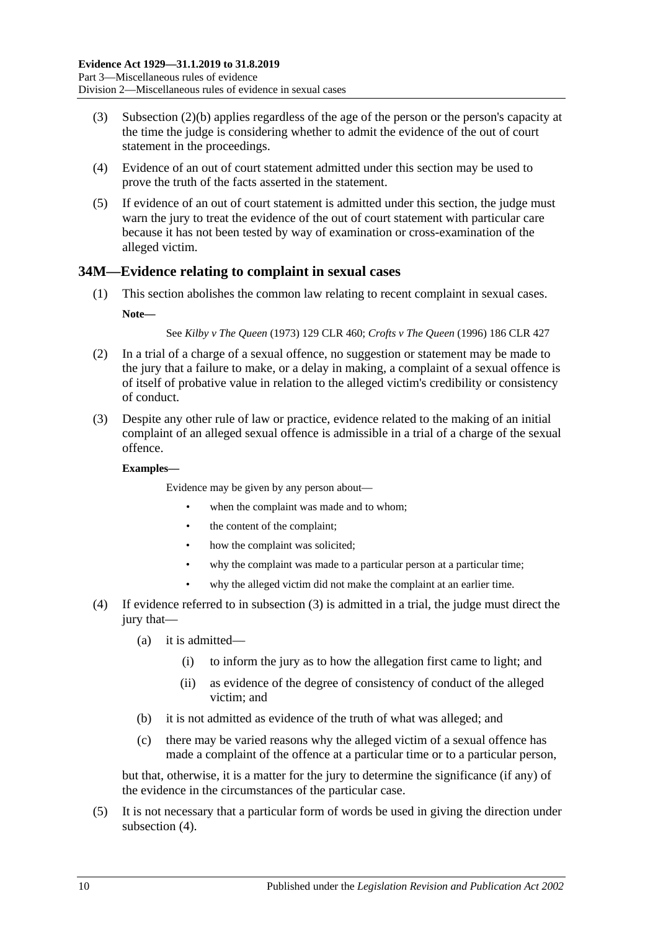- (3) [Subsection \(2\)\(b\)](#page-38-2) applies regardless of the age of the person or the person's capacity at the time the judge is considering whether to admit the evidence of the out of court statement in the proceedings.
- (4) Evidence of an out of court statement admitted under this section may be used to prove the truth of the facts asserted in the statement.
- (5) If evidence of an out of court statement is admitted under this section, the judge must warn the jury to treat the evidence of the out of court statement with particular care because it has not been tested by way of examination or cross-examination of the alleged victim.

#### **34M—Evidence relating to complaint in sexual cases**

(1) This section abolishes the common law relating to recent complaint in sexual cases. **Note—**

See *Kilby v The Queen* (1973) 129 CLR 460; *Crofts v The Queen* (1996) 186 CLR 427

- (2) In a trial of a charge of a sexual offence, no suggestion or statement may be made to the jury that a failure to make, or a delay in making, a complaint of a sexual offence is of itself of probative value in relation to the alleged victim's credibility or consistency of conduct.
- <span id="page-39-0"></span>(3) Despite any other rule of law or practice, evidence related to the making of an initial complaint of an alleged sexual offence is admissible in a trial of a charge of the sexual offence.

#### **Examples—**

Evidence may be given by any person about—

- when the complaint was made and to whom:
- the content of the complaint;
- how the complaint was solicited;
- why the complaint was made to a particular person at a particular time:
- why the alleged victim did not make the complaint at an earlier time.
- <span id="page-39-1"></span>(4) If evidence referred to in [subsection](#page-39-0) (3) is admitted in a trial, the judge must direct the jury that—
	- (a) it is admitted—
		- (i) to inform the jury as to how the allegation first came to light; and
		- (ii) as evidence of the degree of consistency of conduct of the alleged victim; and
	- (b) it is not admitted as evidence of the truth of what was alleged; and
	- (c) there may be varied reasons why the alleged victim of a sexual offence has made a complaint of the offence at a particular time or to a particular person,

but that, otherwise, it is a matter for the jury to determine the significance (if any) of the evidence in the circumstances of the particular case.

(5) It is not necessary that a particular form of words be used in giving the direction under [subsection](#page-39-1)  $(4)$ .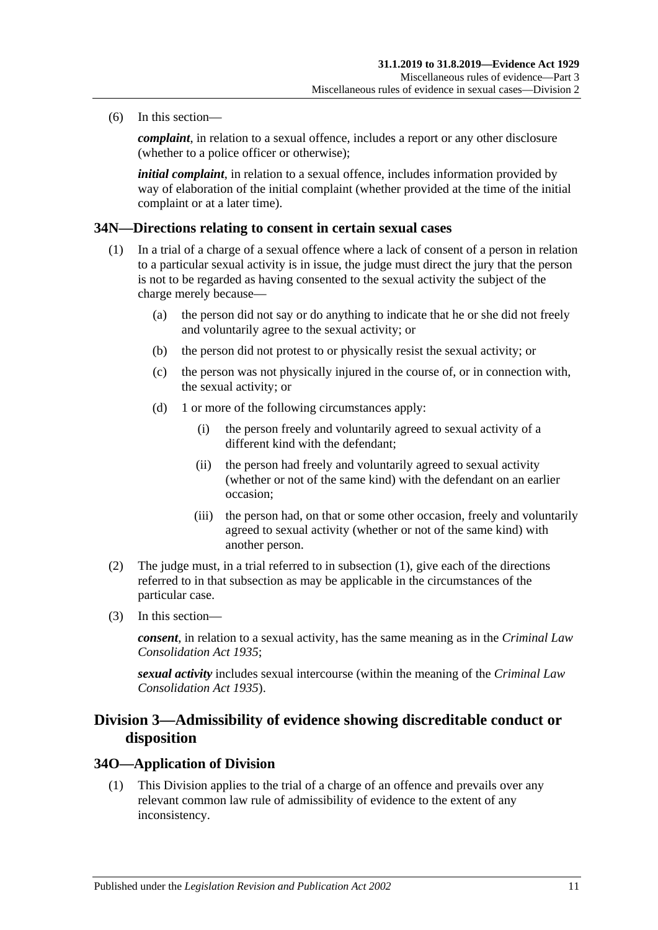(6) In this section—

*complaint*, in relation to a sexual offence, includes a report or any other disclosure (whether to a police officer or otherwise);

*initial complaint*, in relation to a sexual offence, includes information provided by way of elaboration of the initial complaint (whether provided at the time of the initial complaint or at a later time).

#### <span id="page-40-0"></span>**34N—Directions relating to consent in certain sexual cases**

- (1) In a trial of a charge of a sexual offence where a lack of consent of a person in relation to a particular sexual activity is in issue, the judge must direct the jury that the person is not to be regarded as having consented to the sexual activity the subject of the charge merely because—
	- (a) the person did not say or do anything to indicate that he or she did not freely and voluntarily agree to the sexual activity; or
	- (b) the person did not protest to or physically resist the sexual activity; or
	- (c) the person was not physically injured in the course of, or in connection with, the sexual activity; or
	- (d) 1 or more of the following circumstances apply:
		- (i) the person freely and voluntarily agreed to sexual activity of a different kind with the defendant;
		- (ii) the person had freely and voluntarily agreed to sexual activity (whether or not of the same kind) with the defendant on an earlier occasion;
		- (iii) the person had, on that or some other occasion, freely and voluntarily agreed to sexual activity (whether or not of the same kind) with another person.
- (2) The judge must, in a trial referred to in [subsection](#page-40-0) (1), give each of the directions referred to in that subsection as may be applicable in the circumstances of the particular case.
- (3) In this section—

*consent*, in relation to a sexual activity, has the same meaning as in the *[Criminal Law](http://www.legislation.sa.gov.au/index.aspx?action=legref&type=act&legtitle=Criminal%20Law%20Consolidation%20Act%201935)  [Consolidation Act](http://www.legislation.sa.gov.au/index.aspx?action=legref&type=act&legtitle=Criminal%20Law%20Consolidation%20Act%201935) 1935*;

*sexual activity* includes sexual intercourse (within the meaning of the *[Criminal Law](http://www.legislation.sa.gov.au/index.aspx?action=legref&type=act&legtitle=Criminal%20Law%20Consolidation%20Act%201935)  [Consolidation Act](http://www.legislation.sa.gov.au/index.aspx?action=legref&type=act&legtitle=Criminal%20Law%20Consolidation%20Act%201935) 1935*).

### **Division 3—Admissibility of evidence showing discreditable conduct or disposition**

#### **34O—Application of Division**

(1) This Division applies to the trial of a charge of an offence and prevails over any relevant common law rule of admissibility of evidence to the extent of any inconsistency.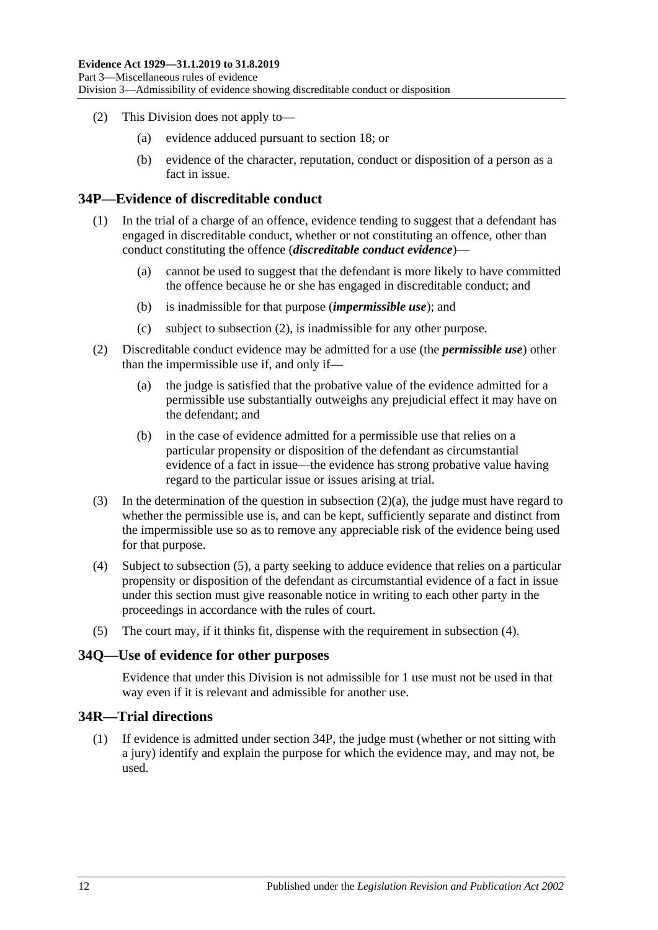- (2) This Division does not apply to—
	- (a) evidence adduced pursuant to [section](#page-24-0) 18; or
	- (b) evidence of the character, reputation, conduct or disposition of a person as a fact in issue.

#### <span id="page-41-4"></span>**34P—Evidence of discreditable conduct**

- (1) In the trial of a charge of an offence, evidence tending to suggest that a defendant has engaged in discreditable conduct, whether or not constituting an offence, other than conduct constituting the offence (*discreditable conduct evidence*)—
	- (a) cannot be used to suggest that the defendant is more likely to have committed the offence because he or she has engaged in discreditable conduct; and
	- (b) is inadmissible for that purpose (*impermissible use*); and
	- (c) subject to [subsection](#page-41-0) (2), is inadmissible for any other purpose.
- <span id="page-41-1"></span><span id="page-41-0"></span>(2) Discreditable conduct evidence may be admitted for a use (the *permissible use*) other than the impermissible use if, and only if—
	- (a) the judge is satisfied that the probative value of the evidence admitted for a permissible use substantially outweighs any prejudicial effect it may have on the defendant; and
	- (b) in the case of evidence admitted for a permissible use that relies on a particular propensity or disposition of the defendant as circumstantial evidence of a fact in issue—the evidence has strong probative value having regard to the particular issue or issues arising at trial.
- (3) In the determination of the question in [subsection](#page-41-1) (2)(a), the judge must have regard to whether the permissible use is, and can be kept, sufficiently separate and distinct from the impermissible use so as to remove any appreciable risk of the evidence being used for that purpose.
- <span id="page-41-3"></span>(4) Subject to [subsection](#page-41-2) (5), a party seeking to adduce evidence that relies on a particular propensity or disposition of the defendant as circumstantial evidence of a fact in issue under this section must give reasonable notice in writing to each other party in the proceedings in accordance with the rules of court.
- <span id="page-41-2"></span>(5) The court may, if it thinks fit, dispense with the requirement in [subsection](#page-41-3) (4).

#### **34Q—Use of evidence for other purposes**

Evidence that under this Division is not admissible for 1 use must not be used in that way even if it is relevant and admissible for another use.

#### **34R—Trial directions**

(1) If evidence is admitted under [section](#page-41-4) 34P, the judge must (whether or not sitting with a jury) identify and explain the purpose for which the evidence may, and may not, be used.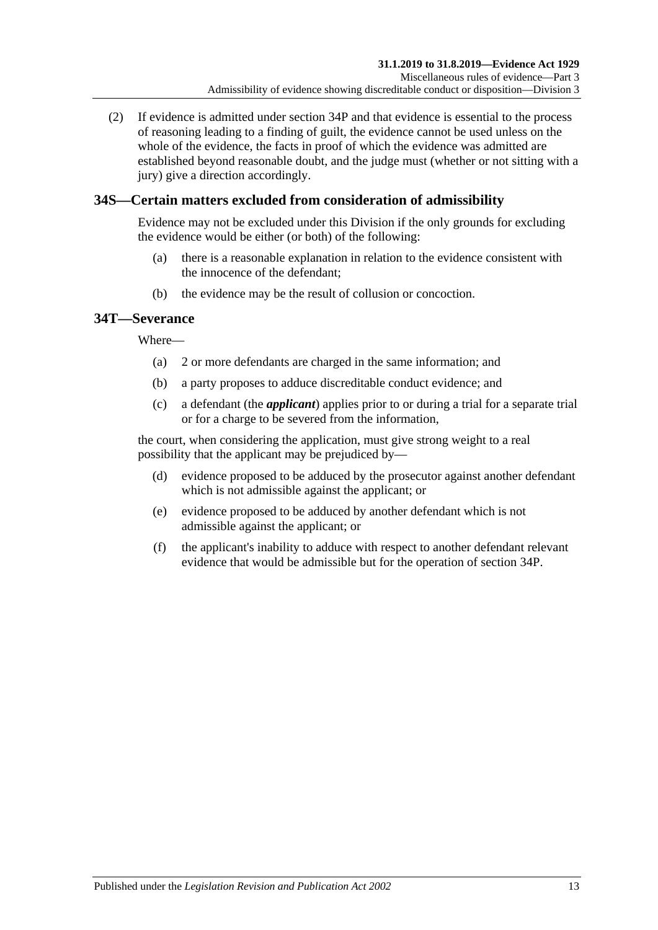(2) If evidence is admitted under [section](#page-41-4) 34P and that evidence is essential to the process of reasoning leading to a finding of guilt, the evidence cannot be used unless on the whole of the evidence, the facts in proof of which the evidence was admitted are established beyond reasonable doubt, and the judge must (whether or not sitting with a jury) give a direction accordingly.

### **34S—Certain matters excluded from consideration of admissibility**

Evidence may not be excluded under this Division if the only grounds for excluding the evidence would be either (or both) of the following:

- (a) there is a reasonable explanation in relation to the evidence consistent with the innocence of the defendant;
- (b) the evidence may be the result of collusion or concoction.

### **34T—Severance**

Where—

- (a) 2 or more defendants are charged in the same information; and
- (b) a party proposes to adduce discreditable conduct evidence; and
- (c) a defendant (the *applicant*) applies prior to or during a trial for a separate trial or for a charge to be severed from the information,

the court, when considering the application, must give strong weight to a real possibility that the applicant may be prejudiced by—

- (d) evidence proposed to be adduced by the prosecutor against another defendant which is not admissible against the applicant; or
- (e) evidence proposed to be adduced by another defendant which is not admissible against the applicant; or
- (f) the applicant's inability to adduce with respect to another defendant relevant evidence that would be admissible but for the operation of [section](#page-41-4) 34P.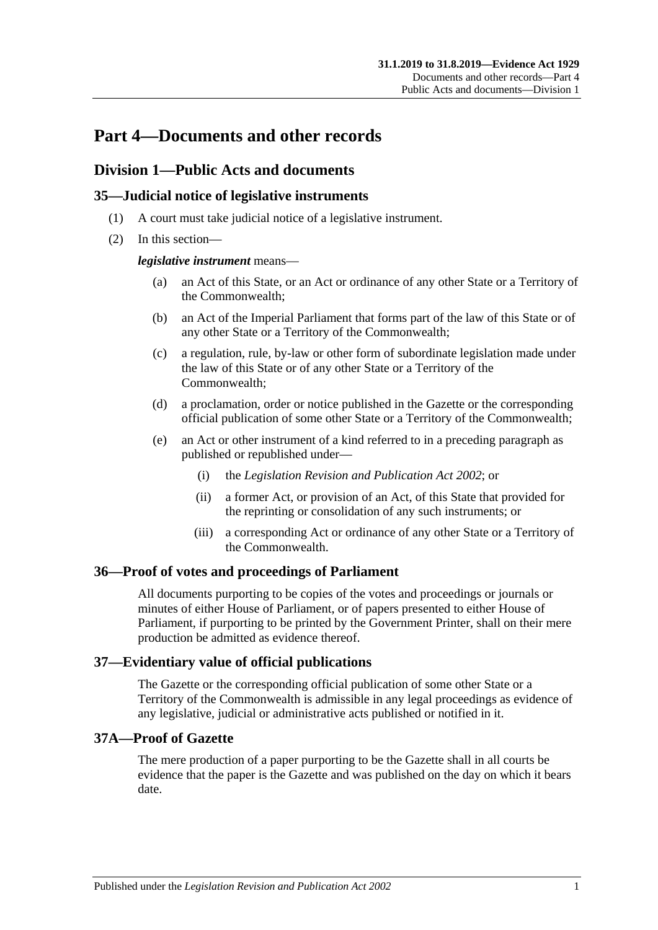# **Part 4—Documents and other records**

### **Division 1—Public Acts and documents**

### **35—Judicial notice of legislative instruments**

- (1) A court must take judicial notice of a legislative instrument.
- (2) In this section—

#### *legislative instrument* means—

- (a) an Act of this State, or an Act or ordinance of any other State or a Territory of the Commonwealth;
- (b) an Act of the Imperial Parliament that forms part of the law of this State or of any other State or a Territory of the Commonwealth;
- (c) a regulation, rule, by-law or other form of subordinate legislation made under the law of this State or of any other State or a Territory of the Commonwealth;
- (d) a proclamation, order or notice published in the Gazette or the corresponding official publication of some other State or a Territory of the Commonwealth;
- (e) an Act or other instrument of a kind referred to in a preceding paragraph as published or republished under—
	- (i) the *[Legislation Revision and Publication Act](http://www.legislation.sa.gov.au/index.aspx?action=legref&type=act&legtitle=Legislation%20Revision%20and%20Publication%20Act%202002) 2002*; or
	- (ii) a former Act, or provision of an Act, of this State that provided for the reprinting or consolidation of any such instruments; or
	- (iii) a corresponding Act or ordinance of any other State or a Territory of the Commonwealth.

#### **36—Proof of votes and proceedings of Parliament**

All documents purporting to be copies of the votes and proceedings or journals or minutes of either House of Parliament, or of papers presented to either House of Parliament, if purporting to be printed by the Government Printer, shall on their mere production be admitted as evidence thereof.

#### **37—Evidentiary value of official publications**

The Gazette or the corresponding official publication of some other State or a Territory of the Commonwealth is admissible in any legal proceedings as evidence of any legislative, judicial or administrative acts published or notified in it.

#### **37A—Proof of Gazette**

The mere production of a paper purporting to be the Gazette shall in all courts be evidence that the paper is the Gazette and was published on the day on which it bears date.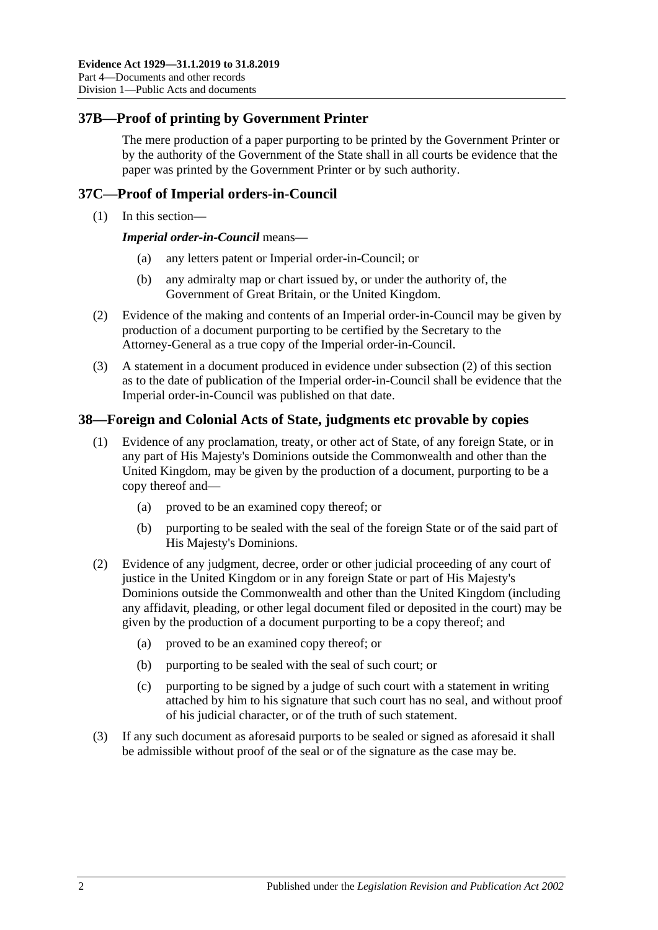### **37B—Proof of printing by Government Printer**

The mere production of a paper purporting to be printed by the Government Printer or by the authority of the Government of the State shall in all courts be evidence that the paper was printed by the Government Printer or by such authority.

#### **37C—Proof of Imperial orders-in-Council**

(1) In this section—

*Imperial order-in-Council* means—

- (a) any letters patent or Imperial order-in-Council; or
- (b) any admiralty map or chart issued by, or under the authority of, the Government of Great Britain, or the United Kingdom.
- <span id="page-45-0"></span>(2) Evidence of the making and contents of an Imperial order-in-Council may be given by production of a document purporting to be certified by the Secretary to the Attorney-General as a true copy of the Imperial order-in-Council.
- (3) A statement in a document produced in evidence under [subsection](#page-45-0) (2) of this section as to the date of publication of the Imperial order-in-Council shall be evidence that the Imperial order-in-Council was published on that date.

#### **38—Foreign and Colonial Acts of State, judgments etc provable by copies**

- (1) Evidence of any proclamation, treaty, or other act of State, of any foreign State, or in any part of His Majesty's Dominions outside the Commonwealth and other than the United Kingdom, may be given by the production of a document, purporting to be a copy thereof and—
	- (a) proved to be an examined copy thereof; or
	- (b) purporting to be sealed with the seal of the foreign State or of the said part of His Majesty's Dominions.
- (2) Evidence of any judgment, decree, order or other judicial proceeding of any court of justice in the United Kingdom or in any foreign State or part of His Majesty's Dominions outside the Commonwealth and other than the United Kingdom (including any affidavit, pleading, or other legal document filed or deposited in the court) may be given by the production of a document purporting to be a copy thereof; and
	- (a) proved to be an examined copy thereof; or
	- (b) purporting to be sealed with the seal of such court; or
	- (c) purporting to be signed by a judge of such court with a statement in writing attached by him to his signature that such court has no seal, and without proof of his judicial character, or of the truth of such statement.
- (3) If any such document as aforesaid purports to be sealed or signed as aforesaid it shall be admissible without proof of the seal or of the signature as the case may be.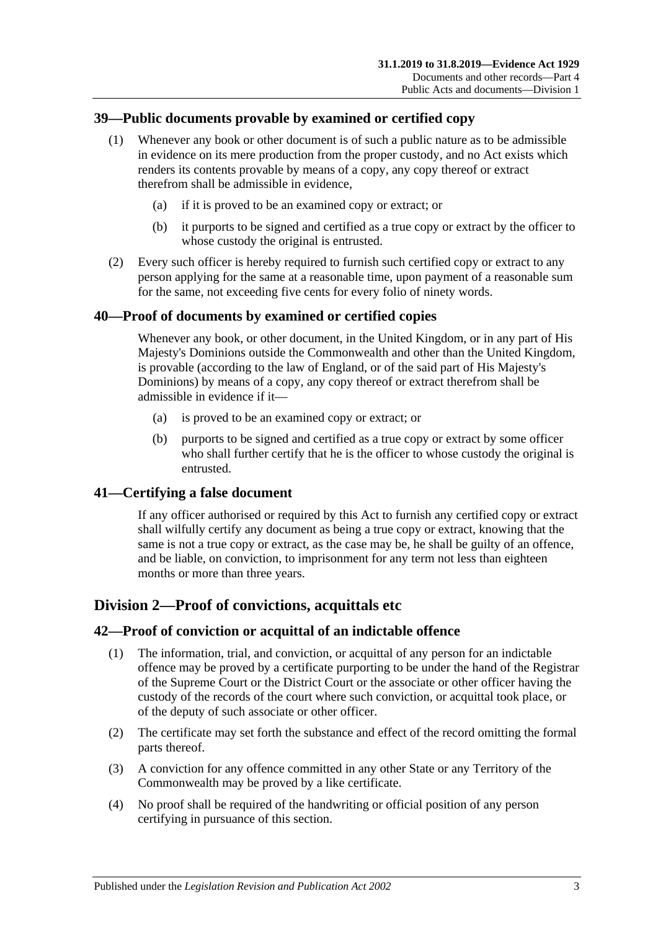### **39—Public documents provable by examined or certified copy**

- (1) Whenever any book or other document is of such a public nature as to be admissible in evidence on its mere production from the proper custody, and no Act exists which renders its contents provable by means of a copy, any copy thereof or extract therefrom shall be admissible in evidence,
	- (a) if it is proved to be an examined copy or extract; or
	- (b) it purports to be signed and certified as a true copy or extract by the officer to whose custody the original is entrusted.
- (2) Every such officer is hereby required to furnish such certified copy or extract to any person applying for the same at a reasonable time, upon payment of a reasonable sum for the same, not exceeding five cents for every folio of ninety words.

### **40—Proof of documents by examined or certified copies**

Whenever any book, or other document, in the United Kingdom, or in any part of His Majesty's Dominions outside the Commonwealth and other than the United Kingdom, is provable (according to the law of England, or of the said part of His Majesty's Dominions) by means of a copy, any copy thereof or extract therefrom shall be admissible in evidence if it—

- (a) is proved to be an examined copy or extract; or
- (b) purports to be signed and certified as a true copy or extract by some officer who shall further certify that he is the officer to whose custody the original is entrusted.

#### **41—Certifying a false document**

If any officer authorised or required by this Act to furnish any certified copy or extract shall wilfully certify any document as being a true copy or extract, knowing that the same is not a true copy or extract, as the case may be, he shall be guilty of an offence, and be liable, on conviction, to imprisonment for any term not less than eighteen months or more than three years.

### **Division 2—Proof of convictions, acquittals etc**

#### **42—Proof of conviction or acquittal of an indictable offence**

- (1) The information, trial, and conviction, or acquittal of any person for an indictable offence may be proved by a certificate purporting to be under the hand of the Registrar of the Supreme Court or the District Court or the associate or other officer having the custody of the records of the court where such conviction, or acquittal took place, or of the deputy of such associate or other officer.
- (2) The certificate may set forth the substance and effect of the record omitting the formal parts thereof.
- (3) A conviction for any offence committed in any other State or any Territory of the Commonwealth may be proved by a like certificate.
- (4) No proof shall be required of the handwriting or official position of any person certifying in pursuance of this section.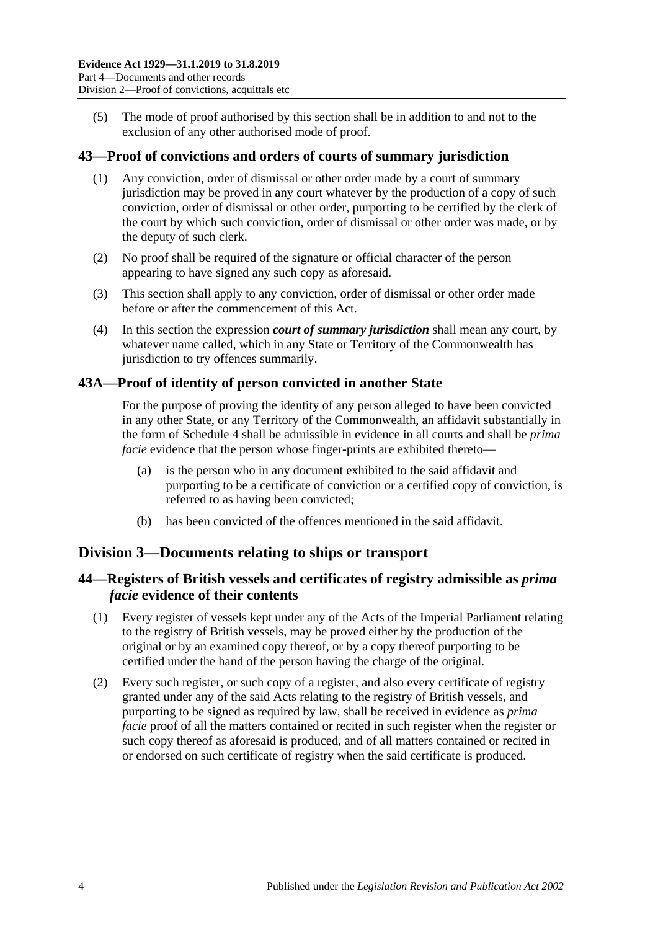(5) The mode of proof authorised by this section shall be in addition to and not to the exclusion of any other authorised mode of proof.

#### **43—Proof of convictions and orders of courts of summary jurisdiction**

- (1) Any conviction, order of dismissal or other order made by a court of summary jurisdiction may be proved in any court whatever by the production of a copy of such conviction, order of dismissal or other order, purporting to be certified by the clerk of the court by which such conviction, order of dismissal or other order was made, or by the deputy of such clerk.
- (2) No proof shall be required of the signature or official character of the person appearing to have signed any such copy as aforesaid.
- (3) This section shall apply to any conviction, order of dismissal or other order made before or after the commencement of this Act.
- (4) In this section the expression *court of summary jurisdiction* shall mean any court, by whatever name called, which in any State or Territory of the Commonwealth has jurisdiction to try offences summarily.

#### **43A—Proof of identity of person convicted in another State**

For the purpose of proving the identity of any person alleged to have been convicted in any other State, or any Territory of the Commonwealth, an affidavit substantially in the form of [Schedule 4](#page-95-0) shall be admissible in evidence in all courts and shall be *prima facie* evidence that the person whose finger-prints are exhibited thereto—

- (a) is the person who in any document exhibited to the said affidavit and purporting to be a certificate of conviction or a certified copy of conviction, is referred to as having been convicted;
- (b) has been convicted of the offences mentioned in the said affidavit.

#### **Division 3—Documents relating to ships or transport**

#### **44—Registers of British vessels and certificates of registry admissible as** *prima facie* **evidence of their contents**

- (1) Every register of vessels kept under any of the Acts of the Imperial Parliament relating to the registry of British vessels, may be proved either by the production of the original or by an examined copy thereof, or by a copy thereof purporting to be certified under the hand of the person having the charge of the original.
- (2) Every such register, or such copy of a register, and also every certificate of registry granted under any of the said Acts relating to the registry of British vessels, and purporting to be signed as required by law, shall be received in evidence as *prima facie* proof of all the matters contained or recited in such register when the register or such copy thereof as aforesaid is produced, and of all matters contained or recited in or endorsed on such certificate of registry when the said certificate is produced.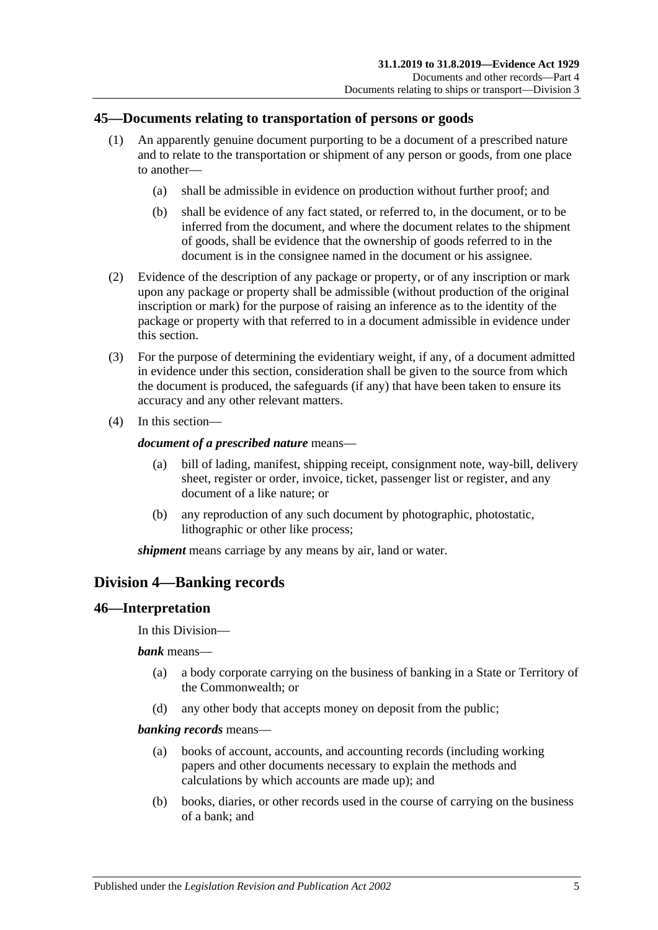#### **45—Documents relating to transportation of persons or goods**

- (1) An apparently genuine document purporting to be a document of a prescribed nature and to relate to the transportation or shipment of any person or goods, from one place to another—
	- (a) shall be admissible in evidence on production without further proof; and
	- (b) shall be evidence of any fact stated, or referred to, in the document, or to be inferred from the document, and where the document relates to the shipment of goods, shall be evidence that the ownership of goods referred to in the document is in the consignee named in the document or his assignee.
- (2) Evidence of the description of any package or property, or of any inscription or mark upon any package or property shall be admissible (without production of the original inscription or mark) for the purpose of raising an inference as to the identity of the package or property with that referred to in a document admissible in evidence under this section.
- (3) For the purpose of determining the evidentiary weight, if any, of a document admitted in evidence under this section, consideration shall be given to the source from which the document is produced, the safeguards (if any) that have been taken to ensure its accuracy and any other relevant matters.
- (4) In this section—

#### *document of a prescribed nature* means—

- (a) bill of lading, manifest, shipping receipt, consignment note, way-bill, delivery sheet, register or order, invoice, ticket, passenger list or register, and any document of a like nature; or
- (b) any reproduction of any such document by photographic, photostatic, lithographic or other like process;

*shipment* means carriage by any means by air, land or water.

### **Division 4—Banking records**

#### **46—Interpretation**

In this Division—

*bank* means—

- (a) a body corporate carrying on the business of banking in a State or Territory of the Commonwealth; or
- (d) any other body that accepts money on deposit from the public;

#### *banking records* means—

- (a) books of account, accounts, and accounting records (including working papers and other documents necessary to explain the methods and calculations by which accounts are made up); and
- (b) books, diaries, or other records used in the course of carrying on the business of a bank; and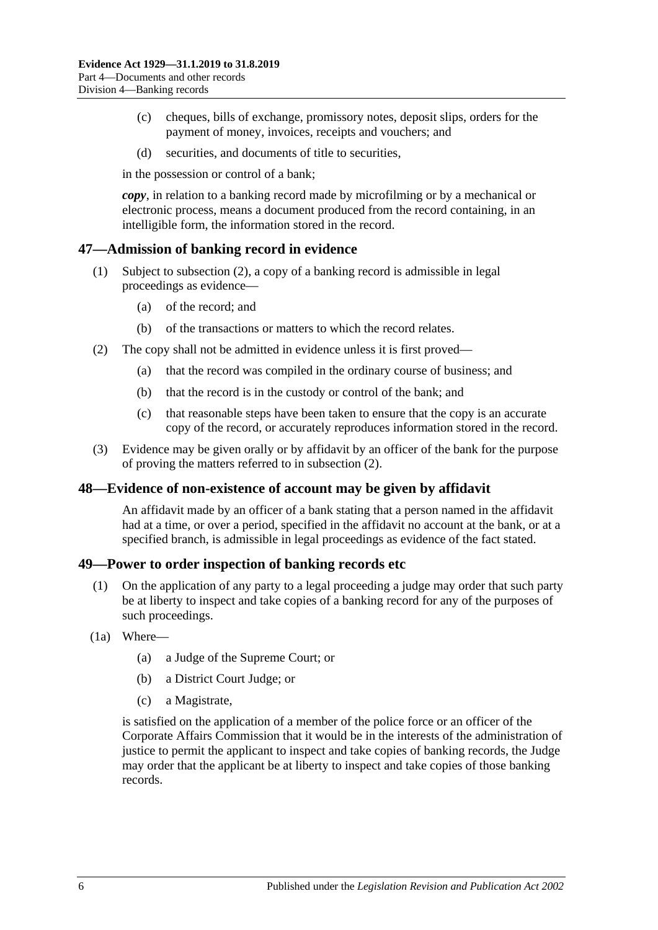- (c) cheques, bills of exchange, promissory notes, deposit slips, orders for the payment of money, invoices, receipts and vouchers; and
- (d) securities, and documents of title to securities,

in the possession or control of a bank;

*copy*, in relation to a banking record made by microfilming or by a mechanical or electronic process, means a document produced from the record containing, in an intelligible form, the information stored in the record.

#### **47—Admission of banking record in evidence**

- (1) Subject to [subsection](#page-49-0) (2), a copy of a banking record is admissible in legal proceedings as evidence—
	- (a) of the record; and
	- (b) of the transactions or matters to which the record relates.
- <span id="page-49-0"></span>(2) The copy shall not be admitted in evidence unless it is first proved—
	- (a) that the record was compiled in the ordinary course of business; and
	- (b) that the record is in the custody or control of the bank; and
	- (c) that reasonable steps have been taken to ensure that the copy is an accurate copy of the record, or accurately reproduces information stored in the record.
- (3) Evidence may be given orally or by affidavit by an officer of the bank for the purpose of proving the matters referred to in [subsection](#page-49-0) (2).

#### **48—Evidence of non-existence of account may be given by affidavit**

An affidavit made by an officer of a bank stating that a person named in the affidavit had at a time, or over a period, specified in the affidavit no account at the bank, or at a specified branch, is admissible in legal proceedings as evidence of the fact stated.

#### **49—Power to order inspection of banking records etc**

- (1) On the application of any party to a legal proceeding a judge may order that such party be at liberty to inspect and take copies of a banking record for any of the purposes of such proceedings.
- <span id="page-49-1"></span>(1a) Where—
	- (a) a Judge of the Supreme Court; or
	- (b) a District Court Judge; or
	- (c) a Magistrate,

is satisfied on the application of a member of the police force or an officer of the Corporate Affairs Commission that it would be in the interests of the administration of justice to permit the applicant to inspect and take copies of banking records, the Judge may order that the applicant be at liberty to inspect and take copies of those banking records.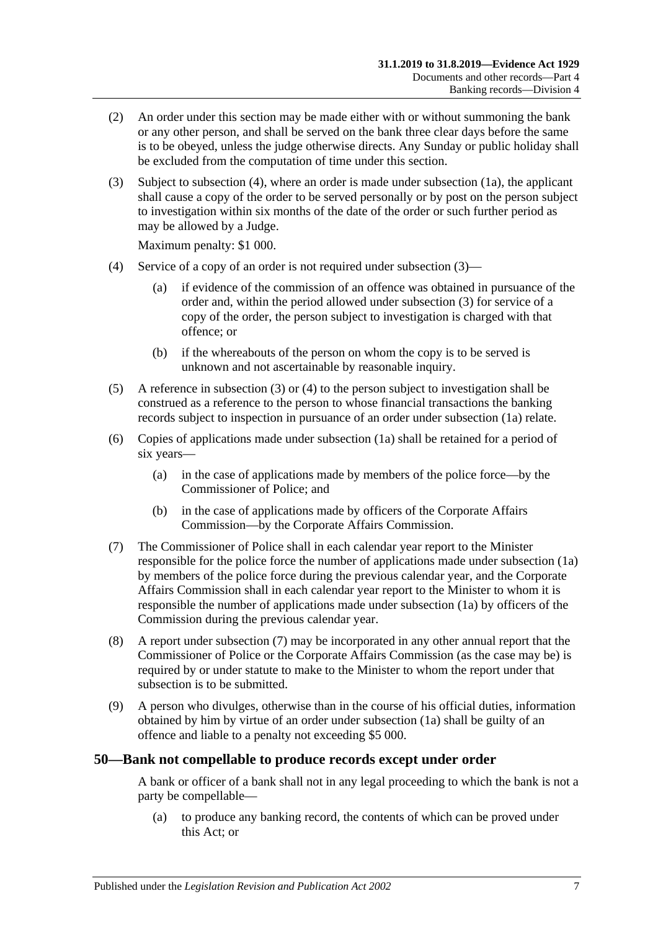- (2) An order under this section may be made either with or without summoning the bank or any other person, and shall be served on the bank three clear days before the same is to be obeyed, unless the judge otherwise directs. Any Sunday or public holiday shall be excluded from the computation of time under this section.
- <span id="page-50-1"></span>(3) Subject to [subsection](#page-50-0) (4), where an order is made under [subsection](#page-49-1) (1a), the applicant shall cause a copy of the order to be served personally or by post on the person subject to investigation within six months of the date of the order or such further period as may be allowed by a Judge.

Maximum penalty: \$1 000.

- <span id="page-50-0"></span>(4) Service of a copy of an order is not required under [subsection](#page-50-1) (3)—
	- (a) if evidence of the commission of an offence was obtained in pursuance of the order and, within the period allowed under [subsection](#page-50-1) (3) for service of a copy of the order, the person subject to investigation is charged with that offence; or
	- (b) if the whereabouts of the person on whom the copy is to be served is unknown and not ascertainable by reasonable inquiry.
- (5) A reference in [subsection](#page-50-1) (3) or [\(4\)](#page-50-0) to the person subject to investigation shall be construed as a reference to the person to whose financial transactions the banking records subject to inspection in pursuance of an order under [subsection](#page-49-1) (1a) relate.
- (6) Copies of applications made under [subsection](#page-49-1) (1a) shall be retained for a period of six years—
	- (a) in the case of applications made by members of the police force—by the Commissioner of Police; and
	- (b) in the case of applications made by officers of the Corporate Affairs Commission—by the Corporate Affairs Commission.
- <span id="page-50-2"></span>(7) The Commissioner of Police shall in each calendar year report to the Minister responsible for the police force the number of applications made under [subsection](#page-49-1) (1a) by members of the police force during the previous calendar year, and the Corporate Affairs Commission shall in each calendar year report to the Minister to whom it is responsible the number of applications made under [subsection](#page-49-1) (1a) by officers of the Commission during the previous calendar year.
- (8) A report under [subsection](#page-50-2) (7) may be incorporated in any other annual report that the Commissioner of Police or the Corporate Affairs Commission (as the case may be) is required by or under statute to make to the Minister to whom the report under that subsection is to be submitted.
- (9) A person who divulges, otherwise than in the course of his official duties, information obtained by him by virtue of an order under [subsection](#page-49-1) (1a) shall be guilty of an offence and liable to a penalty not exceeding \$5 000.

#### **50—Bank not compellable to produce records except under order**

A bank or officer of a bank shall not in any legal proceeding to which the bank is not a party be compellable—

(a) to produce any banking record, the contents of which can be proved under this Act; or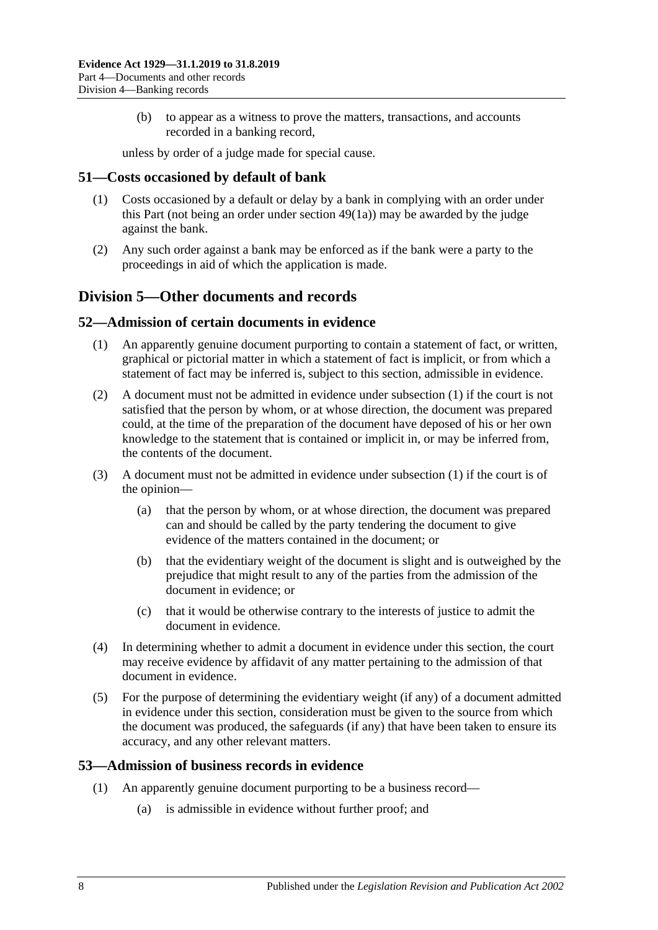(b) to appear as a witness to prove the matters, transactions, and accounts recorded in a banking record,

unless by order of a judge made for special cause.

#### **51—Costs occasioned by default of bank**

- (1) Costs occasioned by a default or delay by a bank in complying with an order under this Part (not being an order under [section](#page-49-1) 49(1a)) may be awarded by the judge against the bank.
- (2) Any such order against a bank may be enforced as if the bank were a party to the proceedings in aid of which the application is made.

### **Division 5—Other documents and records**

#### <span id="page-51-0"></span>**52—Admission of certain documents in evidence**

- (1) An apparently genuine document purporting to contain a statement of fact, or written, graphical or pictorial matter in which a statement of fact is implicit, or from which a statement of fact may be inferred is, subject to this section, admissible in evidence.
- (2) A document must not be admitted in evidence under [subsection](#page-51-0) (1) if the court is not satisfied that the person by whom, or at whose direction, the document was prepared could, at the time of the preparation of the document have deposed of his or her own knowledge to the statement that is contained or implicit in, or may be inferred from, the contents of the document.
- (3) A document must not be admitted in evidence under [subsection](#page-51-0) (1) if the court is of the opinion—
	- (a) that the person by whom, or at whose direction, the document was prepared can and should be called by the party tendering the document to give evidence of the matters contained in the document; or
	- (b) that the evidentiary weight of the document is slight and is outweighed by the prejudice that might result to any of the parties from the admission of the document in evidence; or
	- (c) that it would be otherwise contrary to the interests of justice to admit the document in evidence.
- (4) In determining whether to admit a document in evidence under this section, the court may receive evidence by affidavit of any matter pertaining to the admission of that document in evidence.
- (5) For the purpose of determining the evidentiary weight (if any) of a document admitted in evidence under this section, consideration must be given to the source from which the document was produced, the safeguards (if any) that have been taken to ensure its accuracy, and any other relevant matters.

#### <span id="page-51-1"></span>**53—Admission of business records in evidence**

- (1) An apparently genuine document purporting to be a business record—
	- (a) is admissible in evidence without further proof; and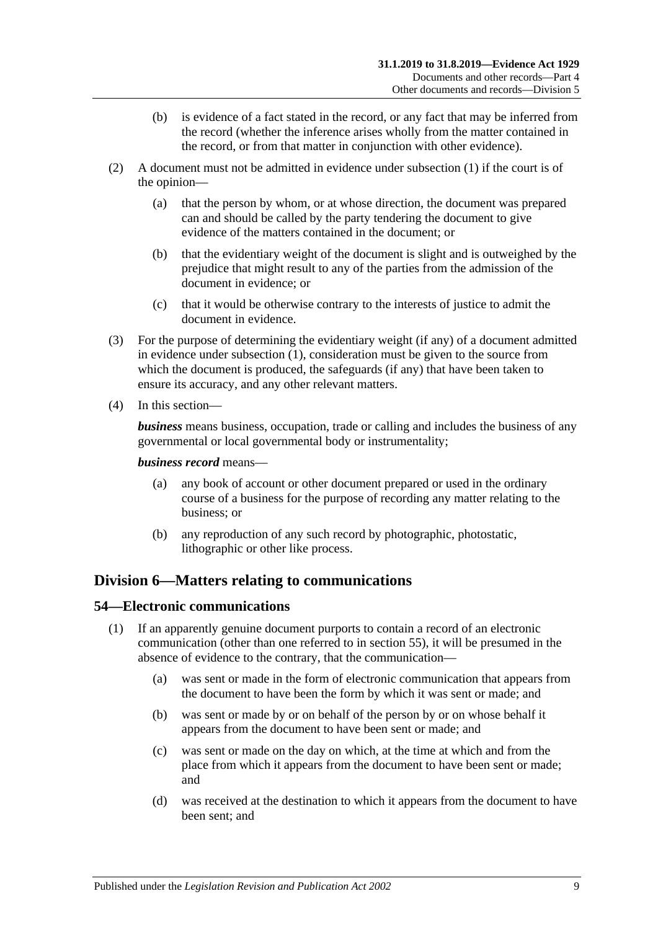- (b) is evidence of a fact stated in the record, or any fact that may be inferred from the record (whether the inference arises wholly from the matter contained in the record, or from that matter in conjunction with other evidence).
- (2) A document must not be admitted in evidence under [subsection](#page-51-1) (1) if the court is of the opinion—
	- (a) that the person by whom, or at whose direction, the document was prepared can and should be called by the party tendering the document to give evidence of the matters contained in the document; or
	- (b) that the evidentiary weight of the document is slight and is outweighed by the prejudice that might result to any of the parties from the admission of the document in evidence; or
	- (c) that it would be otherwise contrary to the interests of justice to admit the document in evidence.
- (3) For the purpose of determining the evidentiary weight (if any) of a document admitted in evidence under [subsection](#page-51-1) (1), consideration must be given to the source from which the document is produced, the safeguards (if any) that have been taken to ensure its accuracy, and any other relevant matters.
- (4) In this section—

*business* means business, occupation, trade or calling and includes the business of any governmental or local governmental body or instrumentality;

#### *business record* means—

- (a) any book of account or other document prepared or used in the ordinary course of a business for the purpose of recording any matter relating to the business; or
- (b) any reproduction of any such record by photographic, photostatic, lithographic or other like process.

### **Division 6—Matters relating to communications**

#### <span id="page-52-0"></span>**54—Electronic communications**

- (1) If an apparently genuine document purports to contain a record of an electronic communication (other than one referred to in [section](#page-53-0) 55), it will be presumed in the absence of evidence to the contrary, that the communication—
	- (a) was sent or made in the form of electronic communication that appears from the document to have been the form by which it was sent or made; and
	- (b) was sent or made by or on behalf of the person by or on whose behalf it appears from the document to have been sent or made; and
	- (c) was sent or made on the day on which, at the time at which and from the place from which it appears from the document to have been sent or made; and
	- (d) was received at the destination to which it appears from the document to have been sent; and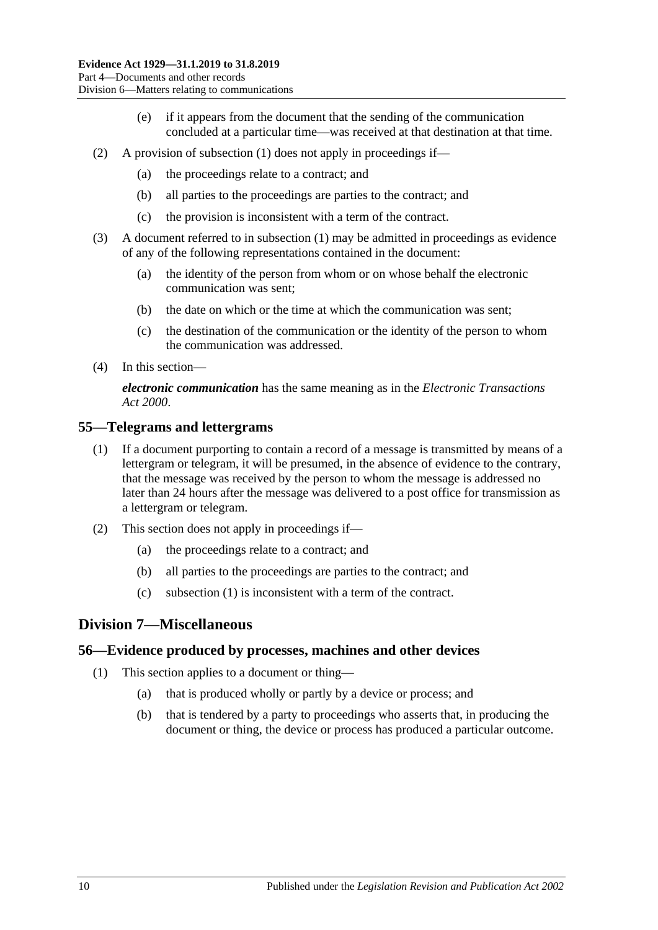- (e) if it appears from the document that the sending of the communication concluded at a particular time—was received at that destination at that time.
- (2) A provision of [subsection](#page-52-0) (1) does not apply in proceedings if—
	- (a) the proceedings relate to a contract; and
	- (b) all parties to the proceedings are parties to the contract; and
	- (c) the provision is inconsistent with a term of the contract.
- (3) A document referred to in [subsection](#page-52-0) (1) may be admitted in proceedings as evidence of any of the following representations contained in the document:
	- (a) the identity of the person from whom or on whose behalf the electronic communication was sent;
	- (b) the date on which or the time at which the communication was sent;
	- (c) the destination of the communication or the identity of the person to whom the communication was addressed.
- (4) In this section—

*electronic communication* has the same meaning as in the *[Electronic Transactions](http://www.legislation.sa.gov.au/index.aspx?action=legref&type=act&legtitle=Electronic%20Transactions%20Act%202000)  Act [2000](http://www.legislation.sa.gov.au/index.aspx?action=legref&type=act&legtitle=Electronic%20Transactions%20Act%202000)*.

#### <span id="page-53-1"></span><span id="page-53-0"></span>**55—Telegrams and lettergrams**

- (1) If a document purporting to contain a record of a message is transmitted by means of a lettergram or telegram, it will be presumed, in the absence of evidence to the contrary, that the message was received by the person to whom the message is addressed no later than 24 hours after the message was delivered to a post office for transmission as a lettergram or telegram.
- (2) This section does not apply in proceedings if—
	- (a) the proceedings relate to a contract; and
	- (b) all parties to the proceedings are parties to the contract; and
	- (c) [subsection \(1\)](#page-53-1) is inconsistent with a term of the contract.

#### **Division 7—Miscellaneous**

#### **56—Evidence produced by processes, machines and other devices**

- (1) This section applies to a document or thing—
	- (a) that is produced wholly or partly by a device or process; and
	- (b) that is tendered by a party to proceedings who asserts that, in producing the document or thing, the device or process has produced a particular outcome.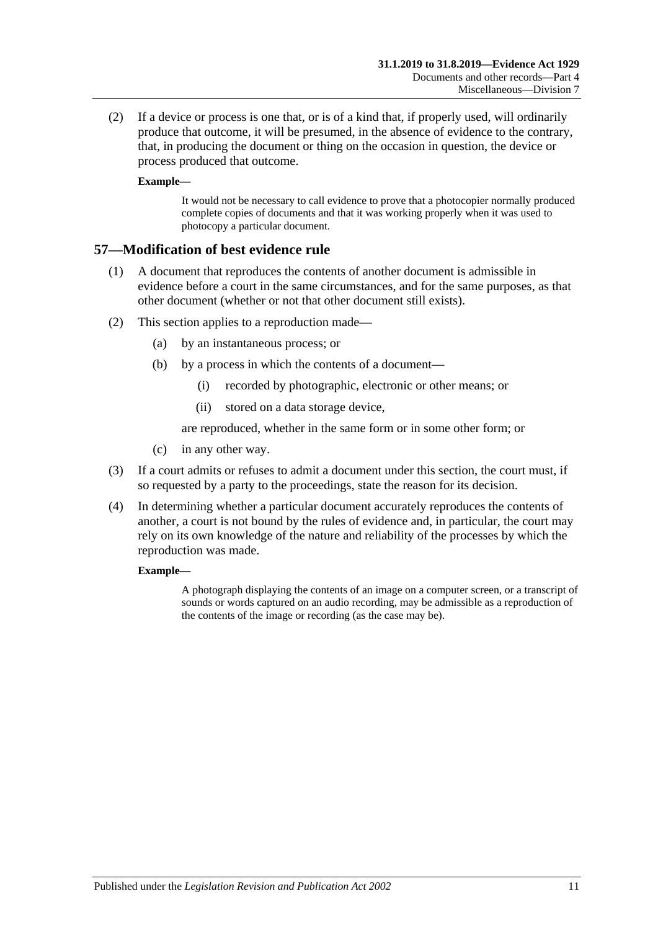(2) If a device or process is one that, or is of a kind that, if properly used, will ordinarily produce that outcome, it will be presumed, in the absence of evidence to the contrary, that, in producing the document or thing on the occasion in question, the device or process produced that outcome.

#### **Example—**

It would not be necessary to call evidence to prove that a photocopier normally produced complete copies of documents and that it was working properly when it was used to photocopy a particular document.

#### **57—Modification of best evidence rule**

- (1) A document that reproduces the contents of another document is admissible in evidence before a court in the same circumstances, and for the same purposes, as that other document (whether or not that other document still exists).
- (2) This section applies to a reproduction made—
	- (a) by an instantaneous process; or
	- (b) by a process in which the contents of a document—
		- (i) recorded by photographic, electronic or other means; or
		- (ii) stored on a data storage device,

are reproduced, whether in the same form or in some other form; or

- (c) in any other way.
- (3) If a court admits or refuses to admit a document under this section, the court must, if so requested by a party to the proceedings, state the reason for its decision.
- (4) In determining whether a particular document accurately reproduces the contents of another, a court is not bound by the rules of evidence and, in particular, the court may rely on its own knowledge of the nature and reliability of the processes by which the reproduction was made.

#### **Example—**

A photograph displaying the contents of an image on a computer screen, or a transcript of sounds or words captured on an audio recording, may be admissible as a reproduction of the contents of the image or recording (as the case may be).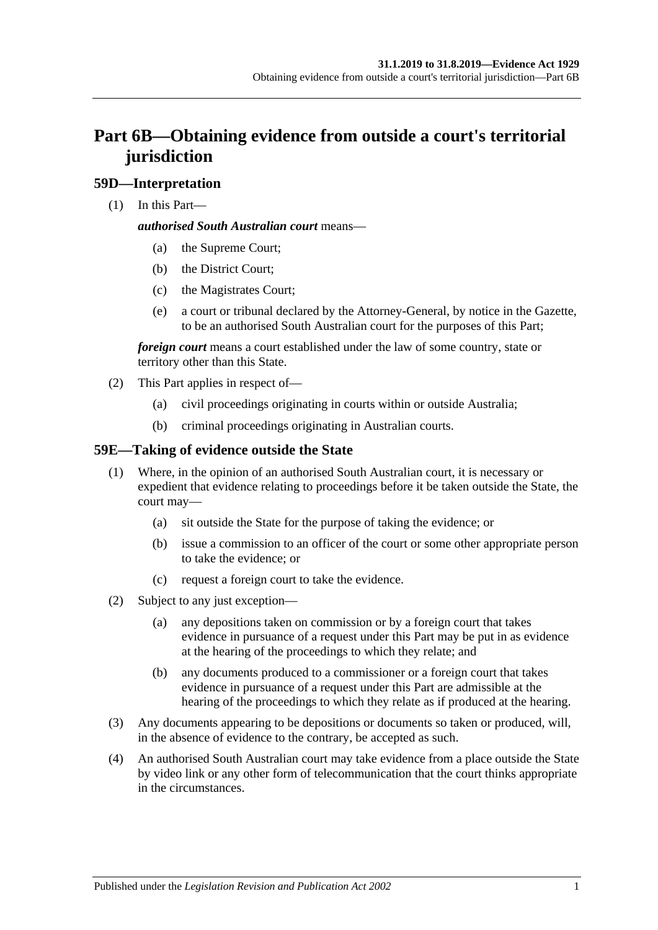# **Part 6B—Obtaining evidence from outside a court's territorial jurisdiction**

### **59D—Interpretation**

(1) In this Part—

#### *authorised South Australian court* means—

- (a) the Supreme Court;
- (b) the District Court;
- (c) the Magistrates Court;
- (e) a court or tribunal declared by the Attorney-General, by notice in the Gazette, to be an authorised South Australian court for the purposes of this Part;

*foreign court* means a court established under the law of some country, state or territory other than this State.

- (2) This Part applies in respect of—
	- (a) civil proceedings originating in courts within or outside Australia;
	- (b) criminal proceedings originating in Australian courts.

### **59E—Taking of evidence outside the State**

- (1) Where, in the opinion of an authorised South Australian court, it is necessary or expedient that evidence relating to proceedings before it be taken outside the State, the court may—
	- (a) sit outside the State for the purpose of taking the evidence; or
	- (b) issue a commission to an officer of the court or some other appropriate person to take the evidence; or
	- (c) request a foreign court to take the evidence.
- (2) Subject to any just exception—
	- (a) any depositions taken on commission or by a foreign court that takes evidence in pursuance of a request under this Part may be put in as evidence at the hearing of the proceedings to which they relate; and
	- (b) any documents produced to a commissioner or a foreign court that takes evidence in pursuance of a request under this Part are admissible at the hearing of the proceedings to which they relate as if produced at the hearing.
- (3) Any documents appearing to be depositions or documents so taken or produced, will, in the absence of evidence to the contrary, be accepted as such.
- (4) An authorised South Australian court may take evidence from a place outside the State by video link or any other form of telecommunication that the court thinks appropriate in the circumstances.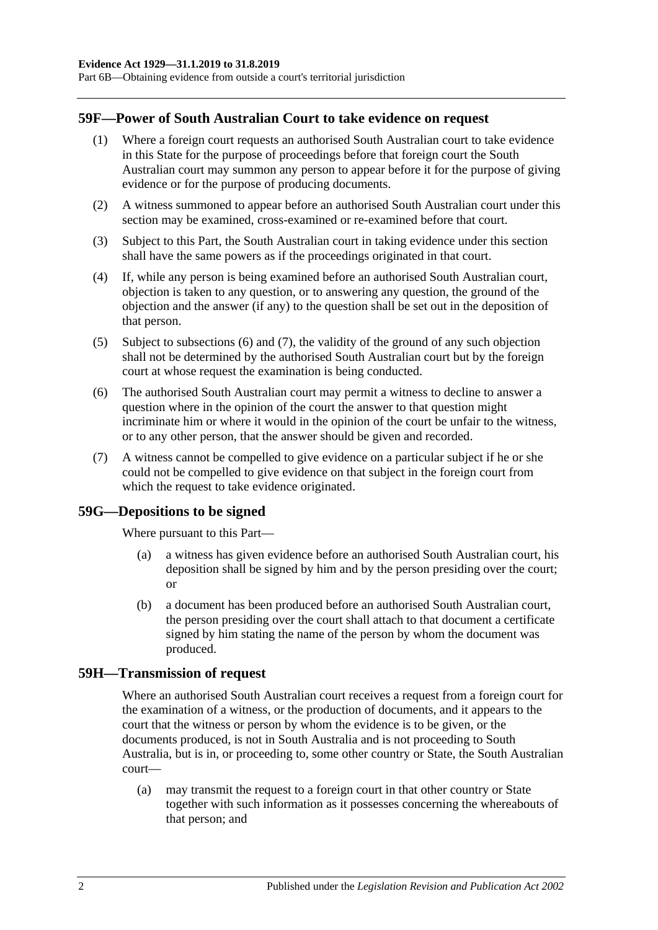Part 6B—Obtaining evidence from outside a court's territorial jurisdiction

#### **59F—Power of South Australian Court to take evidence on request**

- (1) Where a foreign court requests an authorised South Australian court to take evidence in this State for the purpose of proceedings before that foreign court the South Australian court may summon any person to appear before it for the purpose of giving evidence or for the purpose of producing documents.
- (2) A witness summoned to appear before an authorised South Australian court under this section may be examined, cross-examined or re-examined before that court.
- (3) Subject to this Part, the South Australian court in taking evidence under this section shall have the same powers as if the proceedings originated in that court.
- (4) If, while any person is being examined before an authorised South Australian court, objection is taken to any question, or to answering any question, the ground of the objection and the answer (if any) to the question shall be set out in the deposition of that person.
- (5) Subject to [subsections](#page-57-0) (6) and [\(7\),](#page-57-1) the validity of the ground of any such objection shall not be determined by the authorised South Australian court but by the foreign court at whose request the examination is being conducted.
- <span id="page-57-0"></span>(6) The authorised South Australian court may permit a witness to decline to answer a question where in the opinion of the court the answer to that question might incriminate him or where it would in the opinion of the court be unfair to the witness, or to any other person, that the answer should be given and recorded.
- <span id="page-57-1"></span>(7) A witness cannot be compelled to give evidence on a particular subject if he or she could not be compelled to give evidence on that subject in the foreign court from which the request to take evidence originated.

#### **59G—Depositions to be signed**

Where pursuant to this Part—

- (a) a witness has given evidence before an authorised South Australian court, his deposition shall be signed by him and by the person presiding over the court; or
- (b) a document has been produced before an authorised South Australian court, the person presiding over the court shall attach to that document a certificate signed by him stating the name of the person by whom the document was produced.

#### **59H—Transmission of request**

Where an authorised South Australian court receives a request from a foreign court for the examination of a witness, or the production of documents, and it appears to the court that the witness or person by whom the evidence is to be given, or the documents produced, is not in South Australia and is not proceeding to South Australia, but is in, or proceeding to, some other country or State, the South Australian court—

(a) may transmit the request to a foreign court in that other country or State together with such information as it possesses concerning the whereabouts of that person; and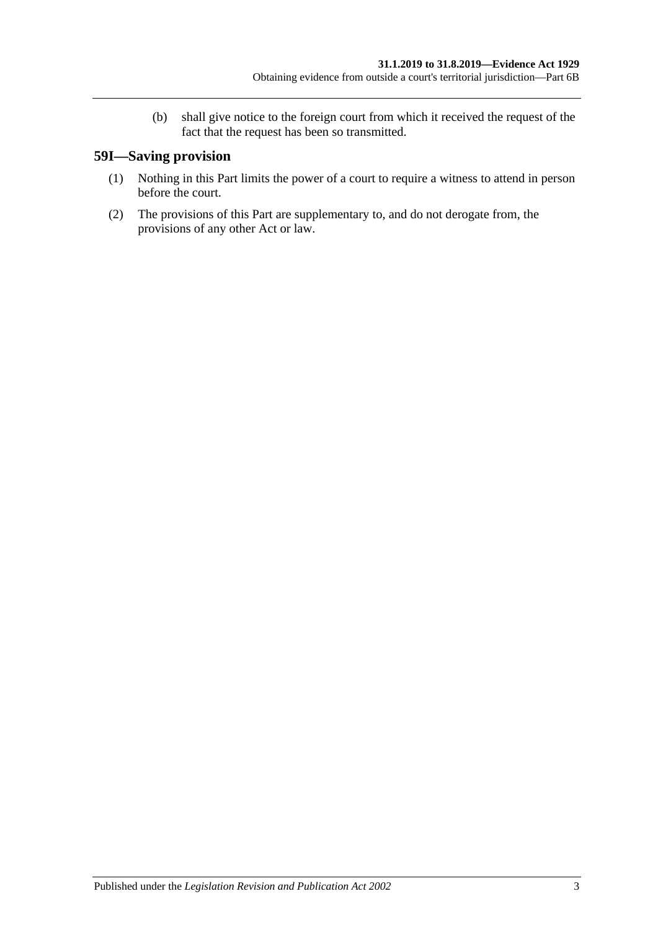(b) shall give notice to the foreign court from which it received the request of the fact that the request has been so transmitted.

## **59I—Saving provision**

- (1) Nothing in this Part limits the power of a court to require a witness to attend in person before the court.
- (2) The provisions of this Part are supplementary to, and do not derogate from, the provisions of any other Act or law.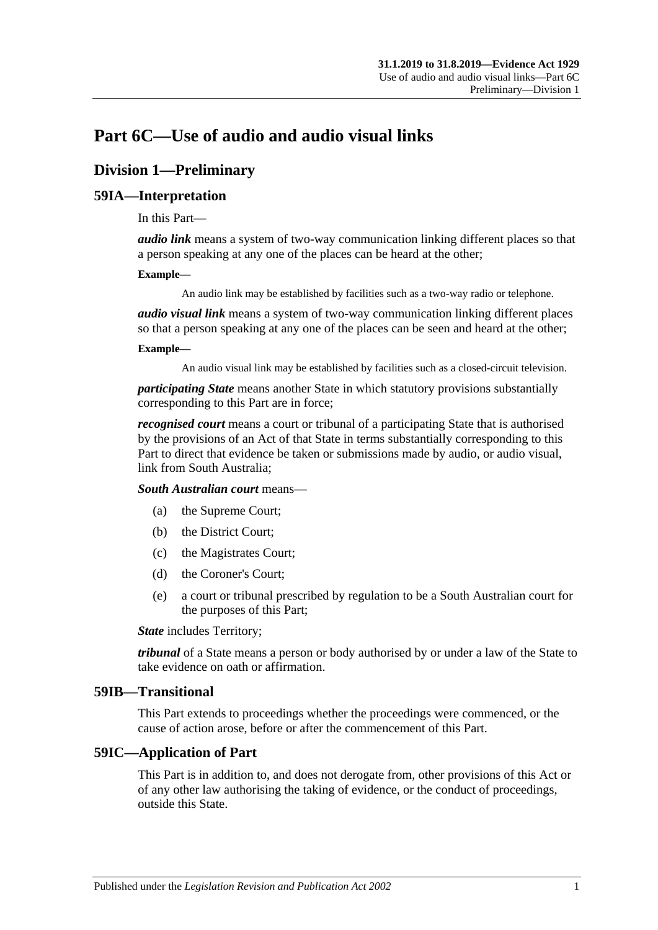# **Part 6C—Use of audio and audio visual links**

# **Division 1—Preliminary**

### **59IA—Interpretation**

In this Part—

*audio link* means a system of two-way communication linking different places so that a person speaking at any one of the places can be heard at the other;

#### **Example—**

An audio link may be established by facilities such as a two-way radio or telephone.

*audio visual link* means a system of two-way communication linking different places so that a person speaking at any one of the places can be seen and heard at the other;

#### **Example—**

An audio visual link may be established by facilities such as a closed-circuit television.

*participating State* means another State in which statutory provisions substantially corresponding to this Part are in force;

*recognised court* means a court or tribunal of a participating State that is authorised by the provisions of an Act of that State in terms substantially corresponding to this Part to direct that evidence be taken or submissions made by audio, or audio visual, link from South Australia;

*South Australian court* means—

- (a) the Supreme Court;
- (b) the District Court;
- (c) the Magistrates Court;
- (d) the Coroner's Court;
- (e) a court or tribunal prescribed by regulation to be a South Australian court for the purposes of this Part;

*State* includes Territory;

*tribunal* of a State means a person or body authorised by or under a law of the State to take evidence on oath or affirmation.

#### **59IB—Transitional**

This Part extends to proceedings whether the proceedings were commenced, or the cause of action arose, before or after the commencement of this Part.

#### **59IC—Application of Part**

This Part is in addition to, and does not derogate from, other provisions of this Act or of any other law authorising the taking of evidence, or the conduct of proceedings, outside this State.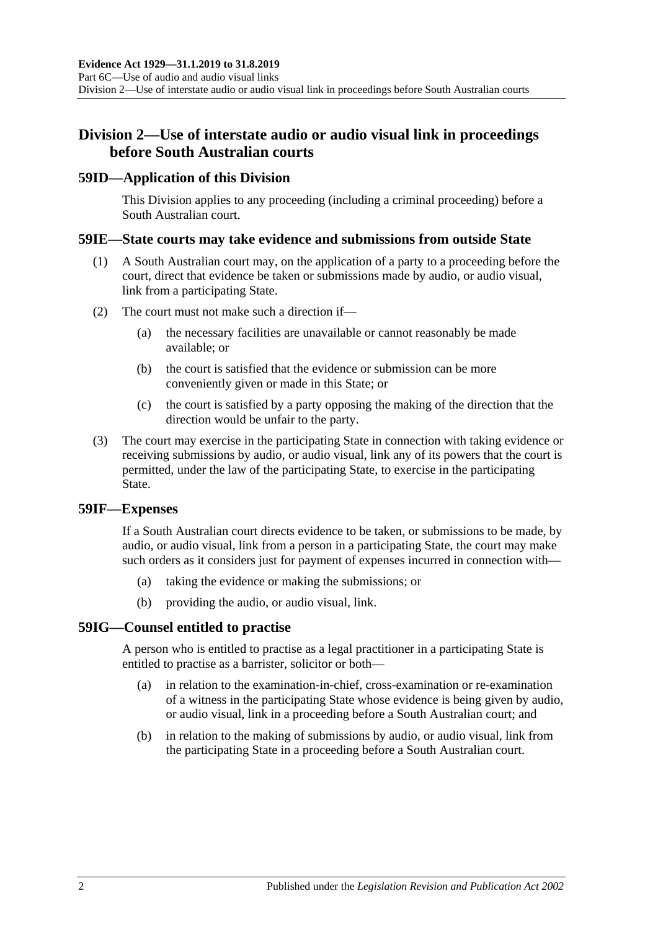# **Division 2—Use of interstate audio or audio visual link in proceedings before South Australian courts**

#### **59ID—Application of this Division**

This Division applies to any proceeding (including a criminal proceeding) before a South Australian court.

#### **59IE—State courts may take evidence and submissions from outside State**

- (1) A South Australian court may, on the application of a party to a proceeding before the court, direct that evidence be taken or submissions made by audio, or audio visual, link from a participating State.
- (2) The court must not make such a direction if—
	- (a) the necessary facilities are unavailable or cannot reasonably be made available; or
	- (b) the court is satisfied that the evidence or submission can be more conveniently given or made in this State; or
	- (c) the court is satisfied by a party opposing the making of the direction that the direction would be unfair to the party.
- (3) The court may exercise in the participating State in connection with taking evidence or receiving submissions by audio, or audio visual, link any of its powers that the court is permitted, under the law of the participating State, to exercise in the participating State.

#### **59IF—Expenses**

If a South Australian court directs evidence to be taken, or submissions to be made, by audio, or audio visual, link from a person in a participating State, the court may make such orders as it considers just for payment of expenses incurred in connection with—

- (a) taking the evidence or making the submissions; or
- (b) providing the audio, or audio visual, link.

#### **59IG—Counsel entitled to practise**

A person who is entitled to practise as a legal practitioner in a participating State is entitled to practise as a barrister, solicitor or both—

- (a) in relation to the examination-in-chief, cross-examination or re-examination of a witness in the participating State whose evidence is being given by audio, or audio visual, link in a proceeding before a South Australian court; and
- (b) in relation to the making of submissions by audio, or audio visual, link from the participating State in a proceeding before a South Australian court.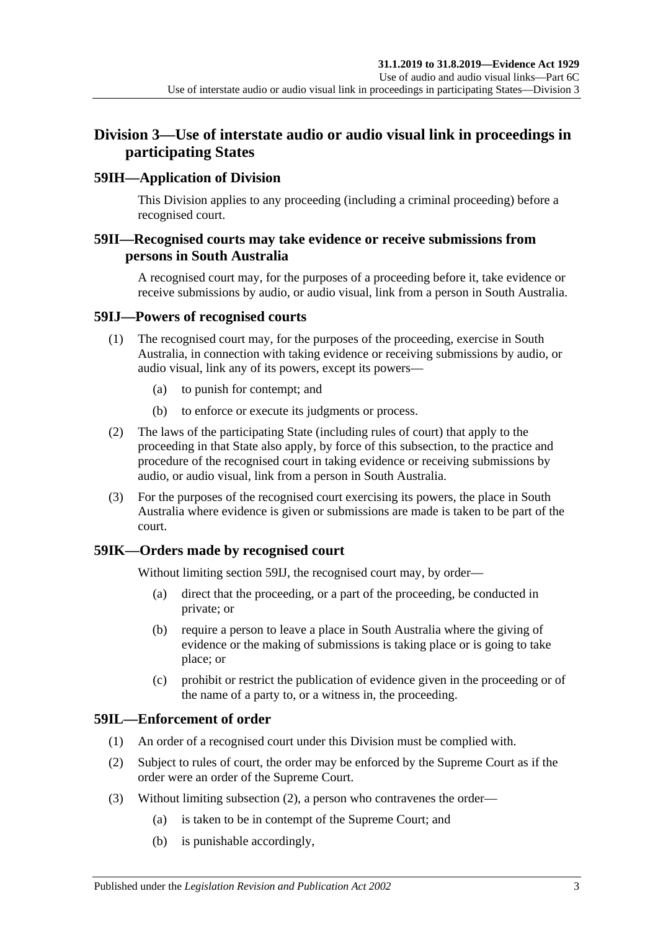# **Division 3—Use of interstate audio or audio visual link in proceedings in participating States**

### **59IH—Application of Division**

This Division applies to any proceeding (including a criminal proceeding) before a recognised court.

### **59II—Recognised courts may take evidence or receive submissions from persons in South Australia**

A recognised court may, for the purposes of a proceeding before it, take evidence or receive submissions by audio, or audio visual, link from a person in South Australia.

#### <span id="page-62-0"></span>**59IJ—Powers of recognised courts**

- (1) The recognised court may, for the purposes of the proceeding, exercise in South Australia, in connection with taking evidence or receiving submissions by audio, or audio visual, link any of its powers, except its powers—
	- (a) to punish for contempt; and
	- (b) to enforce or execute its judgments or process.
- (2) The laws of the participating State (including rules of court) that apply to the proceeding in that State also apply, by force of this subsection, to the practice and procedure of the recognised court in taking evidence or receiving submissions by audio, or audio visual, link from a person in South Australia.
- (3) For the purposes of the recognised court exercising its powers, the place in South Australia where evidence is given or submissions are made is taken to be part of the court.

### **59IK—Orders made by recognised court**

Without limiting [section](#page-62-0) 59IJ, the recognised court may, by order—

- (a) direct that the proceeding, or a part of the proceeding, be conducted in private; or
- (b) require a person to leave a place in South Australia where the giving of evidence or the making of submissions is taking place or is going to take place; or
- (c) prohibit or restrict the publication of evidence given in the proceeding or of the name of a party to, or a witness in, the proceeding.

### **59IL—Enforcement of order**

- (1) An order of a recognised court under this Division must be complied with.
- <span id="page-62-1"></span>(2) Subject to rules of court, the order may be enforced by the Supreme Court as if the order were an order of the Supreme Court.
- (3) Without limiting [subsection](#page-62-1) (2), a person who contravenes the order—
	- (a) is taken to be in contempt of the Supreme Court; and
	- (b) is punishable accordingly,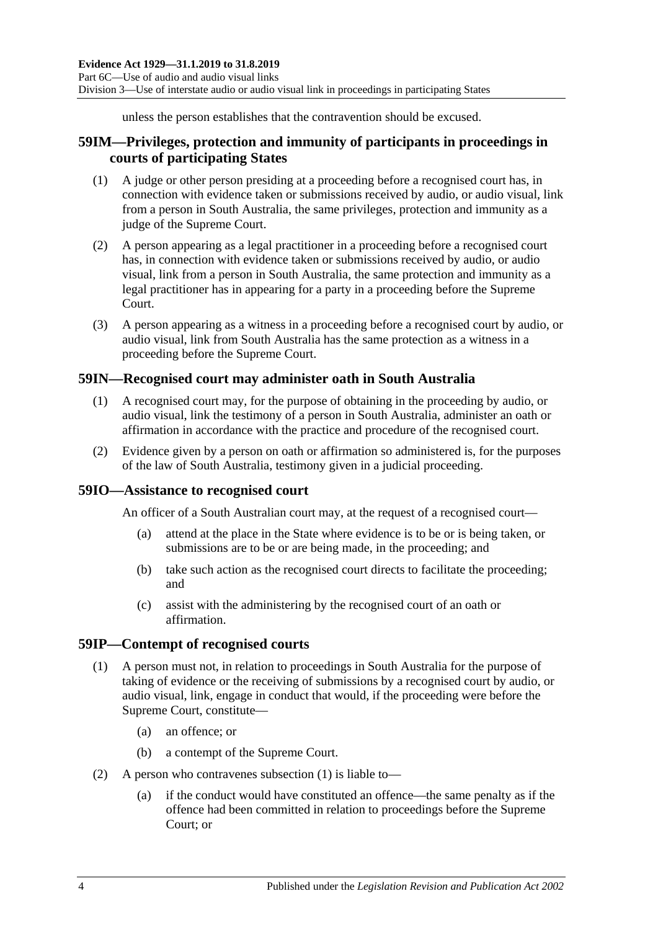unless the person establishes that the contravention should be excused.

### **59IM—Privileges, protection and immunity of participants in proceedings in courts of participating States**

- (1) A judge or other person presiding at a proceeding before a recognised court has, in connection with evidence taken or submissions received by audio, or audio visual, link from a person in South Australia, the same privileges, protection and immunity as a judge of the Supreme Court.
- (2) A person appearing as a legal practitioner in a proceeding before a recognised court has, in connection with evidence taken or submissions received by audio, or audio visual, link from a person in South Australia, the same protection and immunity as a legal practitioner has in appearing for a party in a proceeding before the Supreme Court.
- (3) A person appearing as a witness in a proceeding before a recognised court by audio, or audio visual, link from South Australia has the same protection as a witness in a proceeding before the Supreme Court.

### **59IN—Recognised court may administer oath in South Australia**

- (1) A recognised court may, for the purpose of obtaining in the proceeding by audio, or audio visual, link the testimony of a person in South Australia, administer an oath or affirmation in accordance with the practice and procedure of the recognised court.
- (2) Evidence given by a person on oath or affirmation so administered is, for the purposes of the law of South Australia, testimony given in a judicial proceeding.

#### **59IO—Assistance to recognised court**

An officer of a South Australian court may, at the request of a recognised court—

- (a) attend at the place in the State where evidence is to be or is being taken, or submissions are to be or are being made, in the proceeding; and
- (b) take such action as the recognised court directs to facilitate the proceeding; and
- (c) assist with the administering by the recognised court of an oath or affirmation.

#### <span id="page-63-0"></span>**59IP—Contempt of recognised courts**

- (1) A person must not, in relation to proceedings in South Australia for the purpose of taking of evidence or the receiving of submissions by a recognised court by audio, or audio visual, link, engage in conduct that would, if the proceeding were before the Supreme Court, constitute—
	- (a) an offence; or
	- (b) a contempt of the Supreme Court.
- (2) A person who contravenes [subsection](#page-63-0) (1) is liable to—
	- (a) if the conduct would have constituted an offence—the same penalty as if the offence had been committed in relation to proceedings before the Supreme Court; or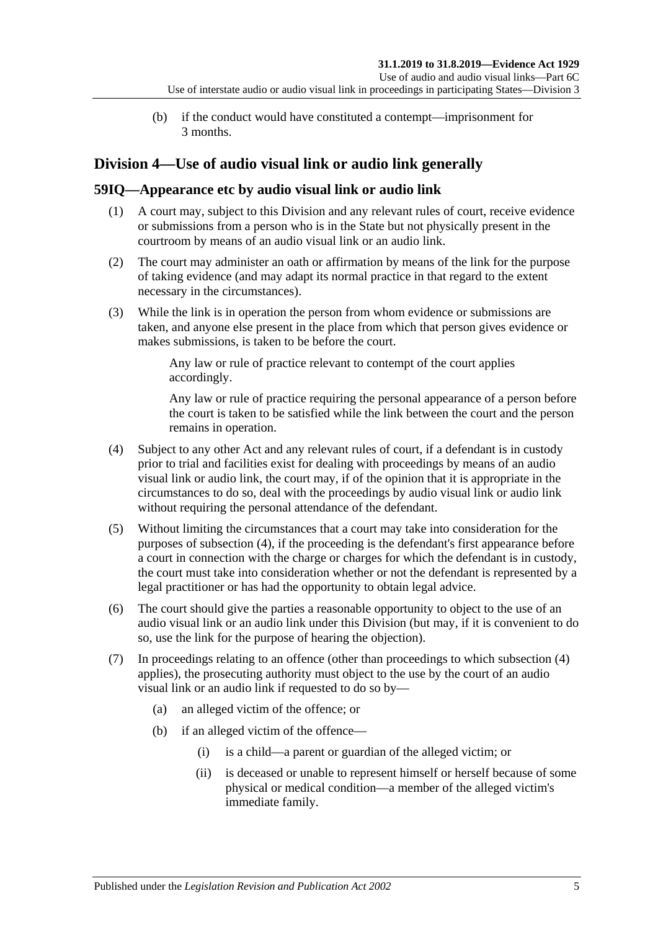(b) if the conduct would have constituted a contempt—imprisonment for 3 months.

# **Division 4—Use of audio visual link or audio link generally**

### **59IQ—Appearance etc by audio visual link or audio link**

- (1) A court may, subject to this Division and any relevant rules of court, receive evidence or submissions from a person who is in the State but not physically present in the courtroom by means of an audio visual link or an audio link.
- (2) The court may administer an oath or affirmation by means of the link for the purpose of taking evidence (and may adapt its normal practice in that regard to the extent necessary in the circumstances).
- (3) While the link is in operation the person from whom evidence or submissions are taken, and anyone else present in the place from which that person gives evidence or makes submissions, is taken to be before the court.

Any law or rule of practice relevant to contempt of the court applies accordingly.

Any law or rule of practice requiring the personal appearance of a person before the court is taken to be satisfied while the link between the court and the person remains in operation.

- <span id="page-64-0"></span>(4) Subject to any other Act and any relevant rules of court, if a defendant is in custody prior to trial and facilities exist for dealing with proceedings by means of an audio visual link or audio link, the court may, if of the opinion that it is appropriate in the circumstances to do so, deal with the proceedings by audio visual link or audio link without requiring the personal attendance of the defendant.
- (5) Without limiting the circumstances that a court may take into consideration for the purposes of [subsection](#page-64-0) (4), if the proceeding is the defendant's first appearance before a court in connection with the charge or charges for which the defendant is in custody, the court must take into consideration whether or not the defendant is represented by a legal practitioner or has had the opportunity to obtain legal advice.
- (6) The court should give the parties a reasonable opportunity to object to the use of an audio visual link or an audio link under this Division (but may, if it is convenient to do so, use the link for the purpose of hearing the objection).
- <span id="page-64-1"></span>(7) In proceedings relating to an offence (other than proceedings to which subsection (4) applies), the prosecuting authority must object to the use by the court of an audio visual link or an audio link if requested to do so by—
	- (a) an alleged victim of the offence; or
	- (b) if an alleged victim of the offence—
		- (i) is a child—a parent or guardian of the alleged victim; or
		- (ii) is deceased or unable to represent himself or herself because of some physical or medical condition—a member of the alleged victim's immediate family.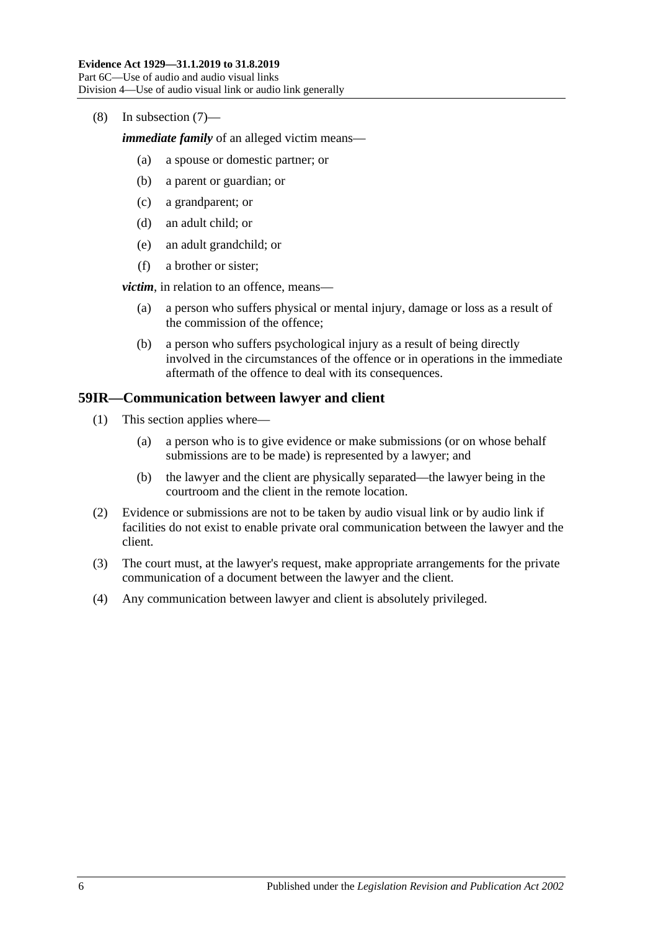(8) In [subsection](#page-64-1) (7)—

*immediate family* of an alleged victim means—

- (a) a spouse or domestic partner; or
- (b) a parent or guardian; or
- (c) a grandparent; or
- (d) an adult child; or
- (e) an adult grandchild; or
- (f) a brother or sister;

*victim*, in relation to an offence, means—

- (a) a person who suffers physical or mental injury, damage or loss as a result of the commission of the offence;
- (b) a person who suffers psychological injury as a result of being directly involved in the circumstances of the offence or in operations in the immediate aftermath of the offence to deal with its consequences.

#### **59IR—Communication between lawyer and client**

- (1) This section applies where—
	- (a) a person who is to give evidence or make submissions (or on whose behalf submissions are to be made) is represented by a lawyer; and
	- (b) the lawyer and the client are physically separated—the lawyer being in the courtroom and the client in the remote location.
- (2) Evidence or submissions are not to be taken by audio visual link or by audio link if facilities do not exist to enable private oral communication between the lawyer and the client.
- (3) The court must, at the lawyer's request, make appropriate arrangements for the private communication of a document between the lawyer and the client.
- (4) Any communication between lawyer and client is absolutely privileged.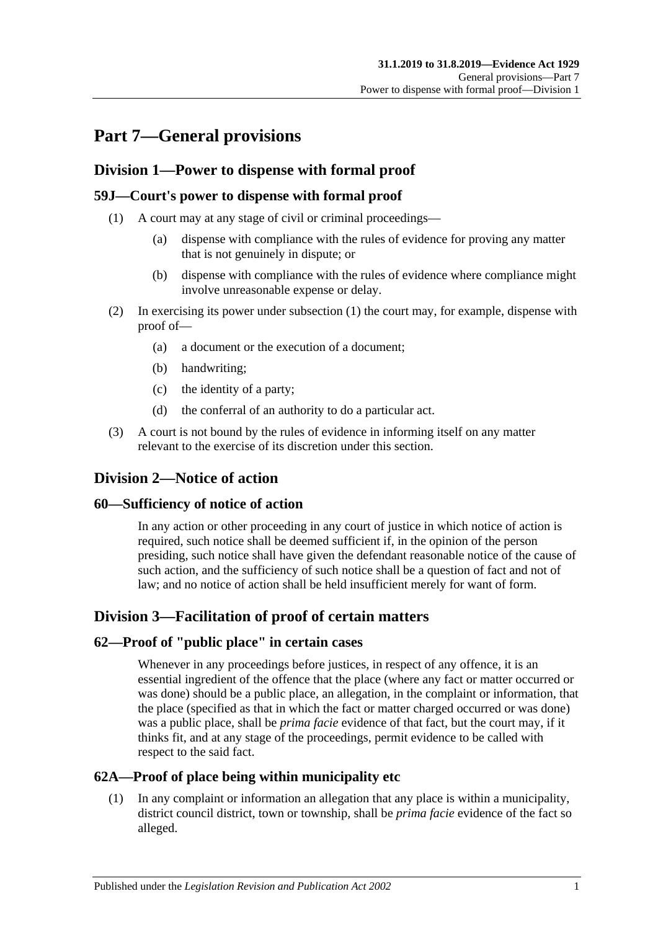# **Part 7—General provisions**

### **Division 1—Power to dispense with formal proof**

### <span id="page-66-0"></span>**59J—Court's power to dispense with formal proof**

- (1) A court may at any stage of civil or criminal proceedings—
	- (a) dispense with compliance with the rules of evidence for proving any matter that is not genuinely in dispute; or
	- (b) dispense with compliance with the rules of evidence where compliance might involve unreasonable expense or delay.
- (2) In exercising its power under [subsection](#page-66-0) (1) the court may, for example, dispense with proof of—
	- (a) a document or the execution of a document;
	- (b) handwriting;
	- (c) the identity of a party;
	- (d) the conferral of an authority to do a particular act.
- (3) A court is not bound by the rules of evidence in informing itself on any matter relevant to the exercise of its discretion under this section.

## **Division 2—Notice of action**

#### **60—Sufficiency of notice of action**

In any action or other proceeding in any court of justice in which notice of action is required, such notice shall be deemed sufficient if, in the opinion of the person presiding, such notice shall have given the defendant reasonable notice of the cause of such action, and the sufficiency of such notice shall be a question of fact and not of law; and no notice of action shall be held insufficient merely for want of form.

## **Division 3—Facilitation of proof of certain matters**

#### **62—Proof of "public place" in certain cases**

Whenever in any proceedings before justices, in respect of any offence, it is an essential ingredient of the offence that the place (where any fact or matter occurred or was done) should be a public place, an allegation, in the complaint or information, that the place (specified as that in which the fact or matter charged occurred or was done) was a public place, shall be *prima facie* evidence of that fact, but the court may, if it thinks fit, and at any stage of the proceedings, permit evidence to be called with respect to the said fact.

### **62A—Proof of place being within municipality etc**

(1) In any complaint or information an allegation that any place is within a municipality, district council district, town or township, shall be *prima facie* evidence of the fact so alleged.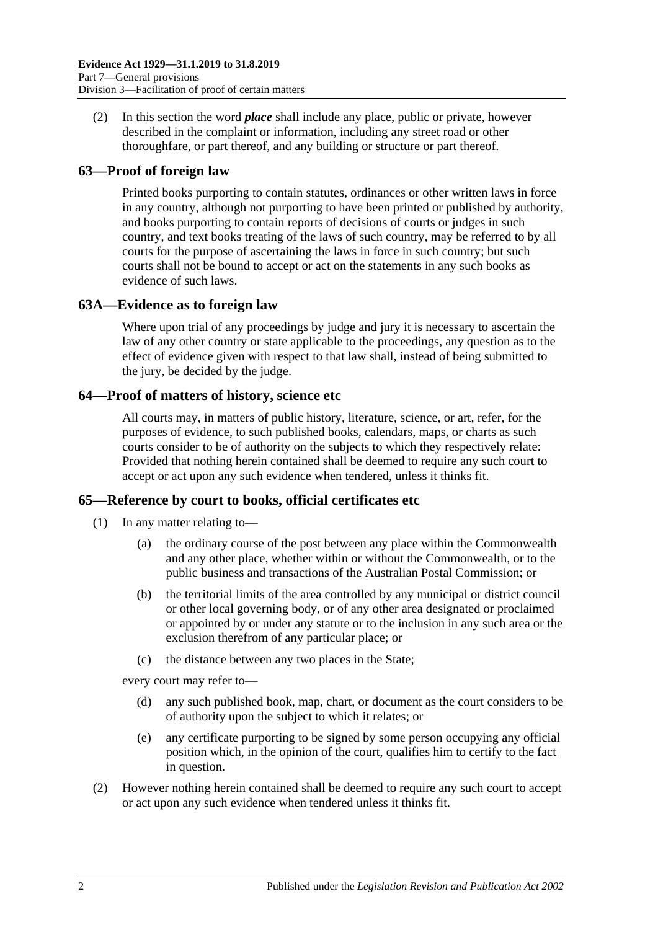(2) In this section the word *place* shall include any place, public or private, however described in the complaint or information, including any street road or other thoroughfare, or part thereof, and any building or structure or part thereof.

### **63—Proof of foreign law**

Printed books purporting to contain statutes, ordinances or other written laws in force in any country, although not purporting to have been printed or published by authority, and books purporting to contain reports of decisions of courts or judges in such country, and text books treating of the laws of such country, may be referred to by all courts for the purpose of ascertaining the laws in force in such country; but such courts shall not be bound to accept or act on the statements in any such books as evidence of such laws.

### **63A—Evidence as to foreign law**

Where upon trial of any proceedings by judge and jury it is necessary to ascertain the law of any other country or state applicable to the proceedings, any question as to the effect of evidence given with respect to that law shall, instead of being submitted to the jury, be decided by the judge.

#### **64—Proof of matters of history, science etc**

All courts may, in matters of public history, literature, science, or art, refer, for the purposes of evidence, to such published books, calendars, maps, or charts as such courts consider to be of authority on the subjects to which they respectively relate: Provided that nothing herein contained shall be deemed to require any such court to accept or act upon any such evidence when tendered, unless it thinks fit.

#### **65—Reference by court to books, official certificates etc**

- (1) In any matter relating to—
	- (a) the ordinary course of the post between any place within the Commonwealth and any other place, whether within or without the Commonwealth, or to the public business and transactions of the Australian Postal Commission; or
	- (b) the territorial limits of the area controlled by any municipal or district council or other local governing body, or of any other area designated or proclaimed or appointed by or under any statute or to the inclusion in any such area or the exclusion therefrom of any particular place; or
	- (c) the distance between any two places in the State;

every court may refer to—

- (d) any such published book, map, chart, or document as the court considers to be of authority upon the subject to which it relates; or
- (e) any certificate purporting to be signed by some person occupying any official position which, in the opinion of the court, qualifies him to certify to the fact in question.
- (2) However nothing herein contained shall be deemed to require any such court to accept or act upon any such evidence when tendered unless it thinks fit.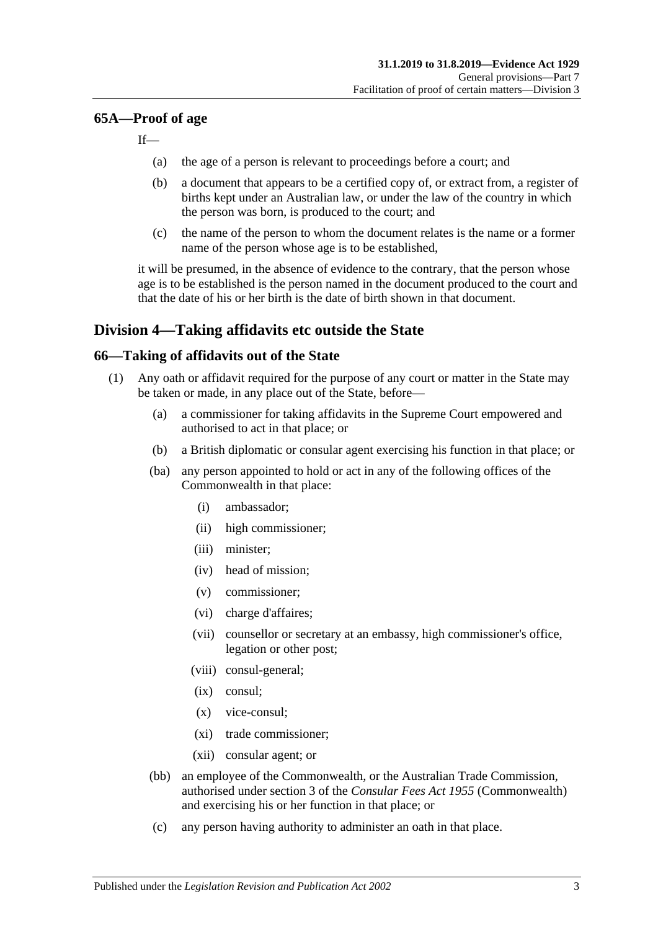#### **65A—Proof of age**

If—

- (a) the age of a person is relevant to proceedings before a court; and
- (b) a document that appears to be a certified copy of, or extract from, a register of births kept under an Australian law, or under the law of the country in which the person was born, is produced to the court; and
- (c) the name of the person to whom the document relates is the name or a former name of the person whose age is to be established,

it will be presumed, in the absence of evidence to the contrary, that the person whose age is to be established is the person named in the document produced to the court and that the date of his or her birth is the date of birth shown in that document.

### **Division 4—Taking affidavits etc outside the State**

#### <span id="page-68-4"></span><span id="page-68-3"></span>**66—Taking of affidavits out of the State**

- <span id="page-68-2"></span><span id="page-68-1"></span><span id="page-68-0"></span>(1) Any oath or affidavit required for the purpose of any court or matter in the State may be taken or made, in any place out of the State, before—
	- (a) a commissioner for taking affidavits in the Supreme Court empowered and authorised to act in that place; or
	- (b) a British diplomatic or consular agent exercising his function in that place; or
	- (ba) any person appointed to hold or act in any of the following offices of the Commonwealth in that place:
		- (i) ambassador;
		- (ii) high commissioner;
		- (iii) minister;
		- (iv) head of mission;
		- (v) commissioner;
		- (vi) charge d'affaires;
		- (vii) counsellor or secretary at an embassy, high commissioner's office, legation or other post;
		- (viii) consul-general;
		- (ix) consul;
		- (x) vice-consul;
		- (xi) trade commissioner;
		- (xii) consular agent; or
	- (bb) an employee of the Commonwealth, or the Australian Trade Commission, authorised under section 3 of the *Consular Fees Act 1955* (Commonwealth) and exercising his or her function in that place; or
	- (c) any person having authority to administer an oath in that place.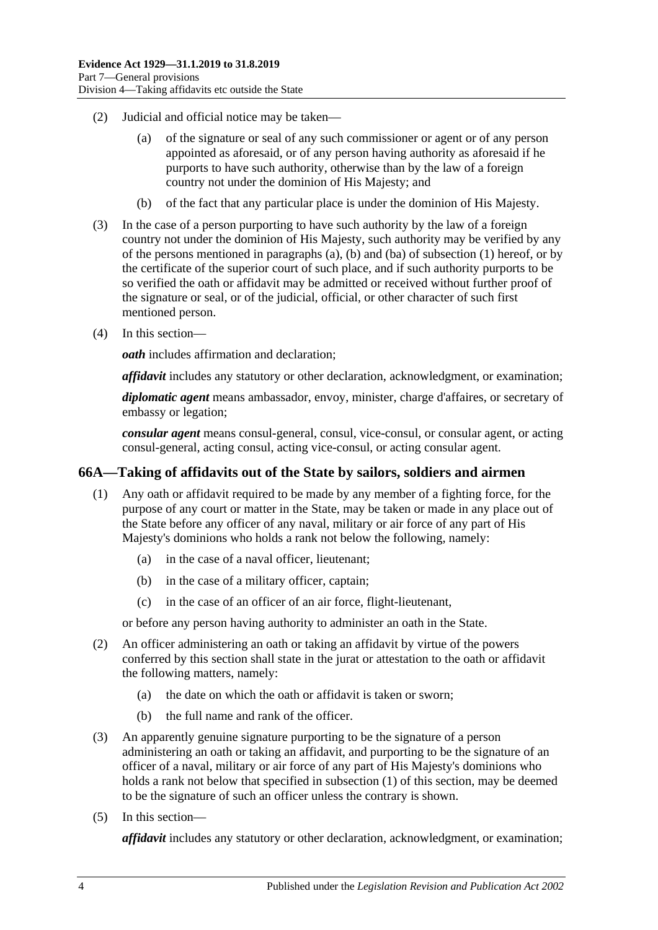- (2) Judicial and official notice may be taken—
	- (a) of the signature or seal of any such commissioner or agent or of any person appointed as aforesaid, or of any person having authority as aforesaid if he purports to have such authority, otherwise than by the law of a foreign country not under the dominion of His Majesty; and
	- (b) of the fact that any particular place is under the dominion of His Majesty.
- (3) In the case of a person purporting to have such authority by the law of a foreign country not under the dominion of His Majesty, such authority may be verified by any of the persons mentioned in [paragraphs](#page-68-0) (a), [\(b\)](#page-68-1) and [\(ba\)](#page-68-2) of [subsection](#page-68-3) (1) hereof, or by the certificate of the superior court of such place, and if such authority purports to be so verified the oath or affidavit may be admitted or received without further proof of the signature or seal, or of the judicial, official, or other character of such first mentioned person.
- (4) In this section—

*oath* includes affirmation and declaration;

*affidavit* includes any statutory or other declaration, acknowledgment, or examination;

*diplomatic agent* means ambassador, envoy, minister, charge d'affaires, or secretary of embassy or legation;

*consular agent* means consul-general, consul, vice-consul, or consular agent, or acting consul-general, acting consul, acting vice-consul, or acting consular agent.

#### <span id="page-69-1"></span><span id="page-69-0"></span>**66A—Taking of affidavits out of the State by sailors, soldiers and airmen**

- (1) Any oath or affidavit required to be made by any member of a fighting force, for the purpose of any court or matter in the State, may be taken or made in any place out of the State before any officer of any naval, military or air force of any part of His Majesty's dominions who holds a rank not below the following, namely:
	- (a) in the case of a naval officer, lieutenant;
	- (b) in the case of a military officer, captain;
	- (c) in the case of an officer of an air force, flight-lieutenant,

or before any person having authority to administer an oath in the State.

- (2) An officer administering an oath or taking an affidavit by virtue of the powers conferred by this section shall state in the jurat or attestation to the oath or affidavit the following matters, namely:
	- (a) the date on which the oath or affidavit is taken or sworn;
	- (b) the full name and rank of the officer.
- (3) An apparently genuine signature purporting to be the signature of a person administering an oath or taking an affidavit, and purporting to be the signature of an officer of a naval, military or air force of any part of His Majesty's dominions who holds a rank not below that specified in [subsection](#page-69-0) (1) of this section, may be deemed to be the signature of such an officer unless the contrary is shown.
- (5) In this section—

*affidavit* includes any statutory or other declaration, acknowledgment, or examination;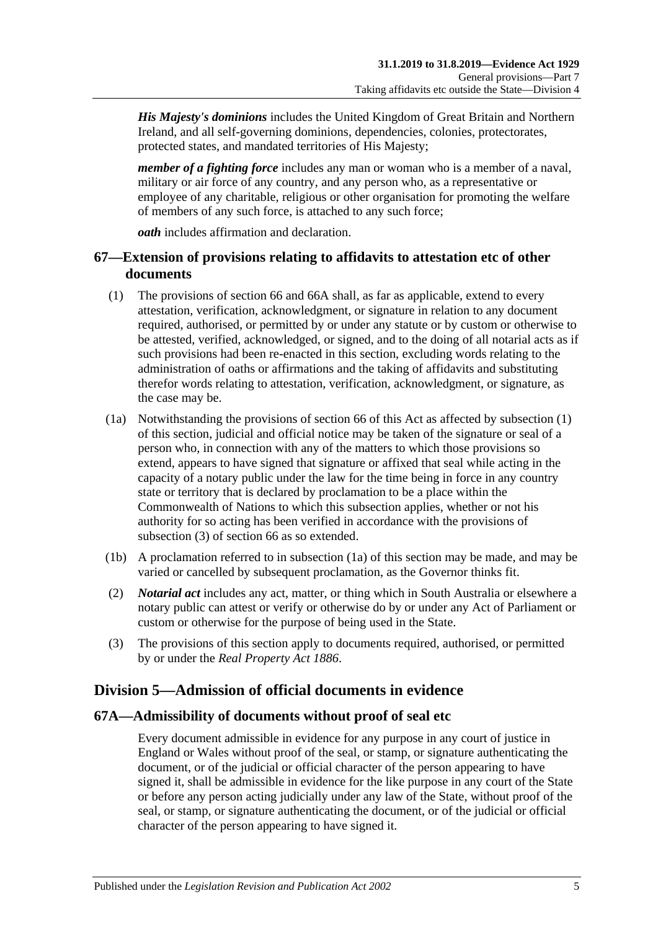*His Majesty's dominions* includes the United Kingdom of Great Britain and Northern Ireland, and all self-governing dominions, dependencies, colonies, protectorates, protected states, and mandated territories of His Majesty;

*member of a fighting force* includes any man or woman who is a member of a naval, military or air force of any country, and any person who, as a representative or employee of any charitable, religious or other organisation for promoting the welfare of members of any such force, is attached to any such force;

*oath* includes affirmation and declaration.

### **67—Extension of provisions relating to affidavits to attestation etc of other documents**

- <span id="page-70-0"></span>(1) The provisions of [section](#page-68-4) 66 and [66A](#page-69-1) shall, as far as applicable, extend to every attestation, verification, acknowledgment, or signature in relation to any document required, authorised, or permitted by or under any statute or by custom or otherwise to be attested, verified, acknowledged, or signed, and to the doing of all notarial acts as if such provisions had been re-enacted in this section, excluding words relating to the administration of oaths or affirmations and the taking of affidavits and substituting therefor words relating to attestation, verification, acknowledgment, or signature, as the case may be.
- <span id="page-70-2"></span>(1a) Notwithstanding the provisions of [section](#page-68-4) 66 of this Act as affected by [subsection](#page-70-0) (1) of this section, judicial and official notice may be taken of the signature or seal of a person who, in connection with any of the matters to which those provisions so extend, appears to have signed that signature or affixed that seal while acting in the capacity of a notary public under the law for the time being in force in any country state or territory that is declared by proclamation to be a place within the Commonwealth of Nations to which this subsection applies, whether or not his authority for so acting has been verified in accordance with the provisions of [subsection](#page-70-1) (3) of [section](#page-68-4) 66 as so extended.
- (1b) A proclamation referred to in [subsection](#page-70-2) (1a) of this section may be made, and may be varied or cancelled by subsequent proclamation, as the Governor thinks fit.
- (2) *Notarial act* includes any act, matter, or thing which in South Australia or elsewhere a notary public can attest or verify or otherwise do by or under any Act of Parliament or custom or otherwise for the purpose of being used in the State.
- <span id="page-70-1"></span>(3) The provisions of this section apply to documents required, authorised, or permitted by or under the *[Real Property Act](http://www.legislation.sa.gov.au/index.aspx?action=legref&type=act&legtitle=Real%20Property%20Act%201886) 1886*.

# **Division 5—Admission of official documents in evidence**

#### **67A—Admissibility of documents without proof of seal etc**

Every document admissible in evidence for any purpose in any court of justice in England or Wales without proof of the seal, or stamp, or signature authenticating the document, or of the judicial or official character of the person appearing to have signed it, shall be admissible in evidence for the like purpose in any court of the State or before any person acting judicially under any law of the State, without proof of the seal, or stamp, or signature authenticating the document, or of the judicial or official character of the person appearing to have signed it.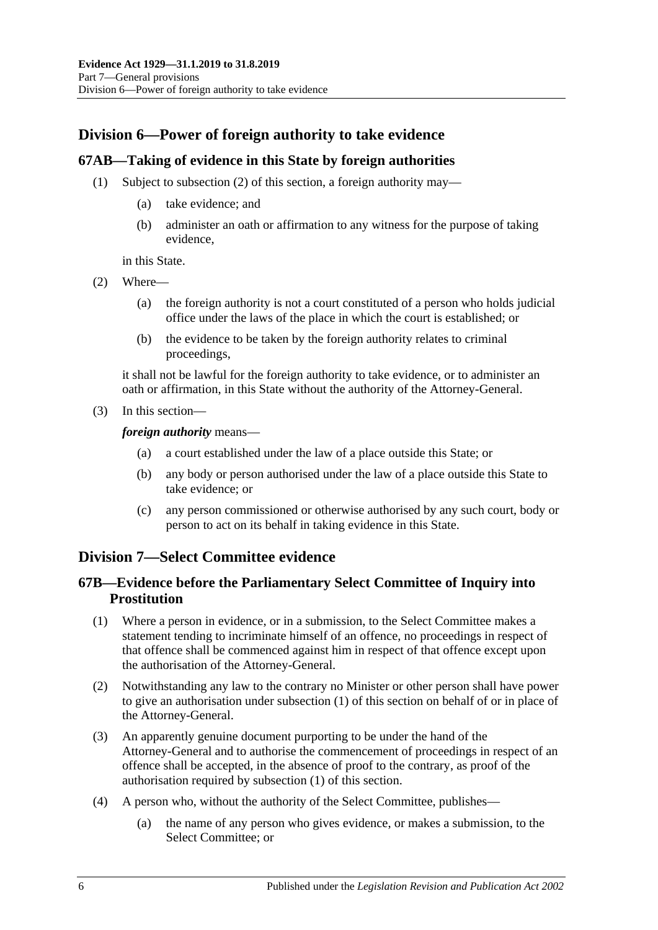# **Division 6—Power of foreign authority to take evidence**

### **67AB—Taking of evidence in this State by foreign authorities**

- (1) Subject to [subsection](#page-71-0) (2) of this section, a foreign authority may—
	- (a) take evidence; and
	- (b) administer an oath or affirmation to any witness for the purpose of taking evidence,

in this State.

- <span id="page-71-0"></span>(2) Where—
	- (a) the foreign authority is not a court constituted of a person who holds judicial office under the laws of the place in which the court is established; or
	- (b) the evidence to be taken by the foreign authority relates to criminal proceedings,

it shall not be lawful for the foreign authority to take evidence, or to administer an oath or affirmation, in this State without the authority of the Attorney-General.

(3) In this section—

*foreign authority* means—

- (a) a court established under the law of a place outside this State; or
- (b) any body or person authorised under the law of a place outside this State to take evidence; or
- (c) any person commissioned or otherwise authorised by any such court, body or person to act on its behalf in taking evidence in this State.

### **Division 7—Select Committee evidence**

### **67B—Evidence before the Parliamentary Select Committee of Inquiry into Prostitution**

- <span id="page-71-1"></span>(1) Where a person in evidence, or in a submission, to the Select Committee makes a statement tending to incriminate himself of an offence, no proceedings in respect of that offence shall be commenced against him in respect of that offence except upon the authorisation of the Attorney-General.
- (2) Notwithstanding any law to the contrary no Minister or other person shall have power to give an authorisation under [subsection](#page-71-1) (1) of this section on behalf of or in place of the Attorney-General.
- (3) An apparently genuine document purporting to be under the hand of the Attorney-General and to authorise the commencement of proceedings in respect of an offence shall be accepted, in the absence of proof to the contrary, as proof of the authorisation required by [subsection](#page-71-1) (1) of this section.
- (4) A person who, without the authority of the Select Committee, publishes—
	- (a) the name of any person who gives evidence, or makes a submission, to the Select Committee; or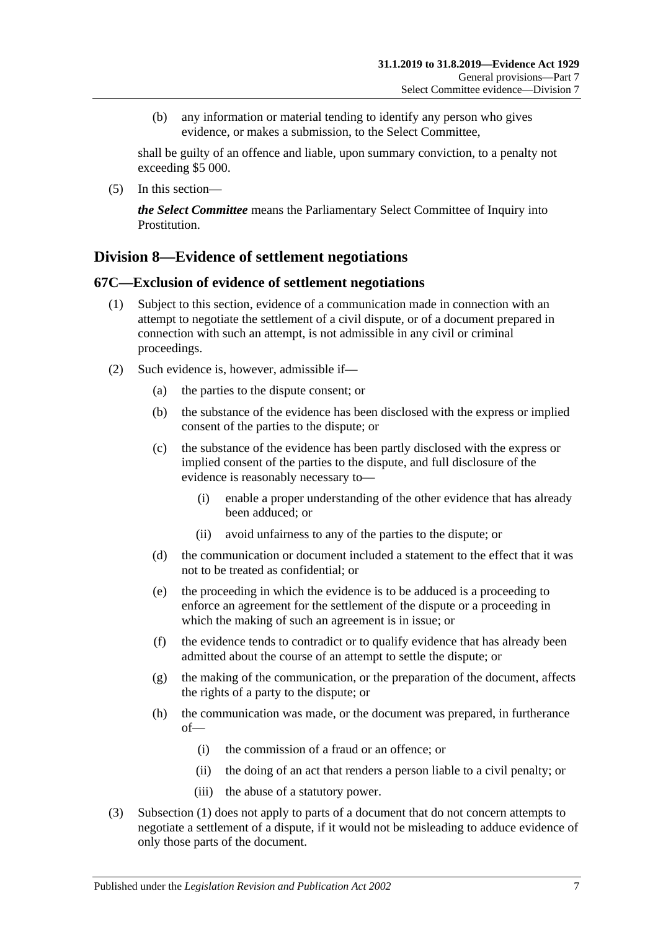(b) any information or material tending to identify any person who gives evidence, or makes a submission, to the Select Committee,

shall be guilty of an offence and liable, upon summary conviction, to a penalty not exceeding \$5 000.

(5) In this section—

*the Select Committee* means the Parliamentary Select Committee of Inquiry into Prostitution.

## **Division 8—Evidence of settlement negotiations**

### <span id="page-72-0"></span>**67C—Exclusion of evidence of settlement negotiations**

- (1) Subject to this section, evidence of a communication made in connection with an attempt to negotiate the settlement of a civil dispute, or of a document prepared in connection with such an attempt, is not admissible in any civil or criminal proceedings.
- (2) Such evidence is, however, admissible if—
	- (a) the parties to the dispute consent; or
	- (b) the substance of the evidence has been disclosed with the express or implied consent of the parties to the dispute; or
	- (c) the substance of the evidence has been partly disclosed with the express or implied consent of the parties to the dispute, and full disclosure of the evidence is reasonably necessary to—
		- (i) enable a proper understanding of the other evidence that has already been adduced; or
		- (ii) avoid unfairness to any of the parties to the dispute; or
	- (d) the communication or document included a statement to the effect that it was not to be treated as confidential; or
	- (e) the proceeding in which the evidence is to be adduced is a proceeding to enforce an agreement for the settlement of the dispute or a proceeding in which the making of such an agreement is in issue; or
	- (f) the evidence tends to contradict or to qualify evidence that has already been admitted about the course of an attempt to settle the dispute; or
	- (g) the making of the communication, or the preparation of the document, affects the rights of a party to the dispute; or
	- (h) the communication was made, or the document was prepared, in furtherance of—
		- (i) the commission of a fraud or an offence; or
		- (ii) the doing of an act that renders a person liable to a civil penalty; or
		- (iii) the abuse of a statutory power.
- (3) [Subsection](#page-72-0) (1) does not apply to parts of a document that do not concern attempts to negotiate a settlement of a dispute, if it would not be misleading to adduce evidence of only those parts of the document.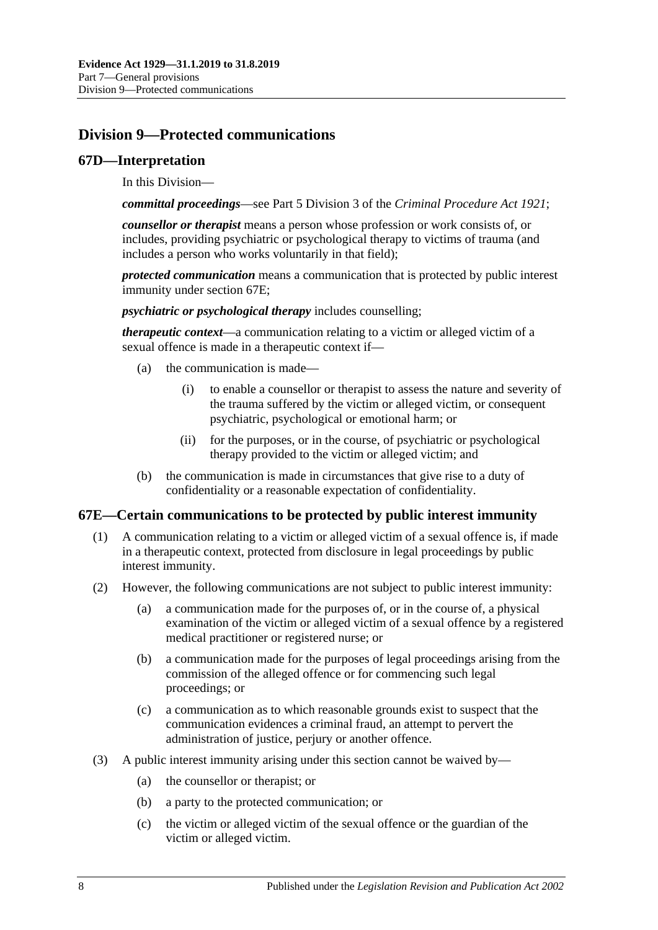# **Division 9—Protected communications**

#### **67D—Interpretation**

In this Division—

*committal proceedings*—see Part 5 Division 3 of the *[Criminal Procedure Act](http://www.legislation.sa.gov.au/index.aspx?action=legref&type=act&legtitle=Criminal%20Procedure%20Act%201921) 1921*;

*counsellor or therapist* means a person whose profession or work consists of, or includes, providing psychiatric or psychological therapy to victims of trauma (and includes a person who works voluntarily in that field);

*protected communication* means a communication that is protected by public interest immunity under [section](#page-73-0) 67E;

*psychiatric or psychological therapy* includes counselling;

*therapeutic context*—a communication relating to a victim or alleged victim of a sexual offence is made in a therapeutic context if—

- (a) the communication is made—
	- (i) to enable a counsellor or therapist to assess the nature and severity of the trauma suffered by the victim or alleged victim, or consequent psychiatric, psychological or emotional harm; or
	- (ii) for the purposes, or in the course, of psychiatric or psychological therapy provided to the victim or alleged victim; and
- (b) the communication is made in circumstances that give rise to a duty of confidentiality or a reasonable expectation of confidentiality.

### <span id="page-73-0"></span>**67E—Certain communications to be protected by public interest immunity**

- (1) A communication relating to a victim or alleged victim of a sexual offence is, if made in a therapeutic context, protected from disclosure in legal proceedings by public interest immunity.
- (2) However, the following communications are not subject to public interest immunity:
	- (a) a communication made for the purposes of, or in the course of, a physical examination of the victim or alleged victim of a sexual offence by a registered medical practitioner or registered nurse; or
	- (b) a communication made for the purposes of legal proceedings arising from the commission of the alleged offence or for commencing such legal proceedings; or
	- (c) a communication as to which reasonable grounds exist to suspect that the communication evidences a criminal fraud, an attempt to pervert the administration of justice, perjury or another offence.
- (3) A public interest immunity arising under this section cannot be waived by—
	- (a) the counsellor or therapist; or
	- (b) a party to the protected communication; or
	- (c) the victim or alleged victim of the sexual offence or the guardian of the victim or alleged victim.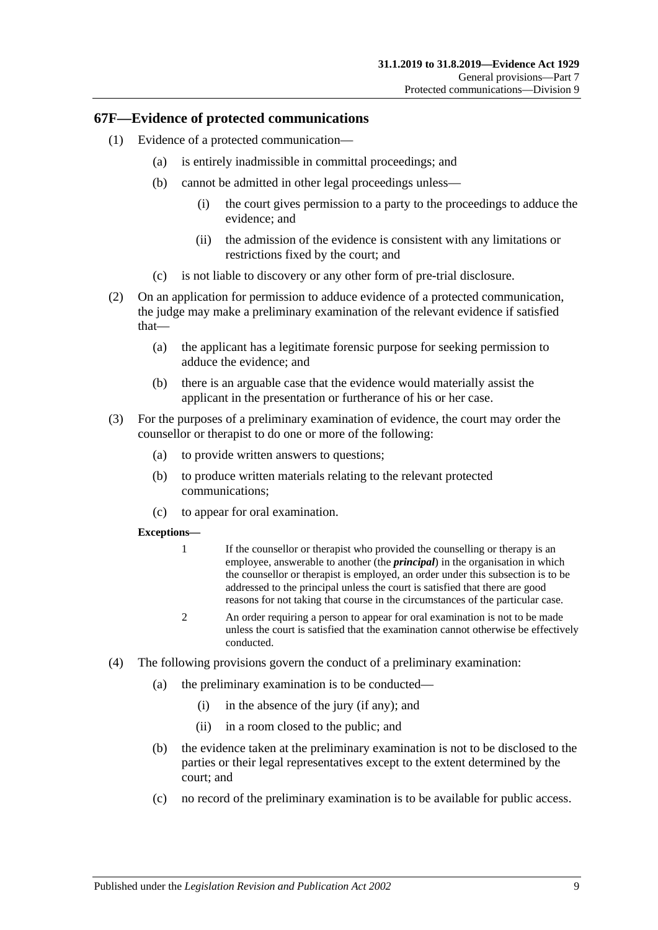#### **67F—Evidence of protected communications**

- (1) Evidence of a protected communication—
	- (a) is entirely inadmissible in committal proceedings; and
	- (b) cannot be admitted in other legal proceedings unless—
		- (i) the court gives permission to a party to the proceedings to adduce the evidence; and
		- (ii) the admission of the evidence is consistent with any limitations or restrictions fixed by the court; and
	- (c) is not liable to discovery or any other form of pre-trial disclosure.
- (2) On an application for permission to adduce evidence of a protected communication, the judge may make a preliminary examination of the relevant evidence if satisfied that—
	- (a) the applicant has a legitimate forensic purpose for seeking permission to adduce the evidence; and
	- (b) there is an arguable case that the evidence would materially assist the applicant in the presentation or furtherance of his or her case.
- (3) For the purposes of a preliminary examination of evidence, the court may order the counsellor or therapist to do one or more of the following:
	- (a) to provide written answers to questions;
	- (b) to produce written materials relating to the relevant protected communications;
	- (c) to appear for oral examination.

#### **Exceptions—**

- 1 If the counsellor or therapist who provided the counselling or therapy is an employee, answerable to another (the *principal*) in the organisation in which the counsellor or therapist is employed, an order under this subsection is to be addressed to the principal unless the court is satisfied that there are good reasons for not taking that course in the circumstances of the particular case.
- 2 An order requiring a person to appear for oral examination is not to be made unless the court is satisfied that the examination cannot otherwise be effectively conducted.
- (4) The following provisions govern the conduct of a preliminary examination:
	- (a) the preliminary examination is to be conducted—
		- (i) in the absence of the jury (if any); and
		- (ii) in a room closed to the public; and
	- (b) the evidence taken at the preliminary examination is not to be disclosed to the parties or their legal representatives except to the extent determined by the court; and
	- (c) no record of the preliminary examination is to be available for public access.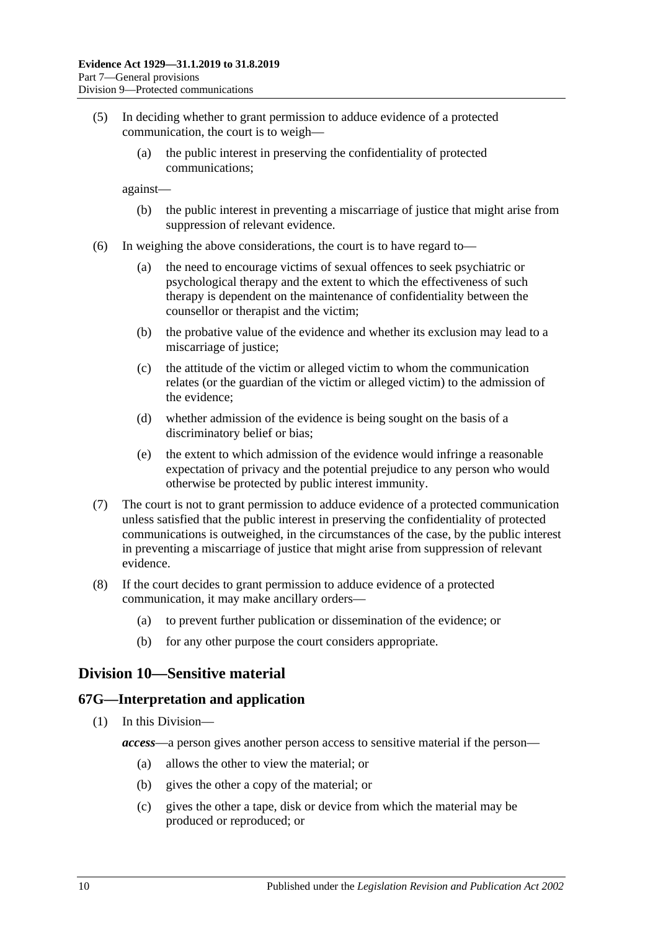- (5) In deciding whether to grant permission to adduce evidence of a protected communication, the court is to weigh—
	- (a) the public interest in preserving the confidentiality of protected communications;

against—

- (b) the public interest in preventing a miscarriage of justice that might arise from suppression of relevant evidence.
- (6) In weighing the above considerations, the court is to have regard to—
	- (a) the need to encourage victims of sexual offences to seek psychiatric or psychological therapy and the extent to which the effectiveness of such therapy is dependent on the maintenance of confidentiality between the counsellor or therapist and the victim;
	- (b) the probative value of the evidence and whether its exclusion may lead to a miscarriage of justice;
	- (c) the attitude of the victim or alleged victim to whom the communication relates (or the guardian of the victim or alleged victim) to the admission of the evidence;
	- (d) whether admission of the evidence is being sought on the basis of a discriminatory belief or bias;
	- (e) the extent to which admission of the evidence would infringe a reasonable expectation of privacy and the potential prejudice to any person who would otherwise be protected by public interest immunity.
- (7) The court is not to grant permission to adduce evidence of a protected communication unless satisfied that the public interest in preserving the confidentiality of protected communications is outweighed, in the circumstances of the case, by the public interest in preventing a miscarriage of justice that might arise from suppression of relevant evidence.
- (8) If the court decides to grant permission to adduce evidence of a protected communication, it may make ancillary orders—
	- (a) to prevent further publication or dissemination of the evidence; or
	- (b) for any other purpose the court considers appropriate.

## **Division 10—Sensitive material**

#### **67G—Interpretation and application**

- (1) In this Division
	- *access*—a person gives another person access to sensitive material if the person—
		- (a) allows the other to view the material; or
		- (b) gives the other a copy of the material; or
		- (c) gives the other a tape, disk or device from which the material may be produced or reproduced; or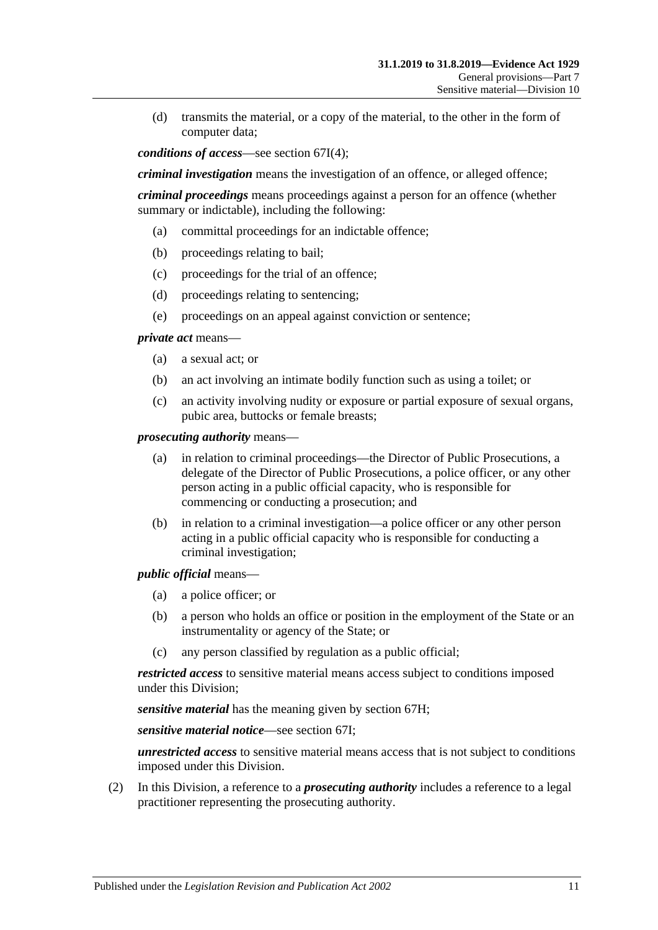(d) transmits the material, or a copy of the material, to the other in the form of computer data;

*conditions of access*—see [section](#page-78-0) 67I(4);

*criminal investigation* means the investigation of an offence, or alleged offence;

*criminal proceedings* means proceedings against a person for an offence (whether summary or indictable), including the following:

- (a) committal proceedings for an indictable offence;
- (b) proceedings relating to bail;
- (c) proceedings for the trial of an offence;
- (d) proceedings relating to sentencing;
- (e) proceedings on an appeal against conviction or sentence;

*private act* means—

- (a) a sexual act; or
- (b) an act involving an intimate bodily function such as using a toilet; or
- (c) an activity involving nudity or exposure or partial exposure of sexual organs, pubic area, buttocks or female breasts;

*prosecuting authority* means—

- (a) in relation to criminal proceedings—the Director of Public Prosecutions, a delegate of the Director of Public Prosecutions, a police officer, or any other person acting in a public official capacity, who is responsible for commencing or conducting a prosecution; and
- (b) in relation to a criminal investigation—a police officer or any other person acting in a public official capacity who is responsible for conducting a criminal investigation;

*public official* means—

- (a) a police officer; or
- (b) a person who holds an office or position in the employment of the State or an instrumentality or agency of the State; or
- (c) any person classified by regulation as a public official;

*restricted access* to sensitive material means access subject to conditions imposed under this Division;

*sensitive material* has the meaning given by [section](#page-77-0) 67H;

*sensitive material notice*—see [section](#page-77-1) 67I;

*unrestricted access* to sensitive material means access that is not subject to conditions imposed under this Division.

(2) In this Division, a reference to a *prosecuting authority* includes a reference to a legal practitioner representing the prosecuting authority.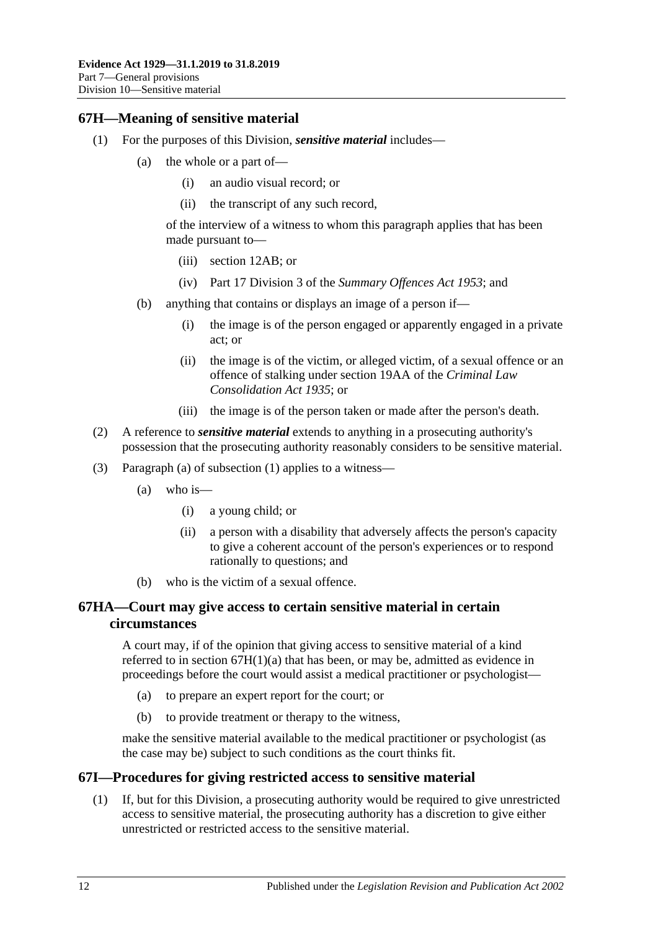## <span id="page-77-3"></span><span id="page-77-0"></span>**67H—Meaning of sensitive material**

- <span id="page-77-2"></span>(1) For the purposes of this Division, *sensitive material* includes—
	- (a) the whole or a part of—
		- (i) an audio visual record; or
		- (ii) the transcript of any such record,

of the interview of a witness to whom this paragraph applies that has been made pursuant to—

- (iii) [section](#page-12-0) 12AB; or
- (iv) Part 17 Division 3 of the *[Summary Offences Act](http://www.legislation.sa.gov.au/index.aspx?action=legref&type=act&legtitle=Summary%20Offences%20Act%201953) 1953*; and
- (b) anything that contains or displays an image of a person if—
	- (i) the image is of the person engaged or apparently engaged in a private act; or
	- (ii) the image is of the victim, or alleged victim, of a sexual offence or an offence of stalking under section 19AA of the *[Criminal Law](http://www.legislation.sa.gov.au/index.aspx?action=legref&type=act&legtitle=Criminal%20Law%20Consolidation%20Act%201935)  [Consolidation Act](http://www.legislation.sa.gov.au/index.aspx?action=legref&type=act&legtitle=Criminal%20Law%20Consolidation%20Act%201935) 1935*; or
	- (iii) the image is of the person taken or made after the person's death.
- (2) A reference to *sensitive material* extends to anything in a prosecuting authority's possession that the prosecuting authority reasonably considers to be sensitive material.
- (3) [Paragraph](#page-77-2) (a) of [subsection](#page-77-3) (1) applies to a witness—
	- (a) who is—
		- (i) a young child; or
		- (ii) a person with a disability that adversely affects the person's capacity to give a coherent account of the person's experiences or to respond rationally to questions; and
	- (b) who is the victim of a sexual offence.

## **67HA—Court may give access to certain sensitive material in certain circumstances**

A court may, if of the opinion that giving access to sensitive material of a kind referred to in section [67H\(1\)\(a\)](#page-77-2) that has been, or may be, admitted as evidence in proceedings before the court would assist a medical practitioner or psychologist—

- (a) to prepare an expert report for the court; or
- (b) to provide treatment or therapy to the witness,

make the sensitive material available to the medical practitioner or psychologist (as the case may be) subject to such conditions as the court thinks fit.

### <span id="page-77-1"></span>**67I—Procedures for giving restricted access to sensitive material**

(1) If, but for this Division, a prosecuting authority would be required to give unrestricted access to sensitive material, the prosecuting authority has a discretion to give either unrestricted or restricted access to the sensitive material.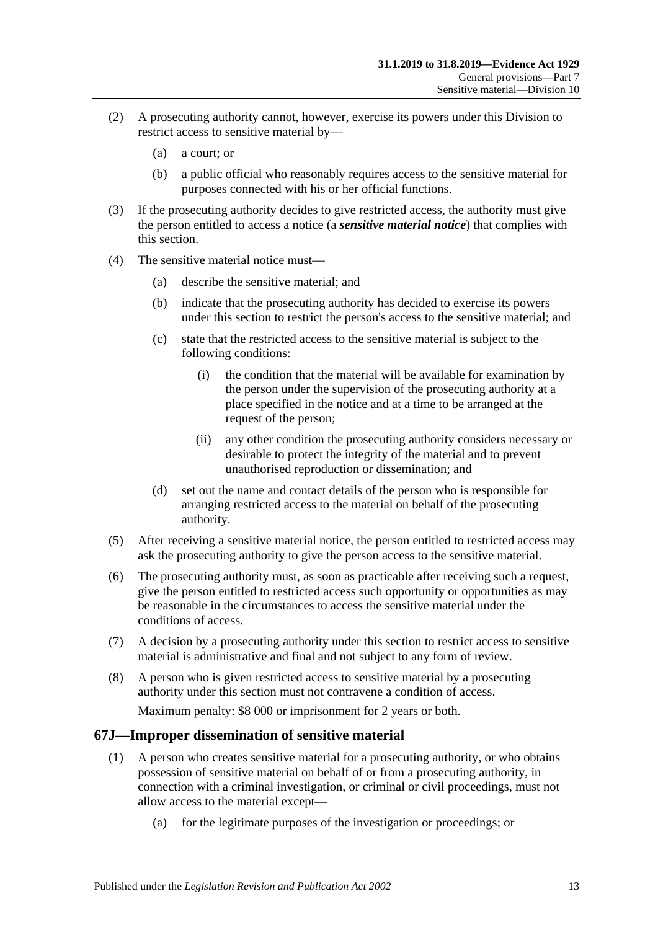- (2) A prosecuting authority cannot, however, exercise its powers under this Division to restrict access to sensitive material by—
	- (a) a court; or
	- (b) a public official who reasonably requires access to the sensitive material for purposes connected with his or her official functions.
- (3) If the prosecuting authority decides to give restricted access, the authority must give the person entitled to access a notice (a *sensitive material notice*) that complies with this section.
- <span id="page-78-0"></span>(4) The sensitive material notice must—
	- (a) describe the sensitive material; and
	- (b) indicate that the prosecuting authority has decided to exercise its powers under this section to restrict the person's access to the sensitive material; and
	- (c) state that the restricted access to the sensitive material is subject to the following conditions:
		- (i) the condition that the material will be available for examination by the person under the supervision of the prosecuting authority at a place specified in the notice and at a time to be arranged at the request of the person;
		- (ii) any other condition the prosecuting authority considers necessary or desirable to protect the integrity of the material and to prevent unauthorised reproduction or dissemination; and
	- (d) set out the name and contact details of the person who is responsible for arranging restricted access to the material on behalf of the prosecuting authority.
- (5) After receiving a sensitive material notice, the person entitled to restricted access may ask the prosecuting authority to give the person access to the sensitive material.
- (6) The prosecuting authority must, as soon as practicable after receiving such a request, give the person entitled to restricted access such opportunity or opportunities as may be reasonable in the circumstances to access the sensitive material under the conditions of access.
- (7) A decision by a prosecuting authority under this section to restrict access to sensitive material is administrative and final and not subject to any form of review.
- (8) A person who is given restricted access to sensitive material by a prosecuting authority under this section must not contravene a condition of access.

Maximum penalty: \$8 000 or imprisonment for 2 years or both.

### <span id="page-78-1"></span>**67J—Improper dissemination of sensitive material**

- (1) A person who creates sensitive material for a prosecuting authority, or who obtains possession of sensitive material on behalf of or from a prosecuting authority, in connection with a criminal investigation, or criminal or civil proceedings, must not allow access to the material except—
	- (a) for the legitimate purposes of the investigation or proceedings; or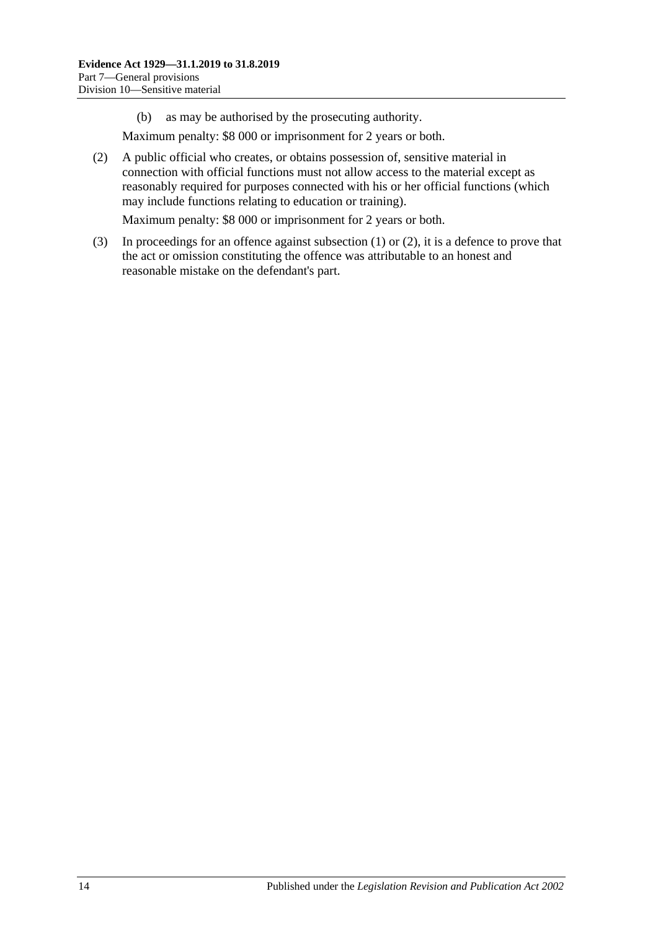(b) as may be authorised by the prosecuting authority.

Maximum penalty: \$8 000 or imprisonment for 2 years or both.

<span id="page-79-0"></span>(2) A public official who creates, or obtains possession of, sensitive material in connection with official functions must not allow access to the material except as reasonably required for purposes connected with his or her official functions (which may include functions relating to education or training).

Maximum penalty: \$8 000 or imprisonment for 2 years or both.

(3) In proceedings for an offence against [subsection](#page-78-1) (1) or [\(2\),](#page-79-0) it is a defence to prove that the act or omission constituting the offence was attributable to an honest and reasonable mistake on the defendant's part.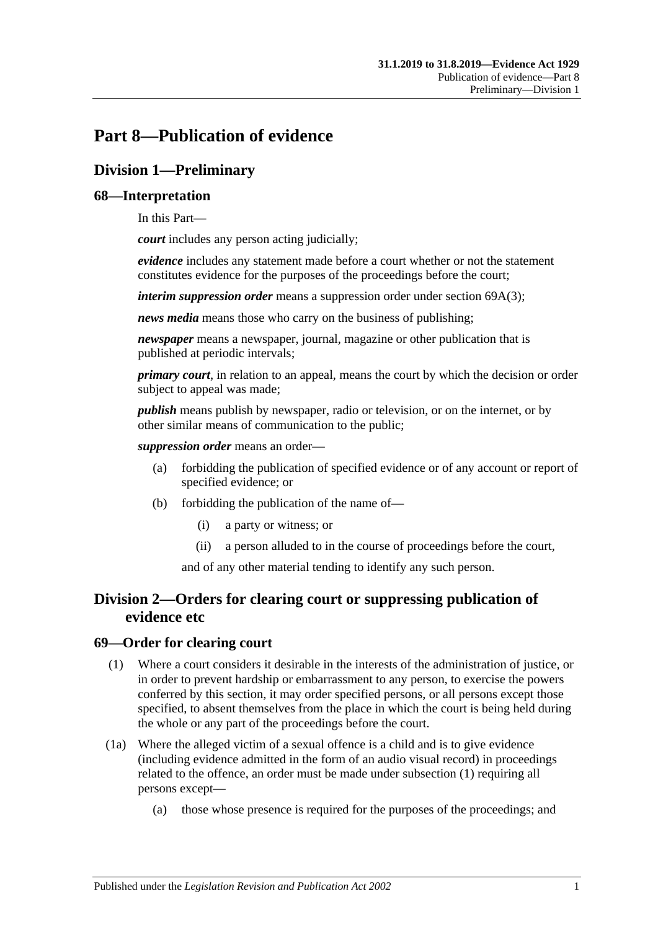# **Part 8—Publication of evidence**

# **Division 1—Preliminary**

## **68—Interpretation**

In this Part—

*court* includes any person acting judicially;

*evidence* includes any statement made before a court whether or not the statement constitutes evidence for the purposes of the proceedings before the court;

*interim suppression order* means a suppression order under section [69A\(3\);](#page-81-0)

*news media* means those who carry on the business of publishing;

*newspaper* means a newspaper, journal, magazine or other publication that is published at periodic intervals;

*primary court*, in relation to an appeal, means the court by which the decision or order subject to appeal was made;

*publish* means publish by newspaper, radio or television, or on the internet, or by other similar means of communication to the public;

*suppression order* means an order—

- (a) forbidding the publication of specified evidence or of any account or report of specified evidence; or
- (b) forbidding the publication of the name of—
	- (i) a party or witness; or
	- (ii) a person alluded to in the course of proceedings before the court,

and of any other material tending to identify any such person.

## **Division 2—Orders for clearing court or suppressing publication of evidence etc**

### <span id="page-80-0"></span>**69—Order for clearing court**

- (1) Where a court considers it desirable in the interests of the administration of justice, or in order to prevent hardship or embarrassment to any person, to exercise the powers conferred by this section, it may order specified persons, or all persons except those specified, to absent themselves from the place in which the court is being held during the whole or any part of the proceedings before the court.
- (1a) Where the alleged victim of a sexual offence is a child and is to give evidence (including evidence admitted in the form of an audio visual record) in proceedings related to the offence, an order must be made under [subsection](#page-80-0) (1) requiring all persons except—
	- (a) those whose presence is required for the purposes of the proceedings; and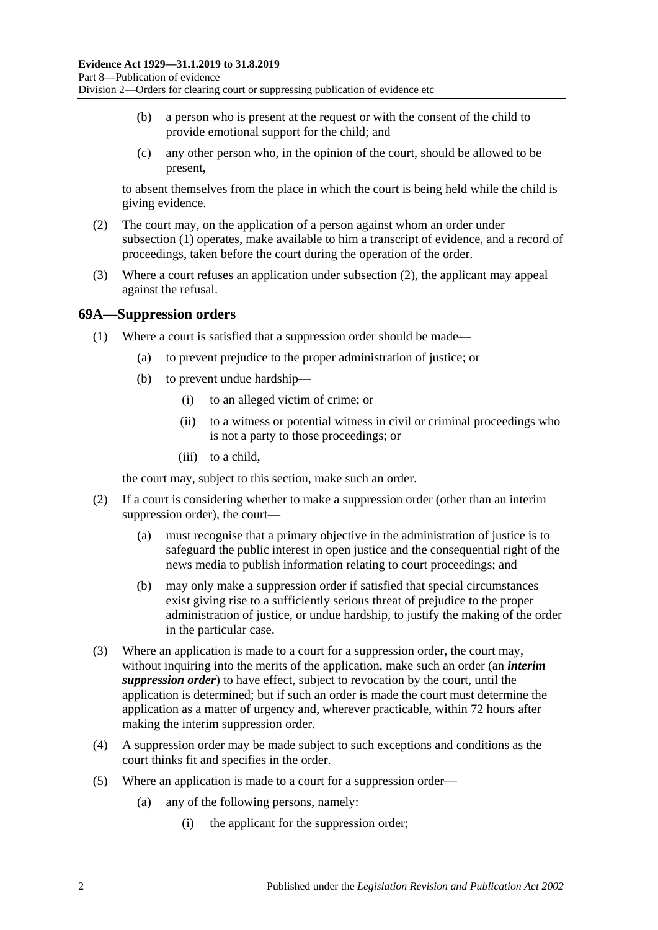- (b) a person who is present at the request or with the consent of the child to provide emotional support for the child; and
- (c) any other person who, in the opinion of the court, should be allowed to be present,

to absent themselves from the place in which the court is being held while the child is giving evidence.

- <span id="page-81-1"></span>(2) The court may, on the application of a person against whom an order under [subsection](#page-80-0) (1) operates, make available to him a transcript of evidence, and a record of proceedings, taken before the court during the operation of the order.
- (3) Where a court refuses an application under [subsection](#page-81-1) (2), the applicant may appeal against the refusal.

### **69A—Suppression orders**

- (1) Where a court is satisfied that a suppression order should be made—
	- (a) to prevent prejudice to the proper administration of justice; or
	- (b) to prevent undue hardship—
		- (i) to an alleged victim of crime; or
		- (ii) to a witness or potential witness in civil or criminal proceedings who is not a party to those proceedings; or
		- (iii) to a child,

the court may, subject to this section, make such an order.

- (2) If a court is considering whether to make a suppression order (other than an interim suppression order), the court—
	- (a) must recognise that a primary objective in the administration of justice is to safeguard the public interest in open justice and the consequential right of the news media to publish information relating to court proceedings; and
	- (b) may only make a suppression order if satisfied that special circumstances exist giving rise to a sufficiently serious threat of prejudice to the proper administration of justice, or undue hardship, to justify the making of the order in the particular case.
- <span id="page-81-0"></span>(3) Where an application is made to a court for a suppression order, the court may, without inquiring into the merits of the application, make such an order (an *interim suppression order*) to have effect, subject to revocation by the court, until the application is determined; but if such an order is made the court must determine the application as a matter of urgency and, wherever practicable, within 72 hours after making the interim suppression order.
- (4) A suppression order may be made subject to such exceptions and conditions as the court thinks fit and specifies in the order.
- <span id="page-81-2"></span>(5) Where an application is made to a court for a suppression order—
	- (a) any of the following persons, namely:
		- (i) the applicant for the suppression order;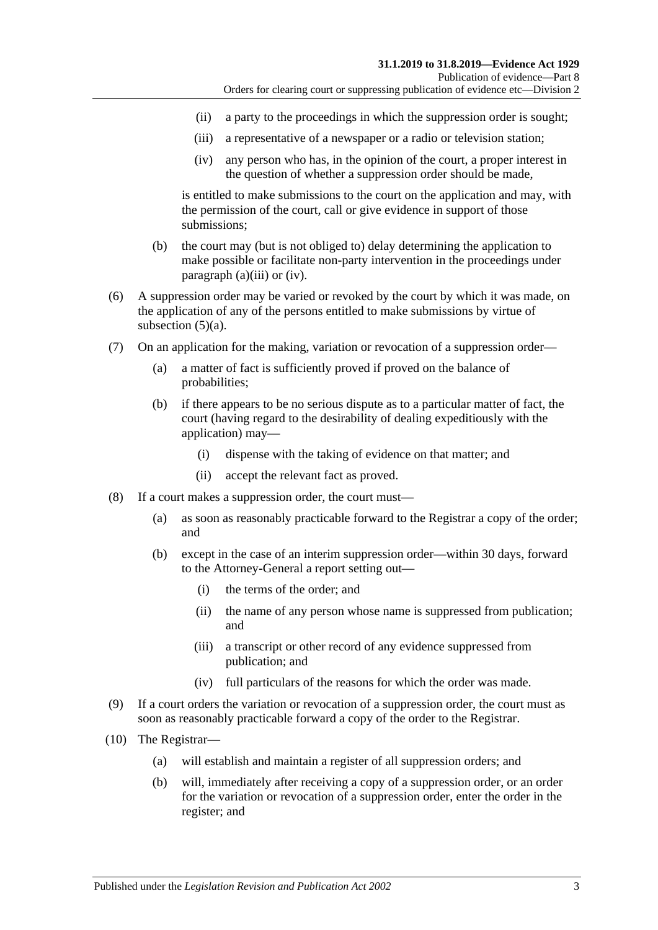- (ii) a party to the proceedings in which the suppression order is sought;
- <span id="page-82-0"></span>(iii) a representative of a newspaper or a radio or television station;
- (iv) any person who has, in the opinion of the court, a proper interest in the question of whether a suppression order should be made,

<span id="page-82-1"></span>is entitled to make submissions to the court on the application and may, with the permission of the court, call or give evidence in support of those submissions;

- (b) the court may (but is not obliged to) delay determining the application to make possible or facilitate non-party intervention in the proceedings under [paragraph](#page-82-0) (a)(iii) or [\(iv\).](#page-82-1)
- (6) A suppression order may be varied or revoked by the court by which it was made, on the application of any of the persons entitled to make submissions by virtue of [subsection](#page-81-2)  $(5)(a)$ .
- (7) On an application for the making, variation or revocation of a suppression order—
	- (a) a matter of fact is sufficiently proved if proved on the balance of probabilities;
	- (b) if there appears to be no serious dispute as to a particular matter of fact, the court (having regard to the desirability of dealing expeditiously with the application) may—
		- (i) dispense with the taking of evidence on that matter; and
		- (ii) accept the relevant fact as proved.
- (8) If a court makes a suppression order, the court must—
	- (a) as soon as reasonably practicable forward to the Registrar a copy of the order; and
	- (b) except in the case of an interim suppression order—within 30 days, forward to the Attorney-General a report setting out—
		- (i) the terms of the order; and
		- (ii) the name of any person whose name is suppressed from publication; and
		- (iii) a transcript or other record of any evidence suppressed from publication; and
		- (iv) full particulars of the reasons for which the order was made.
- (9) If a court orders the variation or revocation of a suppression order, the court must as soon as reasonably practicable forward a copy of the order to the Registrar.
- (10) The Registrar—
	- (a) will establish and maintain a register of all suppression orders; and
	- (b) will, immediately after receiving a copy of a suppression order, or an order for the variation or revocation of a suppression order, enter the order in the register; and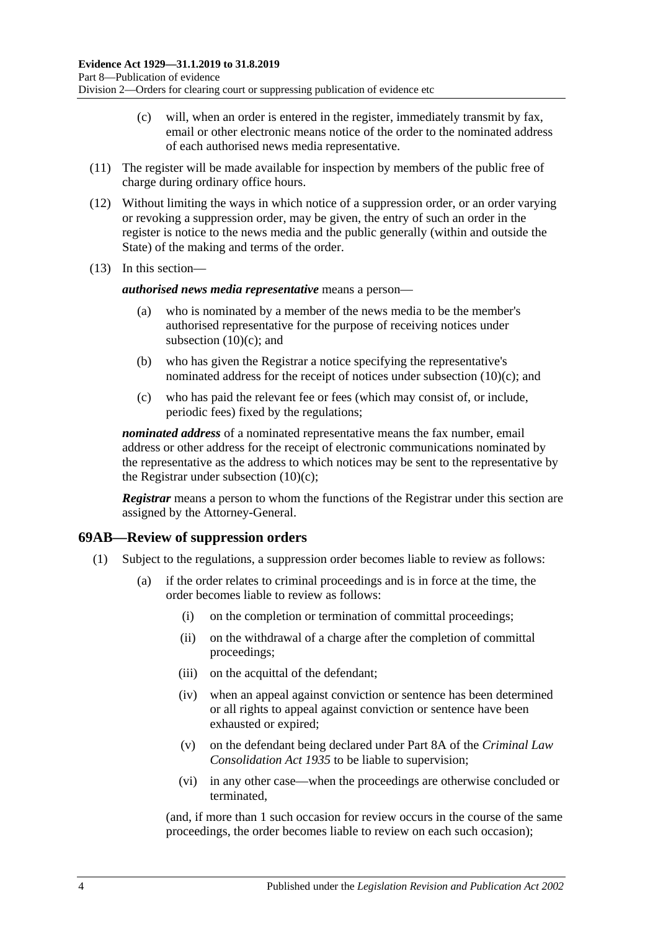- (c) will, when an order is entered in the register, immediately transmit by fax, email or other electronic means notice of the order to the nominated address of each authorised news media representative.
- <span id="page-83-0"></span>(11) The register will be made available for inspection by members of the public free of charge during ordinary office hours.
- (12) Without limiting the ways in which notice of a suppression order, or an order varying or revoking a suppression order, may be given, the entry of such an order in the register is notice to the news media and the public generally (within and outside the State) of the making and terms of the order.
- (13) In this section—

#### *authorised news media representative* means a person—

- (a) who is nominated by a member of the news media to be the member's authorised representative for the purpose of receiving notices under [subsection](#page-83-0)  $(10)(c)$ ; and
- (b) who has given the Registrar a notice specifying the representative's nominated address for the receipt of notices under [subsection](#page-83-0) (10)(c); and
- (c) who has paid the relevant fee or fees (which may consist of, or include, periodic fees) fixed by the regulations;

*nominated address* of a nominated representative means the fax number, email address or other address for the receipt of electronic communications nominated by the representative as the address to which notices may be sent to the representative by the Registrar under [subsection](#page-83-0)  $(10)(c)$ ;

*Registrar* means a person to whom the functions of the Registrar under this section are assigned by the Attorney-General.

### **69AB—Review of suppression orders**

- (1) Subject to the regulations, a suppression order becomes liable to review as follows:
	- (a) if the order relates to criminal proceedings and is in force at the time, the order becomes liable to review as follows:
		- (i) on the completion or termination of committal proceedings;
		- (ii) on the withdrawal of a charge after the completion of committal proceedings;
		- (iii) on the acquittal of the defendant;
		- (iv) when an appeal against conviction or sentence has been determined or all rights to appeal against conviction or sentence have been exhausted or expired;
		- (v) on the defendant being declared under Part 8A of the *[Criminal Law](http://www.legislation.sa.gov.au/index.aspx?action=legref&type=act&legtitle=Criminal%20Law%20Consolidation%20Act%201935)  [Consolidation Act](http://www.legislation.sa.gov.au/index.aspx?action=legref&type=act&legtitle=Criminal%20Law%20Consolidation%20Act%201935) 1935* to be liable to supervision;
		- (vi) in any other case—when the proceedings are otherwise concluded or terminated,

(and, if more than 1 such occasion for review occurs in the course of the same proceedings, the order becomes liable to review on each such occasion);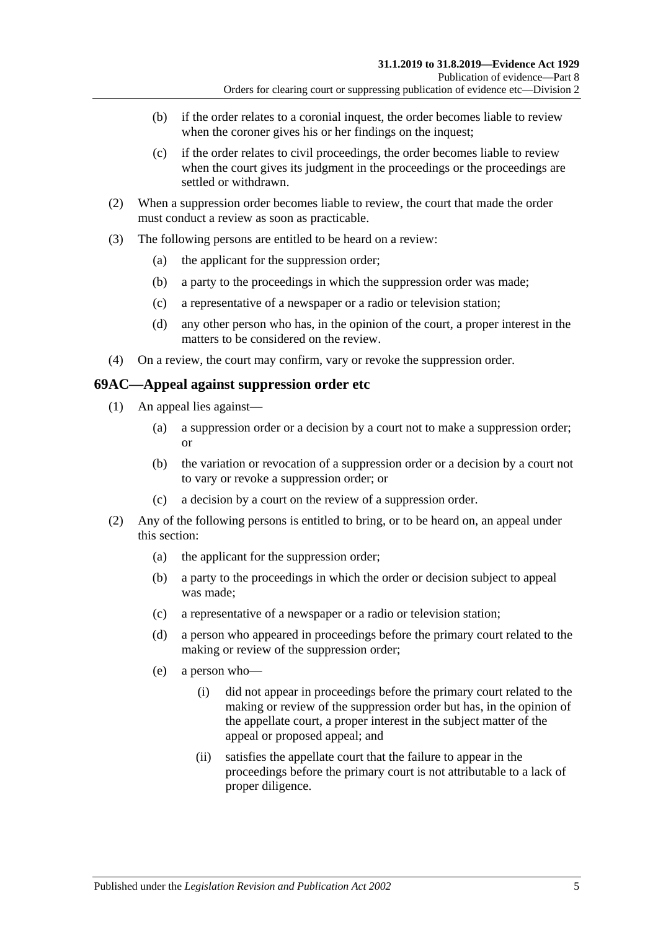- (b) if the order relates to a coronial inquest, the order becomes liable to review when the coroner gives his or her findings on the inquest;
- (c) if the order relates to civil proceedings, the order becomes liable to review when the court gives its judgment in the proceedings or the proceedings are settled or withdrawn.
- (2) When a suppression order becomes liable to review, the court that made the order must conduct a review as soon as practicable.
- (3) The following persons are entitled to be heard on a review:
	- (a) the applicant for the suppression order;
	- (b) a party to the proceedings in which the suppression order was made;
	- (c) a representative of a newspaper or a radio or television station;
	- (d) any other person who has, in the opinion of the court, a proper interest in the matters to be considered on the review.
- (4) On a review, the court may confirm, vary or revoke the suppression order.

#### **69AC—Appeal against suppression order etc**

- (1) An appeal lies against—
	- (a) a suppression order or a decision by a court not to make a suppression order; or
	- (b) the variation or revocation of a suppression order or a decision by a court not to vary or revoke a suppression order; or
	- (c) a decision by a court on the review of a suppression order.
- (2) Any of the following persons is entitled to bring, or to be heard on, an appeal under this section:
	- (a) the applicant for the suppression order;
	- (b) a party to the proceedings in which the order or decision subject to appeal was made;
	- (c) a representative of a newspaper or a radio or television station;
	- (d) a person who appeared in proceedings before the primary court related to the making or review of the suppression order;
	- (e) a person who—
		- (i) did not appear in proceedings before the primary court related to the making or review of the suppression order but has, in the opinion of the appellate court, a proper interest in the subject matter of the appeal or proposed appeal; and
		- (ii) satisfies the appellate court that the failure to appear in the proceedings before the primary court is not attributable to a lack of proper diligence.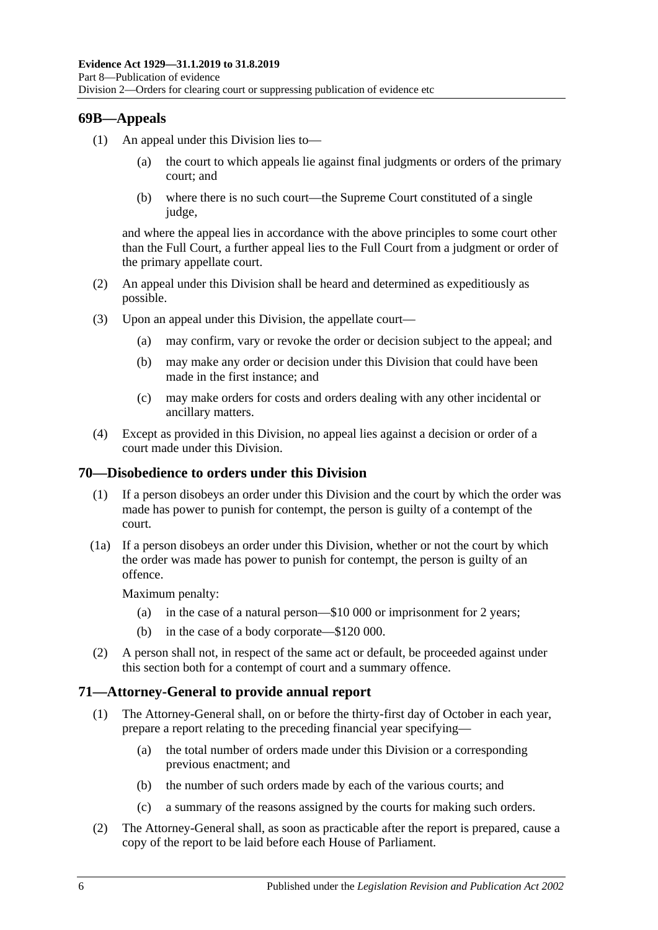## **69B—Appeals**

- (1) An appeal under this Division lies to
	- the court to which appeals lie against final judgments or orders of the primary court; and
	- (b) where there is no such court—the Supreme Court constituted of a single judge,

and where the appeal lies in accordance with the above principles to some court other than the Full Court, a further appeal lies to the Full Court from a judgment or order of the primary appellate court.

- (2) An appeal under this Division shall be heard and determined as expeditiously as possible.
- (3) Upon an appeal under this Division, the appellate court—
	- (a) may confirm, vary or revoke the order or decision subject to the appeal; and
	- (b) may make any order or decision under this Division that could have been made in the first instance; and
	- (c) may make orders for costs and orders dealing with any other incidental or ancillary matters.
- (4) Except as provided in this Division, no appeal lies against a decision or order of a court made under this Division.

### **70—Disobedience to orders under this Division**

- (1) If a person disobeys an order under this Division and the court by which the order was made has power to punish for contempt, the person is guilty of a contempt of the court.
- (1a) If a person disobeys an order under this Division, whether or not the court by which the order was made has power to punish for contempt, the person is guilty of an offence.

Maximum penalty:

- (a) in the case of a natural person—\$10 000 or imprisonment for 2 years;
- (b) in the case of a body corporate—\$120 000.
- (2) A person shall not, in respect of the same act or default, be proceeded against under this section both for a contempt of court and a summary offence.

### **71—Attorney-General to provide annual report**

- (1) The Attorney-General shall, on or before the thirty-first day of October in each year, prepare a report relating to the preceding financial year specifying—
	- (a) the total number of orders made under this Division or a corresponding previous enactment; and
	- (b) the number of such orders made by each of the various courts; and
	- (c) a summary of the reasons assigned by the courts for making such orders.
- (2) The Attorney-General shall, as soon as practicable after the report is prepared, cause a copy of the report to be laid before each House of Parliament.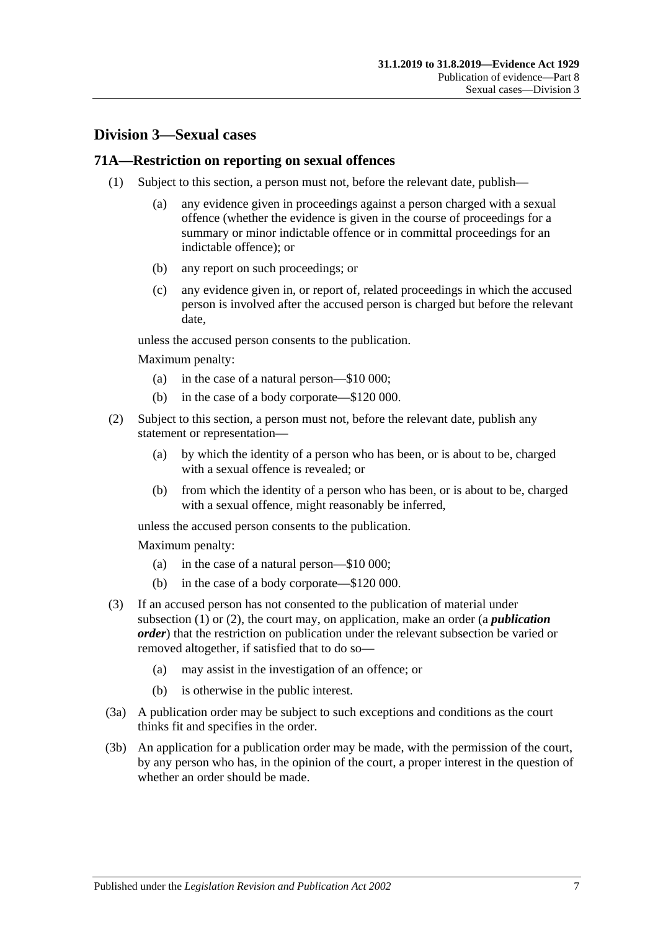## **Division 3—Sexual cases**

#### <span id="page-86-0"></span>**71A—Restriction on reporting on sexual offences**

- (1) Subject to this section, a person must not, before the relevant date, publish—
	- (a) any evidence given in proceedings against a person charged with a sexual offence (whether the evidence is given in the course of proceedings for a summary or minor indictable offence or in committal proceedings for an indictable offence); or
	- (b) any report on such proceedings; or
	- (c) any evidence given in, or report of, related proceedings in which the accused person is involved after the accused person is charged but before the relevant date,

unless the accused person consents to the publication.

Maximum penalty:

- (a) in the case of a natural person—\$10 000;
- (b) in the case of a body corporate—\$120 000.
- <span id="page-86-1"></span>(2) Subject to this section, a person must not, before the relevant date, publish any statement or representation—
	- (a) by which the identity of a person who has been, or is about to be, charged with a sexual offence is revealed; or
	- (b) from which the identity of a person who has been, or is about to be, charged with a sexual offence, might reasonably be inferred,

unless the accused person consents to the publication.

Maximum penalty:

- (a) in the case of a natural person—\$10 000;
- (b) in the case of a body corporate—\$120 000.
- (3) If an accused person has not consented to the publication of material under [subsection](#page-86-0) (1) or [\(2\),](#page-86-1) the court may, on application, make an order (a *publication order*) that the restriction on publication under the relevant subsection be varied or removed altogether, if satisfied that to do so—
	- (a) may assist in the investigation of an offence; or
	- (b) is otherwise in the public interest.
- (3a) A publication order may be subject to such exceptions and conditions as the court thinks fit and specifies in the order.
- (3b) An application for a publication order may be made, with the permission of the court, by any person who has, in the opinion of the court, a proper interest in the question of whether an order should be made.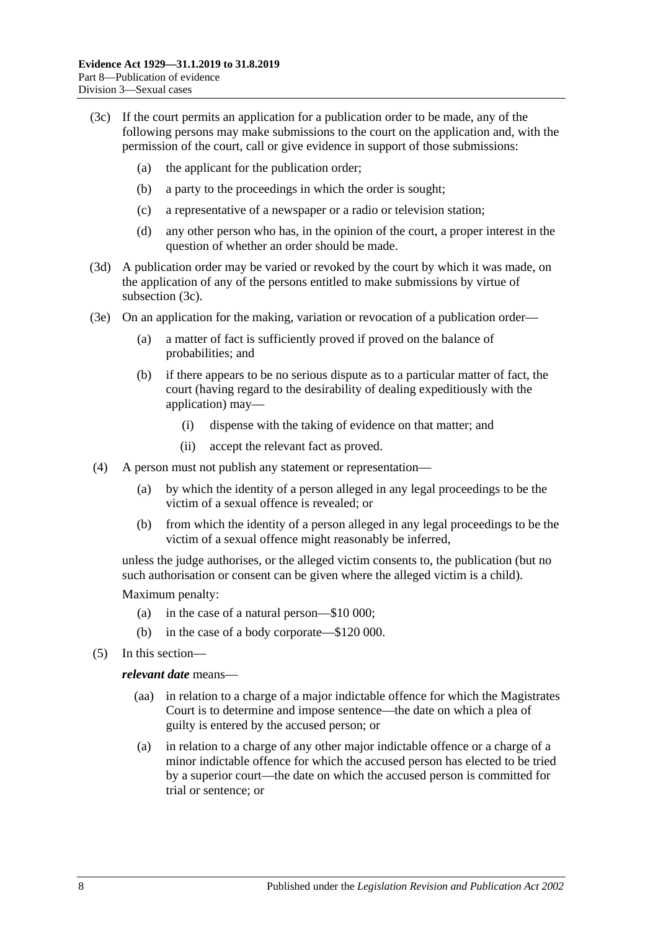- <span id="page-87-0"></span>(3c) If the court permits an application for a publication order to be made, any of the following persons may make submissions to the court on the application and, with the permission of the court, call or give evidence in support of those submissions:
	- (a) the applicant for the publication order;
	- (b) a party to the proceedings in which the order is sought;
	- (c) a representative of a newspaper or a radio or television station;
	- (d) any other person who has, in the opinion of the court, a proper interest in the question of whether an order should be made.
- (3d) A publication order may be varied or revoked by the court by which it was made, on the application of any of the persons entitled to make submissions by virtue of [subsection](#page-87-0) (3c).
- (3e) On an application for the making, variation or revocation of a publication order—
	- (a) a matter of fact is sufficiently proved if proved on the balance of probabilities; and
	- (b) if there appears to be no serious dispute as to a particular matter of fact, the court (having regard to the desirability of dealing expeditiously with the application) may—
		- (i) dispense with the taking of evidence on that matter; and
		- (ii) accept the relevant fact as proved.
- (4) A person must not publish any statement or representation—
	- (a) by which the identity of a person alleged in any legal proceedings to be the victim of a sexual offence is revealed; or
	- (b) from which the identity of a person alleged in any legal proceedings to be the victim of a sexual offence might reasonably be inferred,

unless the judge authorises, or the alleged victim consents to, the publication (but no such authorisation or consent can be given where the alleged victim is a child).

Maximum penalty:

- (a) in the case of a natural person—\$10 000;
- (b) in the case of a body corporate—\$120 000.
- (5) In this section—

#### *relevant date* means—

- (aa) in relation to a charge of a major indictable offence for which the Magistrates Court is to determine and impose sentence—the date on which a plea of guilty is entered by the accused person; or
- (a) in relation to a charge of any other major indictable offence or a charge of a minor indictable offence for which the accused person has elected to be tried by a superior court—the date on which the accused person is committed for trial or sentence; or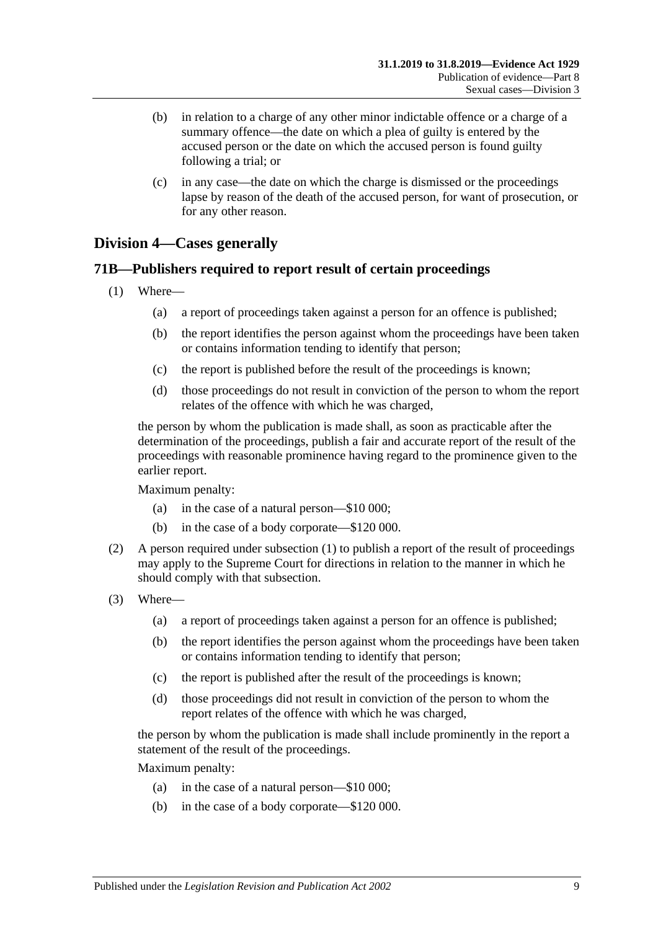- (b) in relation to a charge of any other minor indictable offence or a charge of a summary offence—the date on which a plea of guilty is entered by the accused person or the date on which the accused person is found guilty following a trial; or
- (c) in any case—the date on which the charge is dismissed or the proceedings lapse by reason of the death of the accused person, for want of prosecution, or for any other reason.

## **Division 4—Cases generally**

### <span id="page-88-0"></span>**71B—Publishers required to report result of certain proceedings**

- (1) Where—
	- (a) a report of proceedings taken against a person for an offence is published;
	- (b) the report identifies the person against whom the proceedings have been taken or contains information tending to identify that person;
	- (c) the report is published before the result of the proceedings is known;
	- (d) those proceedings do not result in conviction of the person to whom the report relates of the offence with which he was charged,

the person by whom the publication is made shall, as soon as practicable after the determination of the proceedings, publish a fair and accurate report of the result of the proceedings with reasonable prominence having regard to the prominence given to the earlier report.

Maximum penalty:

- (a) in the case of a natural person—\$10 000;
- (b) in the case of a body corporate—\$120 000.
- (2) A person required under [subsection](#page-88-0) (1) to publish a report of the result of proceedings may apply to the Supreme Court for directions in relation to the manner in which he should comply with that subsection.
- (3) Where—
	- (a) a report of proceedings taken against a person for an offence is published;
	- (b) the report identifies the person against whom the proceedings have been taken or contains information tending to identify that person;
	- (c) the report is published after the result of the proceedings is known;
	- (d) those proceedings did not result in conviction of the person to whom the report relates of the offence with which he was charged,

the person by whom the publication is made shall include prominently in the report a statement of the result of the proceedings.

Maximum penalty:

- (a) in the case of a natural person—\$10 000;
- (b) in the case of a body corporate—\$120 000.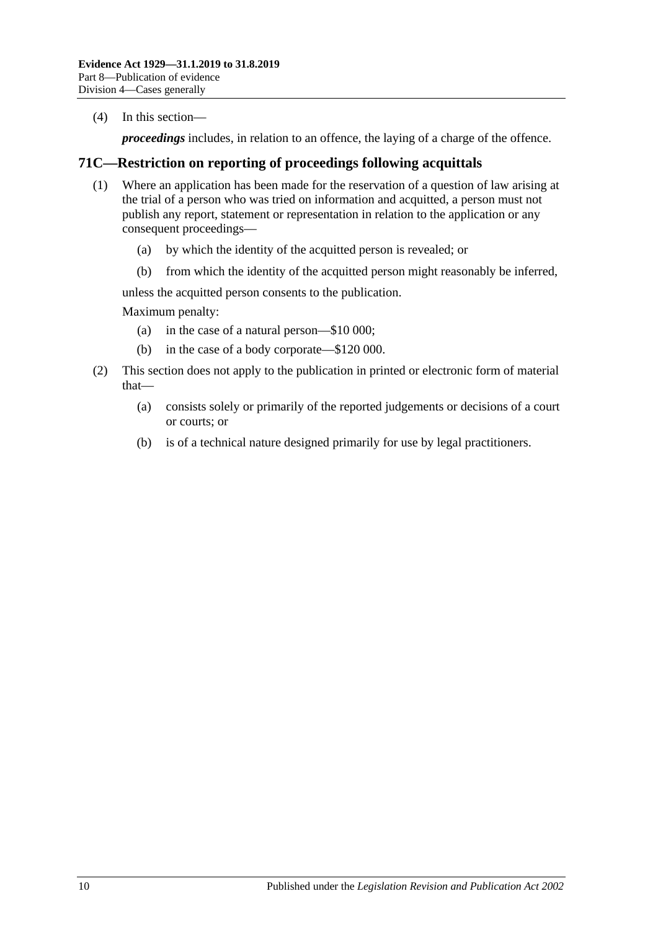(4) In this section—

*proceedings* includes, in relation to an offence, the laying of a charge of the offence.

## **71C—Restriction on reporting of proceedings following acquittals**

- (1) Where an application has been made for the reservation of a question of law arising at the trial of a person who was tried on information and acquitted, a person must not publish any report, statement or representation in relation to the application or any consequent proceedings—
	- (a) by which the identity of the acquitted person is revealed; or
	- (b) from which the identity of the acquitted person might reasonably be inferred,

unless the acquitted person consents to the publication.

Maximum penalty:

- (a) in the case of a natural person—\$10 000;
- (b) in the case of a body corporate—\$120 000.
- (2) This section does not apply to the publication in printed or electronic form of material that—
	- (a) consists solely or primarily of the reported judgements or decisions of a court or courts; or
	- (b) is of a technical nature designed primarily for use by legal practitioners.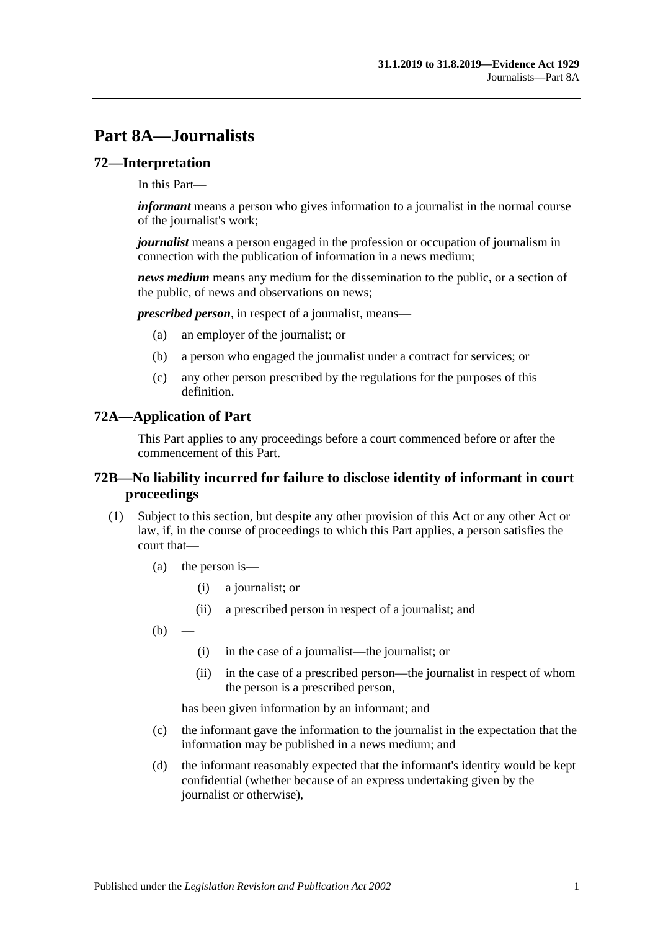# **Part 8A—Journalists**

#### **72—Interpretation**

In this Part—

*informant* means a person who gives information to a journalist in the normal course of the journalist's work;

*journalist* means a person engaged in the profession or occupation of journalism in connection with the publication of information in a news medium;

*news medium* means any medium for the dissemination to the public, or a section of the public, of news and observations on news;

*prescribed person*, in respect of a journalist, means—

- (a) an employer of the journalist; or
- (b) a person who engaged the journalist under a contract for services; or
- (c) any other person prescribed by the regulations for the purposes of this definition.

#### **72A—Application of Part**

This Part applies to any proceedings before a court commenced before or after the commencement of this Part.

#### **72B—No liability incurred for failure to disclose identity of informant in court proceedings**

- <span id="page-90-0"></span>(1) Subject to this section, but despite any other provision of this Act or any other Act or law, if, in the course of proceedings to which this Part applies, a person satisfies the court that—
	- (a) the person is—
		- (i) a journalist; or
		- (ii) a prescribed person in respect of a journalist; and
	- $(b)$ 
		- (i) in the case of a journalist—the journalist; or
		- (ii) in the case of a prescribed person—the journalist in respect of whom the person is a prescribed person,

has been given information by an informant; and

- (c) the informant gave the information to the journalist in the expectation that the information may be published in a news medium; and
- (d) the informant reasonably expected that the informant's identity would be kept confidential (whether because of an express undertaking given by the journalist or otherwise),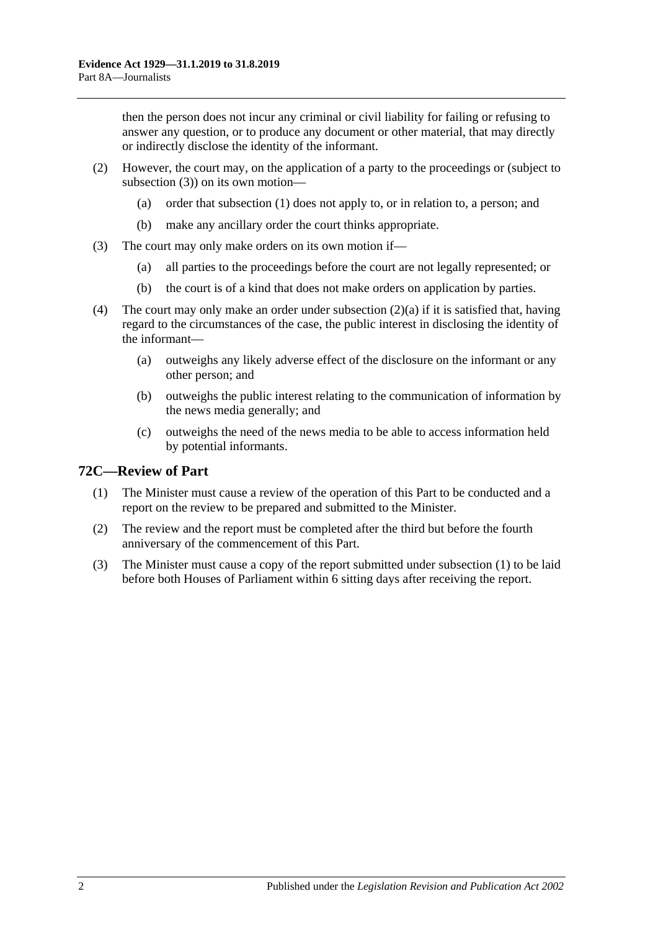then the person does not incur any criminal or civil liability for failing or refusing to answer any question, or to produce any document or other material, that may directly or indirectly disclose the identity of the informant.

- <span id="page-91-1"></span>(2) However, the court may, on the application of a party to the proceedings or (subject to [subsection](#page-91-0) (3)) on its own motion—
	- (a) order that [subsection](#page-90-0) (1) does not apply to, or in relation to, a person; and
	- (b) make any ancillary order the court thinks appropriate.
- <span id="page-91-0"></span>(3) The court may only make orders on its own motion if—
	- (a) all parties to the proceedings before the court are not legally represented; or
	- (b) the court is of a kind that does not make orders on application by parties.
- (4) The court may only make an order under [subsection](#page-91-1) (2)(a) if it is satisfied that, having regard to the circumstances of the case, the public interest in disclosing the identity of the informant—
	- (a) outweighs any likely adverse effect of the disclosure on the informant or any other person; and
	- (b) outweighs the public interest relating to the communication of information by the news media generally; and
	- (c) outweighs the need of the news media to be able to access information held by potential informants.

## <span id="page-91-2"></span>**72C—Review of Part**

- (1) The Minister must cause a review of the operation of this Part to be conducted and a report on the review to be prepared and submitted to the Minister.
- (2) The review and the report must be completed after the third but before the fourth anniversary of the commencement of this Part.
- (3) The Minister must cause a copy of the report submitted under [subsection](#page-91-2) (1) to be laid before both Houses of Parliament within 6 sitting days after receiving the report.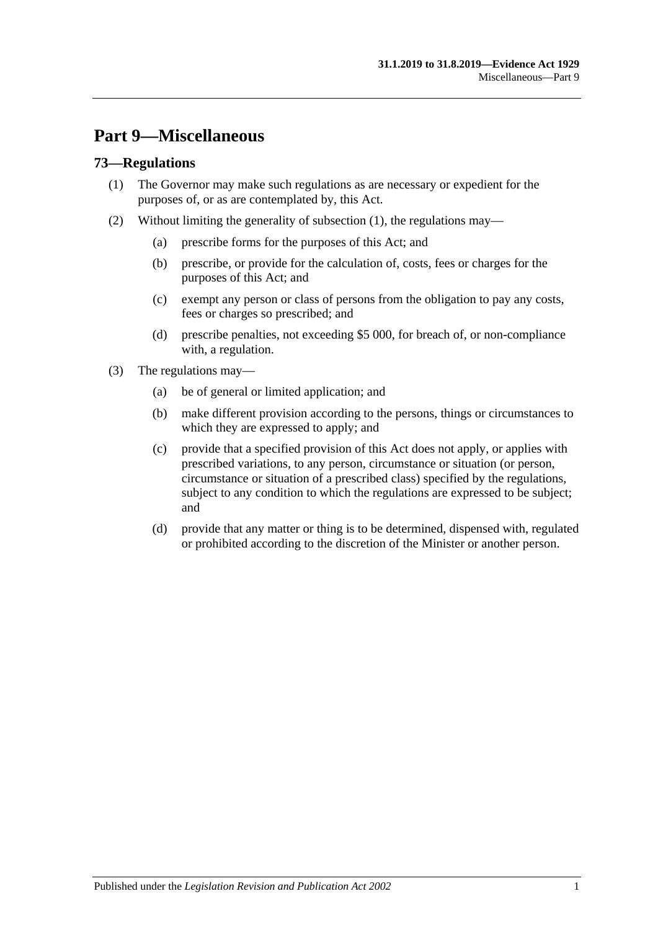# **Part 9—Miscellaneous**

## <span id="page-92-0"></span>**73—Regulations**

- (1) The Governor may make such regulations as are necessary or expedient for the purposes of, or as are contemplated by, this Act.
- (2) Without limiting the generality of [subsection](#page-92-0) (1), the regulations may—
	- (a) prescribe forms for the purposes of this Act; and
	- (b) prescribe, or provide for the calculation of, costs, fees or charges for the purposes of this Act; and
	- (c) exempt any person or class of persons from the obligation to pay any costs, fees or charges so prescribed; and
	- (d) prescribe penalties, not exceeding \$5 000, for breach of, or non-compliance with, a regulation.
- (3) The regulations may—
	- (a) be of general or limited application; and
	- (b) make different provision according to the persons, things or circumstances to which they are expressed to apply; and
	- (c) provide that a specified provision of this Act does not apply, or applies with prescribed variations, to any person, circumstance or situation (or person, circumstance or situation of a prescribed class) specified by the regulations, subject to any condition to which the regulations are expressed to be subject; and
	- (d) provide that any matter or thing is to be determined, dispensed with, regulated or prohibited according to the discretion of the Minister or another person.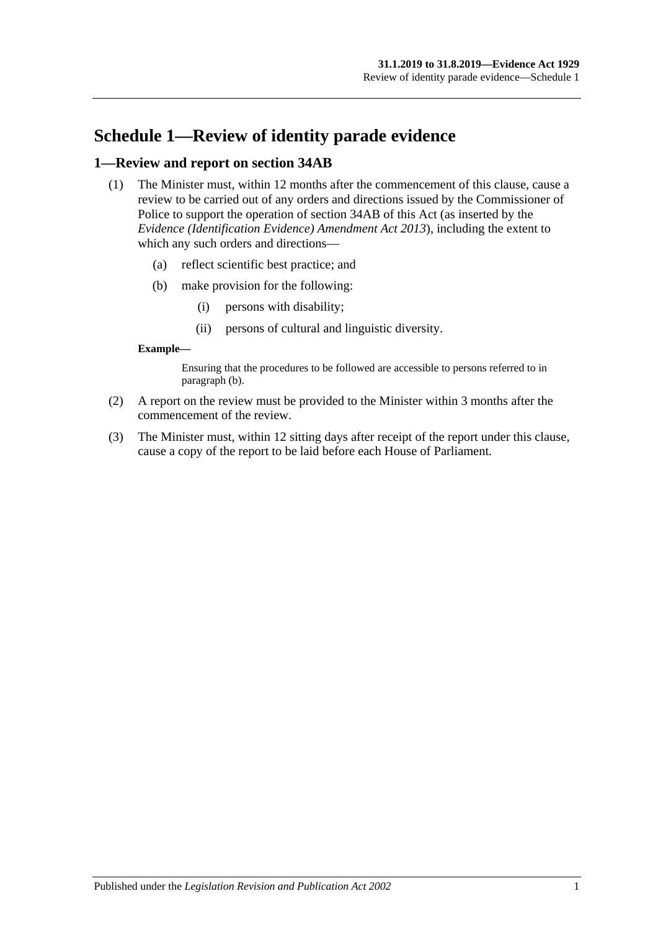# **Schedule 1—Review of identity parade evidence**

### **1—Review and report on section 34AB**

- (1) The Minister must, within 12 months after the commencement of this clause, cause a review to be carried out of any orders and directions issued by the Commissioner of Police to support the operation of section 34AB of this Act (as inserted by the *[Evidence \(Identification Evidence\) Amendment Act](http://www.legislation.sa.gov.au/index.aspx?action=legref&type=act&legtitle=Evidence%20(Identification%20Evidence)%20Amendment%20Act%202013) 2013*), including the extent to which any such orders and directions—
	- (a) reflect scientific best practice; and
	- (b) make provision for the following:
		- (i) persons with disability;
		- (ii) persons of cultural and linguistic diversity.

#### <span id="page-94-0"></span>**Example—**

Ensuring that the procedures to be followed are accessible to persons referred to in [paragraph](#page-94-0) (b).

- (2) A report on the review must be provided to the Minister within 3 months after the commencement of the review.
- (3) The Minister must, within 12 sitting days after receipt of the report under this clause, cause a copy of the report to be laid before each House of Parliament.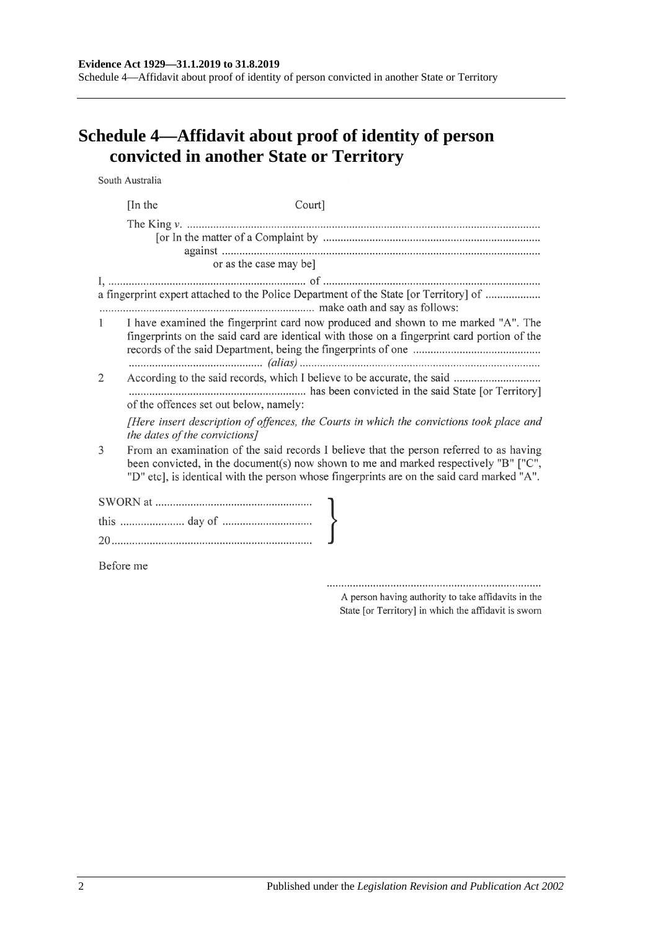Schedule 4—Affidavit about proof of identity of person convicted in another State or Territory

# **Schedule 4—Affidavit about proof of identity of person convicted in another State or Territory**

South Australia

|              | [In the]                                                              | Court]                                                                                                                                                                                                                                                                        |
|--------------|-----------------------------------------------------------------------|-------------------------------------------------------------------------------------------------------------------------------------------------------------------------------------------------------------------------------------------------------------------------------|
|              |                                                                       |                                                                                                                                                                                                                                                                               |
|              | or as the case may be]                                                |                                                                                                                                                                                                                                                                               |
|              |                                                                       | a fingerprint expert attached to the Police Department of the State [or Territory] of                                                                                                                                                                                         |
| $\mathbf{1}$ |                                                                       | I have examined the fingerprint card now produced and shown to me marked "A". The<br>fingerprints on the said card are identical with those on a fingerprint card portion of the                                                                                              |
| 2            | of the offences set out below, namely:                                | According to the said records, which I believe to be accurate, the said                                                                                                                                                                                                       |
|              | the dates of the convictions]                                         | [Here insert description of offences, the Courts in which the convictions took place and                                                                                                                                                                                      |
| 3            |                                                                       | From an examination of the said records I believe that the person referred to as having<br>been convicted, in the document(s) now shown to me and marked respectively "B" ["C",<br>"D" etc], is identical with the person whose fingerprints are on the said card marked "A". |
|              | $\begin{minipage}[c]{0.9\linewidth} \textbf{SWORN at} \end{minipage}$ |                                                                                                                                                                                                                                                                               |
|              |                                                                       |                                                                                                                                                                                                                                                                               |
|              |                                                                       |                                                                                                                                                                                                                                                                               |
| Before me    |                                                                       |                                                                                                                                                                                                                                                                               |

A person having authority to take affidavits in the State [or Territory] in which the affidavit is sworn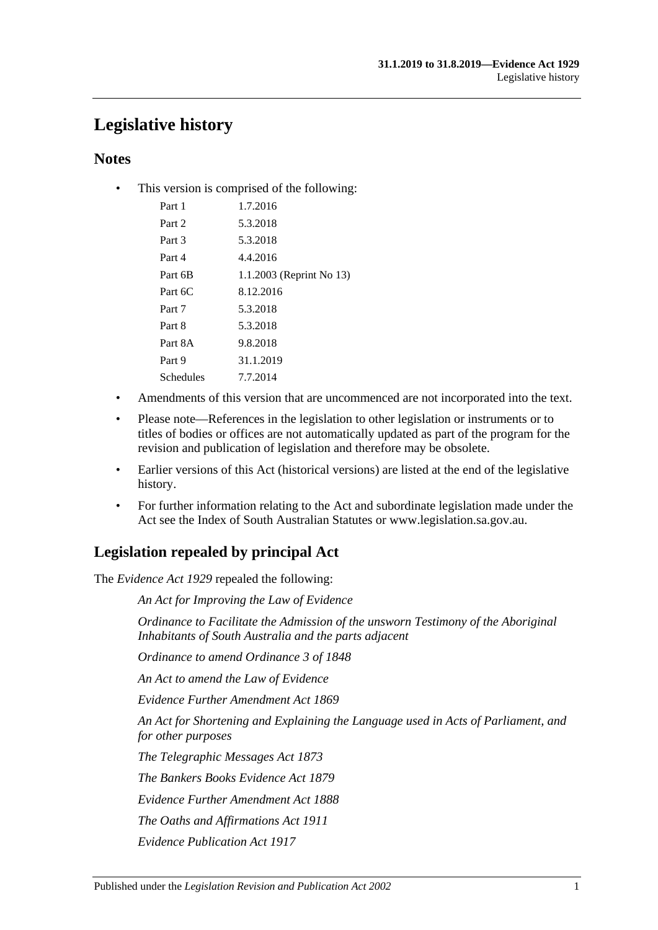# **Legislative history**

## **Notes**

• This version is comprised of the following:

| Part 1    | 1.7.2016                 |
|-----------|--------------------------|
| Part 2    | 5.3.2018                 |
| Part 3    | 5.3.2018                 |
| Part 4    | 4.4.2016                 |
| Part 6B   | 1.1.2003 (Reprint No 13) |
| Part 6C   | 8.12.2016                |
| Part 7    | 5.3.2018                 |
| Part 8    | 5.3.2018                 |
| Part 8A   | 9.8.2018                 |
| Part 9    | 31.1.2019                |
| Schedules | 7.7.2014                 |
|           |                          |

- Amendments of this version that are uncommenced are not incorporated into the text.
- Please note—References in the legislation to other legislation or instruments or to titles of bodies or offices are not automatically updated as part of the program for the revision and publication of legislation and therefore may be obsolete.
- Earlier versions of this Act (historical versions) are listed at the end of the legislative history.
- For further information relating to the Act and subordinate legislation made under the Act see the Index of South Australian Statutes or www.legislation.sa.gov.au.

# **Legislation repealed by principal Act**

The *Evidence Act 1929* repealed the following:

*An Act for Improving the Law of Evidence*

*Ordinance to Facilitate the Admission of the unsworn Testimony of the Aboriginal Inhabitants of South Australia and the parts adjacent*

*Ordinance to amend Ordinance 3 of 1848*

*An Act to amend the Law of Evidence*

*Evidence Further Amendment Act 1869*

*An Act for Shortening and Explaining the Language used in Acts of Parliament, and for other purposes*

*The Telegraphic Messages Act 1873*

*The Bankers Books Evidence Act 1879*

*Evidence Further Amendment Act 1888*

*The Oaths and Affirmations Act 1911*

*Evidence Publication Act 1917*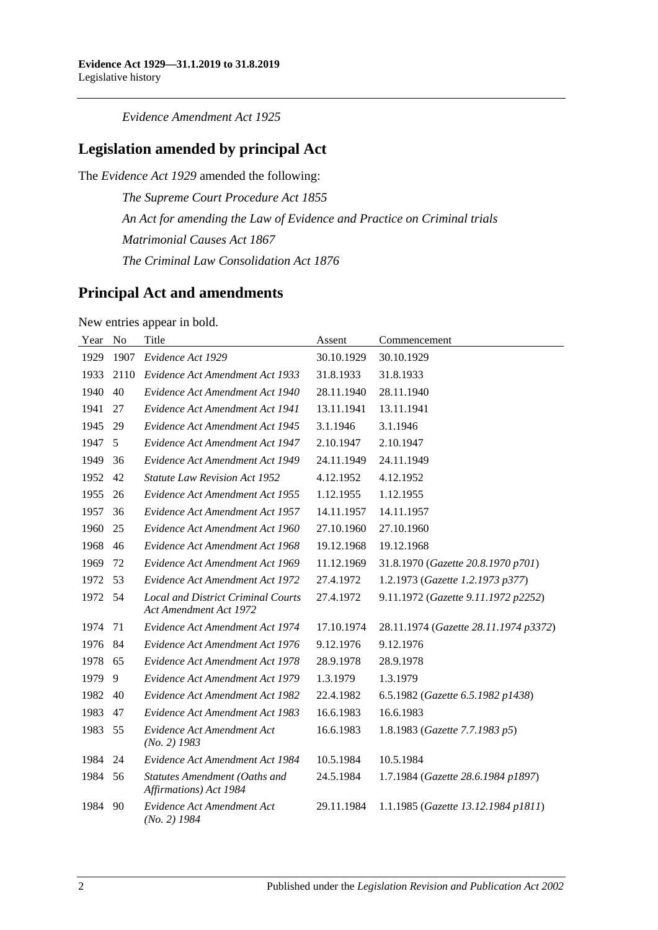*Evidence Amendment Act 1925*

## **Legislation amended by principal Act**

The *Evidence Act 1929* amended the following:

*The Supreme Court Procedure Act 1855 An Act for amending the Law of Evidence and Practice on Criminal trials Matrimonial Causes Act 1867 The Criminal Law Consolidation Act 1876*

## **Principal Act and amendments**

New entries appear in bold.

| Year | N <sub>o</sub> | Title                                                               | Assent     | Commencement                          |
|------|----------------|---------------------------------------------------------------------|------------|---------------------------------------|
| 1929 | 1907           | Evidence Act 1929                                                   | 30.10.1929 | 30.10.1929                            |
| 1933 | 2110           | Evidence Act Amendment Act 1933                                     | 31.8.1933  | 31.8.1933                             |
| 1940 | 40             | Evidence Act Amendment Act 1940                                     | 28.11.1940 | 28.11.1940                            |
| 1941 | 27             | Evidence Act Amendment Act 1941                                     | 13.11.1941 | 13.11.1941                            |
| 1945 | 29             | Evidence Act Amendment Act 1945                                     | 3.1.1946   | 3.1.1946                              |
| 1947 | 5              | Evidence Act Amendment Act 1947                                     | 2.10.1947  | 2.10.1947                             |
| 1949 | 36             | Evidence Act Amendment Act 1949                                     | 24.11.1949 | 24.11.1949                            |
| 1952 | 42             | <b>Statute Law Revision Act 1952</b>                                | 4.12.1952  | 4.12.1952                             |
| 1955 | 26             | Evidence Act Amendment Act 1955                                     | 1.12.1955  | 1.12.1955                             |
| 1957 | 36             | Evidence Act Amendment Act 1957                                     | 14.11.1957 | 14.11.1957                            |
| 1960 | 25             | Evidence Act Amendment Act 1960                                     | 27.10.1960 | 27.10.1960                            |
| 1968 | 46             | Evidence Act Amendment Act 1968                                     | 19.12.1968 | 19.12.1968                            |
| 1969 | 72             | Evidence Act Amendment Act 1969                                     | 11.12.1969 | 31.8.1970 (Gazette 20.8.1970 p701)    |
| 1972 | 53             | Evidence Act Amendment Act 1972                                     | 27.4.1972  | 1.2.1973 (Gazette 1.2.1973 p377)      |
| 1972 | 54             | <b>Local and District Criminal Courts</b><br>Act Amendment Act 1972 | 27.4.1972  | 9.11.1972 (Gazette 9.11.1972 p2252)   |
| 1974 | 71             | Evidence Act Amendment Act 1974                                     | 17.10.1974 | 28.11.1974 (Gazette 28.11.1974 p3372) |
| 1976 | 84             | Evidence Act Amendment Act 1976                                     | 9.12.1976  | 9.12.1976                             |
| 1978 | 65             | Evidence Act Amendment Act 1978                                     | 28.9.1978  | 28.9.1978                             |
| 1979 | 9              | Evidence Act Amendment Act 1979                                     | 1.3.1979   | 1.3.1979                              |
| 1982 | 40             | Evidence Act Amendment Act 1982                                     | 22.4.1982  | 6.5.1982 (Gazette 6.5.1982 p1438)     |
| 1983 | 47             | Evidence Act Amendment Act 1983                                     | 16.6.1983  | 16.6.1983                             |
| 1983 | 55             | Evidence Act Amendment Act<br>$(No. 2)$ 1983                        | 16.6.1983  | 1.8.1983 (Gazette 7.7.1983 p5)        |
| 1984 | 24             | Evidence Act Amendment Act 1984                                     | 10.5.1984  | 10.5.1984                             |
| 1984 | 56             | Statutes Amendment (Oaths and<br>Affirmations) Act 1984             | 24.5.1984  | 1.7.1984 (Gazette 28.6.1984 p1897)    |
| 1984 | 90             | Evidence Act Amendment Act<br>$(No. 2)$ 1984                        | 29.11.1984 | 1.1.1985 (Gazette 13.12.1984 p1811)   |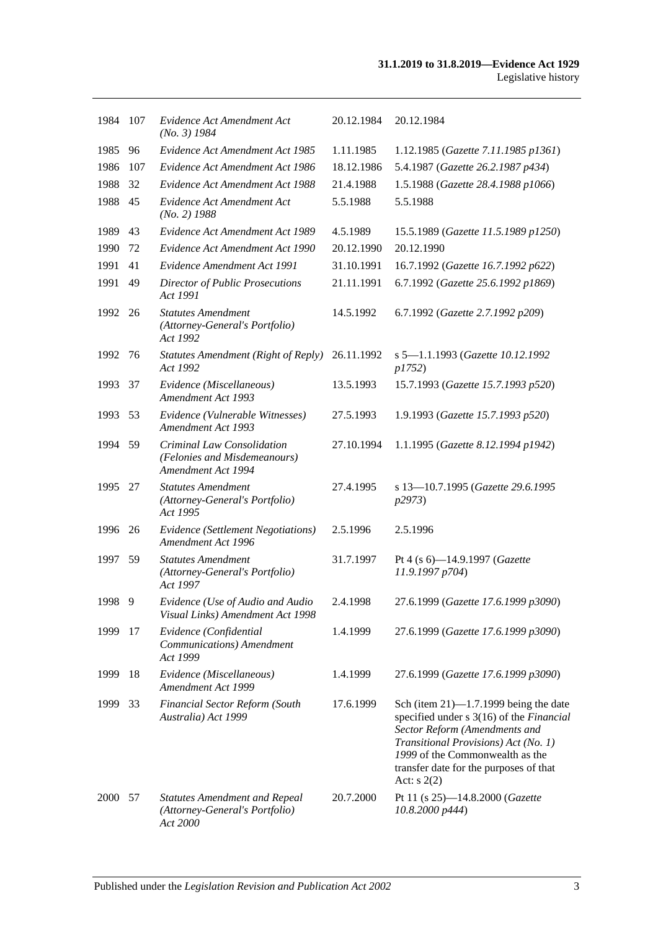| 1984 | 107 | Evidence Act Amendment Act<br>$(No. 3)$ 1984                                       | 20.12.1984 | 20.12.1984                                                                                                                                                                                                                                                |
|------|-----|------------------------------------------------------------------------------------|------------|-----------------------------------------------------------------------------------------------------------------------------------------------------------------------------------------------------------------------------------------------------------|
| 1985 | 96  | Evidence Act Amendment Act 1985                                                    | 1.11.1985  | 1.12.1985 (Gazette 7.11.1985 p1361)                                                                                                                                                                                                                       |
| 1986 | 107 | Evidence Act Amendment Act 1986                                                    | 18.12.1986 | 5.4.1987 (Gazette 26.2.1987 p434)                                                                                                                                                                                                                         |
| 1988 | 32  | Evidence Act Amendment Act 1988                                                    | 21.4.1988  | 1.5.1988 (Gazette 28.4.1988 p1066)                                                                                                                                                                                                                        |
| 1988 | 45  | Evidence Act Amendment Act<br>$(No. 2)$ 1988                                       | 5.5.1988   | 5.5.1988                                                                                                                                                                                                                                                  |
| 1989 | 43  | Evidence Act Amendment Act 1989                                                    | 4.5.1989   | 15.5.1989 (Gazette 11.5.1989 p1250)                                                                                                                                                                                                                       |
| 1990 | 72  | Evidence Act Amendment Act 1990                                                    | 20.12.1990 | 20.12.1990                                                                                                                                                                                                                                                |
| 1991 | 41  | Evidence Amendment Act 1991                                                        | 31.10.1991 | 16.7.1992 (Gazette 16.7.1992 p622)                                                                                                                                                                                                                        |
| 1991 | 49  | <b>Director of Public Prosecutions</b><br>Act 1991                                 | 21.11.1991 | 6.7.1992 (Gazette 25.6.1992 p1869)                                                                                                                                                                                                                        |
| 1992 | 26  | <b>Statutes Amendment</b><br>(Attorney-General's Portfolio)<br>Act 1992            | 14.5.1992  | 6.7.1992 (Gazette 2.7.1992 p209)                                                                                                                                                                                                                          |
| 1992 | 76  | <b>Statutes Amendment (Right of Reply)</b><br>Act 1992                             | 26.11.1992 | s 5-1.1.1993 (Gazette 10.12.1992<br>p1752)                                                                                                                                                                                                                |
| 1993 | 37  | Evidence (Miscellaneous)<br><b>Amendment Act 1993</b>                              | 13.5.1993  | 15.7.1993 (Gazette 15.7.1993 p520)                                                                                                                                                                                                                        |
| 1993 | 53  | Evidence (Vulnerable Witnesses)<br><b>Amendment Act 1993</b>                       | 27.5.1993  | 1.9.1993 (Gazette 15.7.1993 p520)                                                                                                                                                                                                                         |
| 1994 | 59  | Criminal Law Consolidation<br>(Felonies and Misdemeanours)<br>Amendment Act 1994   | 27.10.1994 | 1.1.1995 (Gazette 8.12.1994 p1942)                                                                                                                                                                                                                        |
| 1995 | 27  | <b>Statutes Amendment</b><br>(Attorney-General's Portfolio)<br>Act 1995            | 27.4.1995  | s 13-10.7.1995 (Gazette 29.6.1995<br>p2973)                                                                                                                                                                                                               |
| 1996 | 26  | Evidence (Settlement Negotiations)<br>Amendment Act 1996                           | 2.5.1996   | 2.5.1996                                                                                                                                                                                                                                                  |
| 1997 | 59  | <b>Statutes Amendment</b><br>(Attorney-General's Portfolio)<br>Act 1997            | 31.7.1997  | Pt 4 (s 6)-14.9.1997 (Gazette<br>11.9.1997 p704)                                                                                                                                                                                                          |
| 1998 | 9   | Evidence (Use of Audio and Audio<br>Visual Links) Amendment Act 1998               | 2.4.1998   | 27.6.1999 (Gazette 17.6.1999 p3090)                                                                                                                                                                                                                       |
| 1999 | 17  | Evidence (Confidential<br>Communications) Amendment<br>Act 1999                    | 1.4.1999   | 27.6.1999 (Gazette 17.6.1999 p3090)                                                                                                                                                                                                                       |
| 1999 | 18  | Evidence (Miscellaneous)<br>Amendment Act 1999                                     | 1.4.1999   | 27.6.1999 (Gazette 17.6.1999 p3090)                                                                                                                                                                                                                       |
| 1999 | 33  | <b>Financial Sector Reform (South</b><br>Australia) Act 1999                       | 17.6.1999  | Sch (item $21$ )—1.7.1999 being the date<br>specified under s 3(16) of the Financial<br>Sector Reform (Amendments and<br>Transitional Provisions) Act (No. 1)<br>1999 of the Commonwealth as the<br>transfer date for the purposes of that<br>Act: $s(2)$ |
| 2000 | 57  | <b>Statutes Amendment and Repeal</b><br>(Attorney-General's Portfolio)<br>Act 2000 | 20.7.2000  | Pt 11 (s 25)-14.8.2000 (Gazette<br>10.8.2000 p444)                                                                                                                                                                                                        |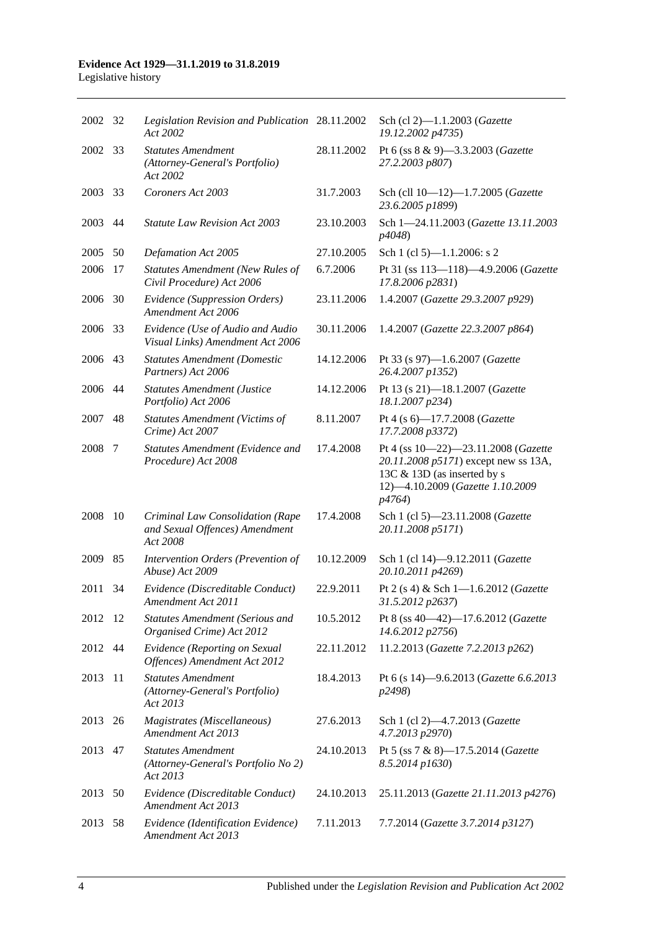# **Evidence Act 1929—31.1.2019 to 31.8.2019**

Legislative history

| 2002    | 32 | Legislation Revision and Publication 28.11.2002<br>Act 2002                    |            | Sch (cl 2)-1.1.2003 (Gazette<br>19.12.2002 p4735)                                                                                                        |
|---------|----|--------------------------------------------------------------------------------|------------|----------------------------------------------------------------------------------------------------------------------------------------------------------|
| 2002    | 33 | <b>Statutes Amendment</b><br>(Attorney-General's Portfolio)<br>Act 2002        | 28.11.2002 | Pt 6 (ss 8 & 9)-3.3.2003 (Gazette<br>27.2.2003 p807)                                                                                                     |
| 2003    | 33 | Coroners Act 2003                                                              | 31.7.2003  | Sch (cll 10-12)-1.7.2005 (Gazette<br>23.6.2005 p1899)                                                                                                    |
| 2003    | 44 | <b>Statute Law Revision Act 2003</b>                                           | 23.10.2003 | Sch 1-24.11.2003 (Gazette 13.11.2003)<br>p4048)                                                                                                          |
| 2005    | 50 | Defamation Act 2005                                                            | 27.10.2005 | Sch 1 (cl 5)-1.1.2006: s 2                                                                                                                               |
| 2006    | 17 | <b>Statutes Amendment (New Rules of</b><br>Civil Procedure) Act 2006           | 6.7.2006   | Pt 31 (ss 113-118)-4.9.2006 (Gazette<br>17.8.2006 p2831)                                                                                                 |
| 2006    | 30 | Evidence (Suppression Orders)<br>Amendment Act 2006                            | 23.11.2006 | 1.4.2007 (Gazette 29.3.2007 p929)                                                                                                                        |
| 2006    | 33 | Evidence (Use of Audio and Audio<br>Visual Links) Amendment Act 2006           | 30.11.2006 | 1.4.2007 (Gazette 22.3.2007 p864)                                                                                                                        |
| 2006    | 43 | <b>Statutes Amendment (Domestic</b><br>Partners) Act 2006                      | 14.12.2006 | Pt 33 (s 97)-1.6.2007 (Gazette<br>26.4.2007 p1352)                                                                                                       |
| 2006    | 44 | <b>Statutes Amendment (Justice</b><br>Portfolio) Act 2006                      | 14.12.2006 | Pt 13 (s 21)-18.1.2007 (Gazette<br>18.1.2007 p234)                                                                                                       |
| 2007    | 48 | <b>Statutes Amendment (Victims of</b><br>Crime) Act 2007                       | 8.11.2007  | Pt 4 (s 6)-17.7.2008 (Gazette<br>17.7.2008 p3372)                                                                                                        |
| 2008    | 7  | Statutes Amendment (Evidence and<br>Procedure) Act 2008                        | 17.4.2008  | Pt 4 (ss 10-22)-23.11.2008 (Gazette<br>20.11.2008 p5171) except new ss 13A,<br>13C & 13D (as inserted by s<br>12)-4.10.2009 (Gazette 1.10.2009<br>p4764) |
| 2008    | 10 | Criminal Law Consolidation (Rape<br>and Sexual Offences) Amendment<br>Act 2008 | 17.4.2008  | Sch 1 (cl 5)-23.11.2008 (Gazette<br>20.11.2008 p5171)                                                                                                    |
| 2009    | 85 | Intervention Orders (Prevention of<br>Abuse) Act 2009                          | 10.12.2009 | Sch 1 (cl 14)-9.12.2011 (Gazette<br>20.10.2011 p4269)                                                                                                    |
| 2011    | 34 | Evidence (Discreditable Conduct)<br>Amendment Act 2011                         | 22.9.2011  | Pt 2 (s 4) & Sch 1-1.6.2012 (Gazette<br>31.5.2012 p2637)                                                                                                 |
| 2012 12 |    | <b>Statutes Amendment (Serious and</b><br>Organised Crime) Act 2012            | 10.5.2012  | Pt 8 (ss 40-42)-17.6.2012 (Gazette<br>14.6.2012 p2756)                                                                                                   |
| 2012    | 44 | Evidence (Reporting on Sexual<br>Offences) Amendment Act 2012                  | 22.11.2012 | 11.2.2013 (Gazette 7.2.2013 p262)                                                                                                                        |
| 2013    | 11 | <b>Statutes Amendment</b><br>(Attorney-General's Portfolio)<br>Act 2013        | 18.4.2013  | Pt 6 (s 14)-9.6.2013 (Gazette 6.6.2013<br>p2498)                                                                                                         |
| 2013    | 26 | Magistrates (Miscellaneous)<br>Amendment Act 2013                              | 27.6.2013  | Sch 1 (cl 2)-4.7.2013 (Gazette<br>4.7.2013 p2970)                                                                                                        |
| 2013    | 47 | <b>Statutes Amendment</b><br>(Attorney-General's Portfolio No 2)<br>Act 2013   | 24.10.2013 | Pt 5 (ss 7 & 8)-17.5.2014 (Gazette<br>8.5.2014 p1630)                                                                                                    |
| 2013    | 50 | Evidence (Discreditable Conduct)<br>Amendment Act 2013                         | 24.10.2013 | 25.11.2013 (Gazette 21.11.2013 p4276)                                                                                                                    |
| 2013    | 58 | Evidence (Identification Evidence)<br>Amendment Act 2013                       | 7.11.2013  | 7.7.2014 (Gazette 3.7.2014 p3127)                                                                                                                        |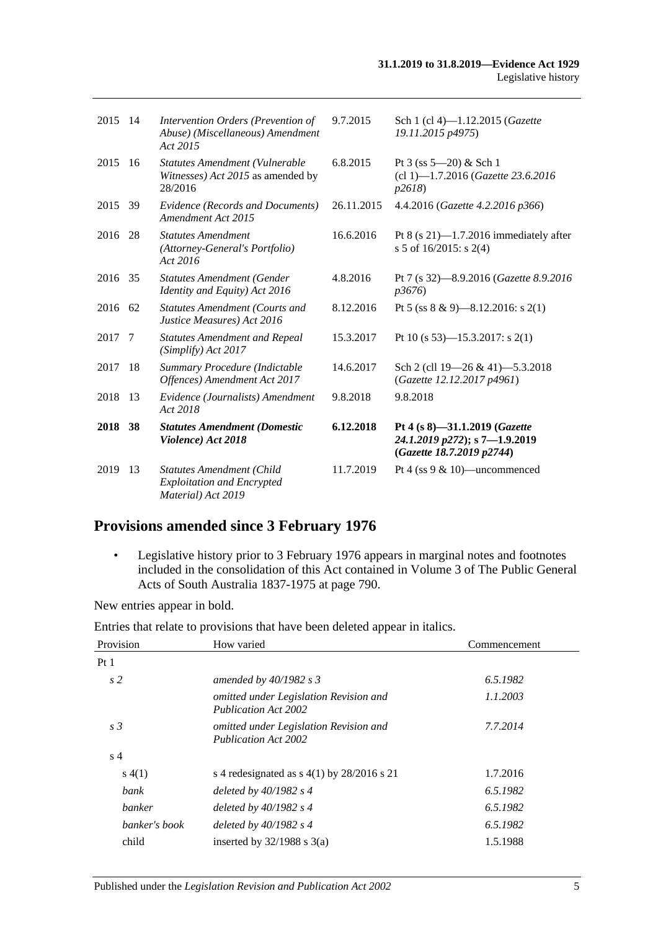| 2015    | 14  | Intervention Orders (Prevention of<br>Abuse) (Miscellaneous) Amendment<br>Act 2015          | 9.7.2015   | Sch 1 (cl 4)-1.12.2015 (Gazette<br>19.11.2015 p4975)                                        |
|---------|-----|---------------------------------------------------------------------------------------------|------------|---------------------------------------------------------------------------------------------|
| 2015    | 16  | Statutes Amendment (Vulnerable<br>Witnesses) Act 2015 as amended by<br>28/2016              | 6.8.2015   | Pt $3$ (ss $5 - 20$ ) & Sch 1<br>(cl 1)-1.7.2016 (Gazette 23.6.2016)<br>p2618               |
| 2015    | -39 | Evidence (Records and Documents)<br>Amendment Act 2015                                      | 26.11.2015 | 4.4.2016 (Gazette 4.2.2016 p366)                                                            |
| 2016    | 28  | <b>Statutes Amendment</b><br>(Attorney-General's Portfolio)<br>Act 2016                     | 16.6.2016  | Pt $8$ (s 21)-1.7.2016 immediately after<br>s 5 of $16/2015$ : s 2(4)                       |
| 2016    | 35  | <b>Statutes Amendment (Gender</b><br>Identity and Equity) Act 2016                          | 4.8.2016   | Pt 7 (s 32)-8.9.2016 (Gazette 8.9.2016)<br><i>p</i> 3676)                                   |
| 2016 62 |     | <b>Statutes Amendment (Courts and</b><br>Justice Measures) Act 2016                         | 8.12.2016  | Pt 5 (ss $8 \& 9$ )-8.12.2016: s 2(1)                                                       |
| 2017    | 7   | <b>Statutes Amendment and Repeal</b><br>(Simplify) Act 2017                                 | 15.3.2017  | Pt 10 (s 53)—15.3.2017: s 2(1)                                                              |
| 2017    | 18  | Summary Procedure (Indictable<br>Offences) Amendment Act 2017                               | 14.6.2017  | Sch 2 (cll 19-26 & 41)-5.3.2018<br>(Gazette 12.12.2017 p4961)                               |
| 2018    | 13  | Evidence (Journalists) Amendment<br>Act 2018                                                | 9.8.2018   | 9.8.2018                                                                                    |
| 2018 38 |     | <b>Statutes Amendment (Domestic</b><br>Violence) Act 2018                                   | 6.12.2018  | Pt 4 (s 8)-31.1.2019 (Gazette<br>24.1.2019 p272); s 7-1.9.2019<br>(Gazette 18.7.2019 p2744) |
| 2019    | 13  | <b>Statutes Amendment (Child</b><br><b>Exploitation and Encrypted</b><br>Material) Act 2019 | 11.7.2019  | Pt 4 (ss $9 < 10$ )—uncommenced                                                             |

## **Provisions amended since 3 February 1976**

• Legislative history prior to 3 February 1976 appears in marginal notes and footnotes included in the consolidation of this Act contained in Volume 3 of The Public General Acts of South Australia 1837-1975 at page 790.

New entries appear in bold.

Entries that relate to provisions that have been deleted appear in italics.

| Provision       | How varied                                                            | Commencement |
|-----------------|-----------------------------------------------------------------------|--------------|
| Pt <sub>1</sub> |                                                                       |              |
| s <sub>2</sub>  | amended by $40/1982$ s 3                                              | 6.5.1982     |
|                 | omitted under Legislation Revision and<br>Publication Act 2002        | 1.1.2003     |
| s <sub>3</sub>  | omitted under Legislation Revision and<br><b>Publication Act 2002</b> | 7.7.2014     |
| s <sub>4</sub>  |                                                                       |              |
| s(4(1))         | s 4 redesignated as $s$ 4(1) by 28/2016 s 21                          | 1.7.2016     |
| bank            | deleted by $40/1982$ s 4                                              | 6.5.1982     |
| banker          | deleted by $40/1982$ s 4                                              | 6.5.1982     |
| banker's book   | deleted by $40/1982$ s 4                                              | 6.5.1982     |
| child           | inserted by $32/1988$ s $3(a)$                                        | 1.5.1988     |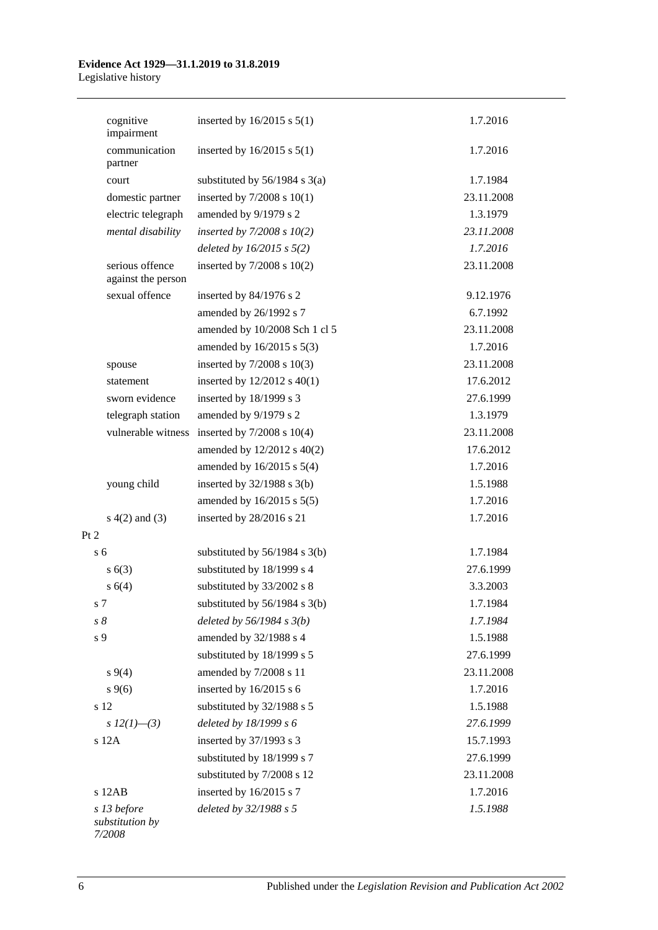#### **Evidence Act 1929—31.1.2019 to 31.8.2019** Legislative history

| cognitive<br>impairment               | inserted by $16/2015$ s $5(1)$    | 1.7.2016   |
|---------------------------------------|-----------------------------------|------------|
| communication<br>partner              | inserted by $16/2015$ s $5(1)$    | 1.7.2016   |
| court                                 | substituted by $56/1984$ s $3(a)$ | 1.7.1984   |
| domestic partner                      | inserted by $7/2008$ s $10(1)$    | 23.11.2008 |
| electric telegraph                    | amended by 9/1979 s 2             | 1.3.1979   |
| mental disability                     | inserted by $7/2008 s 10(2)$      | 23.11.2008 |
|                                       | deleted by $16/2015$ s $5(2)$     | 1.7.2016   |
| serious offence<br>against the person | inserted by $7/2008$ s $10(2)$    | 23.11.2008 |
| sexual offence                        | inserted by 84/1976 s 2           | 9.12.1976  |
|                                       | amended by 26/1992 s 7            | 6.7.1992   |
|                                       | amended by 10/2008 Sch 1 cl 5     | 23.11.2008 |
|                                       | amended by 16/2015 s 5(3)         | 1.7.2016   |
| spouse                                | inserted by $7/2008$ s $10(3)$    | 23.11.2008 |
| statement                             | inserted by $12/2012$ s $40(1)$   | 17.6.2012  |
| sworn evidence                        | inserted by 18/1999 s 3           | 27.6.1999  |
| telegraph station                     | amended by 9/1979 s 2             | 1.3.1979   |
| vulnerable witness                    | inserted by $7/2008$ s $10(4)$    | 23.11.2008 |
|                                       | amended by 12/2012 s 40(2)        | 17.6.2012  |
|                                       | amended by $16/2015$ s $5(4)$     | 1.7.2016   |
| young child                           | inserted by $32/1988$ s $3(b)$    | 1.5.1988   |
|                                       | amended by $16/2015$ s $5(5)$     | 1.7.2016   |
| $s(4(2)$ and $(3)$                    | inserted by 28/2016 s 21          | 1.7.2016   |
| Pt 2                                  |                                   |            |
| s 6                                   | substituted by $56/1984$ s $3(b)$ | 1.7.1984   |
| s(6(3))                               | substituted by 18/1999 s 4        | 27.6.1999  |
| s(4)                                  | substituted by 33/2002 s 8        | 3.3.2003   |
| s 7                                   | substituted by $56/1984$ s $3(b)$ | 1.7.1984   |
| $s\,8$                                | deleted by $56/1984 s 3(b)$       | 1.7.1984   |
| s 9                                   | amended by 32/1988 s 4            | 1.5.1988   |
|                                       | substituted by 18/1999 s 5        | 27.6.1999  |
| $s \, 9(4)$                           | amended by 7/2008 s 11            | 23.11.2008 |
| $s \, 9(6)$                           | inserted by 16/2015 s 6           | 1.7.2016   |
| s 12                                  | substituted by 32/1988 s 5        | 1.5.1988   |
| s $12(1)$ —(3)                        | deleted by 18/1999 s 6            | 27.6.1999  |
| s 12A                                 | inserted by 37/1993 s 3           | 15.7.1993  |
|                                       | substituted by 18/1999 s 7        | 27.6.1999  |
|                                       | substituted by 7/2008 s 12        | 23.11.2008 |
| $s$ 12AB                              | inserted by 16/2015 s 7           | 1.7.2016   |
| s 13 before<br>substitution by        | deleted by 32/1988 s 5            | 1.5.1988   |

*substitution by 7/2008*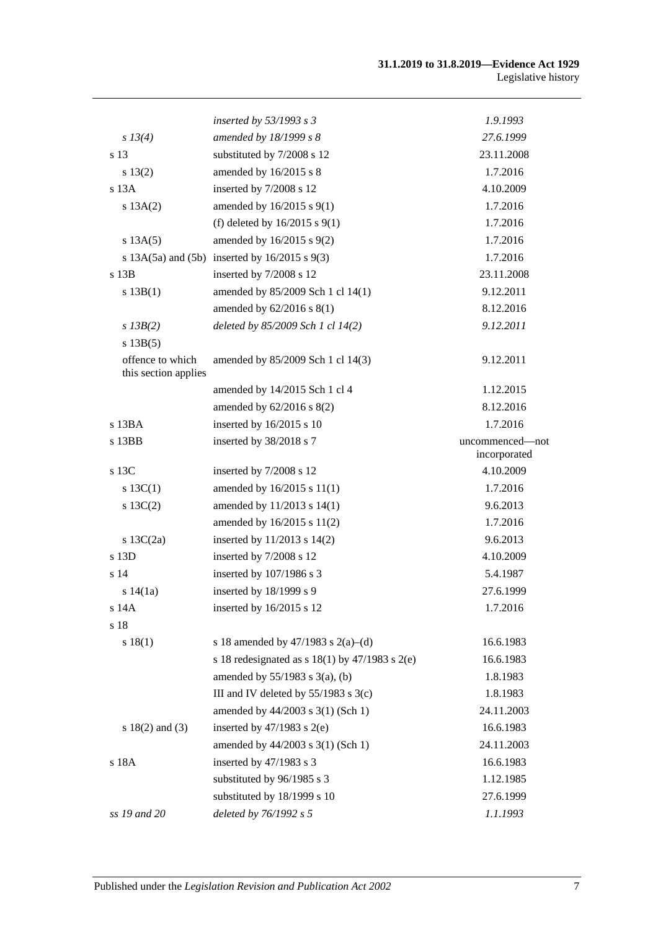#### **31.1.2019 to 31.8.2019—Evidence Act 1929** Legislative history

|                                          | inserted by $53/1993$ s 3                             | 1.9.1993                        |
|------------------------------------------|-------------------------------------------------------|---------------------------------|
| s 13(4)                                  | amended by 18/1999 s 8                                | 27.6.1999                       |
| s 13                                     | substituted by 7/2008 s 12                            | 23.11.2008                      |
| s 13(2)                                  | amended by 16/2015 s 8                                | 1.7.2016                        |
| $s$ 13 $A$                               | inserted by 7/2008 s 12                               | 4.10.2009                       |
| s 13A(2)                                 | amended by 16/2015 s 9(1)                             | 1.7.2016                        |
|                                          | (f) deleted by $16/2015$ s $9(1)$                     | 1.7.2016                        |
| s 13A(5)                                 | amended by 16/2015 s 9(2)                             | 1.7.2016                        |
|                                          | s $13A(5a)$ and $(5b)$ inserted by $16/2015$ s $9(3)$ | 1.7.2016                        |
| $s$ 13 $B$                               | inserted by 7/2008 s 12                               | 23.11.2008                      |
| s 13B(1)                                 | amended by 85/2009 Sch 1 cl 14(1)                     | 9.12.2011                       |
|                                          | amended by 62/2016 s 8(1)                             | 8.12.2016                       |
| $s$ 13B(2)                               | deleted by 85/2009 Sch 1 cl 14(2)                     | 9.12.2011                       |
| s 13B(5)                                 |                                                       |                                 |
| offence to which<br>this section applies | amended by 85/2009 Sch 1 cl 14(3)                     | 9.12.2011                       |
|                                          | amended by 14/2015 Sch 1 cl 4                         | 1.12.2015                       |
|                                          | amended by $62/2016$ s $8(2)$                         | 8.12.2016                       |
| s 13BA                                   | inserted by 16/2015 s 10                              | 1.7.2016                        |
| s 13BB                                   | inserted by 38/2018 s 7                               | uncommenced—not<br>incorporated |
| s 13C                                    | inserted by 7/2008 s 12                               | 4.10.2009                       |
| s $13C(1)$                               | amended by 16/2015 s 11(1)                            | 1.7.2016                        |
| $s \ 13C(2)$                             | amended by 11/2013 s 14(1)                            | 9.6.2013                        |
|                                          | amended by 16/2015 s 11(2)                            | 1.7.2016                        |
| s $13C(2a)$                              | inserted by 11/2013 s 14(2)                           | 9.6.2013                        |
| s 13D                                    | inserted by 7/2008 s 12                               | 4.10.2009                       |
| s 14                                     | inserted by 107/1986 s 3                              | 5.4.1987                        |
| s 14(1a)                                 | inserted by 18/1999 s 9                               | 27.6.1999                       |
| s 14A                                    | inserted by 16/2015 s 12                              | 1.7.2016                        |
| s 18                                     |                                                       |                                 |
| s 18(1)                                  | s 18 amended by 47/1983 s 2(a)–(d)                    | 16.6.1983                       |
|                                          | s 18 redesignated as s $18(1)$ by $47/1983$ s $2(e)$  | 16.6.1983                       |
|                                          | amended by $55/1983$ s $3(a)$ , (b)                   | 1.8.1983                        |
|                                          | III and IV deleted by $55/1983$ s $3(c)$              | 1.8.1983                        |
|                                          | amended by 44/2003 s 3(1) (Sch 1)                     | 24.11.2003                      |
| s $18(2)$ and $(3)$                      | inserted by $47/1983$ s $2(e)$                        | 16.6.1983                       |
|                                          | amended by 44/2003 s 3(1) (Sch 1)                     | 24.11.2003                      |
| s 18A                                    | inserted by 47/1983 s 3                               | 16.6.1983                       |
|                                          | substituted by 96/1985 s 3                            | 1.12.1985                       |
|                                          | substituted by 18/1999 s 10                           | 27.6.1999                       |
| ss 19 and 20                             | deleted by 76/1992 s 5                                | 1.1.1993                        |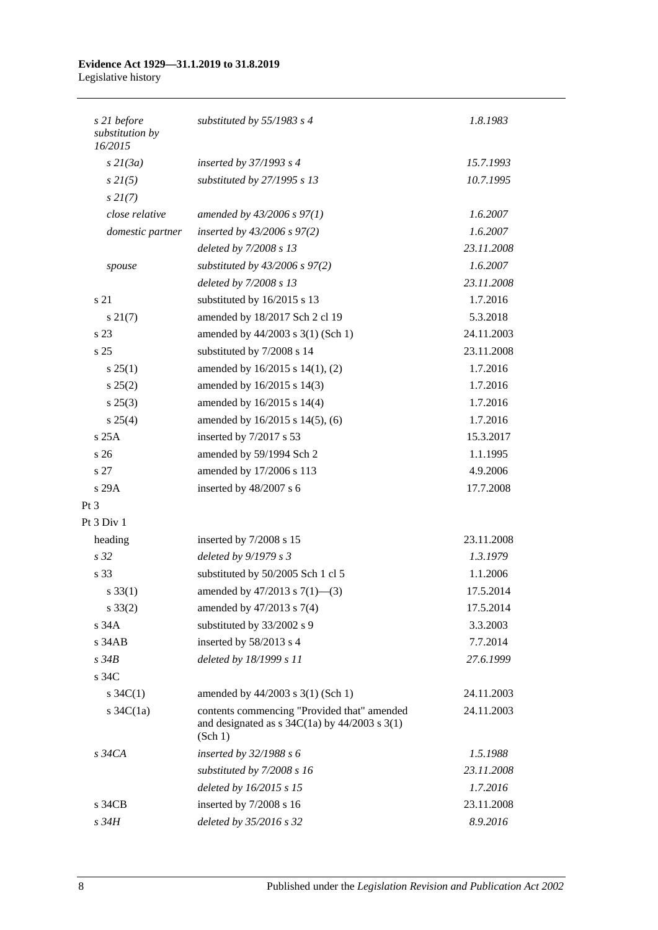#### **Evidence Act 1929—31.1.2019 to 31.8.2019** Legislative history

| s 21 before<br>substitution by<br>16/2015 | substituted by $55/1983$ s 4                                                                                                             | 1.8.1983   |
|-------------------------------------------|------------------------------------------------------------------------------------------------------------------------------------------|------------|
| $s$ 21(3a)                                | inserted by $37/1993$ s 4                                                                                                                | 15.7.1993  |
| $s$ 2 $I(5)$                              | substituted by 27/1995 s 13                                                                                                              | 10.7.1995  |
| $s \, 2I(7)$                              |                                                                                                                                          |            |
| close relative                            | amended by 43/2006 s 97(1)                                                                                                               | 1.6.2007   |
| domestic partner                          | inserted by $43/2006$ s $97(2)$                                                                                                          | 1.6.2007   |
|                                           | deleted by 7/2008 s 13                                                                                                                   | 23.11.2008 |
| spouse                                    | substituted by $43/2006$ s $97(2)$                                                                                                       | 1.6.2007   |
|                                           | deleted by 7/2008 s 13                                                                                                                   | 23.11.2008 |
| s 21                                      | substituted by 16/2015 s 13                                                                                                              | 1.7.2016   |
| $s \, 21(7)$                              | amended by 18/2017 Sch 2 cl 19                                                                                                           | 5.3.2018   |
| s 23                                      | amended by 44/2003 s 3(1) (Sch 1)                                                                                                        | 24.11.2003 |
| s <sub>25</sub>                           | substituted by 7/2008 s 14                                                                                                               | 23.11.2008 |
| s 25(1)                                   | amended by 16/2015 s 14(1), (2)                                                                                                          | 1.7.2016   |
| s 25(2)                                   | amended by 16/2015 s 14(3)                                                                                                               | 1.7.2016   |
| $s\,25(3)$                                | amended by 16/2015 s 14(4)                                                                                                               | 1.7.2016   |
| s 25(4)                                   | amended by 16/2015 s 14(5), (6)                                                                                                          | 1.7.2016   |
| s25A                                      | inserted by 7/2017 s 53                                                                                                                  | 15.3.2017  |
| s <sub>26</sub>                           | amended by 59/1994 Sch 2                                                                                                                 | 1.1.1995   |
| s <sub>27</sub>                           | amended by 17/2006 s 113                                                                                                                 | 4.9.2006   |
| s 29A                                     | inserted by 48/2007 s 6                                                                                                                  | 17.7.2008  |
| $Pt\,3$                                   |                                                                                                                                          |            |
| Pt 3 Div 1                                |                                                                                                                                          |            |
| heading                                   | inserted by 7/2008 s 15                                                                                                                  | 23.11.2008 |
| s <sub>32</sub>                           | deleted by 9/1979 s 3                                                                                                                    | 1.3.1979   |
| s 33                                      | substituted by 50/2005 Sch 1 cl 5                                                                                                        | 1.1.2006   |
| $s \, 33(1)$                              | amended by $47/2013$ s $7(1)$ —(3)                                                                                                       | 17.5.2014  |
| $s \, 33(2)$                              | amended by 47/2013 s 7(4)                                                                                                                | 17.5.2014  |
| s 34A                                     | substituted by 33/2002 s 9                                                                                                               | 3.3.2003   |
| $s$ 34 $AB$                               | inserted by 58/2013 s 4                                                                                                                  | 7.7.2014   |
| $s\,34B$                                  | deleted by 18/1999 s 11                                                                                                                  | 27.6.1999  |
| s 34C                                     |                                                                                                                                          |            |
| $s \, 34C(1)$                             | amended by 44/2003 s 3(1) (Sch 1)                                                                                                        | 24.11.2003 |
| s $34C(1a)$                               | contents commencing "Provided that" amended<br>and designated as $s \frac{34C(1a)}{y} \frac{44}{2003} \frac{s \cdot 3(1)}{y}$<br>(Sch 1) | 24.11.2003 |
| $s\,34CA$                                 | inserted by $32/1988 s 6$                                                                                                                | 1.5.1988   |
|                                           | substituted by $7/2008 s 16$                                                                                                             | 23.11.2008 |
|                                           | deleted by 16/2015 s 15                                                                                                                  | 1.7.2016   |
| s 34CB                                    | inserted by 7/2008 s 16                                                                                                                  | 23.11.2008 |
| s 34H                                     | deleted by 35/2016 s 32                                                                                                                  | 8.9.2016   |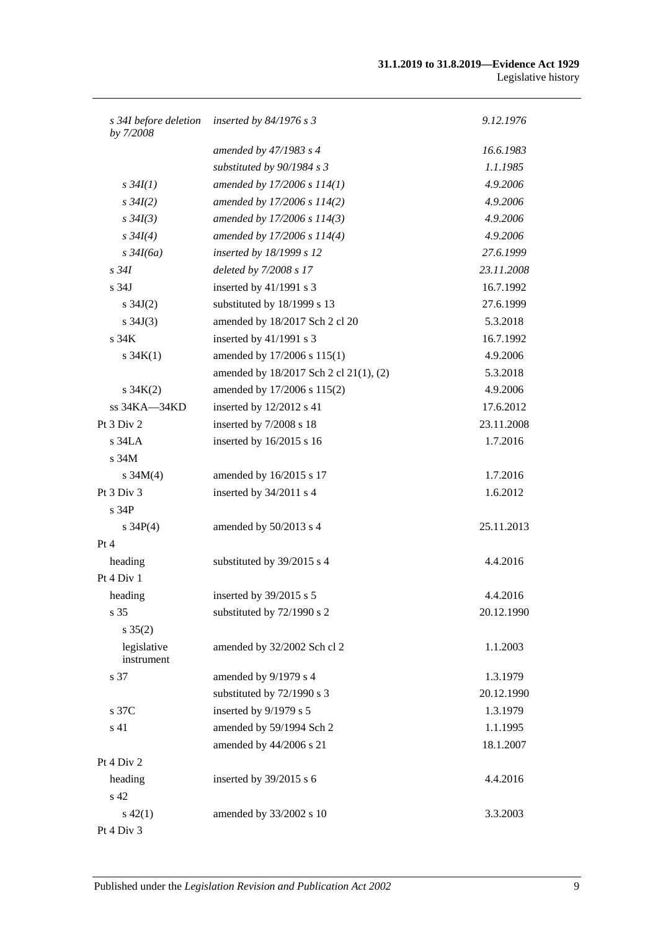#### **31.1.2019 to 31.8.2019—Evidence Act 1929** Legislative history

| s 34I before deletion<br>by 7/2008 | inserted by $84/1976$ s 3              | 9.12.1976  |
|------------------------------------|----------------------------------------|------------|
|                                    | amended by $47/1983$ s 4               | 16.6.1983  |
|                                    | substituted by $90/1984 s 3$           | 1.1.1985   |
| $s \, 34I(1)$                      | amended by 17/2006 s 114(1)            | 4.9.2006   |
| $s \, 34I(2)$                      | amended by 17/2006 s 114(2)            | 4.9.2006   |
| $s \, 34I(3)$                      | amended by 17/2006 s 114(3)            | 4.9.2006   |
| $s \, 34I(4)$                      | amended by 17/2006 s 114(4)            | 4.9.2006   |
| $s\,34I(6a)$                       | inserted by 18/1999 s 12               | 27.6.1999  |
| $s\,34I$                           | deleted by 7/2008 s 17                 | 23.11.2008 |
| s <sub>34J</sub>                   | inserted by 41/1991 s 3                | 16.7.1992  |
| s $34J(2)$                         | substituted by 18/1999 s 13            | 27.6.1999  |
| s $34J(3)$                         | amended by 18/2017 Sch 2 cl 20         | 5.3.2018   |
| s 34K                              | inserted by 41/1991 s 3                | 16.7.1992  |
| s $34K(1)$                         | amended by 17/2006 s 115(1)            | 4.9.2006   |
|                                    | amended by 18/2017 Sch 2 cl 21(1), (2) | 5.3.2018   |
| $s \, 34K(2)$                      | amended by 17/2006 s 115(2)            | 4.9.2006   |
| ss 34KA-34KD                       | inserted by 12/2012 s 41               | 17.6.2012  |
| Pt 3 Div 2                         | inserted by 7/2008 s 18                | 23.11.2008 |
| $s$ 34LA                           | inserted by 16/2015 s 16               | 1.7.2016   |
| s <sub>34M</sub>                   |                                        |            |
| s $34M(4)$                         | amended by 16/2015 s 17                | 1.7.2016   |
| Pt 3 Div 3                         | inserted by 34/2011 s 4                | 1.6.2012   |
| s <sub>34P</sub>                   |                                        |            |
| s $34P(4)$                         | amended by 50/2013 s 4                 | 25.11.2013 |
| Pt 4                               |                                        |            |
| heading                            | substituted by 39/2015 s 4             | 4.4.2016   |
| Pt 4 Div 1                         |                                        |            |
| heading                            | inserted by 39/2015 s 5                | 4.4.2016   |
| s 35                               | substituted by 72/1990 s 2             | 20.12.1990 |
| $s \; 35(2)$                       |                                        |            |
| legislative<br>instrument          | amended by 32/2002 Sch cl 2            | 1.1.2003   |
| s 37                               | amended by 9/1979 s 4                  | 1.3.1979   |
|                                    | substituted by 72/1990 s 3             | 20.12.1990 |
| s 37C                              | inserted by 9/1979 s 5                 | 1.3.1979   |
| s 41                               | amended by 59/1994 Sch 2               | 1.1.1995   |
|                                    | amended by 44/2006 s 21                | 18.1.2007  |
| Pt 4 Div 2                         |                                        |            |
| heading                            | inserted by 39/2015 s 6                | 4.4.2016   |
| s 42                               |                                        |            |
| $s\ 42(1)$                         | amended by 33/2002 s 10                | 3.3.2003   |
| Pt 4 Div 3                         |                                        |            |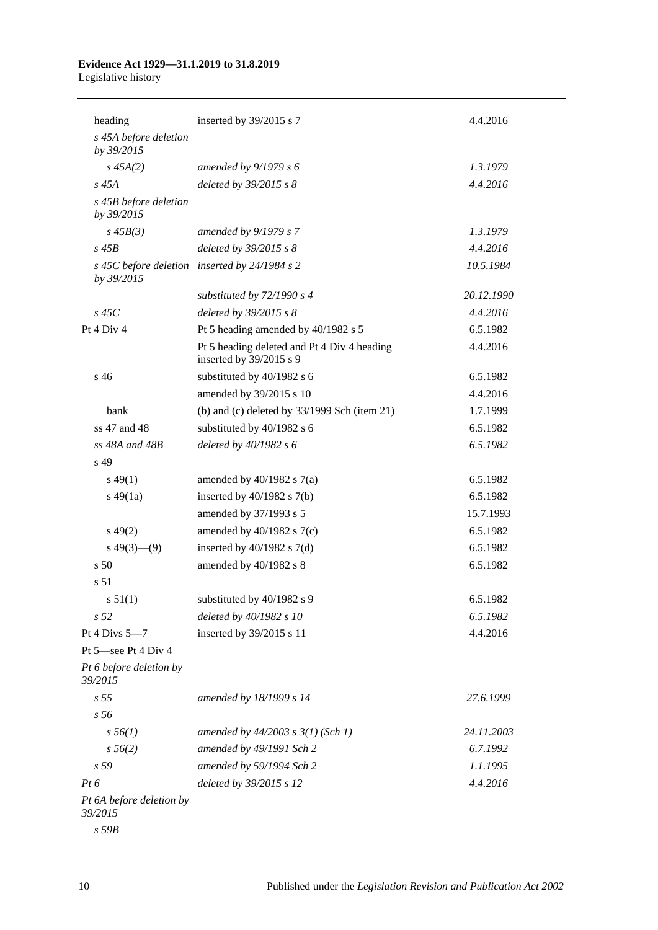# **Evidence Act 1929—31.1.2019 to 31.8.2019**

Legislative history

| heading                             | inserted by 39/2015 s 7                                                | 4.4.2016   |
|-------------------------------------|------------------------------------------------------------------------|------------|
| s 45A before deletion<br>by 39/2015 |                                                                        |            |
| $s\,45A(2)$                         | amended by $9/1979 s 6$                                                | 1.3.1979   |
| $s\,45A$                            | deleted by 39/2015 s 8                                                 | 4.4.2016   |
| s 45B before deletion<br>by 39/2015 |                                                                        |            |
| $s\,45B(3)$                         | amended by 9/1979 s 7                                                  | 1.3.1979   |
| $s\,45B$                            | deleted by $39/2015$ s $8$                                             | 4.4.2016   |
| by 39/2015                          | s 45C before deletion inserted by 24/1984 s 2                          | 10.5.1984  |
|                                     | substituted by $72/1990 s 4$                                           | 20.12.1990 |
| $s$ 45 $C$                          | deleted by $39/2015$ s $8$                                             | 4.4.2016   |
| Pt 4 Div 4                          | Pt 5 heading amended by 40/1982 s 5                                    | 6.5.1982   |
|                                     | Pt 5 heading deleted and Pt 4 Div 4 heading<br>inserted by 39/2015 s 9 | 4.4.2016   |
| s 46                                | substituted by 40/1982 s 6                                             | 6.5.1982   |
|                                     | amended by 39/2015 s 10                                                | 4.4.2016   |
| bank                                | (b) and (c) deleted by $33/1999$ Sch (item 21)                         | 1.7.1999   |
| ss 47 and 48                        | substituted by 40/1982 s 6                                             | 6.5.1982   |
| $ss$ 48A and 48B                    | deleted by $40/1982 s 6$                                               | 6.5.1982   |
| s 49                                |                                                                        |            |
| $s\,49(1)$                          | amended by $40/1982$ s $7(a)$                                          | 6.5.1982   |
| $s\,49(1a)$                         | inserted by $40/1982$ s $7(b)$                                         | 6.5.1982   |
|                                     | amended by 37/1993 s 5                                                 | 15.7.1993  |
| $s\,49(2)$                          | amended by $40/1982$ s $7(c)$                                          | 6.5.1982   |
| $s\ 49(3)$ (9)                      | inserted by $40/1982$ s $7(d)$                                         | 6.5.1982   |
| s <sub>50</sub>                     | amended by 40/1982 s 8                                                 | 6.5.1982   |
| s 51                                |                                                                        |            |
| s 51(1)                             | substituted by 40/1982 s 9                                             | 6.5.1982   |
| s <sub>52</sub>                     | deleted by 40/1982 s 10                                                | 6.5.1982   |
| Pt 4 Divs 5-7                       | inserted by 39/2015 s 11                                               | 4.4.2016   |
| Pt 5-see Pt 4 Div 4                 |                                                                        |            |
| Pt 6 before deletion by<br>39/2015  |                                                                        |            |
| s <sub>55</sub>                     | amended by 18/1999 s 14                                                | 27.6.1999  |
| s 56                                |                                                                        |            |
| $s\,56(1)$                          | amended by $44/2003$ s $3(1)$ (Sch 1)                                  | 24.11.2003 |
| $s\,56(2)$                          | amended by 49/1991 Sch 2                                               | 6.7.1992   |
| s 59                                | amended by 59/1994 Sch 2                                               | 1.1.1995   |
| $Pt\,6$                             | deleted by 39/2015 s 12                                                | 4.4.2016   |
| Pt 6A before deletion by<br>39/2015 |                                                                        |            |

*s 59B*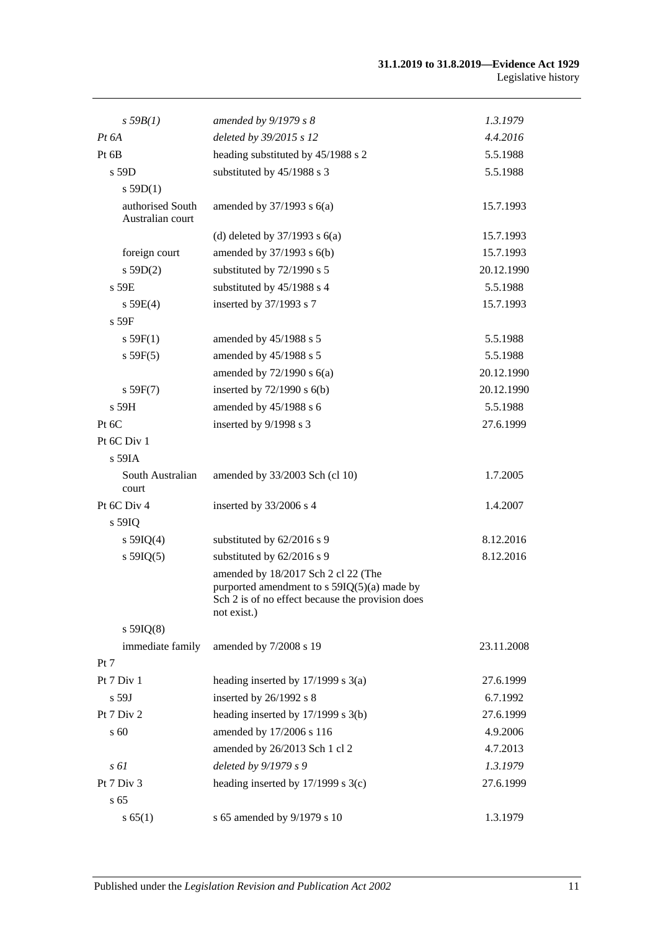| $s$ 59 $B(1)$                        | amended by $9/1979 s 8$                                                                                                                               | 1.3.1979   |
|--------------------------------------|-------------------------------------------------------------------------------------------------------------------------------------------------------|------------|
| $Pt\,6A$                             | deleted by 39/2015 s 12                                                                                                                               | 4.4.2016   |
| Pt 6B                                | heading substituted by 45/1988 s 2                                                                                                                    | 5.5.1988   |
| s 59D                                | substituted by 45/1988 s 3                                                                                                                            | 5.5.1988   |
| $s$ 59D(1)                           |                                                                                                                                                       |            |
| authorised South<br>Australian court | amended by $37/1993$ s $6(a)$                                                                                                                         | 15.7.1993  |
|                                      | (d) deleted by $37/1993$ s $6(a)$                                                                                                                     | 15.7.1993  |
| foreign court                        | amended by 37/1993 s 6(b)                                                                                                                             | 15.7.1993  |
| s 59D(2)                             | substituted by 72/1990 s 5                                                                                                                            | 20.12.1990 |
| s 59E                                | substituted by 45/1988 s 4                                                                                                                            | 5.5.1988   |
| s 59E(4)                             | inserted by 37/1993 s 7                                                                                                                               | 15.7.1993  |
| s 59F                                |                                                                                                                                                       |            |
| s 59F(1)                             | amended by 45/1988 s 5                                                                                                                                | 5.5.1988   |
| s 59F(5)                             | amended by 45/1988 s 5                                                                                                                                | 5.5.1988   |
|                                      | amended by $72/1990$ s $6(a)$                                                                                                                         | 20.12.1990 |
| s 59F(7)                             | inserted by $72/1990$ s $6(b)$                                                                                                                        | 20.12.1990 |
| $s$ 59H                              | amended by 45/1988 s 6                                                                                                                                | 5.5.1988   |
| Pt 6C                                | inserted by 9/1998 s 3                                                                                                                                | 27.6.1999  |
| Pt 6C Div 1                          |                                                                                                                                                       |            |
| s 59IA                               |                                                                                                                                                       |            |
| South Australian<br>court            | amended by 33/2003 Sch (cl 10)                                                                                                                        | 1.7.2005   |
| Pt 6C Div 4                          | inserted by 33/2006 s 4                                                                                                                               | 1.4.2007   |
| s 59IQ                               |                                                                                                                                                       |            |
| s $59IQ(4)$                          | substituted by 62/2016 s 9                                                                                                                            | 8.12.2016  |
| $s$ 59IQ(5)                          | substituted by 62/2016 s 9                                                                                                                            | 8.12.2016  |
|                                      | amended by 18/2017 Sch 2 cl 22 (The<br>purported amendment to s 59IQ(5)(a) made by<br>Sch 2 is of no effect because the provision does<br>not exist.) |            |
| $s$ 59IQ(8)                          |                                                                                                                                                       |            |
| immediate family                     | amended by 7/2008 s 19                                                                                                                                | 23.11.2008 |
| Pt 7                                 |                                                                                                                                                       |            |
| Pt 7 Div 1                           | heading inserted by 17/1999 s 3(a)                                                                                                                    | 27.6.1999  |
| s 59J                                | inserted by 26/1992 s 8                                                                                                                               | 6.7.1992   |
| Pt 7 Div 2                           | heading inserted by 17/1999 s 3(b)                                                                                                                    | 27.6.1999  |
| s 60                                 | amended by 17/2006 s 116                                                                                                                              | 4.9.2006   |
|                                      | amended by 26/2013 Sch 1 cl 2                                                                                                                         | 4.7.2013   |
| $s \omega$                           | deleted by 9/1979 s 9                                                                                                                                 | 1.3.1979   |
| Pt 7 Div 3                           | heading inserted by $17/1999$ s $3(c)$                                                                                                                | 27.6.1999  |
| s <sub>65</sub>                      |                                                                                                                                                       |            |
| s 65(1)                              | s 65 amended by 9/1979 s 10                                                                                                                           | 1.3.1979   |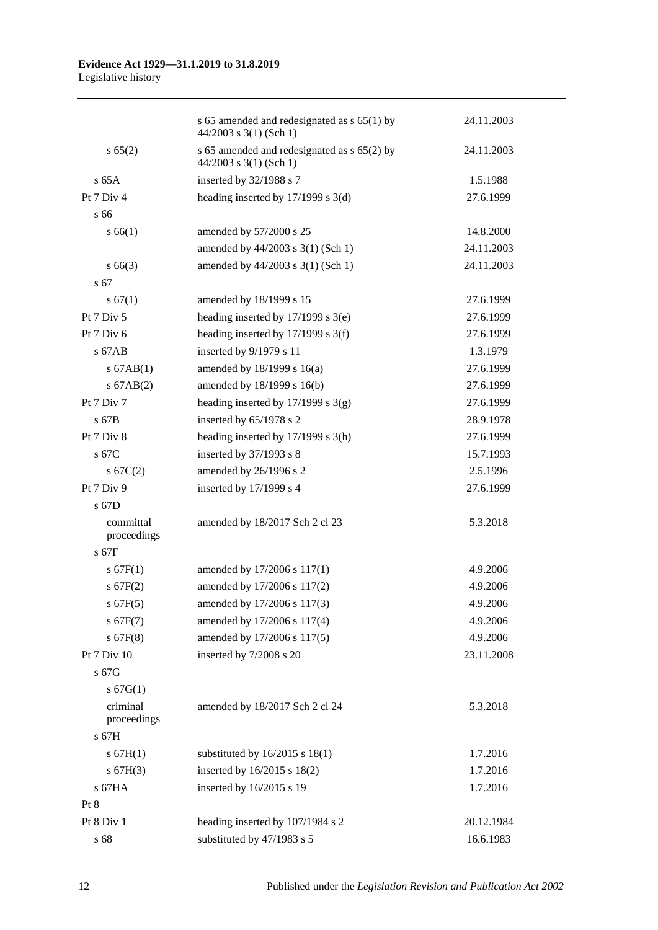|                                     | s 65 amended and redesignated as $s$ 65(1) by<br>$44/2003$ s 3(1) (Sch 1) | 24.11.2003           |
|-------------------------------------|---------------------------------------------------------------------------|----------------------|
| s 65(2)                             | s 65 amended and redesignated as s 65(2) by<br>$44/2003$ s 3(1) (Sch 1)   | 24.11.2003           |
| $s$ 65A                             | inserted by 32/1988 s 7                                                   | 1.5.1988             |
| Pt $7$ Div $4$                      | heading inserted by $17/1999$ s $3(d)$                                    | 27.6.1999            |
| s 66                                |                                                                           |                      |
| s 66(1)                             | amended by 57/2000 s 25                                                   | 14.8.2000            |
|                                     | amended by 44/2003 s 3(1) (Sch 1)                                         | 24.11.2003           |
| $s\,66(3)$                          | amended by 44/2003 s 3(1) (Sch 1)                                         | 24.11.2003           |
| s 67                                |                                                                           |                      |
| s 67(1)                             | amended by 18/1999 s 15                                                   | 27.6.1999            |
| Pt 7 Div 5                          | heading inserted by $17/1999$ s $3(e)$                                    | 27.6.1999            |
| Pt 7 Div 6                          | heading inserted by $17/1999$ s 3(f)                                      | 27.6.1999            |
| $s$ 67AB                            | inserted by 9/1979 s 11                                                   | 1.3.1979             |
| $s$ 67AB $(1)$                      | amended by $18/1999$ s $16(a)$                                            | 27.6.1999            |
| $s$ 67AB $(2)$                      | amended by 18/1999 s 16(b)                                                | 27.6.1999            |
| Pt 7 Div 7                          | heading inserted by $17/1999$ s $3(g)$                                    | 27.6.1999            |
| $s$ 67B                             | inserted by 65/1978 s 2                                                   | 28.9.1978            |
| Pt 7 Div 8                          | heading inserted by $17/1999$ s $3(h)$                                    | 27.6.1999            |
| s 67C                               | inserted by 37/1993 s 8                                                   | 15.7.1993            |
| s 67C(2)                            | amended by 26/1996 s 2                                                    | 2.5.1996             |
| Pt 7 Div 9                          | inserted by 17/1999 s 4                                                   | 27.6.1999            |
| s 67D                               |                                                                           |                      |
| committal<br>proceedings<br>$s$ 67F | amended by 18/2017 Sch 2 cl 23                                            | 5.3.2018             |
|                                     |                                                                           |                      |
| s 67F(1)<br>s 67F(2)                | amended by 17/2006 s 117(1)                                               | 4.9.2006<br>4.9.2006 |
|                                     | amended by 17/2006 s 117(2)                                               | 4.9.2006             |
| $s$ 67F(5)<br>$s$ 67F(7)            | amended by 17/2006 s 117(3)<br>amended by 17/2006 s 117(4)                | 4.9.2006             |
| $s$ 67F(8)                          | amended by 17/2006 s 117(5)                                               | 4.9.2006             |
| Pt 7 Div 10                         |                                                                           |                      |
| s 67G                               | inserted by 7/2008 s 20                                                   | 23.11.2008           |
| s 67G(1)                            |                                                                           |                      |
| criminal                            |                                                                           |                      |
| proceedings                         | amended by 18/2017 Sch 2 cl 24                                            | 5.3.2018             |
| s 67H                               |                                                                           |                      |
| s 67H(1)                            | substituted by $16/2015$ s $18(1)$                                        | 1.7.2016             |
| s 67H(3)                            | inserted by 16/2015 s 18(2)                                               | 1.7.2016             |
| s 67HA                              | inserted by 16/2015 s 19                                                  | 1.7.2016             |
| Pt 8                                |                                                                           |                      |
| Pt 8 Div 1                          | heading inserted by 107/1984 s 2                                          | 20.12.1984           |
| s 68                                | substituted by 47/1983 s 5                                                | 16.6.1983            |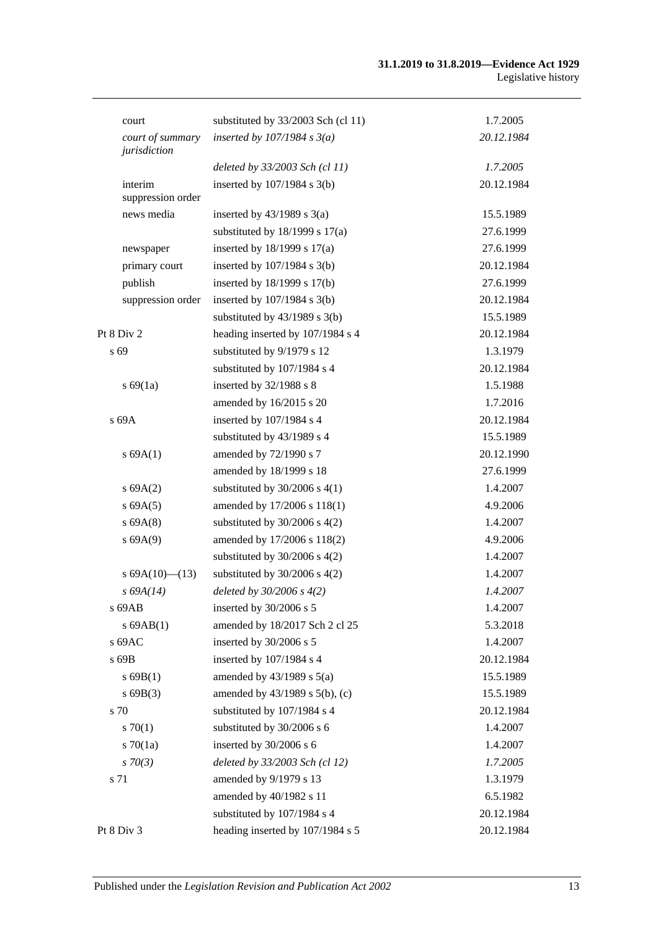#### **31.1.2019 to 31.8.2019—Evidence Act 1929** Legislative history

| court                            | substituted by 33/2003 Sch (cl 11)  | 1.7.2005   |
|----------------------------------|-------------------------------------|------------|
| court of summary<br>jurisdiction | inserted by $107/1984$ s $3(a)$     | 20.12.1984 |
|                                  | deleted by 33/2003 Sch (cl 11)      | 1.7.2005   |
| interim<br>suppression order     | inserted by $107/1984$ s $3(b)$     | 20.12.1984 |
| news media                       | inserted by $43/1989$ s $3(a)$      | 15.5.1989  |
|                                  | substituted by $18/1999$ s $17(a)$  | 27.6.1999  |
| newspaper                        | inserted by $18/1999$ s $17(a)$     | 27.6.1999  |
| primary court                    | inserted by $107/1984$ s $3(b)$     | 20.12.1984 |
| publish                          | inserted by 18/1999 s 17(b)         | 27.6.1999  |
| suppression order                | inserted by $107/1984$ s $3(b)$     | 20.12.1984 |
|                                  | substituted by $43/1989$ s $3(b)$   | 15.5.1989  |
| Pt 8 Div 2                       | heading inserted by 107/1984 s 4    | 20.12.1984 |
| s 69                             | substituted by 9/1979 s 12          | 1.3.1979   |
|                                  | substituted by 107/1984 s 4         | 20.12.1984 |
| s 69(1a)                         | inserted by 32/1988 s 8             | 1.5.1988   |
|                                  | amended by 16/2015 s 20             | 1.7.2016   |
| s 69A                            | inserted by 107/1984 s 4            | 20.12.1984 |
|                                  | substituted by 43/1989 s 4          | 15.5.1989  |
| s 69A(1)                         | amended by 72/1990 s 7              | 20.12.1990 |
|                                  | amended by 18/1999 s 18             | 27.6.1999  |
| s 69A(2)                         | substituted by $30/2006$ s $4(1)$   | 1.4.2007   |
| s 69A(5)                         | amended by 17/2006 s 118(1)         | 4.9.2006   |
| s 69A(8)                         | substituted by $30/2006$ s $4(2)$   | 1.4.2007   |
| s 69A(9)                         | amended by 17/2006 s 118(2)         | 4.9.2006   |
|                                  | substituted by $30/2006$ s $4(2)$   | 1.4.2007   |
| s $69A(10)$ (13)                 | substituted by $30/2006$ s $4(2)$   | 1.4.2007   |
| $s\,69A(14)$                     | deleted by $30/2006 s 4(2)$         | 1.4.2007   |
| s 69AB                           | inserted by 30/2006 s 5             | 1.4.2007   |
| $s$ 69AB $(1)$                   | amended by 18/2017 Sch 2 cl 25      | 5.3.2018   |
| $s$ 69AC                         | inserted by 30/2006 s 5             | 1.4.2007   |
| s 69B                            | inserted by 107/1984 s 4            | 20.12.1984 |
| $s$ 69B(1)                       | amended by $43/1989$ s $5(a)$       | 15.5.1989  |
| s69B(3)                          | amended by $43/1989$ s $5(b)$ , (c) | 15.5.1989  |
| s 70                             | substituted by 107/1984 s 4         | 20.12.1984 |
| 570(1)                           | substituted by 30/2006 s 6          | 1.4.2007   |
| 570(1a)                          | inserted by 30/2006 s 6             | 1.4.2007   |
| $s \, 70(3)$                     | deleted by 33/2003 Sch (cl 12)      | 1.7.2005   |
| s 71                             | amended by 9/1979 s 13              | 1.3.1979   |
|                                  | amended by 40/1982 s 11             | 6.5.1982   |
|                                  | substituted by 107/1984 s 4         | 20.12.1984 |
| Pt 8 Div 3                       | heading inserted by 107/1984 s 5    | 20.12.1984 |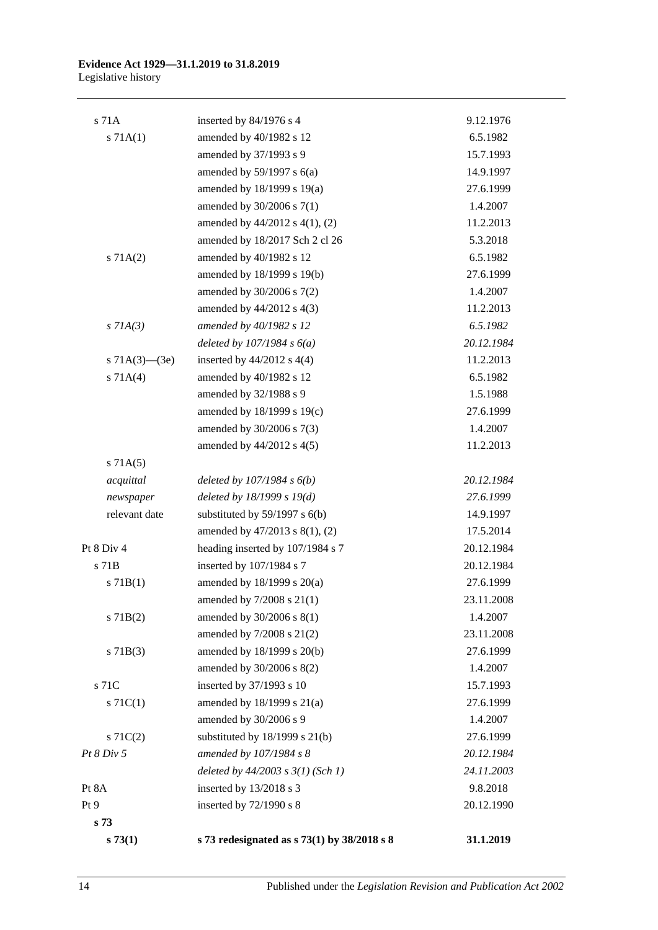#### **Evidence Act 1929—31.1.2019 to 31.8.2019** Legislative history

| s73(1)              | s 73 redesignated as s 73(1) by 38/2018 s 8                 | 31.1.2019              |
|---------------------|-------------------------------------------------------------|------------------------|
| s 73                |                                                             |                        |
| Pt 9                | inserted by 72/1990 s 8                                     | 20.12.1990             |
| Pt 8A               | inserted by 13/2018 s 3                                     | 9.8.2018               |
|                     | deleted by $44/2003$ s $3(1)$ (Sch 1)                       | 24.11.2003             |
| Pt 8 Div 5          | amended by 107/1984 s 8                                     | 20.12.1984             |
| $s \, 71C(2)$       | substituted by $18/1999$ s $21(b)$                          | 27.6.1999              |
|                     | amended by 30/2006 s 9                                      | 1.4.2007               |
| s $71C(1)$          | amended by 18/1999 s 21(a)                                  | 27.6.1999              |
| s 71C               | inserted by 37/1993 s 10                                    | 15.7.1993              |
|                     | amended by 30/2006 s 8(2)                                   | 1.4.2007               |
| $s \, 71B(3)$       | amended by 18/1999 s 20(b)                                  | 27.6.1999              |
|                     | amended by 7/2008 s 21(2)                                   | 23.11.2008             |
| $s$ 71B(2)          | amended by 30/2006 s 8(1)                                   | 1.4.2007               |
|                     | amended by $7/2008$ s $21(1)$                               | 23.11.2008             |
| s 71B(1)            | amended by 18/1999 s 20(a)                                  | 27.6.1999              |
| $s$ 71 $B$          | inserted by 107/1984 s 7                                    | 20.12.1984             |
| Pt 8 Div 4          | heading inserted by 107/1984 s 7                            | 20.12.1984             |
|                     | amended by 47/2013 s 8(1), (2)                              | 17.5.2014              |
| relevant date       | substituted by $59/1997$ s $6(b)$                           | 14.9.1997              |
| newspaper           | deleted by $18/1999 s 19(d)$                                | 27.6.1999              |
| acquittal           | deleted by $107/1984 s 6(b)$                                | 20.12.1984             |
| s 71A(5)            |                                                             |                        |
|                     | amended by 44/2012 s 4(5)                                   | 11.2.2013              |
|                     | amended by 30/2006 s 7(3)                                   | 1.4.2007               |
|                     | amended by 18/1999 s 19(c)                                  | 27.6.1999              |
|                     | amended by 32/1988 s 9                                      | 1.5.1988               |
| s 71A(4)            | amended by 40/1982 s 12                                     | 6.5.1982               |
| s $71A(3)$ — $(3e)$ | inserted by $44/2012$ s $4(4)$                              | 11.2.2013              |
|                     | deleted by $107/1984 s 6(a)$                                | 20.12.1984             |
| $s$ 71A(3)          | amended by 40/1982 s 12                                     | 6.5.1982               |
|                     | amended by 44/2012 s 4(3)                                   | 11.2.2013              |
|                     | amended by 30/2006 s 7(2)                                   | 1.4.2007               |
|                     | amended by 18/1999 s 19(b)                                  | 27.6.1999              |
| s 71A(2)            | amended by 40/1982 s 12                                     | 6.5.1982               |
|                     | amended by 18/2017 Sch 2 cl 26                              | 5.3.2018               |
|                     | amended by 44/2012 s 4(1), (2)                              | 11.2.2013              |
|                     | amended by 30/2006 s 7(1)                                   | 1.4.2007               |
|                     | amended by $59/1997$ s $6(a)$<br>amended by 18/1999 s 19(a) | 14.9.1997<br>27.6.1999 |
|                     | amended by 37/1993 s 9                                      | 15.7.1993              |
| s 71A(1)            | amended by 40/1982 s 12                                     | 6.5.1982               |
| $s$ 71 $A$          | inserted by 84/1976 s 4                                     | 9.12.1976              |
|                     |                                                             |                        |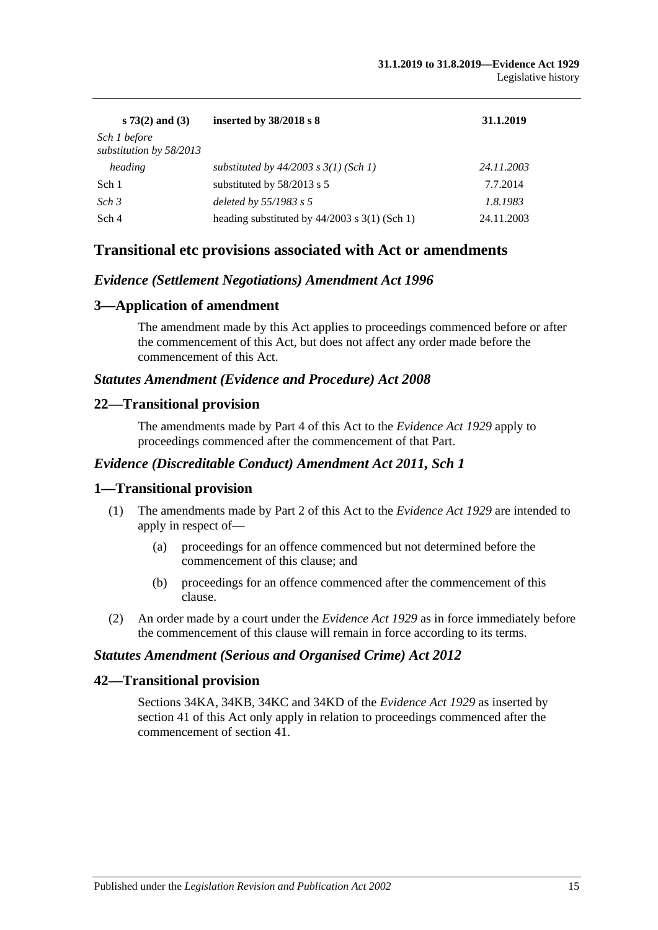| $s 73(2)$ and (3)                       | inserted by $38/2018$ s 8                       | 31.1.2019  |
|-----------------------------------------|-------------------------------------------------|------------|
| Sch 1 before<br>substitution by 58/2013 |                                                 |            |
| heading                                 | substituted by $44/2003$ s $3(1)$ (Sch 1)       | 24.11.2003 |
| Sch 1                                   | substituted by 58/2013 s 5                      | 7.7.2014   |
| Sch <sub>3</sub>                        | deleted by 55/1983 s 5                          | 1.8.1983   |
| Sch 4                                   | heading substituted by $44/2003$ s 3(1) (Sch 1) | 24.11.2003 |

# **Transitional etc provisions associated with Act or amendments**

### *Evidence (Settlement Negotiations) Amendment Act 1996*

## **3—Application of amendment**

The amendment made by this Act applies to proceedings commenced before or after the commencement of this Act, but does not affect any order made before the commencement of this Act.

### *Statutes Amendment (Evidence and Procedure) Act 2008*

### **22—Transitional provision**

The amendments made by Part 4 of this Act to the *[Evidence Act](http://www.legislation.sa.gov.au/index.aspx?action=legref&type=act&legtitle=Evidence%20Act%201929) 1929* apply to proceedings commenced after the commencement of that Part.

#### *Evidence (Discreditable Conduct) Amendment Act 2011, Sch 1*

### **1—Transitional provision**

- (1) The amendments made by Part 2 of this Act to the *[Evidence Act](http://www.legislation.sa.gov.au/index.aspx?action=legref&type=act&legtitle=Evidence%20Act%201929) 1929* are intended to apply in respect of—
	- (a) proceedings for an offence commenced but not determined before the commencement of this clause; and
	- (b) proceedings for an offence commenced after the commencement of this clause.
- (2) An order made by a court under the *[Evidence Act](http://www.legislation.sa.gov.au/index.aspx?action=legref&type=act&legtitle=Evidence%20Act%201929) 1929* as in force immediately before the commencement of this clause will remain in force according to its terms.

#### *Statutes Amendment (Serious and Organised Crime) Act 2012*

## **42—Transitional provision**

Sections 34KA, 34KB, 34KC and 34KD of the *[Evidence Act](http://www.legislation.sa.gov.au/index.aspx?action=legref&type=act&legtitle=Evidence%20Act%201929) 1929* as inserted by section 41 of this Act only apply in relation to proceedings commenced after the commencement of section 41.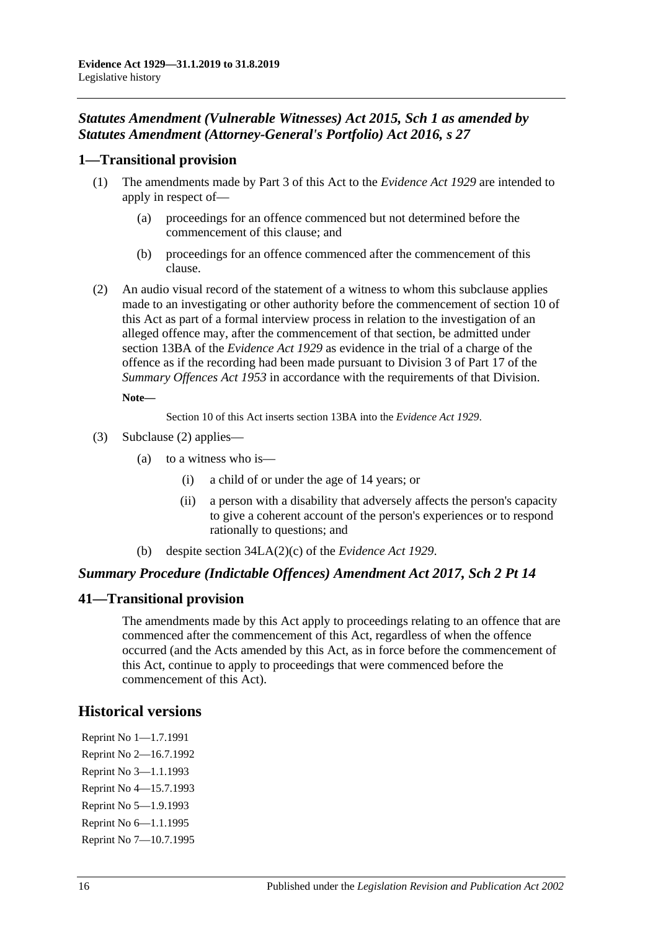# *Statutes Amendment (Vulnerable Witnesses) Act 2015, Sch 1 as amended by Statutes Amendment (Attorney-General's Portfolio) Act 2016, s 27*

# **1—Transitional provision**

- (1) The amendments made by Part 3 of this Act to the *[Evidence Act](http://www.legislation.sa.gov.au/index.aspx?action=legref&type=act&legtitle=Evidence%20Act%201929) 1929* are intended to apply in respect of—
	- (a) proceedings for an offence commenced but not determined before the commencement of this clause; and
	- (b) proceedings for an offence commenced after the commencement of this clause.
- <span id="page-111-0"></span>(2) An audio visual record of the statement of a witness to whom this subclause applies made to an investigating or other authority before the commencement of section 10 of this Act as part of a formal interview process in relation to the investigation of an alleged offence may, after the commencement of that section, be admitted under section 13BA of the *[Evidence Act](http://www.legislation.sa.gov.au/index.aspx?action=legref&type=act&legtitle=Evidence%20Act%201929) 1929* as evidence in the trial of a charge of the offence as if the recording had been made pursuant to Division 3 of Part 17 of the *[Summary Offences Act](http://www.legislation.sa.gov.au/index.aspx?action=legref&type=act&legtitle=Summary%20Offences%20Act%201953) 1953* in accordance with the requirements of that Division.

#### **Note—**

Section 10 of this Act inserts section 13BA into the *[Evidence Act](http://www.legislation.sa.gov.au/index.aspx?action=legref&type=act&legtitle=Evidence%20Act%201929) 1929*.

- (3) [Subclause \(2\)](#page-111-0) applies—
	- (a) to a witness who is—
		- (i) a child of or under the age of 14 years; or
		- (ii) a person with a disability that adversely affects the person's capacity to give a coherent account of the person's experiences or to respond rationally to questions; and
	- (b) despite section 34LA(2)(c) of the *[Evidence Act](http://www.legislation.sa.gov.au/index.aspx?action=legref&type=act&legtitle=Evidence%20Act%201929) 1929*.

# *Summary Procedure (Indictable Offences) Amendment Act 2017, Sch 2 Pt 14*

# **41—Transitional provision**

The amendments made by this Act apply to proceedings relating to an offence that are commenced after the commencement of this Act, regardless of when the offence occurred (and the Acts amended by this Act, as in force before the commencement of this Act, continue to apply to proceedings that were commenced before the commencement of this Act).

# **Historical versions**

Reprint No 1—1.7.1991 Reprint No 2—16.7.1992 Reprint No 3—1.1.1993 Reprint No 4—15.7.1993 Reprint No 5—1.9.1993 Reprint No 6—1.1.1995 Reprint No 7—10.7.1995